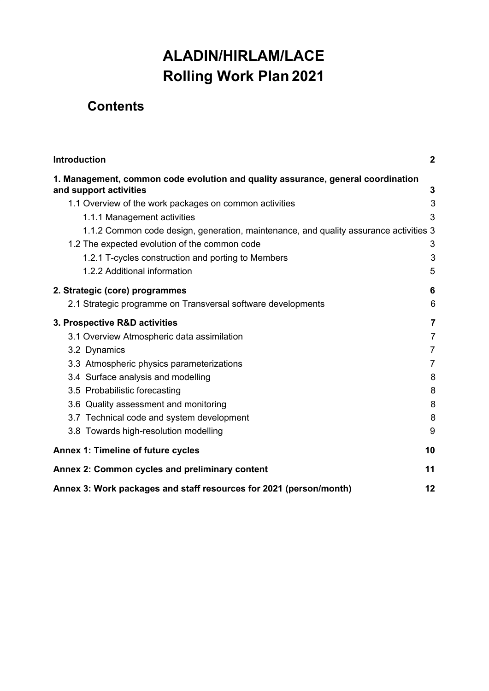# **ALADIN/HIRLAM/LACE Rolling Work Plan 2021**

# **Contents**

| Introduction                                                                                               | $\overline{2}$ |
|------------------------------------------------------------------------------------------------------------|----------------|
| 1. Management, common code evolution and quality assurance, general coordination<br>and support activities | 3              |
| 1.1 Overview of the work packages on common activities                                                     | 3              |
| 1.1.1 Management activities                                                                                | 3              |
| 1.1.2 Common code design, generation, maintenance, and quality assurance activities 3                      |                |
| 1.2 The expected evolution of the common code                                                              | 3              |
| 1.2.1 T-cycles construction and porting to Members                                                         | 3              |
| 1.2.2 Additional information                                                                               | 5              |
| 2. Strategic (core) programmes                                                                             | 6              |
| 2.1 Strategic programme on Transversal software developments                                               | 6              |
| 3. Prospective R&D activities                                                                              | $\overline{7}$ |
| 3.1 Overview Atmospheric data assimilation                                                                 | $\overline{7}$ |
| 3.2 Dynamics                                                                                               | $\overline{7}$ |
| 3.3 Atmospheric physics parameterizations                                                                  | $\overline{7}$ |
| 3.4 Surface analysis and modelling                                                                         | 8              |
| 3.5 Probabilistic forecasting                                                                              | 8              |
| 3.6 Quality assessment and monitoring                                                                      | 8              |
| 3.7 Technical code and system development                                                                  | 8              |
| 3.8 Towards high-resolution modelling                                                                      | 9              |
| <b>Annex 1: Timeline of future cycles</b>                                                                  | 10             |
| Annex 2: Common cycles and preliminary content                                                             | 11             |
| Annex 3: Work packages and staff resources for 2021 (person/month)                                         | 12             |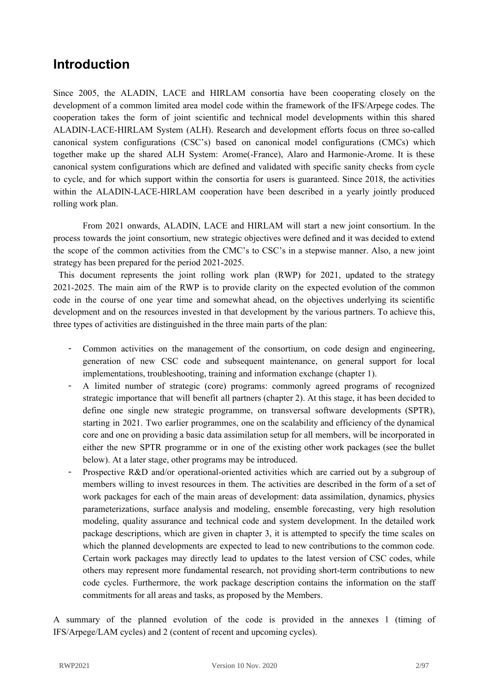# <span id="page-1-0"></span>**Introduction**

Since 2005, the ALADIN, LACE and HIRLAM consortia have been cooperating closely on the development of a common limited area model code within the framework of the IFS/Arpege codes. The cooperation takes the form of joint scientific and technical model developments within this shared ALADIN-LACE-HIRLAM System (ALH). Research and development efforts focus on three so-called canonical system configurations (CSC's) based on canonical model configurations (CMCs) which together make up the shared ALH System: Arome(-France), Alaro and Harmonie-Arome. It is these canonical system configurations which are defined and validated with specific sanity checks from cycle to cycle, and for which support within the consortia for users is guaranteed. Since 2018, the activities within the ALADIN-LACE-HIRLAM cooperation have been described in a yearly jointly produced rolling work plan.

From 2021 onwards, ALADIN, LACE and HIRLAM will start a new joint consortium. In the process towards the joint consortium, new strategic objectives were defined and it was decided to extend the scope of the common activities from the CMC's to CSC's in a stepwise manner. Also, a new joint strategy has been prepared for the period 2021-2025.

This document represents the joint rolling work plan (RWP) for 2021, updated to the strategy 2021-2025. The main aim of the RWP is to provide clarity on the expected evolution of the common code in the course of one year time and somewhat ahead, on the objectives underlying its scientific development and on the resources invested in that development by the various partners. To achieve this, three types of activities are distinguished in the three main parts of the plan:

- Common activities on the management of the consortium, on code design and engineering, generation of new CSC code and subsequent maintenance, on general support for local implementations, troubleshooting, training and information exchange (chapter 1).
- A limited number of strategic (core) programs: commonly agreed programs of recognized strategic importance that will benefit all partners (chapter 2). At this stage, it has been decided to define one single new strategic programme, on transversal software developments (SPTR), starting in 2021. Two earlier programmes, one on the scalability and efficiency of the dynamical core and one on providing a basic data assimilation setup for all members, will be incorporated in either the new SPTR programme or in one of the existing other work packages (see the bullet below). At a later stage, other programs may be introduced.
- Prospective R&D and/or operational-oriented activities which are carried out by a subgroup of members willing to invest resources in them. The activities are described in the form of a set of work packages for each of the main areas of development: data assimilation, dynamics, physics parameterizations, surface analysis and modeling, ensemble forecasting, very high resolution modeling, quality assurance and technical code and system development. In the detailed work package descriptions, which are given in chapter 3, it is attempted to specify the time scales on which the planned developments are expected to lead to new contributions to the common code. Certain work packages may directly lead to updates to the latest version of CSC codes, while others may represent more fundamental research, not providing short-term contributions to new code cycles. Furthermore, the work package description contains the information on the staff commitments for all areas and tasks, as proposed by the Members.

A summary of the planned evolution of the code is provided in the annexes 1 (timing of IFS/Arpege/LAM cycles) and 2 (content of recent and upcoming cycles).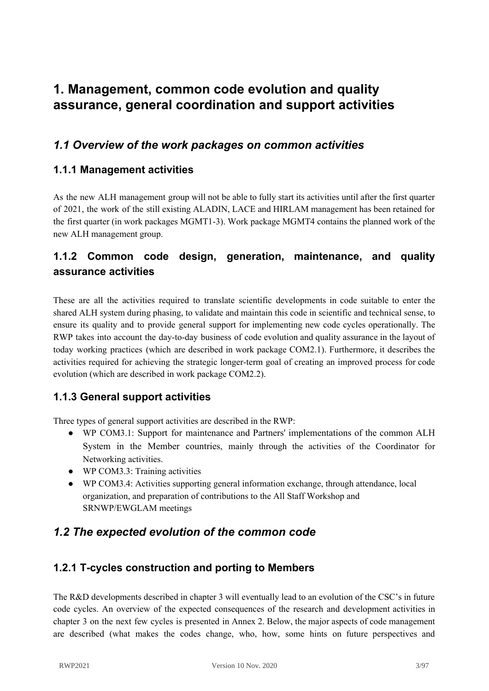# <span id="page-2-0"></span>**1. Management, common code evolution and quality assurance, general coordination and support activities**

## <span id="page-2-1"></span>*1.1 Overview of the work packages on common activities*

### <span id="page-2-2"></span>**1.1.1 Management activities**

As the new ALH management group will not be able to fully start its activities until after the first quarter of 2021, the work of the still existing ALADIN, LACE and HIRLAM management has been retained for the first quarter (in work packages MGMT1-3). Work package MGMT4 contains the planned work of the new ALH management group.

## <span id="page-2-3"></span>**1.1.2 Common code design, generation, maintenance, and quality assurance activities**

These are all the activities required to translate scientific developments in code suitable to enter the shared ALH system during phasing, to validate and maintain this code in scientific and technical sense, to ensure its quality and to provide general support for implementing new code cycles operationally. The RWP takes into account the day-to-day business of code evolution and quality assurance in the layout of today working practices (which are described in work package COM2.1). Furthermore, it describes the activities required for achieving the strategic longer-term goal of creating an improved process for code evolution (which are described in work package COM2.2).

### **1.1.3 General support activities**

Three types of general support activities are described in the RWP:

- WP COM3.1: Support for maintenance and Partners' implementations of the common ALH System in the Member countries, mainly through the activities of the Coordinator for Networking activities.
- WP COM3.3: Training activities
- WP COM3.4: Activities supporting general information exchange, through attendance, local organization, and preparation of contributions to the All Staff Workshop and SRNWP/EWGLAM meetings

## <span id="page-2-4"></span>*1.2 The expected evolution of the common code*

### <span id="page-2-5"></span>**1.2.1 T-cycles construction and porting to Members**

The R&D developments described in chapter 3 will eventually lead to an evolution of the CSC's in future code cycles. An overview of the expected consequences of the research and development activities in chapter 3 on the next few cycles is presented in Annex 2. Below, the major aspects of code management are described (what makes the codes change, who, how, some hints on future perspectives and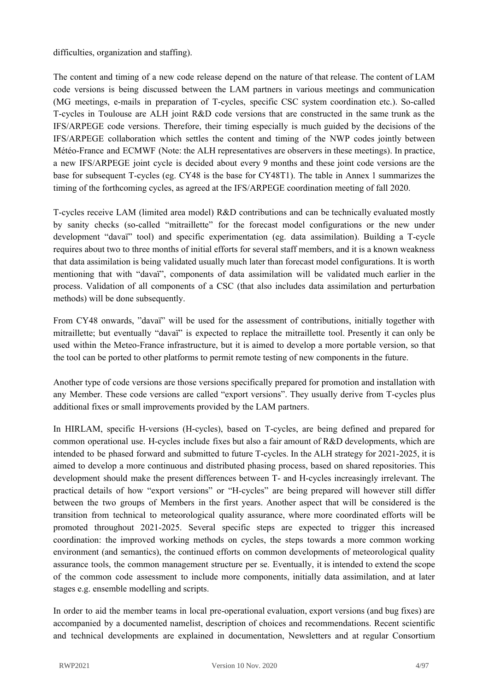difficulties, organization and staffing).

The content and timing of a new code release depend on the nature of that release. The content of LAM code versions is being discussed between the LAM partners in various meetings and communication (MG meetings, e-mails in preparation of T-cycles, specific CSC system coordination etc.). So-called T-cycles in Toulouse are ALH joint R&D code versions that are constructed in the same trunk as the IFS/ARPEGE code versions. Therefore, their timing especially is much guided by the decisions of the IFS/ARPEGE collaboration which settles the content and timing of the NWP codes jointly between Météo-France and ECMWF (Note: the ALH representatives are observers in these meetings). In practice, a new IFS/ARPEGE joint cycle is decided about every 9 months and these joint code versions are the base for subsequent T-cycles (eg. CY48 is the base for CY48T1). The table in Annex 1 summarizes the timing of the forthcoming cycles, as agreed at the IFS/ARPEGE coordination meeting of fall 2020.

T-cycles receive LAM (limited area model) R&D contributions and can be technically evaluated mostly by sanity checks (so-called "mitraillette" for the forecast model configurations or the new under development "davaï" tool) and specific experimentation (eg. data assimilation). Building a T-cycle requires about two to three months of initial efforts for several staff members, and it is a known weakness that data assimilation is being validated usually much later than forecast model configurations. It is worth mentioning that with "davaï", components of data assimilation will be validated much earlier in the process. Validation of all components of a CSC (that also includes data assimilation and perturbation methods) will be done subsequently.

From CY48 onwards, "davaï" will be used for the assessment of contributions, initially together with mitraillette; but eventually "davaï" is expected to replace the mitraillette tool. Presently it can only be used within the Meteo-France infrastructure, but it is aimed to develop a more portable version, so that the tool can be ported to other platforms to permit remote testing of new components in the future.

Another type of code versions are those versions specifically prepared for promotion and installation with any Member. These code versions are called "export versions". They usually derive from T-cycles plus additional fixes or small improvements provided by the LAM partners.

In HIRLAM, specific H-versions (H-cycles), based on T-cycles, are being defined and prepared for common operational use. H-cycles include fixes but also a fair amount of R&D developments, which are intended to be phased forward and submitted to future T-cycles. In the ALH strategy for 2021-2025, it is aimed to develop a more continuous and distributed phasing process, based on shared repositories. This development should make the present differences between T- and H-cycles increasingly irrelevant. The practical details of how "export versions" or "H-cycles" are being prepared will however still differ between the two groups of Members in the first years. Another aspect that will be considered is the transition from technical to meteorological quality assurance, where more coordinated efforts will be promoted throughout 2021-2025. Several specific steps are expected to trigger this increased coordination: the improved working methods on cycles, the steps towards a more common working environment (and semantics), the continued efforts on common developments of meteorological quality assurance tools, the common management structure per se. Eventually, it is intended to extend the scope of the common code assessment to include more components, initially data assimilation, and at later stages e.g. ensemble modelling and scripts.

In order to aid the member teams in local pre-operational evaluation, export versions (and bug fixes) are accompanied by a documented namelist, description of choices and recommendations. Recent scientific and technical developments are explained in documentation, Newsletters and at regular Consortium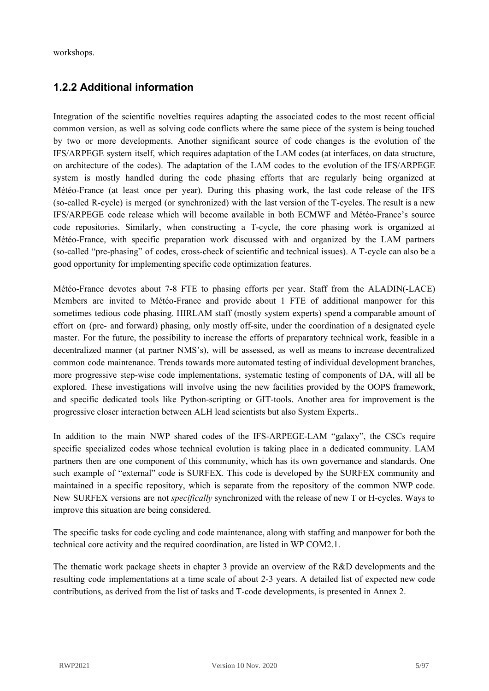workshops.

### <span id="page-4-0"></span>**1.2.2 Additional information**

Integration of the scientific novelties requires adapting the associated codes to the most recent official common version, as well as solving code conflicts where the same piece of the system is being touched by two or more developments. Another significant source of code changes is the evolution of the IFS/ARPEGE system itself, which requires adaptation of the LAM codes (at interfaces, on data structure, on architecture of the codes). The adaptation of the LAM codes to the evolution of the IFS/ARPEGE system is mostly handled during the code phasing efforts that are regularly being organized at Météo-France (at least once per year). During this phasing work, the last code release of the IFS (so-called R-cycle) is merged (or synchronized) with the last version of the T-cycles. The result is a new IFS/ARPEGE code release which will become available in both ECMWF and Météo-France's source code repositories. Similarly, when constructing a T-cycle, the core phasing work is organized at Météo-France, with specific preparation work discussed with and organized by the LAM partners (so-called "pre-phasing" of codes, cross-check of scientific and technical issues). A T-cycle can also be a good opportunity for implementing specific code optimization features.

Météo-France devotes about 7-8 FTE to phasing efforts per year. Staff from the ALADIN(-LACE) Members are invited to Météo-France and provide about 1 FTE of additional manpower for this sometimes tedious code phasing. HIRLAM staff (mostly system experts) spend a comparable amount of effort on (pre- and forward) phasing, only mostly off-site, under the coordination of a designated cycle master. For the future, the possibility to increase the efforts of preparatory technical work, feasible in a decentralized manner (at partner NMS's), will be assessed, as well as means to increase decentralized common code maintenance. Trends towards more automated testing of individual development branches, more progressive step-wise code implementations, systematic testing of components of DA, will all be explored. These investigations will involve using the new facilities provided by the OOPS framework, and specific dedicated tools like Python-scripting or GIT-tools. Another area for improvement is the progressive closer interaction between ALH lead scientists but also System Experts..

In addition to the main NWP shared codes of the IFS-ARPEGE-LAM "galaxy", the CSCs require specific specialized codes whose technical evolution is taking place in a dedicated community. LAM partners then are one component of this community, which has its own governance and standards. One such example of "external" code is SURFEX. This code is developed by the SURFEX community and maintained in a specific repository, which is separate from the repository of the common NWP code. New SURFEX versions are not *specifically* synchronized with the release of new T or H-cycles. Ways to improve this situation are being considered.

The specific tasks for code cycling and code maintenance, along with staffing and manpower for both the technical core activity and the required coordination, are listed in WP COM2.1.

The thematic work package sheets in chapter 3 provide an overview of the R&D developments and the resulting code implementations at a time scale of about 2-3 years. A detailed list of expected new code contributions, as derived from the list of tasks and T-code developments, is presented in Annex 2.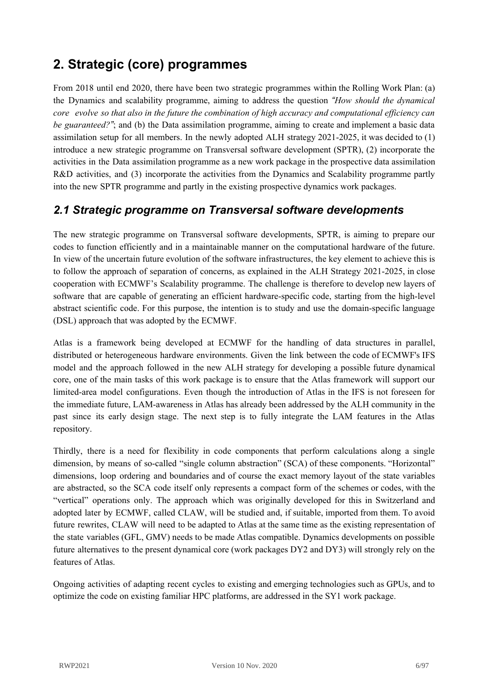# <span id="page-5-0"></span>**2. Strategic (core) programmes**

From 2018 until end 2020, there have been two strategic programmes within the Rolling Work Plan: (a) the Dynamics and scalability programme, aiming to address the question *"How should the dynamical* core evolve so that also in the future the combination of high accuracy and computational efficiency can *be guaranteed?"*; and (b) the Data assimilation programme, aiming to create and implement a basic data assimilation setup for all members. In the newly adopted ALH strategy 2021-2025, it was decided to (1) introduce a new strategic programme on Transversal software development (SPTR), (2) incorporate the activities in the Data assimilation programme as a new work package in the prospective data assimilation R&D activities, and (3) incorporate the activities from the Dynamics and Scalability programme partly into the new SPTR programme and partly in the existing prospective dynamics work packages.

## <span id="page-5-1"></span>*2.1 Strategic programme on Transversal software developments*

The new strategic programme on Transversal software developments, SPTR, is aiming to prepare our codes to function efficiently and in a maintainable manner on the computational hardware of the future. In view of the uncertain future evolution of the software infrastructures, the key element to achieve this is to follow the approach of separation of concerns, as explained in the ALH Strategy 2021-2025, in close cooperation with ECMWF's Scalability programme. The challenge is therefore to develop new layers of software that are capable of generating an efficient hardware-specific code, starting from the high-level abstract scientific code. For this purpose, the intention is to study and use the domain-specific language (DSL) approach that was adopted by the ECMWF.

Atlas is a framework being developed at ECMWF for the handling of data structures in parallel, distributed or heterogeneous hardware environments. Given the link between the code of ECMWF's IFS model and the approach followed in the new ALH strategy for developing a possible future dynamical core, one of the main tasks of this work package is to ensure that the Atlas framework will support our limited-area model configurations. Even though the introduction of Atlas in the IFS is not foreseen for the immediate future, LAM-awareness in Atlas has already been addressed by the ALH community in the past since its early design stage. The next step is to fully integrate the LAM features in the Atlas repository.

Thirdly, there is a need for flexibility in code components that perform calculations along a single dimension, by means of so-called "single column abstraction" (SCA) of these components. "Horizontal" dimensions, loop ordering and boundaries and of course the exact memory layout of the state variables are abstracted, so the SCA code itself only represents a compact form of the schemes or codes, with the "vertical" operations only. The approach which was originally developed for this in Switzerland and adopted later by ECMWF, called CLAW, will be studied and, if suitable, imported from them. To avoid future rewrites, CLAW will need to be adapted to Atlas at the same time as the existing representation of the state variables (GFL, GMV) needs to be made Atlas compatible. Dynamics developments on possible future alternatives to the present dynamical core (work packages DY2 and DY3) will strongly rely on the features of Atlas.

Ongoing activities of adapting recent cycles to existing and emerging technologies such as GPUs, and to optimize the code on existing familiar HPC platforms, are addressed in the SY1 work package.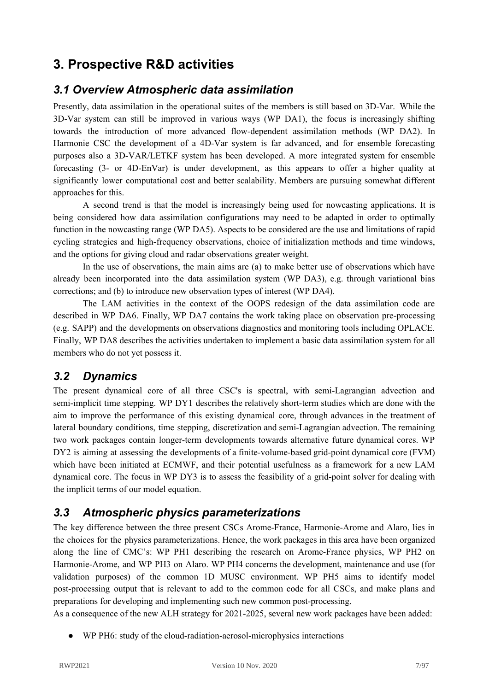# <span id="page-6-0"></span>**3. Prospective R&D activities**

### <span id="page-6-1"></span>*3.1 Overview Atmospheric data assimilation*

Presently, data assimilation in the operational suites of the members is still based on 3D-Var. While the 3D-Var system can still be improved in various ways (WP DA1), the focus is increasingly shifting towards the introduction of more advanced flow-dependent assimilation methods (WP DA2). In Harmonie CSC the development of a 4D-Var system is far advanced, and for ensemble forecasting purposes also a 3D-VAR/LETKF system has been developed. A more integrated system for ensemble forecasting (3- or 4D-EnVar) is under development, as this appears to offer a higher quality at significantly lower computational cost and better scalability. Members are pursuing somewhat different approaches for this.

A second trend is that the model is increasingly being used for nowcasting applications. It is being considered how data assimilation configurations may need to be adapted in order to optimally function in the nowcasting range (WP DA5). Aspects to be considered are the use and limitations of rapid cycling strategies and high-frequency observations, choice of initialization methods and time windows, and the options for giving cloud and radar observations greater weight.

In the use of observations, the main aims are (a) to make better use of observations which have already been incorporated into the data assimilation system (WP DA3), e.g. through variational bias corrections; and (b) to introduce new observation types of interest (WP DA4).

The LAM activities in the context of the OOPS redesign of the data assimilation code are described in WP DA6. Finally, WP DA7 contains the work taking place on observation pre-processing (e.g. SAPP) and the developments on observations diagnostics and monitoring tools including OPLACE. Finally, WP DA8 describes the activities undertaken to implement a basic data assimilation system for all members who do not yet possess it.

### <span id="page-6-2"></span>*3.2 Dynamics*

The present dynamical core of all three CSC's is spectral, with semi-Lagrangian advection and semi-implicit time stepping. WP DY1 describes the relatively short-term studies which are done with the aim to improve the performance of this existing dynamical core, through advances in the treatment of lateral boundary conditions, time stepping, discretization and semi-Lagrangian advection. The remaining two work packages contain longer-term developments towards alternative future dynamical cores. WP DY2 is aiming at assessing the developments of a finite-volume-based grid-point dynamical core (FVM) which have been initiated at ECMWF, and their potential usefulness as a framework for a new LAM dynamical core. The focus in WP DY3 is to assess the feasibility of a grid-point solver for dealing with the implicit terms of our model equation.

## <span id="page-6-3"></span>*3.3 Atmospheric physics parameterizations*

The key difference between the three present CSCs Arome-France, Harmonie-Arome and Alaro, lies in the choices for the physics parameterizations. Hence, the work packages in this area have been organized along the line of CMC's: WP PH1 describing the research on Arome-France physics, WP PH2 on Harmonie-Arome, and WP PH3 on Alaro. WP PH4 concerns the development, maintenance and use (for validation purposes) of the common 1D MUSC environment. WP PH5 aims to identify model post-processing output that is relevant to add to the common code for all CSCs, and make plans and preparations for developing and implementing such new common post-processing.

As a consequence of the new ALH strategy for 2021-2025, several new work packages have been added:

WP PH6: study of the cloud-radiation-aerosol-microphysics interactions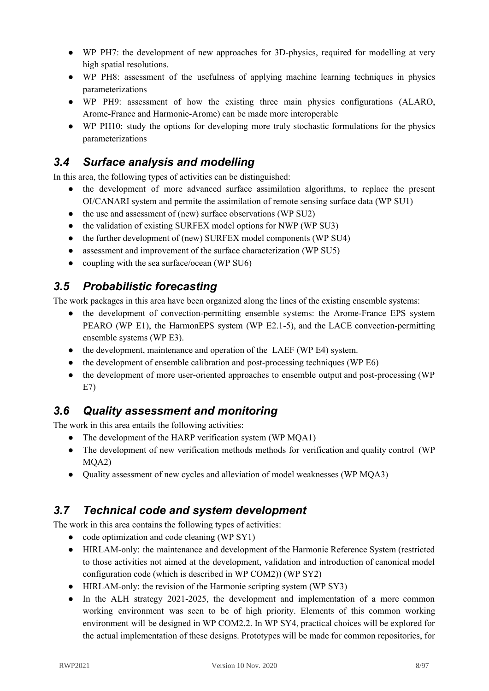- WP PH7: the development of new approaches for 3D-physics, required for modelling at very high spatial resolutions.
- WP PH8: assessment of the usefulness of applying machine learning techniques in physics parameterizations
- WP PH9: assessment of how the existing three main physics configurations (ALARO, Arome-France and Harmonie-Arome) can be made more interoperable
- WP PH10: study the options for developing more truly stochastic formulations for the physics parameterizations

# <span id="page-7-0"></span>*3.4 Surface analysis and modelling*

In this area, the following types of activities can be distinguished:

- the development of more advanced surface assimilation algorithms, to replace the present OI/CANARI system and permite the assimilation of remote sensing surface data (WP SU1)
- the use and assessment of (new) surface observations (WP SU2)
- the validation of existing SURFEX model options for NWP (WP SU3)
- the further development of (new) SURFEX model components (WP SU4)
- assessment and improvement of the surface characterization (WP SU5)
- coupling with the sea surface/ocean (WP SU6)

## <span id="page-7-1"></span>*3.5 Probabilistic forecasting*

The work packages in this area have been organized along the lines of the existing ensemble systems:

- the development of convection-permitting ensemble systems: the Arome-France EPS system PEARO (WP E1), the HarmonEPS system (WP E2.1-5), and the LACE convection-permitting ensemble systems (WP E3).
- the development, maintenance and operation of the LAEF (WP E4) system.
- the development of ensemble calibration and post-processing techniques (WP E6)
- the development of more user-oriented approaches to ensemble output and post-processing (WP) E7)

# <span id="page-7-2"></span>*3.6 Quality assessment and monitoring*

The work in this area entails the following activities:

- The development of the HARP verification system (WP MQA1)
- The development of new verification methods methods for verification and quality control (WP MQA2)
- Quality assessment of new cycles and alleviation of model weaknesses (WP MQA3)

# <span id="page-7-3"></span>*3.7 Technical code and system development*

The work in this area contains the following types of activities:

- code optimization and code cleaning (WP SY1)
- HIRLAM-only: the maintenance and development of the Harmonie Reference System (restricted to those activities not aimed at the development, validation and introduction of canonical model configuration code (which is described in WP COM2)) (WP SY2)
- HIRLAM-only: the revision of the Harmonie scripting system (WP SY3)
- In the ALH strategy 2021-2025, the development and implementation of a more common working environment was seen to be of high priority. Elements of this common working environment will be designed in WP COM2.2. In WP SY4, practical choices will be explored for the actual implementation of these designs. Prototypes will be made for common repositories, for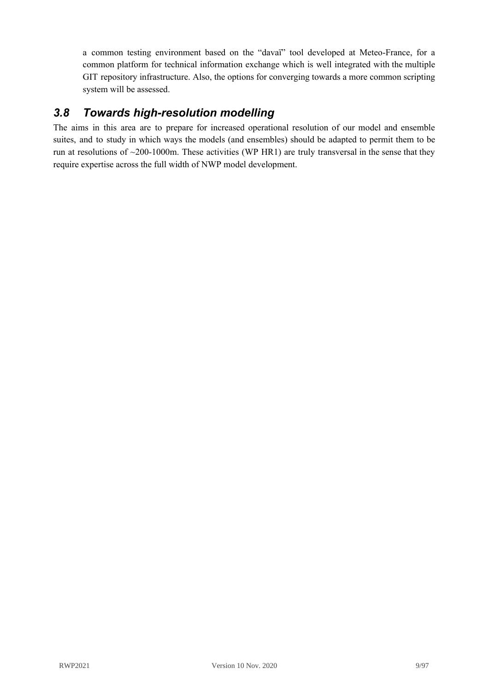a common testing environment based on the "davaï" tool developed at Meteo-France, for a common platform for technical information exchange which is well integrated with the multiple GIT repository infrastructure. Also, the options for converging towards a more common scripting system will be assessed.

## <span id="page-8-0"></span>*3.8 Towards high-resolution modelling*

The aims in this area are to prepare for increased operational resolution of our model and ensemble suites, and to study in which ways the models (and ensembles) should be adapted to permit them to be run at resolutions of ~200-1000m. These activities (WP HR1) are truly transversal in the sense that they require expertise across the full width of NWP model development.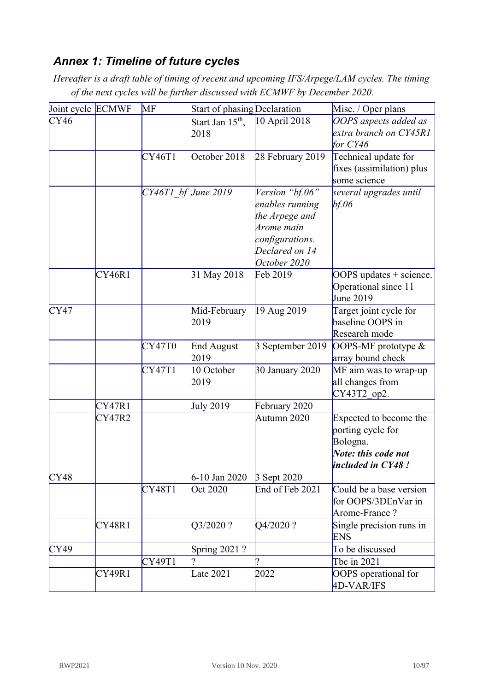# <span id="page-9-0"></span>*Annex 1: Timeline of future cycles*

*Hereafter is a draft table of timing of recent and upcoming IFS/Arpege/LAM cycles. The timing of the next cycles will be further discussed with ECMWF by December 2020.*

| Joint cycle ECMWF |        | MF                      | Start of phasing Declaration |                                                                                                                         | Misc. / Oper plans                                                                                  |
|-------------------|--------|-------------------------|------------------------------|-------------------------------------------------------------------------------------------------------------------------|-----------------------------------------------------------------------------------------------------|
| CY46              |        |                         | Start Jan $15th$ ,<br>2018   | 10 April 2018                                                                                                           | OOPS aspects added as<br>extra branch on CY45R1<br>for CY46                                         |
|                   |        | CY46T1                  | October 2018                 | 28 February 2019                                                                                                        | Technical update for<br>fixes (assimilation) plus<br>some science                                   |
|                   |        | $CY46T1$ bf $June~2019$ |                              | Version "bf.06"<br>enables running<br>the Arpege and<br>Arome main<br>configurations.<br>Declared on 14<br>October 2020 | several upgrades until<br>bf.06                                                                     |
|                   | CY46R1 |                         | 31 May 2018                  | Feb 2019                                                                                                                | OOPS updates + science.<br>Operational since 11<br>June 2019                                        |
| CY47              |        |                         | Mid-February<br>2019         | 19 Aug 2019                                                                                                             | Target joint cycle for<br>baseline OOPS in<br>Research mode                                         |
|                   |        | CY47T0                  | <b>End August</b><br>2019    | 3 September 2019                                                                                                        | OOPS-MF prototype $&$<br>array bound check                                                          |
|                   |        | CY47T1                  | 10 October<br>2019           | 30 January 2020                                                                                                         | MF aim was to wrap-up<br>all changes from<br>CY43T2 op2.                                            |
|                   | CY47R1 |                         | <b>July 2019</b>             | February 2020                                                                                                           |                                                                                                     |
|                   | CY47R2 |                         |                              | Autumn 2020                                                                                                             | Expected to become the<br>porting cycle for<br>Bologna.<br>Note: this code not<br>included in CY48! |
| CY48              |        |                         | 6-10 Jan 2020                | 3 Sept 2020                                                                                                             |                                                                                                     |
|                   |        | CY48T1                  | Oct 2020                     | End of Feb 2021                                                                                                         | Could be a base version<br>for OOPS/3DEnVar in<br>Arome-France?                                     |
|                   | CY48R1 |                         | Q3/2020?                     | Q4/2020?                                                                                                                | Single precision runs in<br><b>ENS</b>                                                              |
| CY49              |        |                         | Spring 2021 ?                |                                                                                                                         | To be discussed                                                                                     |
|                   |        | CY49T1                  |                              |                                                                                                                         | Tbc in 2021                                                                                         |
|                   | CY49R1 |                         | Late 2021                    | 2022                                                                                                                    | OOPS operational for<br>4D-VAR/IFS                                                                  |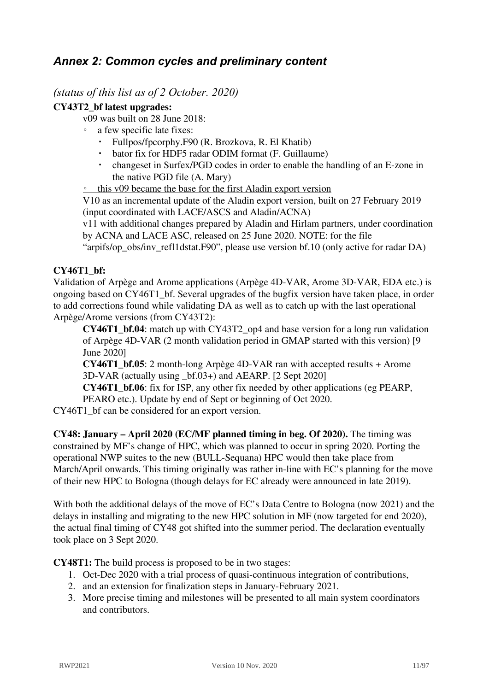## <span id="page-10-0"></span>*Annex 2: Common cycles and preliminary content*

*(status of this list as of 2 October. 2020)*

### **CY43T2\_bf latest upgrades:**

v09 was built on 28 June 2018:

- a few specific late fixes:
	- Fullpos/fpcorphy.F90 (R. Brozkova, R. El Khatib)
	- bator fix for HDF5 radar ODIM format (F. Guillaume)
	- changeset in Surfex/PGD codes in order to enable the handling of an E-zone in the native PGD file (A. Mary)
- this v09 became the base for the first Aladin export version

V10 as an incremental update of the Aladin export version, built on 27 February 2019 (input coordinated with LACE/ASCS and Aladin/ACNA)

v11 with additional changes prepared by Aladin and Hirlam partners, under coordination by ACNA and LACE ASC, released on 25 June 2020. NOTE: for the file

"arpifs/op\_obs/inv\_refl1dstat.F90", please use version bf.10 (only active for radar DA)

### **CY46T1\_bf:**

Validation of Arpège and Arome applications (Arpège 4D-VAR, Arome 3D-VAR, EDA etc.) is ongoing based on CY46T1\_bf. Several upgrades of the bugfix version have taken place, in order to add corrections found while validating DA as well as to catch up with the last operational Arpège/Arome versions (from CY43T2):

**CY46T1** bf.04: match up with CY43T2 op4 and base version for a long run validation of Arpège 4D-VAR (2 month validation period in GMAP started with this version) [9 June 2020]

**CY46T1\_bf.05**: 2 month-long Arpège 4D-VAR ran with accepted results + Arome 3D-VAR (actually using \_bf.03+) and AEARP. [2 Sept 2020]

**CY46T1\_bf.06**: fix for ISP, any other fix needed by other applications (eg PEARP, PEARO etc.). Update by end of Sept or beginning of Oct 2020.

CY46T1\_bf can be considered for an export version.

**CY48: January – April 2020 (EC/MF planned timing in beg. Of 2020).** The timing was constrained by MF's change of HPC, which was planned to occur in spring 2020. Porting the operational NWP suites to the new (BULL-Sequana) HPC would then take place from March/April onwards. This timing originally was rather in-line with EC's planning for the move of their new HPC to Bologna (though delays for EC already were announced in late 2019).

With both the additional delays of the move of EC's Data Centre to Bologna (now 2021) and the delays in installing and migrating to the new HPC solution in MF (now targeted for end 2020), the actual final timing of CY48 got shifted into the summer period. The declaration eventually took place on 3 Sept 2020.

**CY48T1:** The build process is proposed to be in two stages:

- 1. Oct-Dec 2020 with a trial process of quasi-continuous integration of contributions,
- 2. and an extension for finalization steps in January-February 2021.
- 3. More precise timing and milestones will be presented to all main system coordinators and contributors.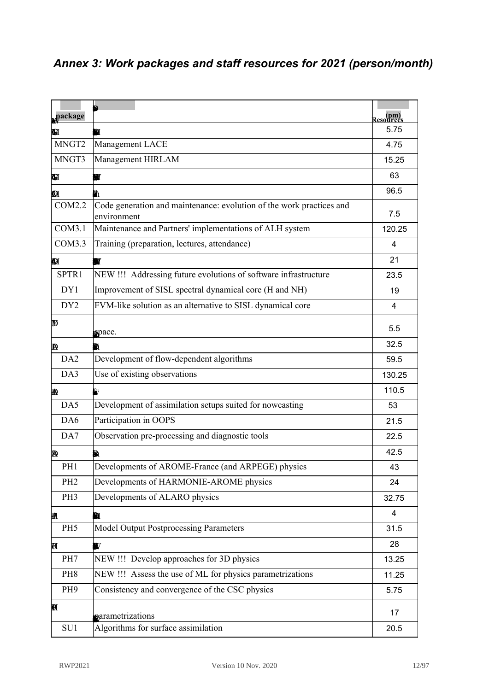# <span id="page-11-0"></span>*Annex 3: Work packages and staff resources for 2021 (person/month)*

| Work              | <b>Description</b>                                                                  | <b>Resources</b> |
|-------------------|-------------------------------------------------------------------------------------|------------------|
| package<br>MNGT1  | Management and ALADIN support activities                                            | (pm)<br>5.75     |
| MNGT <sub>2</sub> | Management LACE                                                                     |                  |
| MNGT3             | Management HIRLAM                                                                   | 4.75             |
|                   |                                                                                     | 15.25            |
| MNGT4             | <b>NEW!!!</b><br>Management ALH                                                     | 63               |
| COM2.1            | Code generation and maintenance: ongoing process, tools already used                | 96.5             |
| COM2.2            | Code generation and maintenance: evolution of the work practices and<br>environment | 7.5              |
| COM3.1            | Maintenance and Partners' implementations of ALH system                             | 120.25           |
| COM3.3            | Training (preparation, lectures, attendance)                                        | $\overline{4}$   |
| COM3.4            | Attendance and preparation of ASW & EWGLAM<br>NEW!!!                                | 21               |
| SPTR1             | NEW !!! Addressing future evolutions of software infrastructure                     | 23.5             |
| DY1               | Improvement of SISL spectral dynamical core (H and NH)                              | 19               |
| DY <sub>2</sub>   | FVM-like solution as an alternative to SISL dynamical core                          | $\overline{4}$   |
| DY3               | Development of methods for solving the implicit equation in gridpoint<br>space.     | 5.5              |
| DA1               | Further development of 3D-Var (alg. Settings)                                       | 32.5             |
| DA <sub>2</sub>   | Development of flow-dependent algorithms                                            | 59.5             |
| DA3               | Use of existing observations                                                        | 130.25           |
| DA4               | Use of new observations types                                                       | 110.5            |
| DA5               | Development of assimilation setups suited for nowcasting                            | 53               |
| DA6               | Participation in OOPS                                                               | 21.5             |
| DA7               | Observation pre-processing and diagnostic tools                                     | 22.5             |
| DA8               | Basic data assimilation setup                                                       | 42.5             |
| PH1               | Developments of AROME-France (and ARPEGE) physics                                   | 43               |
| PH <sub>2</sub>   | Developments of HARMONIE-AROME physics                                              | 24               |
| PH3               | Developments of ALARO physics                                                       | 32.75            |
| PH <sub>4</sub>   | Common 1D MUSC framework for parametrization validation                             | 4                |
| PH <sub>5</sub>   | Model Output Postprocessing Parameters                                              | 31.5             |
| PH <sub>6</sub>   | NEW !!! Study the cloud/aerosol/radiation (CAR) interactions                        | 28               |
| PH7               | NEW !!! Develop approaches for 3D physics                                           | 13.25            |
| PH <sub>8</sub>   | NEW !!! Assess the use of ML for physics parametrizations                           | 11.25            |
| PH <sub>9</sub>   | Consistency and convergence of the CSC physics                                      | 5.75             |
| <b>PH10</b>       | NEW !!! Litterature survey of existing fully stochastic physics<br>parametrizations | 17               |
| SU1               | Algorithms for surface assimilation                                                 | 20.5             |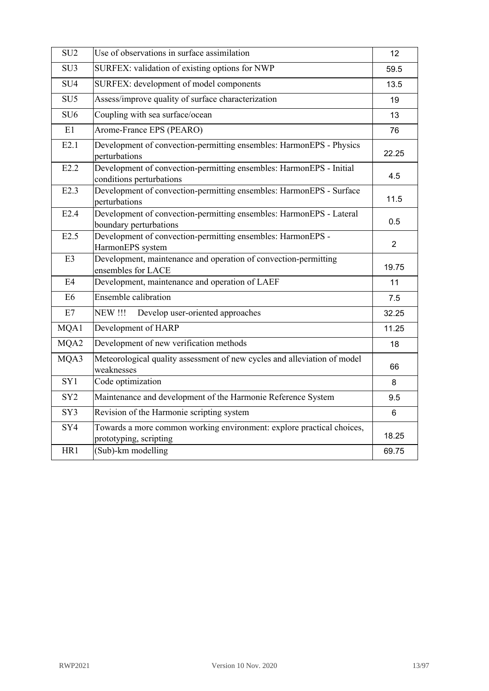| SU <sub>2</sub> | Use of observations in surface assimilation                                                     | 12             |
|-----------------|-------------------------------------------------------------------------------------------------|----------------|
| SU <sub>3</sub> | SURFEX: validation of existing options for NWP                                                  | 59.5           |
| SU <sub>4</sub> | SURFEX: development of model components                                                         | 13.5           |
| SU <sub>5</sub> | Assess/improve quality of surface characterization                                              | 19             |
| SU <sub>6</sub> | Coupling with sea surface/ocean                                                                 | 13             |
| E1              | Arome-France EPS (PEARO)                                                                        | 76             |
| E2.1            | Development of convection-permitting ensembles: HarmonEPS - Physics<br>perturbations            | 22.25          |
| E2.2            | Development of convection-permitting ensembles: HarmonEPS - Initial<br>conditions perturbations | 4.5            |
| E2.3            | Development of convection-permitting ensembles: HarmonEPS - Surface<br>perturbations            | 11.5           |
| E2.4            | Development of convection-permitting ensembles: HarmonEPS - Lateral<br>boundary perturbations   | 0.5            |
| E2.5            | Development of convection-permitting ensembles: HarmonEPS -<br>HarmonEPS system                 | $\overline{2}$ |
| E <sub>3</sub>  | Development, maintenance and operation of convection-permitting<br>ensembles for LACE           | 19.75          |
| E <sub>4</sub>  | Development, maintenance and operation of LAEF                                                  | 11             |
| E <sub>6</sub>  | <b>Ensemble calibration</b>                                                                     | 7.5            |
| E7              | <b>NEW!!!</b><br>Develop user-oriented approaches                                               | 32.25          |
| MQA1            | Development of HARP                                                                             | 11.25          |
| MQA2            | Development of new verification methods                                                         | 18             |
| MQA3            | Meteorological quality assessment of new cycles and alleviation of model<br>weaknesses          | 66             |
| SY1             | Code optimization                                                                               | 8              |
| SY <sub>2</sub> | Maintenance and development of the Harmonie Reference System                                    | 9.5            |
| SY3             | Revision of the Harmonie scripting system                                                       | 6              |
| SY4             | Towards a more common working environment: explore practical choices,<br>prototyping, scripting | 18.25          |
| HR1             | (Sub)-km modelling                                                                              | 69.75          |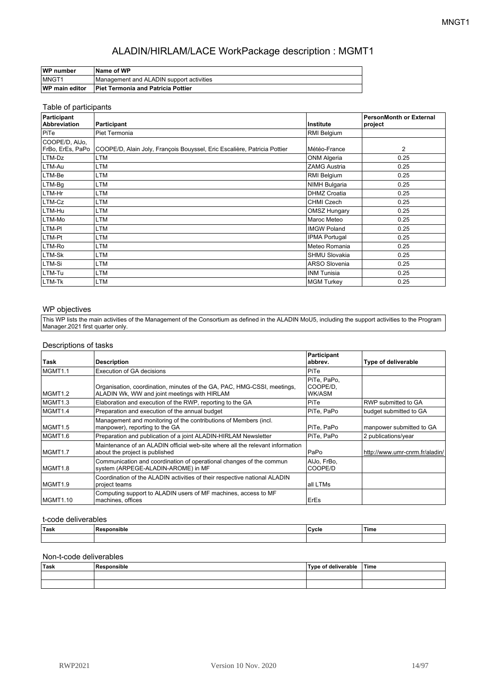| WP number             | ∣Name of WP                               |
|-----------------------|-------------------------------------------|
| <b>IMNGT1</b>         | Management and ALADIN support activities  |
| <b>WP main editor</b> | <b>Piet Termonia and Patricia Pottier</b> |

#### Table of participants

| Participant<br>Abbreviation | Participant                                                                                 | Institute            | <b>PersonMonth or External</b><br>project |
|-----------------------------|---------------------------------------------------------------------------------------------|----------------------|-------------------------------------------|
| PiTe                        | Piet Termonia                                                                               | RMI Belgium          |                                           |
| COOPE/D, AlJo,              | FrBo, ErEs, PaPo   COOPE/D, Alain Joly, François Bouyssel, Eric Escalière, Patricia Pottier | Météo-France         | 2                                         |
| LTM-Dz                      | LTM                                                                                         | ONM Algeria          | 0.25                                      |
| LTM-Au                      | LTM                                                                                         | <b>ZAMG Austria</b>  | 0.25                                      |
| LTM-Be                      | LTM                                                                                         | RMI Belgium          | 0.25                                      |
| LTM-Bq                      | LTM                                                                                         | <b>NIMH Bulgaria</b> | 0.25                                      |
| LTM-Hr                      | LTM                                                                                         | <b>DHMZ Croatia</b>  | 0.25                                      |
| LTM-Cz                      | LTM                                                                                         | <b>CHMI Czech</b>    | 0.25                                      |
| LTM-Hu                      | LTM                                                                                         | <b>OMSZ Hungary</b>  | 0.25                                      |
| LTM-Mo                      | LTM                                                                                         | Maroc Meteo          | 0.25                                      |
| LTM-PI                      | LTM                                                                                         | <b>IMGW Poland</b>   | 0.25                                      |
| LTM-Pt                      | LTM                                                                                         | <b>IPMA Portugal</b> | 0.25                                      |
| LTM-Ro                      | LTM                                                                                         | Meteo Romania        | 0.25                                      |
| LTM-Sk                      | LTM                                                                                         | <b>SHMU Slovakia</b> | 0.25                                      |
| LTM-Si                      | LTM                                                                                         | <b>ARSO Slovenia</b> | 0.25                                      |
| LTM-Tu                      | LTM                                                                                         | <b>INM Tunisia</b>   | 0.25                                      |
| LTM-Tk                      | LTM                                                                                         | <b>MGM Turkey</b>    | 0.25                                      |

#### WP objectives

This WP lists the main activities of the Management of the Consortium as defined in the ALADIN MoU5, including the support activities to the Program Manager.2021 first quarter only.

#### Descriptions of tasks

| Task     | <b>Description</b>                                                                                                      | Participant<br>abbrev.            | Type of deliverable            |
|----------|-------------------------------------------------------------------------------------------------------------------------|-----------------------------------|--------------------------------|
| MGMT1.1  | Execution of GA decisions                                                                                               | PiTe                              |                                |
| MGMT1.2  | Organisation, coordination, minutes of the GA, PAC, HMG-CSSI, meetings,<br>ALADIN Wk, WW and joint meetings with HIRLAM | PiTe. PaPo.<br>COOPE/D.<br>WK/ASM |                                |
| MGMT1.3  | Elaboration and execution of the RWP, reporting to the GA                                                               | PiTe                              | RWP submitted to GA            |
| MGMT1.4  | Preparation and execution of the annual budget                                                                          | PiTe, PaPo                        | budget submitted to GA         |
| MGMT1.5  | Management and monitoring of the contributions of Members (incl.<br>manpower), reporting to the GA                      | PiTe, PaPo                        | manpower submitted to GA       |
| MGMT1.6  | Preparation and publication of a joint ALADIN-HIRLAM Newsletter                                                         | PiTe, PaPo                        | 2 publications/year            |
| MGMT1.7  | Maintenance of an ALADIN official web-site where all the relevant information<br>about the project is published         | PaPo                              | http://www.umr-cnrm.fr/aladin/ |
| MGMT1.8  | Communication and coordination of operational changes of the commun<br>system (ARPEGE-ALADIN-AROME) in MF               | AlJo, FrBo,<br>COOPE/D            |                                |
| MGMT1.9  | Coordination of the ALADIN activities of their respective national ALADIN<br>project teams                              | all LTMs                          |                                |
| MGMT1.10 | Computing support to ALADIN users of MF machines, access to MF<br>machines, offices                                     | <b>ErEs</b>                       |                                |

#### t-code deliverables

| 'Task | .<br><b>D</b> ^^*<br>ำnsible<br>πt<br>. | ' Cγcle<br>. . | 'Time |
|-------|-----------------------------------------|----------------|-------|
|       |                                         |                |       |

| Task | Responsible | Type of deliverable | ∣Time |
|------|-------------|---------------------|-------|
|      |             |                     |       |
|      |             |                     |       |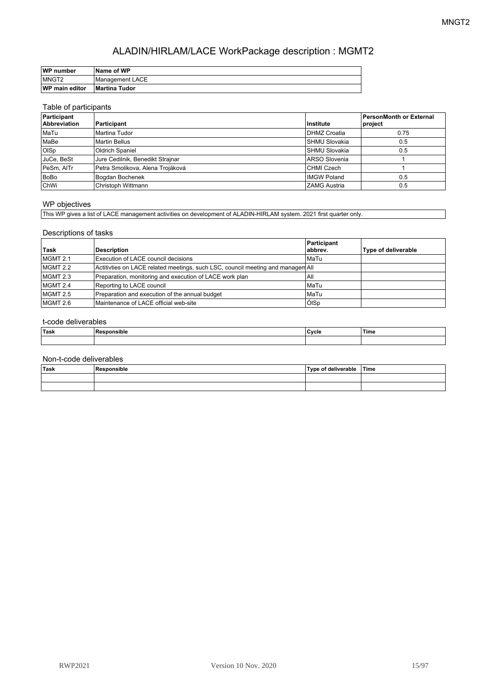| WP number             | <b>Name of WP</b> |
|-----------------------|-------------------|
| MNGT2                 | Management LACE   |
| <b>WP main editor</b> | Martina Tudor     |

#### Table of participants

| Participant<br><b>Abbreviation</b> | Participant                      | Institute            | PersonMonth or External<br>project |
|------------------------------------|----------------------------------|----------------------|------------------------------------|
| MaTu                               | Martina Tudor                    | <b>IDHMZ Croatia</b> | 0.75                               |
| MaBe                               | Martin Bellus                    | <b>SHMU Slovakia</b> | 0.5                                |
| <b>OISp</b>                        | <b>Oldrich Spaniel</b>           | <b>SHMU Slovakia</b> | 0.5                                |
| JuCe, BeSt                         | Jure Cedilnik, Benedikt Strajnar | IARSO Slovenia       |                                    |
| PeSm, AITr                         | Petra Smolikova, Alena Trojáková | CHMI Czech           |                                    |
| BoBo                               | Bogdan Bochenek                  | <b>IMGW Poland</b>   | 0.5                                |
| ChWi                               | Christoph Wittmann               | <b>ZAMG Austria</b>  | 0.5                                |

#### WP objectives

This WP gives a list of LACE management activities on development of ALADIN-HIRLAM system. 2021 first quarter only.

#### Descriptions of tasks

|          |                                                                                 | Participant |                     |
|----------|---------------------------------------------------------------------------------|-------------|---------------------|
| Task     | Description                                                                     | abbrev.     | Type of deliverable |
| MGMT 2.1 | Execution of LACE council decisions                                             | l MaTu      |                     |
| MGMT 2.2 | Actitivties on LACE related meetings, such LSC, council meeting and managem All |             |                     |
| MGMT 2.3 | Preparation, monitoring and execution of LACE work plan                         | All         |                     |
| MGMT 2.4 | Reporting to LACE council                                                       | l MaTu      |                     |
| MGMT 2.5 | Preparation and execution of the annual budget                                  | l MaTu      |                     |
| MGMT 2.6 | Maintenance of LACE official web-site                                           | ÓISp        |                     |

#### t-code deliverables

| <b>Task</b> | Cycle | ≀Time |
|-------------|-------|-------|
|             |       |       |

| Task<br>$\sim$ $\sim$ | .<br><b>Responsible</b> | Tyne of<br>∣ deliverable | <sup>≀</sup> Time |
|-----------------------|-------------------------|--------------------------|-------------------|
|                       |                         |                          |                   |
|                       |                         |                          |                   |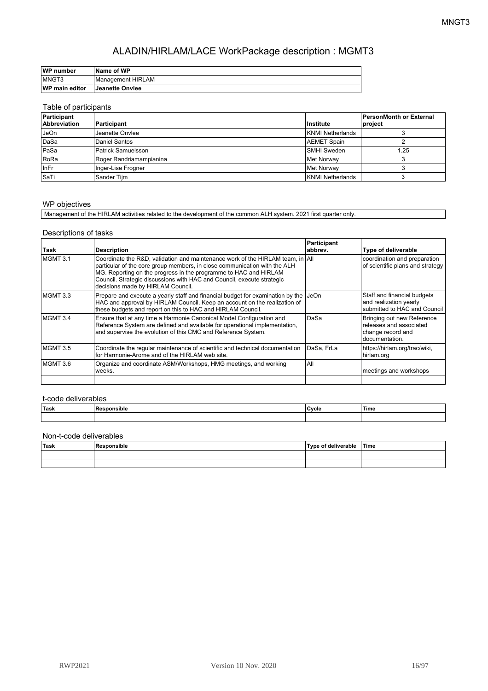| WP number             | <b>Name of WP</b>      |
|-----------------------|------------------------|
| <b>IMNGT3</b>         | Management HIRLAM      |
| <b>WP main editor</b> | <b>Jeanette Onviee</b> |

#### Table of participants

| Participant<br><b>Abbreviation</b> | Participant               | Institute          | <b>PersonMonth or External</b><br>project |
|------------------------------------|---------------------------|--------------------|-------------------------------------------|
| JeOn                               | Jeanette Onviee           | KNMI Netherlands   |                                           |
| DaSa                               | Daniel Santos             | <b>AEMET Spain</b> |                                           |
| PaSa                               | <b>Patrick Samuelsson</b> | <b>SMHI Sweden</b> | 1.25                                      |
| RoRa                               | Roger Randriamampianina   | Met Norwav         |                                           |
| <b>InFr</b>                        | Inger-Lise Frogner        | Met Norway         |                                           |
| l SaTi                             | Sander Tijm               | KNMI Netherlands   |                                           |

#### WP objectives

Management of the HIRLAM activities related to the development of the common ALH system. 2021 first quarter only.

#### Descriptions of tasks

| Task     | <b>Description</b>                                                                                                                                                                                                                                                                                                                                     | Participant<br>abbrev. | Type of deliverable                                                                          |
|----------|--------------------------------------------------------------------------------------------------------------------------------------------------------------------------------------------------------------------------------------------------------------------------------------------------------------------------------------------------------|------------------------|----------------------------------------------------------------------------------------------|
| MGMT 3.1 | Coordinate the R&D, validation and maintenance work of the HIRLAM team, in $\vert$ All<br>particular of the core group members, in close communication with the ALH<br>MG. Reporting on the progress in the programme to HAC and HIRLAM<br>Council. Strategic discussions with HAC and Council, execute strategic<br>decisions made by HIRLAM Council. |                        | coordination and preparation<br>of scientific plans and strategy                             |
| MGMT 3.3 | Prepare and execute a yearly staff and financial budget for examination by the<br>HAC and approval by HIRLAM Council. Keep an account on the realization of<br>these budgets and report on this to HAC and HIRLAM Council.                                                                                                                             | JeOn                   | Staff and financial budgets<br>and realization yearly<br>submitted to HAC and Council        |
| MGMT 3.4 | Ensure that at any time a Harmonie Canonical Model Configuration and<br>Reference System are defined and available for operational implementation,<br>and supervise the evolution of this CMC and Reference System.                                                                                                                                    | DaSa                   | Bringing out new Reference<br>releases and associated<br>change record and<br>documentation. |
| MGMT 3.5 | Coordinate the regular maintenance of scientific and technical documentation<br>for Harmonie-Arome and of the HIRLAM web site.                                                                                                                                                                                                                         | DaSa, FrLa             | https://hirlam.org/trac/wiki,<br>hirlam.org                                                  |
| MGMT 3.6 | Organize and coordinate ASM/Workshops, HMG meetings, and working<br>weeks.                                                                                                                                                                                                                                                                             | All                    | meetings and workshops                                                                       |
|          |                                                                                                                                                                                                                                                                                                                                                        |                        |                                                                                              |

#### t-code deliverables

| ≀Task | nıe<br>. | Cycle | 'Time |
|-------|----------|-------|-------|
|       |          |       |       |

| Task | Responsible | Type of deliverable | <sup>।</sup> Time |
|------|-------------|---------------------|-------------------|
|      |             |                     |                   |
|      |             |                     |                   |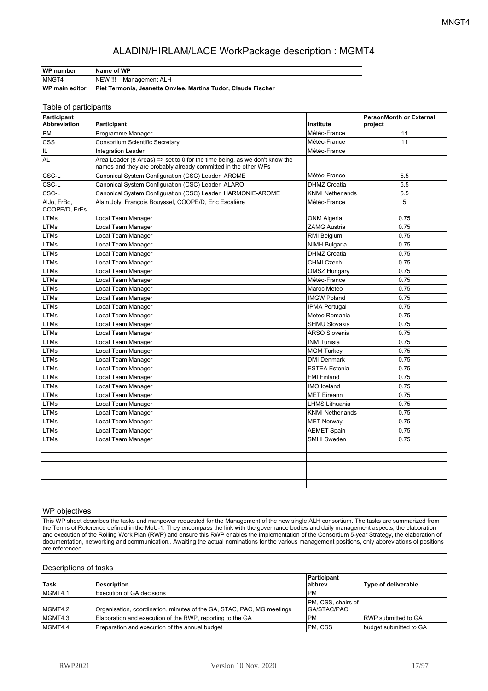| WP number             | ∣Name of WP                                                   |
|-----------------------|---------------------------------------------------------------|
| MNGT4                 | <b>NEW !!!</b><br>Management ALH                              |
| <b>WP main editor</b> | Piet Termonia, Jeanette Onviee, Martina Tudor, Claude Fischer |

#### Table of participants

| Participant<br>Abbreviation  | Participant                                                                                                                                  | Institute               | PersonMonth or External<br>project |
|------------------------------|----------------------------------------------------------------------------------------------------------------------------------------------|-------------------------|------------------------------------|
| <b>PM</b>                    | Programme Manager                                                                                                                            | Météo-France            | 11                                 |
| <b>CSS</b>                   | <b>Consortium Scientific Secretary</b>                                                                                                       | Météo-France            | 11                                 |
| IL                           | <b>Integration Leader</b>                                                                                                                    | Météo-France            |                                    |
| AL                           | Area Leader (8 Areas) => set to 0 for the time being, as we don't know the<br>names and they are probably already committed in the other WPs |                         |                                    |
| CSC-L                        | Canonical System Configuration (CSC) Leader: AROME                                                                                           | Météo-France            | 5.5                                |
| CSC-L                        | Canonical System Configuration (CSC) Leader: ALARO                                                                                           | <b>DHMZ Croatia</b>     | 5.5                                |
| CSC-L                        | Canonical System Configuration (CSC) Leader: HARMONIE-AROME                                                                                  | <b>KNMI Netherlands</b> | 5.5                                |
| AlJo, FrBo,<br>COOPE/D, ErEs | Alain Joly, François Bouyssel, COOPE/D, Eric Escalière                                                                                       | Météo-France            | 5                                  |
| <b>LTMs</b>                  | Local Team Manager                                                                                                                           | ONM Algeria             | 0.75                               |
| <b>LTMs</b>                  | Local Team Manager                                                                                                                           | <b>ZAMG Austria</b>     | 0.75                               |
| <b>LTMs</b>                  | Local Team Manager                                                                                                                           | RMI Belgium             | 0.75                               |
| <b>LTMs</b>                  | Local Team Manager                                                                                                                           | <b>NIMH Bulgaria</b>    | 0.75                               |
| <b>LTMs</b>                  | Local Team Manager                                                                                                                           | <b>DHMZ Croatia</b>     | 0.75                               |
| <b>LTMs</b>                  | Local Team Manager                                                                                                                           | <b>CHMI Czech</b>       | 0.75                               |
| <b>LTMs</b>                  | Local Team Manager                                                                                                                           | <b>OMSZ Hungary</b>     | 0.75                               |
| LTMs                         | Local Team Manager                                                                                                                           | Météo-France            | 0.75                               |
| <b>LTMs</b>                  | Local Team Manager                                                                                                                           | Maroc Meteo             | 0.75                               |
| <b>LTMs</b>                  | Local Team Manager                                                                                                                           | <b>IMGW Poland</b>      | 0.75                               |
| <b>LTMs</b>                  | Local Team Manager                                                                                                                           | <b>IPMA Portugal</b>    | 0.75                               |
| <b>LTMs</b>                  | Local Team Manager                                                                                                                           | Meteo Romania           | 0.75                               |
| <b>LTMs</b>                  | Local Team Manager                                                                                                                           | <b>SHMU Slovakia</b>    | 0.75                               |
| <b>LTMs</b>                  | Local Team Manager                                                                                                                           | <b>ARSO Slovenia</b>    | 0.75                               |
| <b>LTMs</b>                  | Local Team Manager                                                                                                                           | <b>INM Tunisia</b>      | 0.75                               |
| LTMs                         | Local Team Manager                                                                                                                           | <b>MGM Turkey</b>       | 0.75                               |
| <b>LTMs</b>                  | Local Team Manager                                                                                                                           | <b>DMI Denmark</b>      | 0.75                               |
| <b>LTMs</b>                  | Local Team Manager                                                                                                                           | <b>ESTEA Estonia</b>    | 0.75                               |
| <b>LTMs</b>                  | Local Team Manager                                                                                                                           | <b>FMI Finland</b>      | 0.75                               |
| <b>LTMs</b>                  | Local Team Manager                                                                                                                           | <b>IMO</b> Iceland      | 0.75                               |
| <b>LTMs</b>                  | Local Team Manager                                                                                                                           | <b>MET Eireann</b>      | 0.75                               |
| <b>LTMs</b>                  | Local Team Manager                                                                                                                           | <b>LHMS Lithuania</b>   | 0.75                               |
| <b>LTMs</b>                  | Local Team Manager                                                                                                                           | <b>KNMI Netherlands</b> | 0.75                               |
| <b>LTMs</b>                  | Local Team Manager                                                                                                                           | <b>MET Norway</b>       | 0.75                               |
| <b>LTMs</b>                  | Local Team Manager                                                                                                                           | <b>AEMET Spain</b>      | 0.75                               |
| <b>LTMs</b>                  | Local Team Manager                                                                                                                           | <b>SMHI Sweden</b>      | 0.75                               |
|                              |                                                                                                                                              |                         |                                    |
|                              |                                                                                                                                              |                         |                                    |
|                              |                                                                                                                                              |                         |                                    |
|                              |                                                                                                                                              |                         |                                    |
|                              |                                                                                                                                              |                         |                                    |

#### WP objectives

This WP sheet describes the tasks and manpower requested for the Management of the new single ALH consortium. The tasks are summarized from the Terms of Reference defined in the MoU-1. They encompass the link with the governance bodies and daily management aspects, the elaboration and execution of the Rolling Work Plan (RWP) and ensure this RWP enables the implementation of the Consortium 5-year Strategy, the elaboration of documentation, networking and communication.. Awaiting the actual nominations for the various management positions, only abbreviations of positions are referenced.

#### Descriptions of tasks

| <b>⊺Task</b> | <b>Description</b>                                                    | Participant<br>labbrev.            | Type of deliverable        |
|--------------|-----------------------------------------------------------------------|------------------------------------|----------------------------|
| MGMT4.1      | Execution of GA decisions                                             | <b>PM</b>                          |                            |
| MGMT4.2      | Organisation, coordination, minutes of the GA, STAC, PAC, MG meetings | PM, CSS, chairs of<br> GA/STAC/PAC |                            |
| MGMT4.3      | Elaboration and execution of the RWP, reporting to the GA             | <b>PM</b>                          | <b>RWP</b> submitted to GA |
| MGMT4.4      | Preparation and execution of the annual budget                        | IPM. CSS                           | budget submitted to GA     |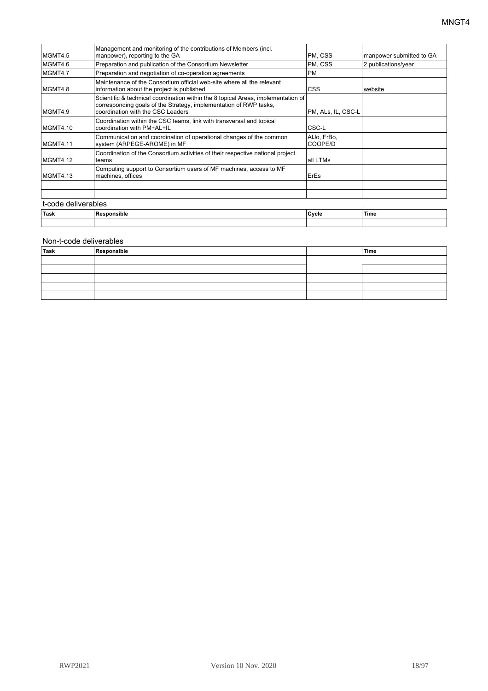| Task                | Responsible                                                                                                                                                                                 | Cycle                  | Time                     |
|---------------------|---------------------------------------------------------------------------------------------------------------------------------------------------------------------------------------------|------------------------|--------------------------|
| t-code deliverables |                                                                                                                                                                                             |                        |                          |
|                     |                                                                                                                                                                                             |                        |                          |
| MGMT4.13            | Computing support to Consortium users of MF machines, access to MF<br>machines, offices                                                                                                     | <b>ErEs</b>            |                          |
| MGMT4.12            | Coordination of the Consortium activities of their respective national project<br>teams                                                                                                     | all LTMs               |                          |
| MGMT4.11            | Communication and coordination of operational changes of the common<br>system (ARPEGE-AROME) in MF                                                                                          | AlJo, FrBo,<br>COOPE/D |                          |
| MGMT4.10            | Coordination within the CSC teams, link with transversal and topical<br>coordination with PM+AL+IL                                                                                          | CSC-L                  |                          |
| MGMT4.9             | Scientific & technical coordination within the 8 topical Areas, implementation of<br>corresponding goals of the Strategy, implementation of RWP tasks,<br>coordination with the CSC Leaders | PM, ALs, IL, CSC-L     |                          |
| MGMT4.8             | Maintenance of the Consortium official web-site where all the relevant<br>information about the project is published                                                                        | <b>CSS</b>             | website                  |
| MGMT4.7             | Preparation and negotiation of co-operation agreements                                                                                                                                      | <b>PM</b>              |                          |
| MGMT4.6             | Preparation and publication of the Consortium Newsletter                                                                                                                                    | PM, CSS                | 2 publications/year      |
| MGMT4.5             | Management and monitoring of the contributions of Members (incl.<br>manpower), reporting to the GA                                                                                          | PM, CSS                | manpower submitted to GA |

| Task | Responsible | Time |
|------|-------------|------|
|      |             |      |
|      |             |      |
|      |             |      |
|      |             |      |
|      |             |      |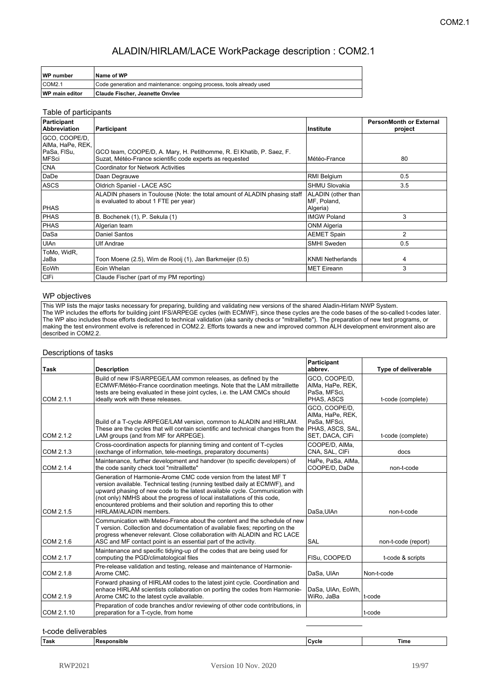| <b>WP</b> number      | Name of WP                                                           |
|-----------------------|----------------------------------------------------------------------|
| ICOM <sub>2.1</sub>   | Code generation and maintenance: ongoing process, tools already used |
| <b>WP</b> main editor | ∣Claude Fischer. Jeanette Onvlee                                     |

#### Table of participants

| Participant<br><b>Abbreviation</b> | Participant                                                                                                                      | Institute                                     | <b>PersonMonth or External</b><br>project |
|------------------------------------|----------------------------------------------------------------------------------------------------------------------------------|-----------------------------------------------|-------------------------------------------|
| GCO, COOPE/D,<br>AIMa, HaPe, REK,  |                                                                                                                                  |                                               |                                           |
| PaSa, FISu,<br><b>MFSci</b>        | GCO team, COOPE/D, A. Mary, H. Petithomme, R. El Khatib, P. Saez, F.<br>Suzat, Météo-France scientific code experts as requested | Météo-France                                  | 80                                        |
| <b>CNA</b>                         | <b>Coordinator for Network Activities</b>                                                                                        |                                               |                                           |
| DaDe                               | Daan Degrauwe                                                                                                                    | RMI Belgium                                   | 0.5                                       |
| <b>ASCS</b>                        | Oldrich Spaniel - LACE ASC                                                                                                       | <b>SHMU Slovakia</b>                          | 3.5                                       |
| <b>PHAS</b>                        | ALADIN phasers in Toulouse (Note: the total amount of ALADIN phasing staff<br>is evaluated to about 1 FTE per year)              | ALADIN (other than<br>MF. Poland.<br>Algeria) |                                           |
| <b>PHAS</b>                        | B. Bochenek (1), P. Sekula (1)                                                                                                   | <b>IMGW Poland</b>                            | 3                                         |
| <b>PHAS</b>                        | Algerian team                                                                                                                    | <b>ONM Algeria</b>                            |                                           |
| DaSa                               | Daniel Santos                                                                                                                    | <b>AEMET Spain</b>                            | 2                                         |
| <b>UlAn</b>                        | <b>Ulf Andrae</b>                                                                                                                | <b>SMHI Sweden</b>                            | 0.5                                       |
| ToMo, WidR,<br>JaBa                | Toon Moene (2.5), Wim de Rooij (1), Jan Barkmeijer (0.5)                                                                         | <b>KNMI Netherlands</b>                       | 4                                         |
| EoWh                               | Eoin Whelan                                                                                                                      | <b>MET Eireann</b>                            | 3                                         |
| CIFi                               | Claude Fischer (part of my PM reporting)                                                                                         |                                               |                                           |

#### WP objectives

This WP lists the major tasks necessary for preparing, building and validating new versions of the shared Aladin-Hirlam NWP System. The WP includes the efforts for building joint IFS/ARPEGE cycles (with ECMWF), since these cycles are the code bases of the so-called t-codes later. The WP also includes those efforts dedicated to technical validation (aka sanity checks or "mitraillette"). The preparation of new test programs, or making the test environment evolve is referenced in COM2.2. Efforts towards a new and improved common ALH development environment also are described in COM2.2.

#### Descriptions of tasks

| Task       | <b>Description</b>                                                                                                                                                                                                                                                                                                                                                                                           | Participant<br>abbrev.                                               | Type of deliverable |
|------------|--------------------------------------------------------------------------------------------------------------------------------------------------------------------------------------------------------------------------------------------------------------------------------------------------------------------------------------------------------------------------------------------------------------|----------------------------------------------------------------------|---------------------|
| COM 2.1.1  | Build of new IFS/ARPEGE/LAM common releases, as defined by the<br>ECMWF/Météo-France coordination meetings. Note that the LAM mitraillette<br>tests are being evaluated in these joint cycles, i.e. the LAM CMCs should<br>ideally work with these releases.                                                                                                                                                 | GCO, COOPE/D,<br>AIMa, HaPe, REK,<br>PaSa, MFSci.<br>PHAS, ASCS      | t-code (complete)   |
| COM 2.1.2  | Build of a T-cycle ARPEGE/LAM version, common to ALADIN and HIRLAM.<br>These are the cycles that will contain scientific and technical changes from the PHAS, ASCS, SAL,<br>LAM groups (and from MF for ARPEGE).                                                                                                                                                                                             | GCO. COOPE/D.<br>AIMa, HaPe, REK,<br>PaSa, MFSci,<br>SET, DACA, CIFI | t-code (complete)   |
| COM 2.1.3  | Cross-coordination aspects for planning timing and content of T-cycles<br>(exchange of information, tele-meetings, preparatory documents)                                                                                                                                                                                                                                                                    | COOPE/D. AIMa.<br>CNA, SAL, CIFi                                     | docs                |
| COM 2.1.4  | Maintenance, further development and handover (to specific developers) of<br>the code sanity check tool "mitraillette"                                                                                                                                                                                                                                                                                       | HaPe, PaSa, AlMa,<br>COOPE/D. DaDe                                   | non-t-code          |
| COM 2.1.5  | Generation of Harmonie-Arome CMC code version from the latest MF T<br>version available. Technical testing (running testbed daily at ECMWF), and<br>upward phasing of new code to the latest available cycle. Communication with<br>(not only) NMHS about the progress of local installations of this code,<br>encountered problems and their solution and reporting this to other<br>HIRLAM/ALADIN members. | DaSa, UlAn                                                           | non-t-code          |
| COM 2.1.6  | Communication with Meteo-France about the content and the schedule of new<br>T version. Collection and documentation of available fixes; reporting on the<br>progress whenever relevant. Close collaboration with ALADIN and RC LACE<br>ASC and MF contact point is an essential part of the activity.                                                                                                       | <b>SAL</b>                                                           | non-t-code (report) |
| COM 2.1.7  | Maintenance and specific tidying-up of the codes that are being used for<br>computing the PGD/climatological files                                                                                                                                                                                                                                                                                           | FISu, COOPE/D                                                        | t-code & scripts    |
| COM 2.1.8  | Pre-release validation and testing, release and maintenance of Harmonie-<br>Arome CMC.                                                                                                                                                                                                                                                                                                                       | DaSa, UlAn                                                           | Non-t-code          |
| COM 2.1.9  | Forward phasing of HIRLAM codes to the latest joint cycle. Coordination and<br>enhace HIRLAM scientists collaboration on porting the codes from Harmonie-<br>Arome CMC to the latest cycle available.                                                                                                                                                                                                        | DaSa, UIAn, EoWh,<br>WiRo, JaBa                                      | lt-code             |
| COM 2.1.10 | Preparation of code branches and/or reviewing of other code contributions, in<br>preparation for a T-cycle, from home                                                                                                                                                                                                                                                                                        |                                                                      | lt-code             |

|  | 'Tas. | .<br>__ | ומור | Time |
|--|-------|---------|------|------|
|--|-------|---------|------|------|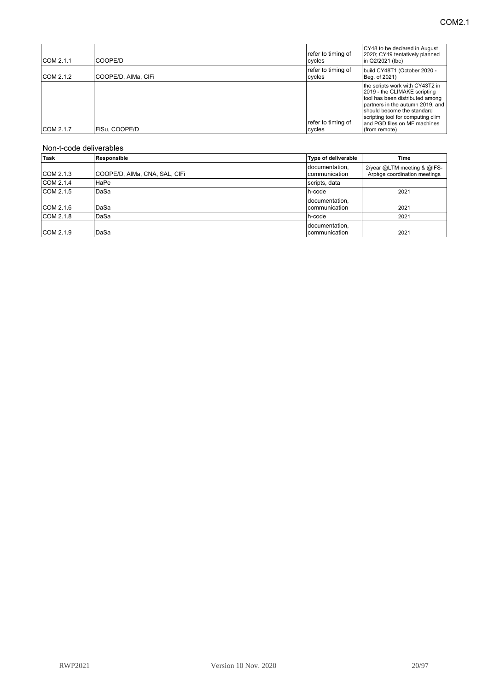| COM 2.1.1 | COOPE/D             | refer to timing of<br>cycles | CY48 to be declared in August<br>2020; CY49 tentatively planned<br>lin Q2/2021 (tbc)                                                                                                                                                                       |
|-----------|---------------------|------------------------------|------------------------------------------------------------------------------------------------------------------------------------------------------------------------------------------------------------------------------------------------------------|
| COM 2.1.2 | COOPE/D, AIMa, CIFI | refer to timing of<br>cycles | build CY48T1 (October 2020 -<br>Beg. of 2021)                                                                                                                                                                                                              |
| COM 2.1.7 | FISu. COOPE/D       | refer to timing of<br>cycles | the scripts work with CY43T2 in<br>2019 - the CLIMAKE scripting<br>tool has been distributed among<br>partners in the autumn 2019, and<br>should become the standard<br>scripting tool for computing clim<br>and PGD files on MF machines<br>(from remote) |

| Task      | Responsible                   | Type of deliverable               | Time                                                        |
|-----------|-------------------------------|-----------------------------------|-------------------------------------------------------------|
| COM 2.1.3 | COOPE/D, AIMa, CNA, SAL, CIFI | documentation,<br>I communication | 2/year @LTM meeting & @IFS-<br>Arpège coordination meetings |
| COM 2.1.4 | HaPe                          | scripts, data                     |                                                             |
| COM 2.1.5 | DaSa                          | h-code                            | 2021                                                        |
| COM 2.1.6 | DaSa                          | documentation,<br>communication   | 2021                                                        |
| COM 2.1.8 | DaSa                          | h-code                            | 2021                                                        |
| COM 2.1.9 | DaSa                          | documentation,<br>communication   | 2021                                                        |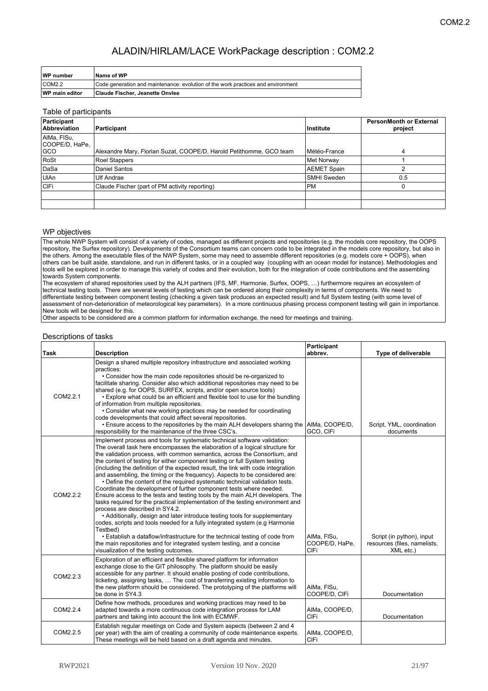| WP number             | Name of WP                                                                       |
|-----------------------|----------------------------------------------------------------------------------|
| COM <sub>2.2</sub>    | Code generation and maintenance: evolution of the work practices and environment |
| <b>WP</b> main editor | Claude Fischer, Jeanette Onvlee                                                  |

#### Table of participants

| Participant<br><b>Abbreviation</b> | Participant                                                         | Institute          | <b>PersonMonth or External</b><br>project |
|------------------------------------|---------------------------------------------------------------------|--------------------|-------------------------------------------|
| AIMa, FISu,<br> COOPE/D, HaPe,     |                                                                     |                    |                                           |
| GCO                                | Alexandre Mary, Florian Suzat, COOPE/D, Harold Petithomme, GCO team | Météo-France       |                                           |
| RoSt                               | Roel Stappers                                                       | Met Norway         |                                           |
| DaSa                               | Daniel Santos                                                       | <b>AEMET Spain</b> | ົ                                         |
| UIAn                               | <b>Ulf Andrae</b>                                                   | <b>SMHI Sweden</b> | 0.5                                       |
| <b>CIFi</b>                        | Claude Fischer (part of PM activity reporting)                      | <b>PM</b>          |                                           |
|                                    |                                                                     |                    |                                           |
|                                    |                                                                     |                    |                                           |

#### WP objectives

The whole NWP System will consist of a variety of codes, managed as different projects and repositories (e.g. the models core repository, the OOPS repository, the Surfex repository). Developments of the Consortium teams can concern code to be integrated in the models core repository, but also in the others. Among the executable files of the NWP System, some may need to assemble different repositories (e.g. models core + OOPS), when others can be built aside, standalone, and run in different tasks, or in a coupled way (coupling with an ocean model for instance). Methodologies and tools will be explored in order to manage this variety of codes and their evolution, both for the integration of code contributions and the assembling towards System components.

The ecosystem of shared repositories used by the ALH partners (IFS, MF, Harmonie, Surfex, OOPS, …) furthermore requires an ecosystem of technical testing tools. There are several levels of testing which can be ordered along their complexity in terms of components. We need to differentiate testing between component testing (checking a given task produces an expected result) and full System testing (with some level of assessment of non-deterioration of meteorological key parameters). In a more continuous phasing process component testing will gain in importance. New tools will be designed for this.

Other aspects to be considered are a common platform for information exchange, the need for meetings and training.

#### Descriptions of tasks

| Task     | <b>Description</b>                                                                                                                                                                                                                                                                                                                                                                                                                                                                                                                                                                                                                                                                                                                                                                                                                                                                                                                                                                                                                                                                                                                                                                                                              | Participant<br>abbrev.                       | Type of deliverable                                                    |
|----------|---------------------------------------------------------------------------------------------------------------------------------------------------------------------------------------------------------------------------------------------------------------------------------------------------------------------------------------------------------------------------------------------------------------------------------------------------------------------------------------------------------------------------------------------------------------------------------------------------------------------------------------------------------------------------------------------------------------------------------------------------------------------------------------------------------------------------------------------------------------------------------------------------------------------------------------------------------------------------------------------------------------------------------------------------------------------------------------------------------------------------------------------------------------------------------------------------------------------------------|----------------------------------------------|------------------------------------------------------------------------|
| COM2.2.1 | Design a shared multiple repository infrastructure and associated working<br>practices:<br>• Consider how the main code repositories should be re-organized to<br>facilitate sharing. Consider also which additional repositories may need to be<br>shared (e.g. for OOPS, SURFEX, scripts, and/or open source tools)<br>. Explore what could be an efficient and flexible tool to use for the bundling<br>of information from multiple repositories.<br>• Consider what new working practices may be needed for coordinating<br>code developments that could affect several repositories.<br>. Ensure access to the repositories by the main ALH developers sharing the AIMa, COOPE/D,<br>responsibility for the maintenance of the three CSC's.                                                                                                                                                                                                                                                                                                                                                                                                                                                                               | GCO, CIFI                                    | Script, YML, coordination<br>documents                                 |
| COM2.2.2 | Implement process and tools for systematic technical software validation:<br>The overall task here encompasses the elaboration of a logical structure for<br>the validation process, with common semantics, across the Consortium, and<br>the content of testing for either component testing or full System testing<br>(including the definition of the expected result, the link with code integration<br>and assembling, the timing or the frequency). Aspects to be considered are:<br>. Define the content of the required systematic technical validation tests.<br>Coordinate the development of further component tests where needed.<br>Ensure access to the tests and testing tools by the main ALH developers. The<br>tasks required for the practical implementation of the testing environment and<br>process are described in SY4.2.<br>• Additionally, design and later introduce testing tools for supplementary<br>codes, scripts and tools needed for a fully integrated system (e.g Harmonie<br>Testbed)<br>• Establish a dataflow/infrastructure for the technical testing of code from<br>the main repositories and for integrated system testing, and a concise<br>visualization of the testing outcomes. | AIMa. FISu.<br>COOPE/D, HaPe,<br><b>CIFi</b> | Script (in python), input<br>resources (files, namelists,<br>XML etc.) |
| COM2.2.3 | Exploration of an efficient and flexible shared platform for information<br>exchange close to the GIT philosophy. The platform should be easily<br>accessible for any partner. It should enable posting of code contributions,<br>ticketing, assigning tasks,  The cost of transferring existing information to<br>the new platform should be considered. The prototyping of the platforms will<br>be done in SY4.3                                                                                                                                                                                                                                                                                                                                                                                                                                                                                                                                                                                                                                                                                                                                                                                                             | AIMa, FISu,<br>COOPE/D, CIFi                 | Documentation                                                          |
| COM2.2.4 | Define how methods, procedures and working practices may need to be<br>adapted towards a more continuous code integration process for LAM<br>partners and taking into account the link with ECMWF.                                                                                                                                                                                                                                                                                                                                                                                                                                                                                                                                                                                                                                                                                                                                                                                                                                                                                                                                                                                                                              | AIMa, COOPE/D,<br><b>CIFi</b>                | Documentation                                                          |
| COM2.2.5 | Establish regular meetings on Code and System aspects (between 2 and 4<br>per year) with the aim of creating a community of code maintenance experts.<br>These meetings will be held based on a draft agenda and minutes.                                                                                                                                                                                                                                                                                                                                                                                                                                                                                                                                                                                                                                                                                                                                                                                                                                                                                                                                                                                                       | AIMa, COOPE/D,<br><b>CIFi</b>                |                                                                        |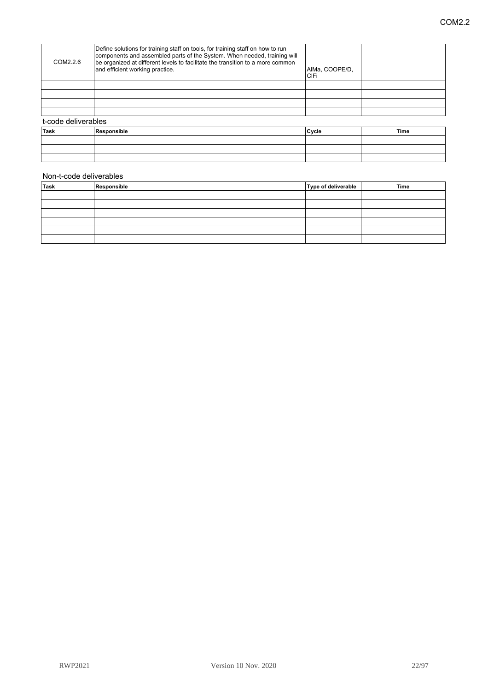| <b>Task</b>         | Resnonsible                                                                                                                                                                                                                                                                     | l Cycle.               | Time |
|---------------------|---------------------------------------------------------------------------------------------------------------------------------------------------------------------------------------------------------------------------------------------------------------------------------|------------------------|------|
| t-code deliverables |                                                                                                                                                                                                                                                                                 |                        |      |
|                     |                                                                                                                                                                                                                                                                                 |                        |      |
|                     |                                                                                                                                                                                                                                                                                 |                        |      |
|                     |                                                                                                                                                                                                                                                                                 |                        |      |
|                     |                                                                                                                                                                                                                                                                                 |                        |      |
| COM2.2.6            | Define solutions for training staff on tools, for training staff on how to run<br>components and assembled parts of the System. When needed, training will<br>be organized at different levels to facilitate the transition to a more common<br>and efficient working practice. | AIMa, COOPE/D,<br>CIFi |      |

| Task | Responsible | Cyc e | Time |
|------|-------------|-------|------|
|      |             |       |      |
|      |             |       |      |
|      |             |       |      |

| <sup>≀</sup> Task | Responsible | Type of deliverable | Time |
|-------------------|-------------|---------------------|------|
|                   |             |                     |      |
|                   |             |                     |      |
|                   |             |                     |      |
|                   |             |                     |      |
|                   |             |                     |      |
|                   |             |                     |      |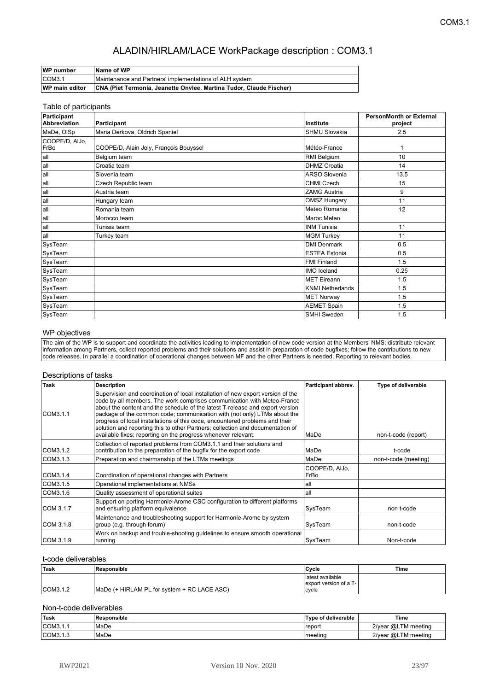| <b>WP</b> number      | Name of WP                                                          |
|-----------------------|---------------------------------------------------------------------|
| ICOM3.1               | Maintenance and Partners' implementations of ALH system             |
| <b>WP</b> main editor | CNA (Piet Termonia, Jeanette Onvlee, Martina Tudor, Claude Fischer) |

#### Table of participants

| Participant<br><b>Abbreviation</b> | Participant                            | Institute               | <b>PersonMonth or External</b><br>project |
|------------------------------------|----------------------------------------|-------------------------|-------------------------------------------|
| MaDe, OISp                         | Maria Derkova, Oldrich Spaniel         | <b>SHMU Slovakia</b>    | 2.5                                       |
| COOPE/D, AlJo,<br>FrBo             | COOPE/D, Alain Joly, François Bouyssel | Météo-France            | 1                                         |
| all                                | Belgium team                           | RMI Belgium             | 10                                        |
| all                                | Croatia team                           | <b>DHMZ Croatia</b>     | 14                                        |
| all                                | Slovenia team                          | <b>ARSO Slovenia</b>    | 13.5                                      |
| all                                | Czech Republic team                    | <b>CHMI Czech</b>       | 15                                        |
| all                                | Austria team                           | <b>ZAMG Austria</b>     | 9                                         |
| all                                | Hungary team                           | <b>OMSZ Hungary</b>     | 11                                        |
| all                                | Romania team                           | Meteo Romania           | 12                                        |
| all                                | Morocco team                           | Maroc Meteo             |                                           |
| all                                | Tunisia team                           | <b>INM Tunisia</b>      | 11                                        |
| all                                | Turkey team                            | <b>MGM Turkey</b>       | 11                                        |
| SysTeam                            |                                        | <b>DMI Denmark</b>      | 0.5                                       |
| SysTeam                            |                                        | <b>ESTEA Estonia</b>    | 0.5                                       |
| SysTeam                            |                                        | <b>FMI Finland</b>      | 1.5                                       |
| SysTeam                            |                                        | IMO Iceland             | 0.25                                      |
| SysTeam                            |                                        | <b>MET Eireann</b>      | 1.5                                       |
| SysTeam                            |                                        | <b>KNMI Netherlands</b> | 1.5                                       |
| SysTeam                            |                                        | <b>MET Norway</b>       | 1.5                                       |
| SysTeam                            |                                        | <b>AEMET Spain</b>      | 1.5                                       |
| SysTeam                            |                                        | SMHI Sweden             | 1.5                                       |

#### WP objectives

The aim of the WP is to support and coordinate the activities leading to implementation of new code version at the Members' NMS; distribute relevant information among Partners, collect reported problems and their solutions and assist in preparation of code bugfixes; follow the contributions to new code releases. In parallel a coordination of operational changes between MF and the other Partners is needed. Reporting to relevant bodies.

| Task      | <b>Description</b>                                                                                                                                                                                                                                                                                                                                                                                                                                                                                                                                         | Participant abbrev.    | Type of deliverable  |
|-----------|------------------------------------------------------------------------------------------------------------------------------------------------------------------------------------------------------------------------------------------------------------------------------------------------------------------------------------------------------------------------------------------------------------------------------------------------------------------------------------------------------------------------------------------------------------|------------------------|----------------------|
| COM3.1.1  | Supervision and coordination of local installation of new export version of the<br>code by all members. The work comprises communication with Meteo-France<br>about the content and the schedule of the latest T-release and export version<br>package of the common code; communication with (not only) LTMs about the<br>progress of local installations of this code, encountered problems and their<br>solution and reporting this to other Partners; collection and documentation of<br>available fixes; reporting on the progress whenever relevant. | lMaDe                  | non-t-code (report)  |
| COM3.1.2  | Collection of reported problems from COM3.1.1 and their solutions and<br>contribution to the preparation of the bugfix for the export code                                                                                                                                                                                                                                                                                                                                                                                                                 | MaDe                   | t-code               |
| COM3.1.3  | Preparation and chairmanship of the LTMs meetings                                                                                                                                                                                                                                                                                                                                                                                                                                                                                                          | MaDe                   | non-t-code (meeting) |
| COM3.1.4  | Coordination of operational changes with Partners                                                                                                                                                                                                                                                                                                                                                                                                                                                                                                          | COOPE/D, AlJo,<br>FrBo |                      |
| COM3.1.5  | Operational implementations at NMSs                                                                                                                                                                                                                                                                                                                                                                                                                                                                                                                        | lall                   |                      |
| COM3.1.6  | Quality assessment of operational suites                                                                                                                                                                                                                                                                                                                                                                                                                                                                                                                   | all                    |                      |
| COM 3.1.7 | Support on porting Harmonie-Arome CSC configuration to different platforms<br>and ensuring platform equivalence                                                                                                                                                                                                                                                                                                                                                                                                                                            | SysTeam                | non t-code           |
| COM 3.1.8 | Maintenance and troubleshooting support for Harmonie-Arome by system<br>group (e.g. through forum)                                                                                                                                                                                                                                                                                                                                                                                                                                                         | SysTeam                | non-t-code           |
| COM 3.1.9 | Work on backup and trouble-shooting guidelines to ensure smooth operational<br>running                                                                                                                                                                                                                                                                                                                                                                                                                                                                     | SysTeam                | Non-t-code           |

#### t-code deliverables

| ∣Task    | Responsible                                 | Cvcle                                               | Time |
|----------|---------------------------------------------|-----------------------------------------------------|------|
| COM3.1.2 | MaDe (+ HIRLAM PL for system + RC LACE ASC) | latest available<br>export version of a T-<br>cvcle |      |

| Task     | Responsible | Type of deliverable | Time                |
|----------|-------------|---------------------|---------------------|
| COM3.1.1 | 'MaDe       | report              | 2/year @LTM meeting |
| COM3.1.3 | l MaDe      | meetina             | 2/year @LTM meeting |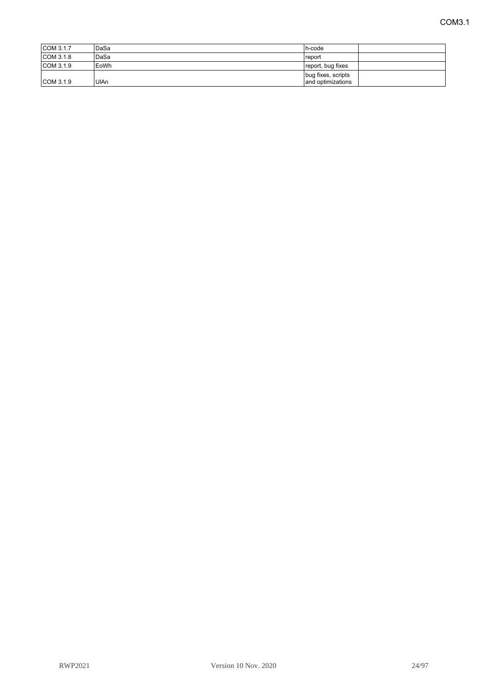| COM 3.1.7 | DaSa   | h-code             |
|-----------|--------|--------------------|
| COM3.1.8  | l DaSa | l report           |
| COM 3.1.9 | EoWh   | report, bug fixes  |
|           |        | bug fixes, scripts |
| COM 3.1.9 | UIAn   | and optimizations  |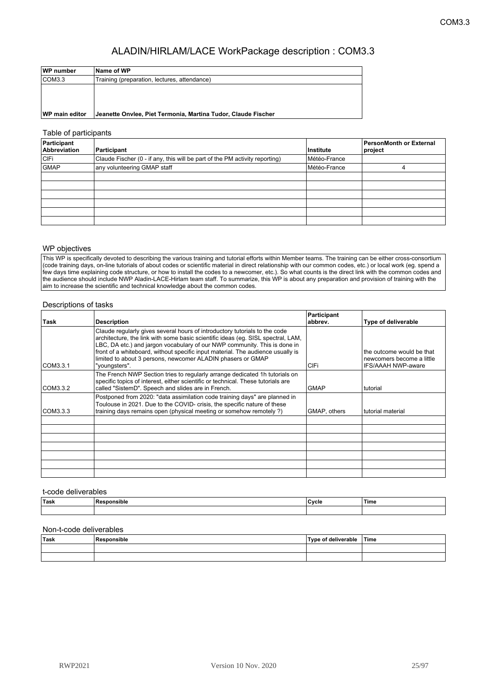| WP number             | Name of WP                                                    |
|-----------------------|---------------------------------------------------------------|
| COM3.3                | Training (preparation, lectures, attendance)                  |
|                       |                                                               |
|                       |                                                               |
|                       |                                                               |
| <b>WP main editor</b> | Jeanette Onviee, Piet Termonia, Martina Tudor, Claude Fischer |

#### Table of participants

| Participant<br>Abbreviation | Participant                                                                 | ∣Institute   | PersonMonth or External<br>project |
|-----------------------------|-----------------------------------------------------------------------------|--------------|------------------------------------|
| CIFi                        | Claude Fischer (0 - if any, this will be part of the PM activity reporting) | Météo-France |                                    |
| <b>GMAP</b>                 | any volunteering GMAP staff                                                 | Météo-France |                                    |
|                             |                                                                             |              |                                    |
|                             |                                                                             |              |                                    |
|                             |                                                                             |              |                                    |
|                             |                                                                             |              |                                    |
|                             |                                                                             |              |                                    |
|                             |                                                                             |              |                                    |

#### WP objectives

This WP is specifically devoted to describing the various training and tutorial efforts within Member teams. The training can be either cross-consortium (code training days, on-line tutorials of about codes or scientific material in direct relationship with our common codes, etc.) or local work (eg. spend a few days time explaining code structure, or how to install the codes to a newcomer, etc.). So what counts is the direct link with the common codes and the audience should include NWP Aladin-LACE-Hirlam team staff. To summarize, this WP is about any preparation and provision of training with the aim to increase the scientific and technical knowledge about the common codes.

#### Descriptions of tasks

|           |                                                                                                                                                                                                                                                                                                                                                                                                                | Participant  |                                                                                     |
|-----------|----------------------------------------------------------------------------------------------------------------------------------------------------------------------------------------------------------------------------------------------------------------------------------------------------------------------------------------------------------------------------------------------------------------|--------------|-------------------------------------------------------------------------------------|
| Task      | <b>Description</b>                                                                                                                                                                                                                                                                                                                                                                                             | abbrev.      | Type of deliverable                                                                 |
| CCOM3.3.1 | Claude regularly gives several hours of introductory tutorials to the code<br>architecture, the link with some basic scientific ideas (eq. SISL spectral, LAM,<br>LBC, DA etc.) and jargon vocabulary of our NWP community. This is done in<br>front of a whiteboard, without specific input material. The audience usually is<br>limited to about 3 persons, newcomer ALADIN phasers or GMAP<br>"youngsters". | CIFi         | the outcome would be that<br>newcomers become a little<br><b>IFS/AAAH NWP-aware</b> |
| COM3.3.2  | The French NWP Section tries to regularly arrange dedicated 1h tutorials on<br>specific topics of interest, either scientific or technical. These tutorials are<br>called "SistemD". Speech and slides are in French.                                                                                                                                                                                          | <b>GMAP</b>  | tutorial                                                                            |
| COM3.3.3  | Postponed from 2020: "data assimilation code training days" are planned in<br>Toulouse in 2021. Due to the COVID- crisis, the specific nature of these<br>training days remains open (physical meeting or somehow remotely?)                                                                                                                                                                                   | GMAP, others | tutorial material                                                                   |
|           |                                                                                                                                                                                                                                                                                                                                                                                                                |              |                                                                                     |
|           |                                                                                                                                                                                                                                                                                                                                                                                                                |              |                                                                                     |
|           |                                                                                                                                                                                                                                                                                                                                                                                                                |              |                                                                                     |
|           |                                                                                                                                                                                                                                                                                                                                                                                                                |              |                                                                                     |
|           |                                                                                                                                                                                                                                                                                                                                                                                                                |              |                                                                                     |
|           |                                                                                                                                                                                                                                                                                                                                                                                                                |              |                                                                                     |
|           |                                                                                                                                                                                                                                                                                                                                                                                                                |              |                                                                                     |

#### t-code deliverables

| <b>⊺Task</b> | .<br><b>Doo</b><br>∵nsible ∴ | Cycle | Time |
|--------------|------------------------------|-------|------|
|              |                              |       |      |

| Task | Responsible | Type of deliverable | <b>⊺Time</b> |
|------|-------------|---------------------|--------------|
|      |             |                     |              |
|      |             |                     |              |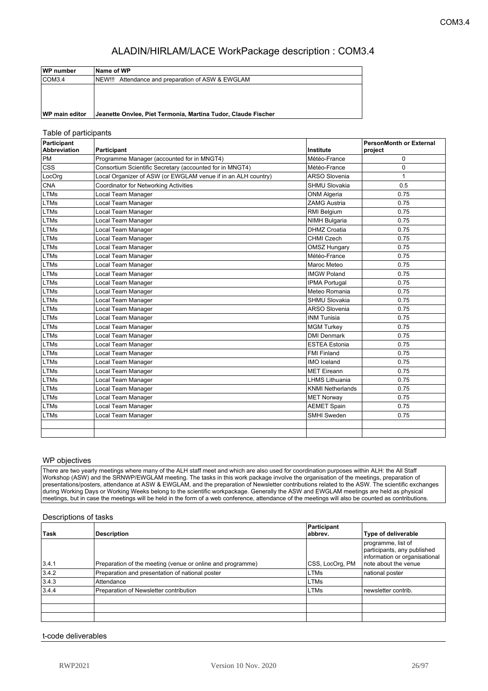| WP number             | ∣Name of WP                                                   |
|-----------------------|---------------------------------------------------------------|
| COM3.4                | NEW!!! Attendance and preparation of ASW & EWGLAM             |
|                       |                                                               |
|                       |                                                               |
|                       |                                                               |
| <b>WP main editor</b> | Jeanette Onviee, Piet Termonia, Martina Tudor, Claude Fischer |

#### Table of participants

| Participant<br><b>Abbreviation</b> | Participant                                                   | Institute               | PersonMonth or External<br>project |
|------------------------------------|---------------------------------------------------------------|-------------------------|------------------------------------|
| <b>PM</b>                          | Programme Manager (accounted for in MNGT4)                    | Météo-France            | 0                                  |
| <b>CSS</b>                         | Consortium Scientific Secretary (accounted for in MNGT4)      | Météo-France            | 0                                  |
| LocOrg                             | Local Organizer of ASW (or EWGLAM venue if in an ALH country) | <b>ARSO Slovenia</b>    | $\mathbf{1}$                       |
| <b>CNA</b>                         | <b>Coordinator for Networking Activities</b>                  | <b>SHMU Slovakia</b>    | 0.5                                |
| LTMs                               | Local Team Manager                                            | <b>ONM Algeria</b>      | 0.75                               |
| <b>LTMs</b>                        | Local Team Manager                                            | <b>ZAMG Austria</b>     | 0.75                               |
| LTMs                               | Local Team Manager                                            | RMI Belgium             | 0.75                               |
| <b>LTMs</b>                        | Local Team Manager                                            | <b>NIMH Bulgaria</b>    | 0.75                               |
| <b>LTMs</b>                        | Local Team Manager                                            | <b>DHMZ Croatia</b>     | 0.75                               |
| LTMs                               | Local Team Manager                                            | <b>CHMI Czech</b>       | 0.75                               |
| <b>LTMs</b>                        | Local Team Manager                                            | <b>OMSZ Hungary</b>     | 0.75                               |
| LTMs                               | Local Team Manager                                            | Météo-France            | 0.75                               |
| <b>LTMs</b>                        | Local Team Manager                                            | Maroc Meteo             | 0.75                               |
| <b>LTMs</b>                        | Local Team Manager                                            | <b>IMGW Poland</b>      | 0.75                               |
| <b>LTMs</b>                        | Local Team Manager                                            | <b>IPMA Portugal</b>    | 0.75                               |
| <b>LTMs</b>                        | Local Team Manager                                            | Meteo Romania           | 0.75                               |
| <b>LTMs</b>                        | Local Team Manager                                            | SHMU Slovakia           | 0.75                               |
| <b>LTMs</b>                        | Local Team Manager                                            | <b>ARSO Slovenia</b>    | 0.75                               |
| <b>LTMs</b>                        | Local Team Manager                                            | <b>INM Tunisia</b>      | 0.75                               |
| <b>LTMs</b>                        | Local Team Manager                                            | <b>MGM Turkey</b>       | 0.75                               |
| <b>LTMs</b>                        | Local Team Manager                                            | <b>DMI Denmark</b>      | 0.75                               |
| LTMs                               | Local Team Manager                                            | <b>ESTEA Estonia</b>    | 0.75                               |
| <b>LTMs</b>                        | Local Team Manager                                            | <b>FMI Finland</b>      | 0.75                               |
| <b>LTMs</b>                        | Local Team Manager                                            | <b>IMO</b> Iceland      | 0.75                               |
| <b>LTMs</b>                        | Local Team Manager                                            | <b>MET Eireann</b>      | 0.75                               |
| <b>LTMs</b>                        | Local Team Manager                                            | <b>LHMS Lithuania</b>   | 0.75                               |
| <b>LTMs</b>                        | Local Team Manager                                            | <b>KNMI Netherlands</b> | 0.75                               |
| <b>LTMs</b>                        | Local Team Manager                                            | <b>MET Norway</b>       | 0.75                               |
| <b>LTMs</b>                        | Local Team Manager                                            | <b>AEMET Spain</b>      | 0.75                               |
| <b>LTMs</b>                        | Local Team Manager                                            | SMHI Sweden             | 0.75                               |
|                                    |                                                               |                         |                                    |
|                                    |                                                               |                         |                                    |

#### WP objectives

There are two yearly meetings where many of the ALH staff meet and which are also used for coordination purposes within ALH: the All Staff Workshop (ASW) and the SRNWP/EWGLAM meeting. The tasks in this work package involve the organisation of the meetings, preparation of presentations/posters, attendance at ASW & EWGLAM, and the preparation of Newsletter contributions related to the ASW. The scientific exchanges during Working Days or Working Weeks belong to the scientific workpackage. Generally the ASW and EWGLAM meetings are held as physical meetings, but in case the meetings will be held in the form of a web conference, attendance of the meetings will also be counted as contributions.

#### Descriptions of tasks

| ∣Task | <b>Description</b>                                         | Participant<br>abbrev. | <b>Type of deliverable</b>                                                                                 |
|-------|------------------------------------------------------------|------------------------|------------------------------------------------------------------------------------------------------------|
| 3.4.1 | Preparation of the meeting (venue or online and programme) | CSS, LocOrg, PM        | programme, list of<br>participants, any published<br>information or organisational<br>note about the venue |
| 3.4.2 | Preparation and presentation of national poster            | <b>LTMs</b>            | national poster                                                                                            |
| 3.4.3 | Attendance                                                 | <b>LTMs</b>            |                                                                                                            |
| 3.4.4 | Preparation of Newsletter contribution                     | <b>LTMs</b>            | newsletter contrib.                                                                                        |
|       |                                                            |                        |                                                                                                            |
|       |                                                            |                        |                                                                                                            |
|       |                                                            |                        |                                                                                                            |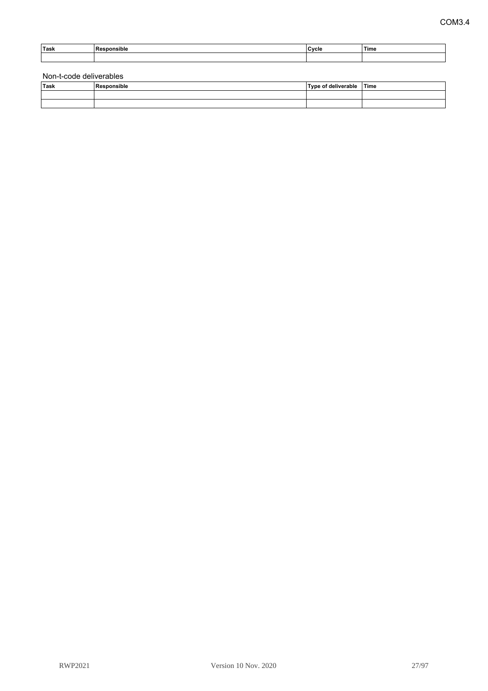| Task | . .<br>ືື∩nsible<br>ĸ | Cycle | Time |
|------|-----------------------|-------|------|
|      |                       |       |      |

| Task | Responsible | Type of deliverable | <b>Time</b> |
|------|-------------|---------------------|-------------|
|      |             |                     |             |
|      |             |                     |             |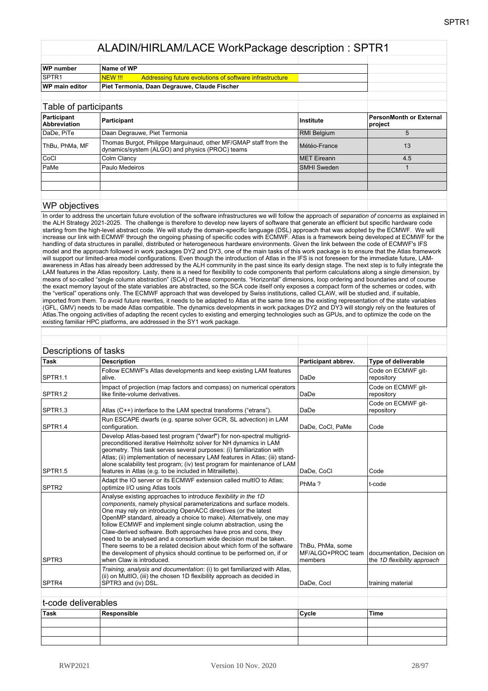| WP number             | Name of WP                                                                 |  |
|-----------------------|----------------------------------------------------------------------------|--|
| <b>SPTR1</b>          | Addressing future evolutions of software infrastructure<br><u>INEW !!!</u> |  |
| <b>WP</b> main editor | Piet Termonia, Daan Degrauwe, Claude Fischer                               |  |

| Table of participants              |                                                                                                                     |                    |                                    |
|------------------------------------|---------------------------------------------------------------------------------------------------------------------|--------------------|------------------------------------|
| Participant<br><b>Abbreviation</b> | Participant                                                                                                         | <b>Institute</b>   | PersonMonth or External<br>project |
| DaDe, PiTe                         | Daan Degrauwe, Piet Termonia                                                                                        | <b>RMI Belgium</b> | 5                                  |
| ThBu, PhMa, MF                     | Thomas Burgot, Philippe Marguinaud, other MF/GMAP staff from the<br>dynamics/system (ALGO) and physics (PROC) teams | Météo-France       | 13                                 |
| <b>CoCI</b>                        | Colm Clancy                                                                                                         | <b>MET</b> Eireann | 4.5                                |
| PaMe                               | Paulo Medeiros                                                                                                      | <b>SMHI Sweden</b> |                                    |
|                                    |                                                                                                                     |                    |                                    |
|                                    |                                                                                                                     |                    |                                    |
|                                    |                                                                                                                     |                    |                                    |

#### WP objectives

In order to address the uncertain future evolution of the software infrastructures we will follow the approach of *separation of concerns* as explained in the ALH Strategy 2021-2025. The challenge is therefore to develop new layers of software that generate an efficient but specific hardware code starting from the high-level abstract code. We will study the domain-specific language (DSL) approach that was adopted by the ECMWF. We will increase our link with ECMWF through the ongoing phasing of specific codes with ECMWF. Atlas is a framework being developed at ECMWF for the handling of data structures in parallel, distributed or heterogeneous hardware environments. Given the link between the code of ECMWF's IFS model and the approach followed in work packages DY2 and DY3, one of the main tasks of this work package is to ensure that the Atlas framework will support our limited-area model configurations. Even though the introduction of Atlas in the IFS is not foreseen for the immediate future, LAMawareness in Atlas has already been addressed by the ALH community in the past since its early design stage. The next step is to fully integrate the LAM features in the Atlas repository. Lasty, there is a need for flexibility to code components that perform calculations along a single dimension, by means of so-called "single column abstraction" (SCA) of these components. "Horizontal" dimensions, loop ordering and boundaries and of course the exact memory layout of the state variables are abstracted, so the SCA code itself only exposes a compact form of the schemes or codes, with the "vertical" operations only. The ECMWF approach that was developed by Swiss institutions, called CLAW, will be studied and, if suitable, imported from them. To avoid future rewrites, it needs to be adapted to Atlas at the same time as the existing representation of the state variables (GFL, GMV) needs to be made Atlas compatible. The dynamics developments in work packages DY2 and DY3 will stongly rely on the features of Atlas.The ongoing activities of adapting the recent cycles to existing and emerging technologies such as GPUs, and to optimize the code on the existing familiar HPC platforms, are addressed in the SY1 work package.

| <b>Description</b>                                                                                                                                                                                                                                                                                                                                                                                                                                                                                                                                                                                                                                                 | Participant abbrev.                              | Type of deliverable                                       |
|--------------------------------------------------------------------------------------------------------------------------------------------------------------------------------------------------------------------------------------------------------------------------------------------------------------------------------------------------------------------------------------------------------------------------------------------------------------------------------------------------------------------------------------------------------------------------------------------------------------------------------------------------------------------|--------------------------------------------------|-----------------------------------------------------------|
| Follow ECMWF's Atlas developments and keep existing LAM features<br>alive.                                                                                                                                                                                                                                                                                                                                                                                                                                                                                                                                                                                         | DaDe                                             | Code on ECMWF git-<br>repository                          |
| Impact of projection (map factors and compass) on numerical operators<br>like finite-volume derivatives.                                                                                                                                                                                                                                                                                                                                                                                                                                                                                                                                                           | DaDe                                             | Code on ECMWF git-<br>repository                          |
| Atlas (C++) interface to the LAM spectral transforms ("etrans").                                                                                                                                                                                                                                                                                                                                                                                                                                                                                                                                                                                                   | DaDe                                             | Code on ECMWF git-<br>repository                          |
| Run ESCAPE dwarfs (e.g. sparse solver GCR, SL advection) in LAM<br>configuration.                                                                                                                                                                                                                                                                                                                                                                                                                                                                                                                                                                                  | DaDe, CoCl, PaMe                                 | Code                                                      |
| Develop Atlas-based test program ("dwarf") for non-spectral multigrid-<br>preconditioned iterative Helmholtz solver for NH dynamics in LAM<br>geometry. This task serves several purposes: (i) familiarization with<br>Atlas; (ii) implementation of necessary LAM features in Atlas; (iii) stand-<br>alone scalability test program; (iv) test program for maintenance of LAM<br>features in Atlas (e.g. to be included in Mitraillette).                                                                                                                                                                                                                         | DaDe, CoCl                                       | Code                                                      |
| Adapt the IO server or its ECMWF extension called multIO to Atlas;<br>optimize I/O using Atlas tools                                                                                                                                                                                                                                                                                                                                                                                                                                                                                                                                                               | PhMa?                                            | t-code                                                    |
| Analyse existing approaches to introduce flexibility in the 1D<br>components, namely physical parameterizations and surface models.<br>One may rely on introducing OpenACC directives (or the latest<br>OpenMP standard, already a choice to make). Alternatively, one may<br>follow ECMWF and implement single column abstraction, using the<br>Claw-derived software. Both approaches have pros and cons, they<br>need to be analysed and a consortium wide decision must be taken.<br>There seems to be a related decision about which form of the software<br>the development of physics should continue to be performed on, if or<br>when Claw is introduced. | ThBu, PhMa, some<br>MF/ALGO+PROC team<br>members | documentation, Decision on<br>the 1D flexibility approach |
| Training, analysis and documentation: (i) to get familiarized with Atlas,<br>(ii) on MultIO, (iii) the chosen 1D flexibility approach as decided in<br>SPTR3 and (iv) DSL.                                                                                                                                                                                                                                                                                                                                                                                                                                                                                         | DaDe, Cocl                                       | training material                                         |
|                                                                                                                                                                                                                                                                                                                                                                                                                                                                                                                                                                                                                                                                    |                                                  |                                                           |
|                                                                                                                                                                                                                                                                                                                                                                                                                                                                                                                                                                                                                                                                    |                                                  |                                                           |
| Responsible                                                                                                                                                                                                                                                                                                                                                                                                                                                                                                                                                                                                                                                        | Cycle                                            | <b>Time</b>                                               |
|                                                                                                                                                                                                                                                                                                                                                                                                                                                                                                                                                                                                                                                                    |                                                  |                                                           |
|                                                                                                                                                                                                                                                                                                                                                                                                                                                                                                                                                                                                                                                                    | Descriptions of tasks<br>t-code deliverables     |                                                           |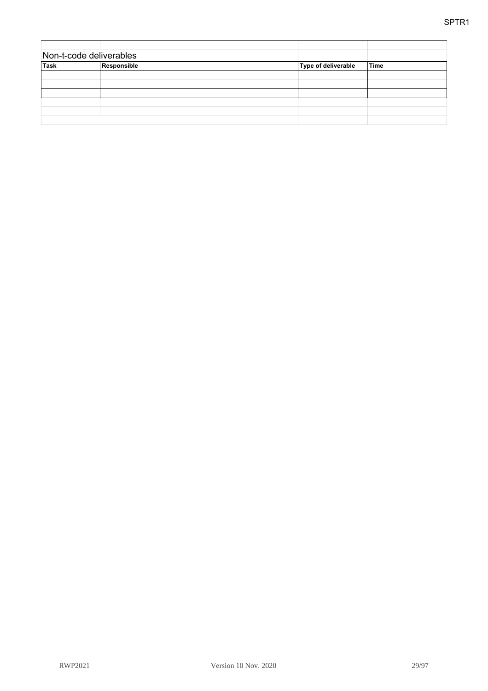| Non-t-code deliverables |             |                     |             |
|-------------------------|-------------|---------------------|-------------|
| <b>Task</b>             | Responsible | Type of deliverable | <b>Time</b> |
|                         |             |                     |             |
|                         |             |                     |             |
|                         |             |                     |             |
|                         |             |                     |             |
|                         |             |                     |             |
|                         |             |                     |             |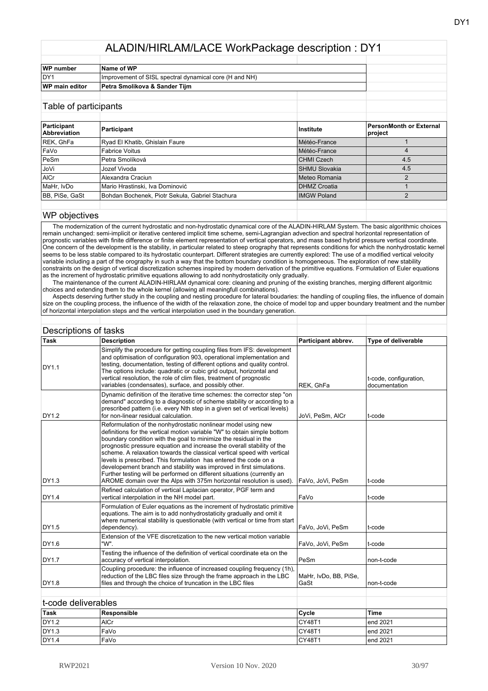| WP number             | Name of WP                                             |  |
|-----------------------|--------------------------------------------------------|--|
| IDY1                  | Improvement of SISL spectral dynamical core (H and NH) |  |
| <b>WP main editor</b> | Petra Smolikova & Sander Tiim                          |  |
|                       |                                                        |  |

#### Table of participants

| Participant<br><b>Abbreviation</b> | Participant                                     | Institute            | PersonMonth or External<br>project |
|------------------------------------|-------------------------------------------------|----------------------|------------------------------------|
| REK, GhFa                          | Ryad El Khatib, Ghislain Faure                  | Météo-France         |                                    |
| FaVo                               | <b>Fabrice Voitus</b>                           | Météo-France         |                                    |
| PeSm                               | Petra Smolíková                                 | <b>CHMI Czech</b>    | 4.5                                |
| l JoVi                             | Jozef Vivoda                                    | <b>SHMU Slovakia</b> | 4.5                                |
| AICr                               | Alexandra Craciun                               | IMeteo Romania       |                                    |
| MaHr, IvDo                         | Mario Hrastinski, Iva Dominović                 | <b>DHMZ Croatia</b>  |                                    |
| BB, PiSe, GaSt                     | Bohdan Bochenek, Piotr Sekuła, Gabriel Stachura | <b>IMGW Poland</b>   |                                    |
|                                    |                                                 |                      |                                    |

#### WP objectives

 The modernization of the current hydrostatic and non-hydrostatic dynamical core of the ALADIN-HIRLAM System. The basic algorithmic choices remain unchanged: semi-implicit or iterative centered implicit time scheme, semi-Lagrangian advection and spectral horizontal representation of prognostic variables with finite difference or finite element representation of vertical operators, and mass based hybrid pressure vertical coordinate. One concern of the development is the stability, in particular related to steep orography that represents conditions for which the nonhydrostatic kernel seems to be less stable compared to its hydrostatic counterpart. Different strategies are currently explored: The use of a modified vertical velocity variable including a part of the orography in such a way that the bottom boundary condition is homogeneous. The exploration of new stability constraints on the design of vertical discretization schemes inspired by modern derivation of the primitive equations. Formulation of Euler equations as the increment of hydrostatic primitive equations allowing to add nonhydrostaticity only gradually.

 The maintenance of the current ALADIN-HIRLAM dynamical core: cleaning and pruning of the existing branches, merging different algoritmic choices and extending them to the whole kernel (allowing all meaningfull combinations).

 Aspects deserving further study in the coupling and nesting procedure for lateral boudaries: the handling of coupling files, the influence of domain size on the coupling process, the influence of the width of the relaxation zone, the choice of model top and upper boundary treatment and the number of horizontal interpolation steps and the vertical interpolation used in the boundary generation.

| Descriptions of tasks |                                                                                                                                                                                                                                                                                                                                                                                                                                                                                                                                                                                                                                                                   |                               |                                         |
|-----------------------|-------------------------------------------------------------------------------------------------------------------------------------------------------------------------------------------------------------------------------------------------------------------------------------------------------------------------------------------------------------------------------------------------------------------------------------------------------------------------------------------------------------------------------------------------------------------------------------------------------------------------------------------------------------------|-------------------------------|-----------------------------------------|
| <b>Task</b>           | <b>Description</b>                                                                                                                                                                                                                                                                                                                                                                                                                                                                                                                                                                                                                                                | Participant abbrev.           | Type of deliverable                     |
| DY1.1                 | Simplify the procedure for getting coupling files from IFS: development<br>and optimisation of configuration 903, operational implementation and<br>testing, documentation, testing of different options and quality control.<br>The options include: quadratic or cubic grid output, horizontal and<br>vertical resolution, the role of clim files, treatment of prognostic<br>variables (condensates), surface, and possibly other.                                                                                                                                                                                                                             | REK, GhFa                     | t-code, configuration,<br>documentation |
| DY1.2                 | Dynamic definition of the iterative time schemes: the corrector step "on<br>demand" according to a diagnostic of scheme stability or according to a<br>prescribed pattern (i.e. every Nth step in a given set of vertical levels)<br>for non-linear residual calculation.                                                                                                                                                                                                                                                                                                                                                                                         | JoVi, PeSm, AICr              | t-code                                  |
| DY1.3                 | Reformulation of the nonhydrostatic nonlinear model using new<br>definitions for the vertical motion variable "W" to obtain simple bottom<br>boundary condition with the goal to minimize the residual in the<br>prognostic pressure equation and increase the overall stability of the<br>scheme. A relaxation towards the classical vertical speed with vertical<br>levels is prescribed. This formulation has entered the code on a<br>developement branch and stability was improved in first simulations.<br>Further testing will be performed on different situations (currently an<br>AROME domain over the Alps with 375m horizontal resolution is used). | FaVo, JoVi, PeSm              | t-code                                  |
| DY1.4                 | Refined calculation of vertical Laplacian operator, PGF term and<br>vertical interpolation in the NH model part.                                                                                                                                                                                                                                                                                                                                                                                                                                                                                                                                                  | FaVo                          | t-code                                  |
| DY1.5                 | Formulation of Euler equations as the increment of hydrostatic primitive<br>equations. The aim is to add nonhydrostaticity gradually and omit it<br>where numerical stability is questionable (with vertical or time from start<br>dependency).                                                                                                                                                                                                                                                                                                                                                                                                                   | FaVo, JoVi, PeSm              | t-code                                  |
| DY1.6                 | Extension of the VFE discretization to the new vertical motion variable<br>"W".                                                                                                                                                                                                                                                                                                                                                                                                                                                                                                                                                                                   | FaVo, JoVi, PeSm              | t-code                                  |
| DY1.7                 | Testing the influence of the definition of vertical coordinate eta on the<br>accuracy of vertical interpolation.                                                                                                                                                                                                                                                                                                                                                                                                                                                                                                                                                  | PeSm                          | non-t-code                              |
| DY1.8                 | Coupling procedure: the influence of increased coupling frequency (1h),<br>reduction of the LBC files size through the frame approach in the LBC<br>files and through the choice of truncation in the LBC files                                                                                                                                                                                                                                                                                                                                                                                                                                                   | MaHr, IvDo, BB, PiSe,<br>GaSt | non-t-code                              |
|                       |                                                                                                                                                                                                                                                                                                                                                                                                                                                                                                                                                                                                                                                                   |                               |                                         |
| t-code deliverables   |                                                                                                                                                                                                                                                                                                                                                                                                                                                                                                                                                                                                                                                                   |                               |                                         |
| Task                  | Responsible                                                                                                                                                                                                                                                                                                                                                                                                                                                                                                                                                                                                                                                       | Cycle                         | <b>Time</b>                             |
| DY1.2                 | <b>AICr</b>                                                                                                                                                                                                                                                                                                                                                                                                                                                                                                                                                                                                                                                       | CY48T1                        | end 2021                                |
| DY1.3                 | FaVo                                                                                                                                                                                                                                                                                                                                                                                                                                                                                                                                                                                                                                                              | CY48T1                        | end 2021                                |

DY1.4 FaVo CY48T1 end 2021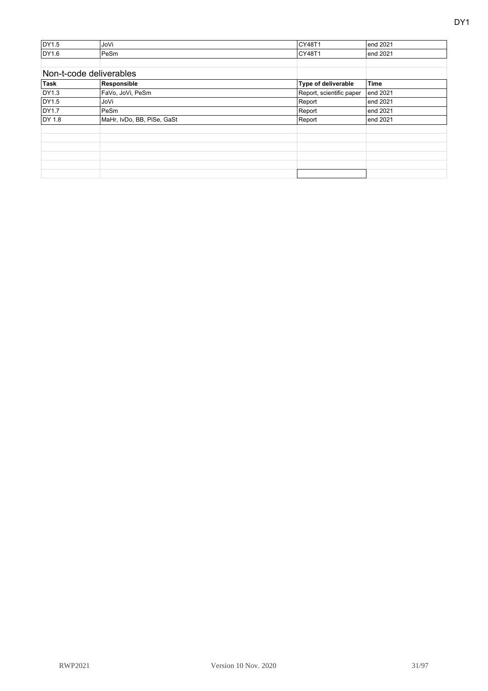| DY1.5  | JoVi                       | CY48T1                   | end 2021    |
|--------|----------------------------|--------------------------|-------------|
| DY1.6  | PeSm                       | CY48T1                   | end 2021    |
|        |                            |                          |             |
|        | Non-t-code deliverables    |                          |             |
| Task   | Responsible                | Type of deliverable      | <b>Time</b> |
| DY1.3  | FaVo, JoVi, PeSm           | Report, scientific paper | end 2021    |
| DY1.5  | JoVi                       | Report                   | end 2021    |
| DY1.7  | PeSm                       | Report                   | end 2021    |
| DY 1.8 | MaHr, IvDo, BB, PiSe, GaSt | Report                   | end 2021    |
|        |                            |                          |             |
|        |                            |                          |             |
|        |                            |                          |             |
|        |                            |                          |             |
|        |                            |                          |             |
|        |                            |                          |             |
|        |                            |                          |             |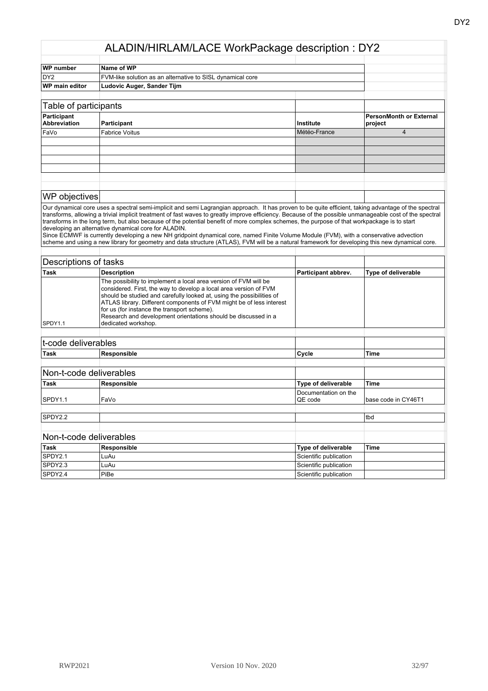| <b>WP</b> number                   | Name of WP                                                 |              |                                    |
|------------------------------------|------------------------------------------------------------|--------------|------------------------------------|
| DY <sub>2</sub>                    | FVM-like solution as an alternative to SISL dynamical core |              |                                    |
| <b>WP</b> main editor              | Ludovic Auger, Sander Tijm                                 |              |                                    |
|                                    |                                                            |              |                                    |
| Table of participants              |                                                            |              |                                    |
| Participant<br><b>Abbreviation</b> | Participant                                                | Institute    | PersonMonth or External<br>project |
| FaVo                               | <b>Fabrice Voitus</b>                                      | Météo-France | 4                                  |
|                                    |                                                            |              |                                    |
|                                    |                                                            |              |                                    |
|                                    |                                                            |              |                                    |
|                                    |                                                            |              |                                    |
|                                    |                                                            |              |                                    |

#### WP objectives

Our dynamical core uses a spectral semi-implicit and semi Lagrangian approach. It has proven to be quite efficient, taking advantage of the spectral transforms, allowing a trivial implicit treatment of fast waves to greatly improve efficiency. Because of the possible unmanageable cost of the spectral transforms in the long term, but also because of the potential benefit of more complex schemes, the purpose of that workpackage is to start developing an alternative dynamical core for ALADIN.

Since ECMWF is currently developing a new NH gridpoint dynamical core, named Finite Volume Module (FVM), with a conservative advection scheme and using a new library for geometry and data structure (ATLAS), FVM will be a natural framework for developing this new dynamical core.

| Descriptions of tasks |                                                                                                                                                                                                                                                                                                                                                                                                                                |                     |                            |
|-----------------------|--------------------------------------------------------------------------------------------------------------------------------------------------------------------------------------------------------------------------------------------------------------------------------------------------------------------------------------------------------------------------------------------------------------------------------|---------------------|----------------------------|
| Task                  | <b>Description</b>                                                                                                                                                                                                                                                                                                                                                                                                             | Participant abbrev. | <b>Type of deliverable</b> |
| SPDY <sub>1.1</sub>   | The possibility to implement a local area version of FVM will be<br>considered. First, the way to develop a local area version of FVM<br>should be studied and carefully looked at, using the possibilities of<br>ATLAS library. Different components of FVM might be of less interest<br>for us (for instance the transport scheme).<br>Research and development orientations should be discussed in a<br>dedicated workshop. |                     |                            |
|                       |                                                                                                                                                                                                                                                                                                                                                                                                                                |                     |                            |

| t-code deliverables |                         |                                 |                     |
|---------------------|-------------------------|---------------------------------|---------------------|
| Task                | Responsible             | Cycle                           | <b>Time</b>         |
|                     |                         |                                 |                     |
|                     | Non-t-code deliverables |                                 |                     |
| <b>Task</b>         | Responsible             | Type of deliverable             | <b>Time</b>         |
| SPDY <sub>1.1</sub> | FaVo                    | Documentation on the<br>QE code | base code in CY46T1 |
|                     |                         |                                 |                     |
| SPDY2.2             |                         |                                 | tbd                 |
|                     | Non-t-code deliverables |                                 |                     |
| Task                | Responsible             | Type of deliverable             | <b>Time</b>         |
| SPDY2.1             | LuAu                    | Scientific publication          |                     |

SPDY2.3 LuAu LuAu Scientific publication SPDY2.4 PiBe Scientific publication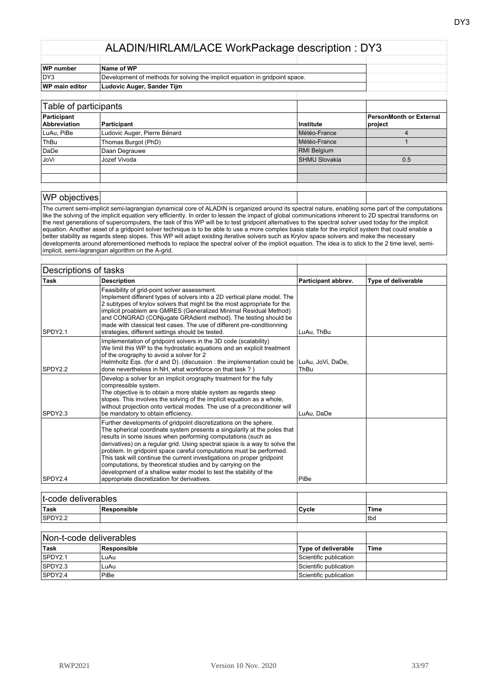| <b>WP</b> number                   | Name of WP                                                                   |                      |                                    |
|------------------------------------|------------------------------------------------------------------------------|----------------------|------------------------------------|
| DY3                                | Development of methods for solving the implicit equation in gridpoint space. |                      |                                    |
| WP main editor                     | Ludovic Auger, Sander Tijm                                                   |                      |                                    |
|                                    |                                                                              |                      |                                    |
| Table of participants              |                                                                              |                      |                                    |
| Participant<br><b>Abbreviation</b> | Participant                                                                  | <b>Institute</b>     | PersonMonth or External<br>project |
| LuAu, PiBe                         | Ludovic Auger, Pierre Bénard                                                 | Météo-France         | 4                                  |
| ThBu                               | Thomas Burgot (PhD)                                                          | Météo-France         |                                    |
| DaDe                               | Daan Degrauwe                                                                | <b>RMI Belgium</b>   |                                    |
| JoVi                               | Jozef Vivoda                                                                 | <b>SHMU Slovakia</b> | 0.5                                |
|                                    |                                                                              |                      |                                    |
|                                    |                                                                              |                      |                                    |
|                                    |                                                                              |                      |                                    |
|                                    |                                                                              |                      |                                    |

#### WP objectives

The current semi-implicit semi-lagrangian dynamical core of ALADIN is organized around its spectral nature, enabling some part of the computations like the solving of the implicit equation very efficiently. In order to lessen the impact of global communications inherent to 2D spectral transforms on the next generations of supercomputers, the task of this WP will be to test gridpoint alternatives to the spectral solver used today for the implicit equation. Another asset of a gridpoint solver technique is to be able to use a more complex basis state for the implicit system that could enable a better stability as regards steep slopes. This WP will adapt existing iterative solvers such as Krylov space solvers and make the necessary developments around aforementioned methods to replace the spectral solver of the implicit equation. The idea is to stick to the 2 time level, semiimplicit, semi-lagrangian algorithm on the A-grid.

| Descriptions of tasks |                                                                                                                                                                                                                                                                                                                                                                                                                                                                                                                                                                                                                                |                           |                            |
|-----------------------|--------------------------------------------------------------------------------------------------------------------------------------------------------------------------------------------------------------------------------------------------------------------------------------------------------------------------------------------------------------------------------------------------------------------------------------------------------------------------------------------------------------------------------------------------------------------------------------------------------------------------------|---------------------------|----------------------------|
| <b>Task</b>           | <b>Description</b>                                                                                                                                                                                                                                                                                                                                                                                                                                                                                                                                                                                                             | Participant abbrev.       | <b>Type of deliverable</b> |
| SPDY2.1               | Feasibility of grid-point solver assessment.<br>Implement different types of solvers into a 2D vertical plane model. The<br>2 subtypes of krylov solvers that might be the most appropriate for the<br>implicit proablem are GMRES (Generalized Minimal Residual Method)<br>and CONGRAD (CONjugate GRAdient method). The testing should be<br>made with classical test cases. The use of different pre-conditionning<br>strategies, different settings should be tested.                                                                                                                                                       | LuAu, ThBu                |                            |
| SPDY2.2               | Implementation of gridpoint solvers in the 3D code (scalability)<br>We limit this WP to the hydrostatic equations and an explicit treatment<br>of the orography to avoid a solver for 2<br>Helmholtz Eqs. (for d and D). (discussion : the implementation could be<br>done nevertheless in NH, what workforce on that task?)                                                                                                                                                                                                                                                                                                   | LuAu, JoVi, DaDe,<br>ThBu |                            |
| SPDY2.3               | Develop a solver for an implicit orography treatment for the fully<br>compressible system.<br>The objective is to obtain a more stable system as regards steep<br>slopes. This involves the solving of the implicit equation as a whole,<br>without projection onto vertical modes. The use of a preconditioner will<br>be mandatory to obtain efficiency.                                                                                                                                                                                                                                                                     | LuAu, DaDe                |                            |
| SPDY2.4               | Further developments of gridpoint discretizations on the sphere.<br>The spherical coordinate system presents a singularity at the poles that<br>results in some issues when performing computations (such as<br>derivatives) on a regular grid. Using spectral space is a way to solve the<br>problem. In gridpoint space careful computations must be performed.<br>This task will continue the current investigations on proper gridpoint<br>computations, by theoretical studies and by carrying on the<br>development of a shallow water model to test the stability of the<br>appropriate discretization for derivatives. | PiBe                      |                            |
|                       |                                                                                                                                                                                                                                                                                                                                                                                                                                                                                                                                                                                                                                |                           |                            |
| t-code deliverables   |                                                                                                                                                                                                                                                                                                                                                                                                                                                                                                                                                                                                                                |                           |                            |
| <b>Task</b>           | Responsible                                                                                                                                                                                                                                                                                                                                                                                                                                                                                                                                                                                                                    | Cycle                     | Time                       |
| SPDY2.2               |                                                                                                                                                                                                                                                                                                                                                                                                                                                                                                                                                                                                                                |                           | tbd                        |
|                       |                                                                                                                                                                                                                                                                                                                                                                                                                                                                                                                                                                                                                                |                           |                            |
|                       | Non-t-code deliverables                                                                                                                                                                                                                                                                                                                                                                                                                                                                                                                                                                                                        |                           |                            |

| Non-t-code deliverables |             |                            |      |
|-------------------------|-------------|----------------------------|------|
| <sup>∣</sup> Task       | Responsible | <b>Type of deliverable</b> | Time |
| SPDY2.1                 | LuAu        | Scientific publication     |      |
| SPDY2.3                 | LuAu        | Scientific publication     |      |
| SPDY2.4                 | PiBe        | Scientific publication     |      |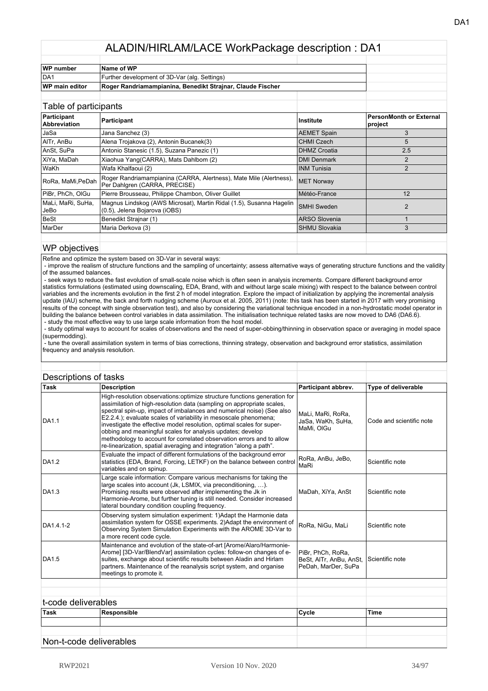| <b>WP</b> number      | Name of WP                                                 |  |  |
|-----------------------|------------------------------------------------------------|--|--|
| DA <sub>1</sub>       | Further development of 3D-Var (alg. Settings)              |  |  |
| <b>WP main editor</b> | Roger Randriamampianina, Benedikt Strajnar, Claude Fischer |  |  |
|                       |                                                            |  |  |

| Table of participants              |                                                                                                      |                      |                                           |
|------------------------------------|------------------------------------------------------------------------------------------------------|----------------------|-------------------------------------------|
| Participant<br><b>Abbreviation</b> | Participant                                                                                          | <b>Institute</b>     | <b>PersonMonth or External</b><br>project |
| JaSa                               | Jana Sanchez (3)                                                                                     | <b>AEMET Spain</b>   | 3                                         |
| AITr, AnBu                         | Alena Trojakova (2), Antonin Bucanek(3)                                                              | <b>CHMI Czech</b>    | 5                                         |
| AnSt, SuPa                         | Antonio Stanesic (1.5), Suzana Panezic (1)                                                           | <b>DHMZ Croatia</b>  | 2.5                                       |
| XiYa, MaDah                        | Xiaohua Yang(CARRA), Mats Dahlbom (2)                                                                | <b>DMI Denmark</b>   | 2                                         |
| <b>WaKh</b>                        | Wafa Khalfaoui (2)                                                                                   | <b>INM Tunisia</b>   | 2                                         |
| RoRa, MaMi, PeDah                  | Roger Randriamampianina (CARRA, Alertness), Mate Mile (Alertness),<br>Per Dahlgren (CARRA, PRECISE)  | <b>MET Norway</b>    |                                           |
| PiBr, PhCh, OlGu                   | Pierre Brousseau, Philippe Chambon, Oliver Guillet                                                   | Météo-France         | 12                                        |
| MaLi, MaRi, SuHa,<br>JeBo          | Magnus Lindskog (AWS Microsat), Martin Ridal (1.5), Susanna Hagelin<br>(0.5), Jelena Bojarova (iOBS) | <b>SMHI Sweden</b>   | 2                                         |
| BeSt                               | Benedikt Strainar (1)                                                                                | <b>ARSO Slovenia</b> |                                           |
| MarDer                             | Maria Derkova (3)                                                                                    | <b>SHMU Slovakia</b> | 3                                         |
|                                    |                                                                                                      |                      |                                           |

#### WP objectives

Refine and optimize the system based on 3D-Var in several ways:

 - improve the realism of structure functions and the sampling of uncertainty; assess alternative ways of generating structure functions and the validity of the assumed balances.

 - seek ways to reduce the fast evolution of small-scale noise which is often seen in analysis increments. Compare different background error statistics formulations (estimated using downscaling, EDA, Brand, with and without large scale mixing) with respect to the balance between control variables and the increments evolution in the first 2 h of model integration. Explore the impact of initialization by applying the incremental analysis update (IAU) scheme, the back and forth nudging scheme (Auroux et al. 2005, 2011) (note: this task has been started in 2017 with very promising results of the concept with single observation test), and also by considering the variational technique encoded in a non-hydrostatic model operator in building the balance between control variables in data assimilation. The initialisation technique related tasks are now moved to DA6 (DA6.6). - study the most effective way to use large scale information from the host model.

 - study optimal ways to account for scales of observations and the need of super-obbing/thinning in observation space or averaging in model space (supermodding).

 - tune the overall assimilation system in terms of bias corrections, thinning strategy, observation and background error statistics, assimilation frequency and analysis resolution.

| Descriptions of tasks |                                                                                                                                                                                                                                                                                                                                                                                                                                                                                                                                                                                        |                                                                                     |                            |
|-----------------------|----------------------------------------------------------------------------------------------------------------------------------------------------------------------------------------------------------------------------------------------------------------------------------------------------------------------------------------------------------------------------------------------------------------------------------------------------------------------------------------------------------------------------------------------------------------------------------------|-------------------------------------------------------------------------------------|----------------------------|
| <b>Task</b>           | <b>Description</b>                                                                                                                                                                                                                                                                                                                                                                                                                                                                                                                                                                     | Participant abbrev.                                                                 | <b>Type of deliverable</b> |
| DA1.1                 | High-resolution observations: optimize structure functions generation for<br>assimilation of high-resolution data (sampling on appropriate scales,<br>spectral spin-up, impact of imbalances and numerical noise) (See also<br>E2.2.4.); evaluate scales of variability in mesoscale phenomena;<br>investigate the effective model resolution, optimal scales for super-<br>obbing and meaningful scales for analysis updates; develop<br>methodology to account for correlated observation errors and to allow<br>re-linearization, spatial averaging and integration "along a path". | MaLi, MaRi, RoRa,<br>JaSa, WaKh, SuHa,<br>MaMi, OIGu                                | Code and scientific note   |
| DA1.2                 | Evaluate the impact of different formulations of the background error<br>statistics (EDA, Brand, Forcing, LETKF) on the balance between control<br>variables and on spinup.                                                                                                                                                                                                                                                                                                                                                                                                            | RoRa, AnBu, JeBo,<br>MaRi                                                           | Scientific note            |
| DA1.3                 | Large scale information: Compare various mechanisms for taking the<br>large scales into account (Jk, LSMIX, via preconditioning, ).<br>Promising results were observed after implementing the Jk in<br>Harmonie-Arome, but further tuning is still needed. Consider increased<br>lateral boundary condition coupling frequency.                                                                                                                                                                                                                                                        | MaDah, XiYa, AnSt                                                                   | Scientific note            |
| DA1.4.1-2             | Observing system simulation experiment: 1) Adapt the Harmonie data<br>assimilation system for OSSE experiments. 2)Adapt the environment of<br>Observing System Simulation Experiments with the AROME 3D-Var to<br>a more recent code cycle.                                                                                                                                                                                                                                                                                                                                            | RoRa, NiGu, MaLi                                                                    | Scientific note            |
| DA1.5                 | Maintenance and evolution of the state-of-art [Arome/Alaro/Harmonie-<br>Arome] [3D-Var/BlendVar] assimilation cycles: follow-on changes of e-<br>suites, exchange about scientific results between Aladin and Hirlam<br>partners. Maintenance of the reanalysis script system, and organise<br>meetings to promote it.                                                                                                                                                                                                                                                                 | PiBr, PhCh, RoRa,<br>BeSt, AITr, AnBu, AnSt, Scientific note<br>PeDah, MarDer, SuPa |                            |
|                       |                                                                                                                                                                                                                                                                                                                                                                                                                                                                                                                                                                                        |                                                                                     |                            |
| t-code deliverables   |                                                                                                                                                                                                                                                                                                                                                                                                                                                                                                                                                                                        |                                                                                     |                            |
| <b>Task</b>           | Responsible                                                                                                                                                                                                                                                                                                                                                                                                                                                                                                                                                                            | Cycle                                                                               | <b>Time</b>                |
|                       |                                                                                                                                                                                                                                                                                                                                                                                                                                                                                                                                                                                        |                                                                                     |                            |
|                       |                                                                                                                                                                                                                                                                                                                                                                                                                                                                                                                                                                                        |                                                                                     |                            |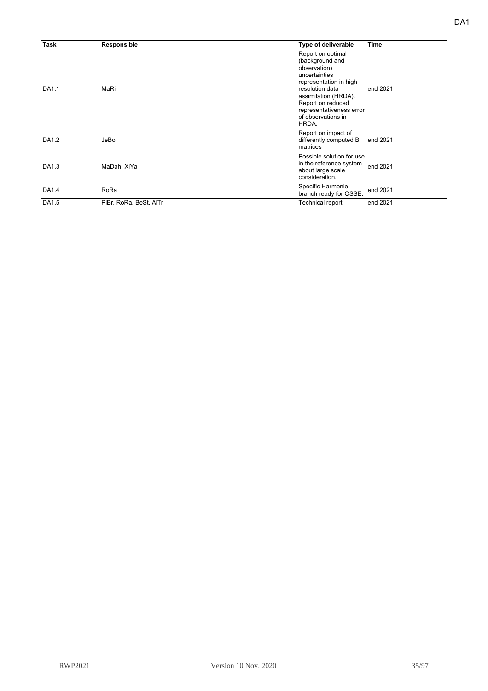| <b>Task</b> | Responsible            | Type of deliverable                                                                                                                                                                                                        | <b>Time</b> |
|-------------|------------------------|----------------------------------------------------------------------------------------------------------------------------------------------------------------------------------------------------------------------------|-------------|
| DA1.1       | MaRi                   | Report on optimal<br>(background and<br>observation)<br>uncertainties<br>representation in high<br>resolution data<br>assimilation (HRDA).<br>Report on reduced<br>representativeness error<br>of observations in<br>HRDA. | end 2021    |
| DA1.2       | JeBo                   | Report on impact of<br>differently computed B<br>matrices                                                                                                                                                                  | end 2021    |
| DA1.3       | MaDah, XiYa            | Possible solution for use<br>in the reference system<br>about large scale<br>consideration.                                                                                                                                | end 2021    |
| DA1.4       | RoRa                   | Specific Harmonie<br>branch ready for OSSE.                                                                                                                                                                                | end 2021    |
| DA1.5       | PiBr, RoRa, BeSt, AITr | Technical report                                                                                                                                                                                                           | end 2021    |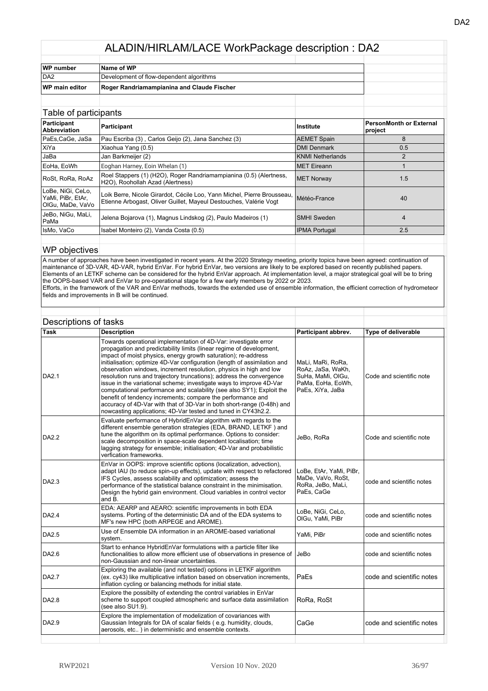| WP number             | Name of WP                                 |  |  |
|-----------------------|--------------------------------------------|--|--|
| DA <sub>2</sub>       | Development of flow-dependent algorithms   |  |  |
| <b>WP main editor</b> | Roger Randriamampianina and Claude Fischer |  |  |
|                       |                                            |  |  |

| Table of participants                                      |                                                                                                                                              |                         |                                           |
|------------------------------------------------------------|----------------------------------------------------------------------------------------------------------------------------------------------|-------------------------|-------------------------------------------|
| Participant<br><b>Abbreviation</b>                         | Participant                                                                                                                                  | Institute               | <b>PersonMonth or External</b><br>project |
| PaEs,CaGe, JaSa                                            | Pau Escriba (3), Carlos Geijo (2), Jana Sanchez (3)                                                                                          | <b>AEMET Spain</b>      | 8                                         |
| XiYa                                                       | Xiaohua Yang (0.5)                                                                                                                           | <b>DMI Denmark</b>      | 0.5                                       |
| JaBa                                                       | Jan Barkmeijer (2)                                                                                                                           | <b>KNMI Netherlands</b> |                                           |
| EoHa, EoWh                                                 | Eoghan Harney, Eoin Whelan (1)                                                                                                               | <b>IMET Eireann</b>     |                                           |
| RoSt, RoRa, RoAz                                           | Roel Stappers (1) (H2O), Roger Randriamampianina (0.5) (Alertness,<br>H2O), Roohollah Azad (Alertness)                                       | MET Norway              | 1.5                                       |
| LoBe, NiGi, CeLo,<br>YaMi, PiBr, EtAr,<br>OIGu. MaDe. VaVo | Loik Berre, Nicole Girardot, Cécile Loo, Yann Michel, Pierre Brousseau,<br>Etienne Arbogast, Oliver Guillet, Mayeul Destouches, Valérie Vogt | Météo-France            | 40                                        |
| JeBo, NiGu, MaLi,<br>PaMa                                  | Jelena Bojarova (1), Magnus Lindskog (2), Paulo Madeiros (1)                                                                                 | <b>SMHI Sweden</b>      | $\overline{4}$                            |
| IsMo, VaCo                                                 | Isabel Monteiro (2), Vanda Costa (0.5)                                                                                                       | <b>IPMA Portugal</b>    | 2.5                                       |
|                                                            |                                                                                                                                              |                         |                                           |

#### WP objectives

A number of approaches have been investigated in recent years. At the 2020 Strategy meeting, priority topics have been agreed: continuation of maintenance of 3D-VAR, 4D-VAR, hybrid EnVar. For hybrid EnVar, two versions are likely to be explored based on recently published papers. Elements of an LETKF scheme can be considered for the hybrid EnVar approach. At implementation level, a major strategical goal will be to bring the OOPS-based VAR and EnVar to pre-operational stage for a few early members by 2022 or 2023. Efforts, in the framework of the VAR and EnVar methods, towards the extended use of ensemble information, the efficient correction of hydrometeor fields and improvements in B will be continued.

| Descriptions of tasks |                                                                                                                                                                                                                                                                                                                                                                                                                                                                                                                                                                                                                                                                                                                                                                                                |                                                                                                      |                            |  |
|-----------------------|------------------------------------------------------------------------------------------------------------------------------------------------------------------------------------------------------------------------------------------------------------------------------------------------------------------------------------------------------------------------------------------------------------------------------------------------------------------------------------------------------------------------------------------------------------------------------------------------------------------------------------------------------------------------------------------------------------------------------------------------------------------------------------------------|------------------------------------------------------------------------------------------------------|----------------------------|--|
| Task                  | <b>Description</b>                                                                                                                                                                                                                                                                                                                                                                                                                                                                                                                                                                                                                                                                                                                                                                             | Participant abbrev.                                                                                  | <b>Type of deliverable</b> |  |
| <b>DA2.1</b>          | Towards operational implementation of 4D-Var: investigate error<br>propagation and predictability limits (linear regime of development,<br>impact of moist physics, energy growth saturation); re-address<br>initialisation; optimize 4D-Var configuration (length of assimilation and<br>observation windows, increment resolution, physics in high and low<br>resolution runs and trajectory truncations); address the convergence<br>issue in the variational scheme; investigate ways to improve 4D-Var<br>computational performance and scalability (see also SY1); Exploit the<br>benefit of tendency increments; compare the performance and<br>accuracy of 4D-Var with that of 3D-Var in both short-range (0-48h) and<br>nowcasting applications; 4D-Var tested and tuned in CY43h2.2. | MaLi, MaRi, RoRa,<br>RoAz, JaSa, WaKh,<br>SuHa, MaMi, OlGu,<br>PaMa, EoHa, EoWh,<br>PaEs, XiYa, JaBa | Code and scientific note   |  |
| DA2.2                 | Evaluate performance of HybridEnVar algorithm with regards to the<br>different ensemble generation strategies (EDA, BRAND, LETKF) and<br>tune the algorithm on its optimal performance. Options to consider:<br>scale decomposition in space-scale dependent localisation; time<br>lagging strategy for ensemble; initialisation; 4D-Var and probabilistic<br>verfication frameworks.                                                                                                                                                                                                                                                                                                                                                                                                          | JeBo, RoRa                                                                                           | Code and scientific note   |  |
| DA2.3                 | EnVar in OOPS: improve scientific options (localization, advection),<br>adapt IAU (to reduce spin-up effects), update with respect to refactored<br>IFS Cycles, assess scalability and optimization; assess the<br>performance of the statistical balance constraint in the minimisation.<br>Design the hybrid gain environment. Cloud variables in control vector<br>and B.                                                                                                                                                                                                                                                                                                                                                                                                                   | LoBe, EtAr, YaMi, PiBr,<br>MaDe, VaVo, RoSt,<br>RoRa, JeBo, MaLi,<br>PaEs, CaGe                      | code and scientific notes  |  |
| DA2.4                 | EDA: AEARP and AEARO: scientific improvements in both EDA<br>systems. Porting of the deterministic DA and of the EDA systems to<br>MF's new HPC (both ARPEGE and AROME).                                                                                                                                                                                                                                                                                                                                                                                                                                                                                                                                                                                                                       | LoBe, NiGi, CeLo,<br>OlGu, YaMi, PiBr                                                                | code and scientific notes  |  |
| DA2.5                 | Use of Ensemble DA information in an AROME-based variational<br>system.                                                                                                                                                                                                                                                                                                                                                                                                                                                                                                                                                                                                                                                                                                                        | YaMi, PiBr                                                                                           | code and scientific notes  |  |
| DA2.6                 | Start to enhance HybridEnVar formulations with a particle filter like<br>functionalities to allow more efficient use of observations in presence of<br>non-Gaussian and non-linear uncertainties.                                                                                                                                                                                                                                                                                                                                                                                                                                                                                                                                                                                              | JeBo                                                                                                 | code and scientific notes  |  |
| <b>DA2.7</b>          | Exploring the available (and not tested) options in LETKF algorithm<br>(ex. cy43) like multiplicative inflation based on observation increments,<br>inflation cycling or balancing methods for initial state.                                                                                                                                                                                                                                                                                                                                                                                                                                                                                                                                                                                  | PaEs                                                                                                 | code and scientific notes  |  |
| DA2.8                 | Explore the possibilty of extending the control variables in EnVar<br>scheme to support coupled atmospheric and surface data assimilation<br>(see also SU1.9).                                                                                                                                                                                                                                                                                                                                                                                                                                                                                                                                                                                                                                 | RoRa, RoSt                                                                                           |                            |  |
| DA2.9                 | Explore the implementation of modelization of covariances with<br>Gaussian Integrals for DA of scalar fields (e.g. humidity, clouds,<br>aerosols, etc) in deterministic and ensemble contexts.                                                                                                                                                                                                                                                                                                                                                                                                                                                                                                                                                                                                 | CaGe                                                                                                 | code and scientific notes  |  |
|                       |                                                                                                                                                                                                                                                                                                                                                                                                                                                                                                                                                                                                                                                                                                                                                                                                |                                                                                                      |                            |  |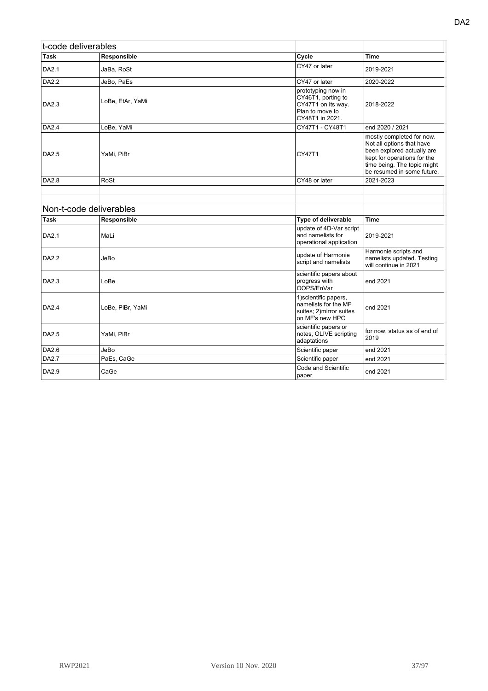| t-code deliverables |                         |                                                                                                      |                                                                                                                                                                                  |
|---------------------|-------------------------|------------------------------------------------------------------------------------------------------|----------------------------------------------------------------------------------------------------------------------------------------------------------------------------------|
| Task                | Responsible             | Cycle                                                                                                | Time                                                                                                                                                                             |
| <b>DA2.1</b>        | JaBa, RoSt              | CY47 or later                                                                                        | 2019-2021                                                                                                                                                                        |
| DA2.2               | JeBo, PaEs              | CY47 or later                                                                                        | 2020-2022                                                                                                                                                                        |
| DA2.3               | LoBe, EtAr, YaMi        | prototyping now in<br>CY46T1, porting to<br>CY47T1 on its way.<br>Plan to move to<br>CY48T1 in 2021. | 2018-2022                                                                                                                                                                        |
| DA2.4               | LoBe, YaMi              | CY47T1 - CY48T1                                                                                      | end 2020 / 2021                                                                                                                                                                  |
| DA2.5               | YaMi, PiBr              | CY47T1                                                                                               | mostly completed for now.<br>Not all options that have<br>been explored actually are<br>kept for operations for the<br>time being. The topic might<br>be resumed in some future. |
| DA2.8               | RoSt                    | CY48 or later                                                                                        | 2021-2023                                                                                                                                                                        |
|                     |                         |                                                                                                      |                                                                                                                                                                                  |
|                     |                         |                                                                                                      |                                                                                                                                                                                  |
|                     | Non t ande deliverables |                                                                                                      |                                                                                                                                                                                  |

|              | Non-t-code deliverables |                                                                                              |                                                                             |
|--------------|-------------------------|----------------------------------------------------------------------------------------------|-----------------------------------------------------------------------------|
| Task         | Responsible             | Type of deliverable                                                                          | Time                                                                        |
| <b>DA2.1</b> | MaLi                    | update of 4D-Var script<br>and namelists for<br>operational application                      | 2019-2021                                                                   |
| DA2.2        | JeBo                    | update of Harmonie<br>script and namelists                                                   | Harmonie scripts and<br>namelists updated. Testing<br>will continue in 2021 |
| DA2.3        | LoBe                    | scientific papers about<br>progress with<br>OOPS/EnVar                                       | end 2021                                                                    |
| DA2.4        | LoBe, PiBr, YaMi        | 1) scientific papers,<br>namelists for the MF<br>suites; 2) mirror suites<br>on MF's new HPC | end 2021                                                                    |
| DA2.5        | YaMi, PiBr              | scientific papers or<br>notes, OLIVE scripting<br>adaptations                                | for now, status as of end of<br>2019                                        |
| DA2.6        | JeBo                    | Scientific paper                                                                             | end 2021                                                                    |
| DA2.7        | PaEs, CaGe              | Scientific paper                                                                             | end 2021                                                                    |
| DA2.9        | CaGe                    | Code and Scientific<br>paper                                                                 | end 2021                                                                    |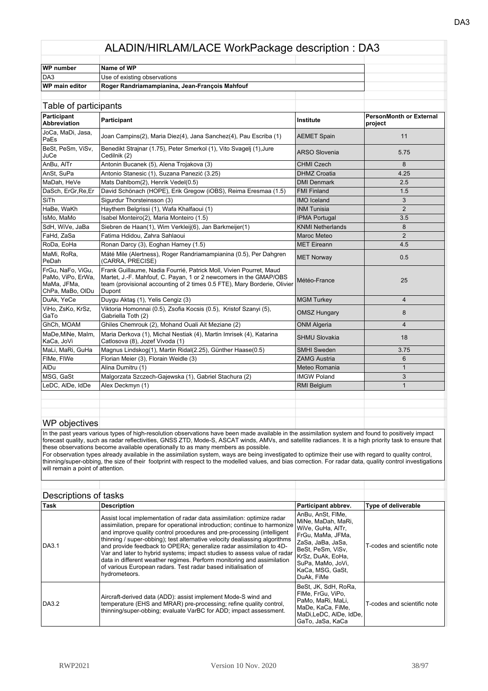| WP number             | Name of WP                                     |  |
|-----------------------|------------------------------------------------|--|
| DA3                   | Use of existing observations                   |  |
| <b>WP main editor</b> | Roger Randriamampianina, Jean-François Mahfouf |  |
|                       |                                                |  |

| Table of participants                                                     |                                                                                                                                                                                                                               |                         |                                           |
|---------------------------------------------------------------------------|-------------------------------------------------------------------------------------------------------------------------------------------------------------------------------------------------------------------------------|-------------------------|-------------------------------------------|
| Participant<br><b>Abbreviation</b>                                        | Participant                                                                                                                                                                                                                   | Institute               | <b>PersonMonth or External</b><br>project |
| JoCa, MaDi, Jasa,<br>PaEs                                                 | Joan Campins(2), Maria Diez(4), Jana Sanchez(4), Pau Escriba (1)                                                                                                                                                              | <b>AEMET Spain</b>      | 11                                        |
| BeSt, PeSm, ViSv,<br>JuCe                                                 | Benedikt Strajnar (1.75), Peter Smerkol (1), Vito Svagelj (1), Jure<br>Cedilnik (2)                                                                                                                                           | <b>ARSO Slovenia</b>    | 5.75                                      |
| AnBu, AITr                                                                | Antonin Bucanek (5), Alena Trojakova (3)                                                                                                                                                                                      | <b>CHMI Czech</b>       | 8                                         |
| AnSt, SuPa                                                                | Antonio Stanesic (1), Suzana Panezić (3.25)                                                                                                                                                                                   | <b>DHMZ Croatia</b>     | 4.25                                      |
| MaDah, HeVe                                                               | Mats Dahlbom(2), Henrik Vedel(0.5)                                                                                                                                                                                            | <b>DMI Denmark</b>      | 2.5                                       |
| DaSch, ErGr, Re, Er                                                       | David Schönach (HOPE), Erik Gregow (iOBS), Reima Eresmaa (1.5)                                                                                                                                                                | <b>FMI Finland</b>      | 1.5                                       |
| SiTh                                                                      | Sigurdur Thorsteinsson (3)                                                                                                                                                                                                    | <b>IMO</b> Iceland      | 3                                         |
| HaBe, WaKh                                                                | Haythem Belgrissi (1), Wafa Khalfaoui (1)                                                                                                                                                                                     | <b>INM Tunisia</b>      | $\overline{2}$                            |
| IsMo, MaMo                                                                | Isabel Monteiro(2), Maria Monteiro (1.5)                                                                                                                                                                                      | <b>IPMA Portugal</b>    | 3.5                                       |
| SdH, WiVe, JaBa                                                           | Siebren de Haan(1), Wim Verkleij(6), Jan Barkmeijer(1)                                                                                                                                                                        | <b>KNMI Netherlands</b> | 8                                         |
| FaHd, ZaSa                                                                | Fatima Hdidou, Zahra Sahlaoui                                                                                                                                                                                                 | <b>Maroc Meteo</b>      | 2                                         |
| RoDa, EoHa                                                                | Ronan Darcy (3), Eoghan Harney (1.5)                                                                                                                                                                                          | <b>MET Eireann</b>      | 4.5                                       |
| MaMi, RoRa,<br>PeDah                                                      | Máté Mile (Alertness), Roger Randriamampianina (0.5), Per Dahgren<br>(CARRA, PRECISE)                                                                                                                                         | <b>MET Norway</b>       | 0.5                                       |
| FrGu, NaFo, ViGu,<br>PaMo, ViPo, ErWa,<br>MaMa, JFMa,<br>ChPa, MaBo, OlDu | Frank Guillaume, Nadia Fourrié, Patrick Moll, Vivien Pourret, Maud<br>Martet, J.-F. Mahfouf, C. Payan, 1 or 2 newcomers in the GMAP/OBS<br>team (provisional accounting of 2 times 0.5 FTE), Mary Borderie, Olivier<br>Dupont | Météo-France            | 25                                        |
| DuAk, YeCe                                                                | Duygu Aktaş (1), Yelis Cengiz (3)                                                                                                                                                                                             | <b>MGM Turkey</b>       | $\overline{4}$                            |
| ViHo, ZsKo, KrSz,<br>GaTo                                                 | Viktoria Homonnai (0.5), Zsofia Kocsis (0.5), Kristof Szanyi (5),<br>Gabriella Toth (2)                                                                                                                                       | <b>OMSZ Hungary</b>     | 8                                         |
| GhCh, MOAM                                                                | Ghiles Chemrouk (2), Mohand Ouali Ait Meziane (2)                                                                                                                                                                             | <b>ONM Algeria</b>      | $\overline{4}$                            |
| MaDe, MiNe, Malm,<br>KaCa, JoVi                                           | Maria Derkova (1), Michal Nestiak (4), Martin Imrisek (4), Katarina<br>Catlosova (8), Jozef Vivoda (1)                                                                                                                        | <b>SHMU Slovakia</b>    | 18                                        |
| MaLi, MaRi, GuHa                                                          | Magnus Lindskog(1), Martin Ridal(2.25), Günther Haase(0.5)                                                                                                                                                                    | <b>SMHI Sweden</b>      | 3.75                                      |
| FIMe, FIWe                                                                | Florian Meier (3), Florain Weidle (3)                                                                                                                                                                                         | <b>ZAMG Austria</b>     | 6                                         |
| AIDu                                                                      | Alina Dumitru (1)                                                                                                                                                                                                             | Meteo Romania           | $\mathbf{1}$                              |
| MSG, GaSt                                                                 | Malgorzata Szczech-Gajewska (1), Gabriel Stachura (2)                                                                                                                                                                         | <b>IMGW Poland</b>      | 3                                         |
| LeDC, AIDe, IdDe                                                          | Alex Deckmyn (1)                                                                                                                                                                                                              | <b>RMI Belgium</b>      | $\mathbf{1}$                              |
|                                                                           |                                                                                                                                                                                                                               |                         |                                           |

## WP objectives

In the past years various types of high-resolution observations have been made available in the assimilation system and found to positively impact forecast quality, such as radar reflectivities, GNSS ZTD, Mode-S, ASCAT winds, AMVs, and satellite radiances. It is a high priority task to ensure that these observations become available operationally to as many members as possible.

For observation types already available in the assimilation system, ways are being investigated to optimize their use with regard to quality control, thinning/super-obbing, the size of their footprint with respect to the modelled values, and bias correction. For radar data, quality control investigations will remain a point of attention.

| <b>Peopliptions</b> or table |                                                                                                                                                                                                                                                                                                                                                                                                                                                                                                                                                                                                                             |                                                                                                                                                                                                         |                             |
|------------------------------|-----------------------------------------------------------------------------------------------------------------------------------------------------------------------------------------------------------------------------------------------------------------------------------------------------------------------------------------------------------------------------------------------------------------------------------------------------------------------------------------------------------------------------------------------------------------------------------------------------------------------------|---------------------------------------------------------------------------------------------------------------------------------------------------------------------------------------------------------|-----------------------------|
| ∣Task                        | <b>Description</b>                                                                                                                                                                                                                                                                                                                                                                                                                                                                                                                                                                                                          | Participant abbrev.                                                                                                                                                                                     | <b>Type of deliverable</b>  |
| <b>DA3.1</b>                 | Assist local implementation of radar data assimilation: optimize radar<br>assimilation, prepare for operational introduction; continue to harmonize<br>and improve quality control procedures and pre-processing (intelligent<br>thinning / super-obbing): test alternative velocity dealiassing algorithms<br>and provide feedback to OPERA; generalize radar assimilation to 4D-<br>Var and later to hybrid systems; impact studies to assess value of radar<br>data in different weather regimes. Perform monitoring and assimilation<br>of various European radars. Test radar based initialisation of<br>hydrometeors. | AnBu, AnSt, FIMe,<br>MiNe. MaDah. MaRi.<br>WiVe, GuHa, AITr.<br>FrGu, MaMa, JFMa,<br>ZaSa, JaBa, JaSa,<br>BeSt. PeSm. ViSv.<br>KrSz, DuAk, EoHa,<br>SuPa. MaMo. JoVi.<br>KaCa. MSG. GaSt.<br>DuAk, FiMe | T-codes and scientific note |
| DA3.2                        | Aircraft-derived data (ADD): assist implement Mode-S wind and<br>temperature (EHS and MRAR) pre-processing; refine quality control,<br>thinning/super-obbing; evaluate VarBC for ADD; impact assessment.                                                                                                                                                                                                                                                                                                                                                                                                                    | BeSt, JK, SdH, RoRa.<br>FIMe, FrGu, ViPo,<br> PaMo. MaRi. MaLi.<br>MaDe, KaCa, FiMe,<br>MaDi,LeDC, AlDe, IdDe,<br>GaTo, JaSa, KaCa                                                                      | T-codes and scientific note |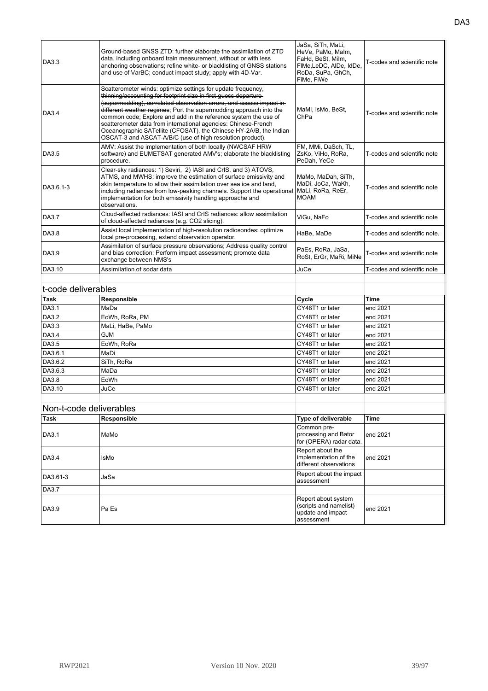| DA3.3        | Ground-based GNSS ZTD: further elaborate the assimilation of ZTD<br>data, including onboard train measurement, without or with less<br>anchoring observations; refine white- or blacklisting of GNSS stations<br>and use of VarBC; conduct impact study; apply with 4D-Var.                                                                                                                                                                                                                                                                          | JaSa, SiTh, MaLi,<br>HeVe, PaMo, Malm,<br>FaHd, BeSt, Milm,<br>FIMe, LeDC, AIDe, IdDe,<br>RoDa, SuPa, GhCh.<br>FiMe, FiWe | T-codes and scientific note  |
|--------------|------------------------------------------------------------------------------------------------------------------------------------------------------------------------------------------------------------------------------------------------------------------------------------------------------------------------------------------------------------------------------------------------------------------------------------------------------------------------------------------------------------------------------------------------------|---------------------------------------------------------------------------------------------------------------------------|------------------------------|
| DA3.4        | Scatterometer winds: optimize settings for update frequency.<br>thinning/accounting for footprint size in first-quess departure<br>(supermodding), correlated observation errors, and assess impact in-<br>different weather regimes; Port the supermodding approach into the<br>common code; Explore and add in the reference system the use of<br>scatterometer data from international agencies: Chinese-French<br>Oceanographic SATellite (CFOSAT), the Chinese HY-2A/B, the Indian<br>OSCAT-3 and ASCAT-A/B/C (use of high resolution product). | MaMi, IsMo, BeSt,<br>ChPa                                                                                                 | T-codes and scientific note  |
| DA3.5        | AMV: Assist the implementation of both locally (NWCSAF HRW<br>software) and EUMETSAT generated AMV's; elaborate the blacklisting<br>procedure.                                                                                                                                                                                                                                                                                                                                                                                                       | FM, MMi, DaSch, TL,<br>ZsKo, ViHo, RoRa,<br>PeDah, YeCe                                                                   | T-codes and scientific note  |
| DA3.6.1-3    | Clear-sky radiances: 1) Seviri, 2) IASI and CrIS, and 3) ATOVS,<br>ATMS, and MWHS: improve the estimation of surface emissivity and<br>skin temperature to allow their assimilation over sea ice and land,<br>including radiances from low-peaking channels. Support the operational<br>implementation for both emissivity handling approache and<br>observations.                                                                                                                                                                                   | MaMo, MaDah, SiTh,<br>MaDi, JoCa, WaKh,<br>MaLi, RoRa, ReEr,<br><b>MOAM</b>                                               | T-codes and scientific note  |
| <b>DA3.7</b> | Cloud-affected radiances: IASI and CrIS radiances: allow assimilation<br>of cloud-affected radiances (e.g. CO2 slicing).                                                                                                                                                                                                                                                                                                                                                                                                                             | ViGu, NaFo                                                                                                                | T-codes and scientific note  |
| <b>DA3.8</b> | Assist local implementation of high-resolution radiosondes: optimize<br>local pre-processing, extend observation operator.                                                                                                                                                                                                                                                                                                                                                                                                                           | HaBe, MaDe                                                                                                                | T-codes and scientific note. |
| DA3.9        | Assimilation of surface pressure observations; Address quality control<br>and bias correction; Perform impact assessment; promote data<br>exchange between NMS's                                                                                                                                                                                                                                                                                                                                                                                     | PaEs, RoRa, JaSa,<br>RoSt, ErGr, MaRi, MiNe                                                                               | T-codes and scientific note  |
| DA3.10       | Assimilation of sodar data                                                                                                                                                                                                                                                                                                                                                                                                                                                                                                                           | JuCe                                                                                                                      | T-codes and scientific note  |
|              |                                                                                                                                                                                                                                                                                                                                                                                                                                                                                                                                                      |                                                                                                                           |                              |

| t-code deliverables |                  |             |
|---------------------|------------------|-------------|
| Responsible         | Cycle            | <b>Time</b> |
| MaDa                | CY48T1 or later  | end 2021    |
| EoWh, RoRa, PM      | CY48T1 or later  | end 2021    |
| MaLi, HaBe, PaMo    | CY48T1 or later  | end 2021    |
| <b>GJM</b>          | CY48T1 or later  | end 2021    |
| EoWh, RoRa          | CY48T1 or later  | end 2021    |
| MaDi                | CY48T1 or later  | end 2021    |
| SiTh, RoRa          | CY48T1 or later  | end 2021    |
| MaDa                | CY48T1 or later  | end 2021    |
| EoWh                | ICY48T1 or later | end 2021    |
| JuCe                | CY48T1 or later  | end 2021    |
|                     |                  |             |

| <b>Task</b>  | Responsible | Type of deliverable                                                              | <b>Time</b> |
|--------------|-------------|----------------------------------------------------------------------------------|-------------|
| <b>DA3.1</b> | MaMo        | Common pre-<br>processing and Bator<br>for (OPERA) radar data.                   | lend 2021   |
| DA3.4        | <b>IsMo</b> | Report about the<br>implementation of the<br>different observations              | end 2021    |
| DA3.61-3     | JaSa        | Report about the impact<br>assessment                                            |             |
| <b>DA3.7</b> |             |                                                                                  |             |
| DA3.9        | Pa Es       | Report about system<br>(scripts and namelist)<br>update and impact<br>assessment | lend 2021   |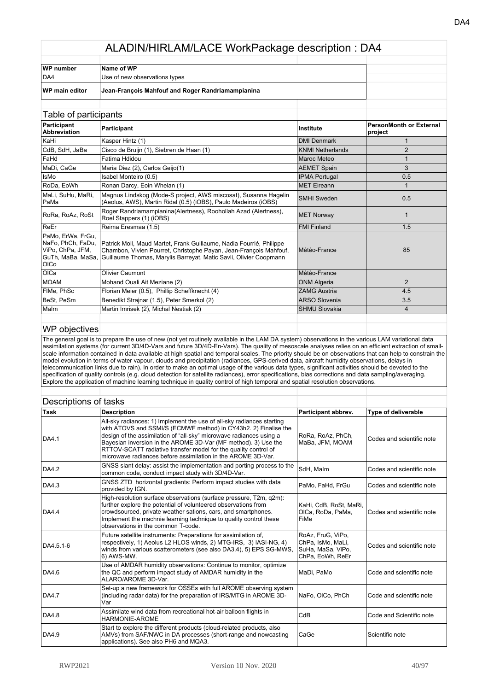| WP number             | Name of WP                                        |  |
|-----------------------|---------------------------------------------------|--|
| DA4                   | Use of new observations types                     |  |
| <b>WP main editor</b> | Jean-François Mahfouf and Roger Randriamampianina |  |

#### Table of participants **Participant Abbreviation Participant Institute PersonMonth or External project** KaHi Kasper Hintz (1) DMI Denmark 1 CdB, SdH, JaBa Cisco de Bruijn (1), Siebren de Haan (1) KNMI Netherlands 2 FaHd Fatima Hdidou Maroc Meteo 1 MaDi, CaGe Maria Diez (2), Carlos Geijo(1) AEMET Spain 3 IsMo Isabel Monteiro (0.5) Contract Contract Contract American Contract Contract Contract Contract Contract Contract Contract Contract Contract Contract Contract Contract Contract Contract Contract Contract Contract Contra RoDa, EoWh Ronan Darcy, Eoin Whelan (1) NET Eireann MET Eireann 1 MaLi, SuHu, MaRi, PaMa Magnus Lindskog (Mode-S project, AWS miscosat), Susanna Hagelin Magnus Lindskog (Mode-S project, AVVS miscosat), Susanna Hagelin SMHI Sweden 1998 (November 20.5)<br>(Aeolus, AWS), Martin Ridal (0.5) (iOBS), Paulo Madeiros (iOBS) 1998 (SMHI Sweden 1999) RoRa, RoAz, RoSt Roger Randriamampianina(Alertness), Roohollah Azad (Alertness), Roel Stappers (1) (iOBS) MET Norway <sup>1</sup> ReEr Reima Eresmaa (1.5) Reima Eresmaa (1.5) Reima Eresmaa (1.5) Reima Eresmaa (1.5) Reima Eresmaa (1.5) Reima E PaMo, ErWa, FrGu, NaFo, PhCh, FaDu, ViPo, ChPa, JFM, GuTh, MaBa, MaSa, OlCo Patrick Moll, Maud Martet, Frank Guillaume, Nadia Fourrié, Philippe Chambon, Vivien Pourret, Christophe Payan, Jean-François Mahfouf, Guillaume Thomas, Marylis Barreyat, Matic Savli, Olivier Coopmann Météo-France **185** OlCa Olivier Caumont Météo-France MOAM Mohand Ouali Ait Meziane (2) North Contract of CONM Algeria 2 FlMe, PhSc Florian Meier (0.5), Phillip Scheffknecht (4) ZAMG Austria 4.5 BeSt, PeSm Benedikt Strajnar (1.5), Peter Smerkol (2) ARSO Slovenia 3.5 Malm Martin Imrisek (2), Michal Nestiak (2) SHMU Slovakia 4 (3) 4 (3) SHMU Slovakia

#### WP objectives

The general goal is to prepare the use of new (not yet routinely available in the LAM DA system) observations in the various LAM variational data assimilation systems (for current 3D/4D-Vars and future 3D/4D-En-Vars). The quality of mesoscale analyses relies on an efficient extraction of smallscale information contained in data available at high spatial and temporal scales. The priority should be on observations that can help to constrain the model evolution in terms of water vapour, clouds and precipitation (radiances, GPS-derived data, aircraft humidity observations, delays in telecommunication links due to rain). In order to make an optimal usage of the various data types, significant activities should be devoted to the specification of quality controls (e.g. cloud detection for satellite radiances), error specifications, bias corrections and data sampling/averaging. Explore the application of machine learning technique in quality control of high temporal and spatial resolution observations.

| <b>Task</b>  | <b>Description</b>                                                                                                                                                                                                                                                                                                                                                                                                   | Participant abbrev.                                                             | <b>Type of deliverable</b> |
|--------------|----------------------------------------------------------------------------------------------------------------------------------------------------------------------------------------------------------------------------------------------------------------------------------------------------------------------------------------------------------------------------------------------------------------------|---------------------------------------------------------------------------------|----------------------------|
| <b>DA4.1</b> | All-sky radiances: 1) Implement the use of all-sky radiances starting<br>with ATOVS and SSMI/S (ECMWF method) in CY43h2. 2) Finalise the<br>design of the assimilation of "all-sky" microwave radiances using a<br>Bayesian inversion in the AROME 3D-Var (MF method). 3) Use the<br>RTTOV-SCATT radiative transfer model for the quality control of<br>microwave radiances before assimilation in the AROME 3D-Var. | RoRa, RoAz, PhCh,<br>MaBa, JFM, MOAM                                            | Codes and scientific note  |
| DA4.2        | GNSS slant delay: assist the implementation and porting process to the<br>common code, conduct impact study with 3D/4D-Var.                                                                                                                                                                                                                                                                                          | SdH. Malm                                                                       | Codes and scientific note  |
| DA4.3        | GNSS ZTD horizontal gradients: Perform impact studies with data<br>provided by IGN.                                                                                                                                                                                                                                                                                                                                  | PaMo, FaHd, FrGu                                                                | Codes and scientific note  |
| DA4.4        | High-resolution surface observations (surface pressure, T2m, q2m):<br>further explore the potential of volunteered observations from<br>crowdsourced, private weather sations, cars, and smartphones.<br>Implement the machnie learning technique to quality control these<br>observations in the common T-code.                                                                                                     | KaHi, CdB, RoSt, MaRi,<br>OICa, RoDa, PaMa,<br>FiMe                             | Codes and scientific note  |
| DA4.5.1-6    | Future satellite instruments: Preparations for assimilation of,<br>respectively, 1) Aeolus L2 HLOS winds, 2) MTG-IRS, 3) IASI-NG, 4)<br>winds from various scatterometers (see also DA3.4), 5) EPS SG-MWS,<br>6) AWS-MW.                                                                                                                                                                                             | RoAz, FruG, ViPo,<br>ChPa, IsMo, MaLi,<br>SuHa, MaSa, ViPo,<br>ChPa, EoWh, ReEr | Codes and scientific note  |
| DA4.6        | Use of AMDAR humidity observations: Continue to monitor, optimize<br>the QC and perform impact study of AMDAR humidity in the<br>ALARO/AROME 3D-Var.                                                                                                                                                                                                                                                                 | MaDi, PaMo                                                                      | Code and scientific note   |
| <b>DA4.7</b> | Set-up a new framework for OSSEs with full AROME observing system<br>(including radar data) for the preparation of IRS/MTG in AROME 3D-<br>Var                                                                                                                                                                                                                                                                       | NaFo, OICo, PhCh                                                                | Code and scientific note   |
| DA4.8        | Assimilate wind data from recreational hot-air balloon flights in<br>HARMONIE-AROME                                                                                                                                                                                                                                                                                                                                  | CdB                                                                             | Code and Scientific note   |
| DA4.9        | Start to explore the different products (cloud-related products, also<br>AMVs) from SAF/NWC in DA processes (short-range and nowcasting<br>applications). See also PH6 and MQA3.                                                                                                                                                                                                                                     | CaGe                                                                            | Scientific note            |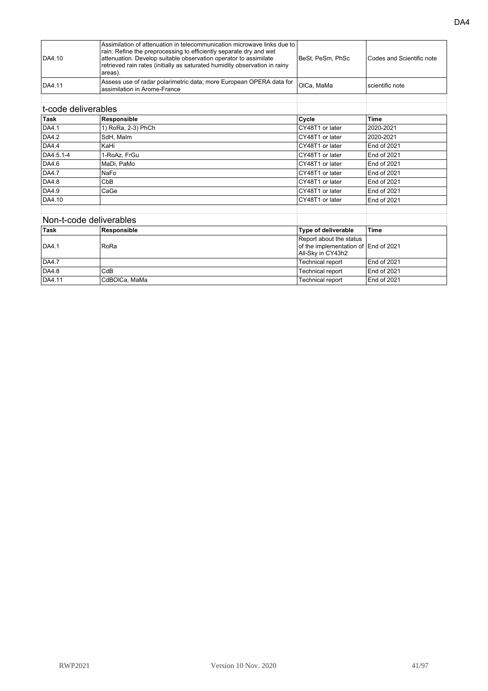| DA4.10 | Assimilation of attenuation in telecommunication microwave links due to  <br>rain: Refine the preprocessing to efficiently separate dry and wet<br>attenuation. Develop suitable observation operator to assimilate<br>retrieved rain rates (initially as saturated humidity observation in rainy<br>areas). | lBeSt. PeSm. PhSc | Codes and Scientific note |
|--------|--------------------------------------------------------------------------------------------------------------------------------------------------------------------------------------------------------------------------------------------------------------------------------------------------------------|-------------------|---------------------------|
| DA4.11 | Assess use of radar polarimetric data; more European OPERA data for<br>Iassimilation in Arome-France                                                                                                                                                                                                         | OICa. MaMa        | scientific note           |
|        |                                                                                                                                                                                                                                                                                                              |                   |                           |

# t-code deliverables

| t-code deliverables |                         |                         |             |
|---------------------|-------------------------|-------------------------|-------------|
| Task                | Responsible             | Cycle                   | <b>Time</b> |
| DA4.1               | 1) RoRa, 2-3) PhCh      | CY48T1 or later         | 2020-2021   |
| DA4.2               | SdH, Malm               | CY48T1 or later         | 2020-2021   |
| <b>DA4.4</b>        | KaHi                    | CY48T1 or later         | End of 2021 |
| DA4.5.1-4           | 1-RoAz, FrGu            | CY48T1 or later         | End of 2021 |
| DA4.6               | MaDi, PaMo              | CY48T1 or later         | End of 2021 |
| <b>DA4.7</b>        | NaFo                    | CY48T1 or later         | End of 2021 |
| DA4.8               | CbB                     | CY48T1 or later         | End of 2021 |
| DA4.9               | CaGe                    | CY48T1 or later         | End of 2021 |
| DA4.10              |                         | CY48T1 or later         | End of 2021 |
|                     | Non-t-code deliverables |                         |             |
| Task                | Responsible             | Type of deliverable     | <b>Time</b> |
|                     |                         | Report about the status |             |

| IDA4.1 | RoRa            | <b>Report about the status</b><br>of the implementation of End of 2021<br>All-Sky in CY43h2 |             |
|--------|-----------------|---------------------------------------------------------------------------------------------|-------------|
| DA4.7  |                 | Technical report                                                                            | End of 2021 |
| DA4.8  | CdB             | Technical report                                                                            | End of 2021 |
| DA4.11 | l CdBOICa, MaMa | Technical report                                                                            | End of 2021 |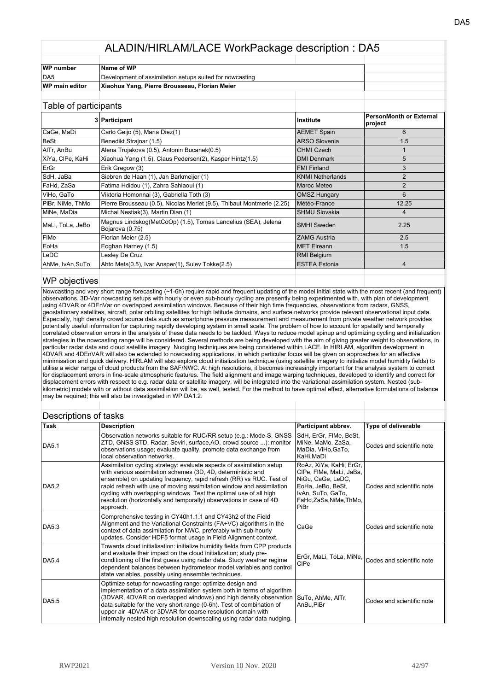| Name of WP                                               |  |
|----------------------------------------------------------|--|
| Development of assimilation setups suited for nowcasting |  |
| Xiaohua Yang, Pierre Brousseau, Florian Meier            |  |
|                                                          |  |

| rabic or participarity |                                                                                  |                         |                                           |
|------------------------|----------------------------------------------------------------------------------|-------------------------|-------------------------------------------|
|                        | 3 Participant                                                                    | Institute               | <b>PersonMonth or External</b><br>project |
| CaGe, MaDi             | Carlo Geijo (5), Maria Diez(1)                                                   | <b>AEMET Spain</b>      | 6                                         |
| BeSt                   | Benedikt Strainar (1.5)                                                          | <b>ARSO Slovenia</b>    | 1.5                                       |
| AITr, AnBu             | Alena Trojakova (0.5), Antonin Bucanek (0.5)                                     | <b>CHMI Czech</b>       |                                           |
| XiYa, CIPe, KaHi       | Xiaohua Yang (1.5), Claus Pedersen(2), Kasper Hintz(1.5)                         | <b>DMI Denmark</b>      | 5                                         |
| ErGr                   | Erik Gregow (3)                                                                  | <b>FMI Finland</b>      | 3                                         |
| SdH, JaBa              | Siebren de Haan (1), Jan Barkmeijer (1)                                          | <b>KNMI Netherlands</b> | $\overline{2}$                            |
| FaHd, ZaSa             | Fatima Hdidou (1), Zahra Sahlaoui (1)                                            | Maroc Meteo             | $\overline{2}$                            |
| ViHo, GaTo             | Viktoria Homonnai (3), Gabriella Toth (3)                                        | <b>OMSZ Hungary</b>     | 6                                         |
| PiBr, NiMe, ThMo       | Pierre Brousseau (0.5), Nicolas Merlet (9.5), Thibaut Montmerle (2.25)           | Météo-France            | 12.25                                     |
| MiNe, MaDia            | Michal Nestiak(3), Martin Dian (1)                                               | <b>SHMU Slovakia</b>    | 4                                         |
| MaLi, ToLa, JeBo       | Magnus Lindskog(MetCoOp) (1.5), Tomas Landelius (SEA), Jelena<br>Bojarova (0.75) | <b>SMHI</b> Sweden      | 2.25                                      |
| <b>FIMe</b>            | Florian Meier (2.5)                                                              | <b>ZAMG Austria</b>     | 2.5                                       |
| EoHa                   | Eoghan Harney (1.5)                                                              | <b>MET Eireann</b>      | 1.5                                       |
| LeDC                   | Lesley De Cruz                                                                   | RMI Belgium             |                                           |
| AhMe, IvAn, SuTo       | Ahto Mets(0.5), Ivar Ansper(1), Sulev Tokke(2.5)                                 | <b>ESTEA Estonia</b>    | 4                                         |
|                        |                                                                                  |                         |                                           |

#### WP objectives

Nowcasting and very short range forecasting (~1-6h) require rapid and frequent updating of the model initial state with the most recent (and frequent) observations. 3D-Var nowcasting setups with hourly or even sub-hourly cycling are presently being experimented with, with plan of development using 4DVAR or 4DEnVar on overlapped assimilation windows. Because of their high time frequencies, observations from radars, GNSS, geostationary satellites, aircraft, polar orbiting satellites for high latitude domains, and surface networks provide relevant observational input data. Especially, high density crowd source data such as smartphone pressure measurement and measurement from private weather network provides potentially useful information for capturing rapidly developing system in small scale. The problem of how to account for spatially and temporally correlated observation errors in the analysis of these data needs to be tackled. Ways to reduce model spinup and optimizing cycling and initialization strategies in the nowcasting range will be considered. Several methods are being developed with the aim of giving greater weight to observations, in particular radar data and cloud satellite imagery. Nudging techniques are being considered within LACE. In HIRLAM, algorithm development in 4DVAR and 4DEnVAR will also be extended to nowcasting applications, in which particular focus will be given on approaches for an effective minimisation and quick delivery. HIRLAM will also explore cloud initialization technique (using satellite imagery to initialize model humidity fields) to utilise a wider range of cloud products from the SAF/NWC. At high resolutions, it becomes increasingly important for the analysis system to correct for displacement errors in fine-scale atmospheric features. The field alignment and image warping techniques, developed to identify and correct for displacement errors with respect to e.g. radar data or satellite imagery, will be integrated into the variational assimilation system. Nested (subkilometric) models with or without data assimilation will be, as well, tested. For the method to have optimal effect, alternative formulations of balance may be required; this will also be investigated in WP DA1.2.

| סיוסטיון איוסוויט פו נ |                                                                                                                                                                                                                                                                                                                                                                                                                                                 |                                                                                                                                                   |                                                                                         |
|------------------------|-------------------------------------------------------------------------------------------------------------------------------------------------------------------------------------------------------------------------------------------------------------------------------------------------------------------------------------------------------------------------------------------------------------------------------------------------|---------------------------------------------------------------------------------------------------------------------------------------------------|-----------------------------------------------------------------------------------------|
| Task                   | <b>Description</b>                                                                                                                                                                                                                                                                                                                                                                                                                              | Participant abbrev.                                                                                                                               | <b>Type of deliverable</b>                                                              |
| <b>DA5.1</b>           | Observation networks suitable for RUC/RR setup (e.g.: Mode-S, GNSS<br>ZTD, GNSS STD, Radar, Seviri, surface, AO, crowd source ): monitor<br>observations usage; evaluate quality, promote data exchange from<br>local observation networks.                                                                                                                                                                                                     | SdH, ErGr, FIMe, BeSt,<br>MiNe, MaMo, ZaSa,<br>MaDia, ViHo, GaTo,<br>KaHi, MaDi                                                                   | Codes and scientific note                                                               |
| DA5.2                  | Assimilation cycling strategy: evaluate aspects of assimilation setup<br>with various assimilation schemes (3D, 4D, deterministic and<br>ensemble) on updating frequency, rapid refresh (RR) vs RUC. Test of<br>rapid refresh with use of moving assimilation window and assimilation<br>cycling with overlapping windows. Test the optimal use of all high<br>resolution (horizontally and temporally) observations in case of 4D<br>approach. | RoAz, XiYa, KaHi, ErGr,<br>CIPe, FIMe, MaLi, JaBa,<br>NiGu, CaGe, LeDC,<br>EoHa, JeBo, BeSt,<br>IvAn, SuTo, GaTo,<br>FaHd,ZaSa,NiMe,ThMo,<br>PiBr | Codes and scientific note                                                               |
| DA5.3                  | Comprehensive testing in CY40h1.1.1 and CY43h2 of the Field<br>Alignment and the Variational Constraints (FA+VC) algorithms in the<br>context of data assimilation for NWC, preferably with sub-hourly<br>updates. Consider HDF5 format usage in Field Alignment context.                                                                                                                                                                       | CaGe                                                                                                                                              | Codes and scientific note                                                               |
| <b>DA5.4</b>           | Towards cloud initialisation: initialize humidity fields from CPP products<br>and evaluate their impact on the cloud initialization; study pre-<br>conditioning of the first guess using radar data. Study weather regime<br>dependent balances between hydrometeor model variables and control<br>state variables, possibly using ensemble techniques.                                                                                         | CIPe                                                                                                                                              | <code>ErGr, MaLi, ToLa, MiNe,<math>\big _\text{Codes}</math> and scientific note</code> |
| DA5.5                  | Optimize setup for nowcasting range: optimize design and<br>implementation of a data assimilation system both in terms of algorithm<br>(3DVAR, 4DVAR on overlapped windows) and high density observation   SuTo, AhMe, AITr,<br>data suitable for the very short range (0-6h). Test of combination of<br>upper air 4DVAR or 3DVAR for coarse resolution domain with<br>internally nested high resolution downscaling using radar data nudging.  | AnBu, PiBr                                                                                                                                        | Codes and scientific note                                                               |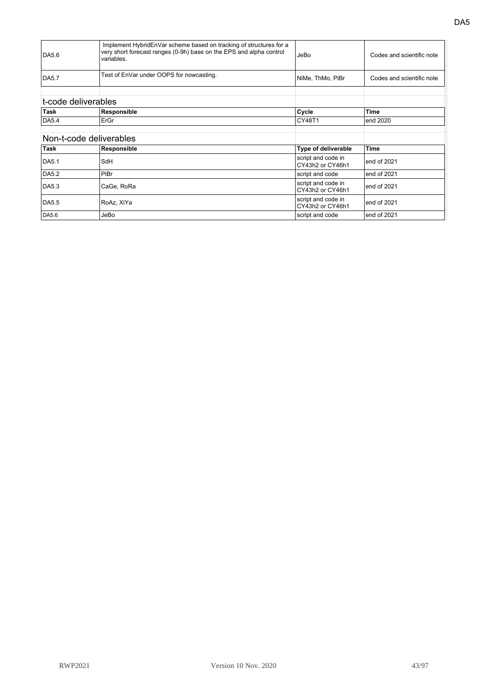| DA5.6<br><b>DA5.7</b>   | Implement HybridEnVar scheme based on tracking of structures for a<br>very short forecast ranges (0-9h) base on the EPS and alpha control<br>variables.<br>Test of EnVar under OOPS for nowcasting. | JeBo<br>NiMe, ThMo, PiBr               | Codes and scientific note<br>Codes and scientific note |
|-------------------------|-----------------------------------------------------------------------------------------------------------------------------------------------------------------------------------------------------|----------------------------------------|--------------------------------------------------------|
| t-code deliverables     |                                                                                                                                                                                                     |                                        |                                                        |
| <b>Task</b>             | Responsible                                                                                                                                                                                         | Cycle                                  | <b>Time</b>                                            |
| DA5.4                   | ErGr                                                                                                                                                                                                | CY48T1                                 | end 2020                                               |
|                         |                                                                                                                                                                                                     |                                        |                                                        |
| Non-t-code deliverables |                                                                                                                                                                                                     |                                        |                                                        |
| Task                    | Responsible                                                                                                                                                                                         | Type of deliverable                    | <b>Time</b>                                            |
| <b>DA5.1</b>            | SdH                                                                                                                                                                                                 | script and code in<br>CY43h2 or CY46h1 | end of 2021                                            |
| DA5.2                   | PiBr                                                                                                                                                                                                | script and code                        | end of 2021                                            |
| DA5.3                   | CaGe, RoRa                                                                                                                                                                                          | script and code in<br>CY43h2 or CY46h1 | end of 2021                                            |
| DA5.5                   | RoAz, XiYa                                                                                                                                                                                          | script and code in<br>CY43h2 or CY46h1 | end of 2021                                            |
| DA5.6                   | JeBo                                                                                                                                                                                                | script and code                        | end of 2021                                            |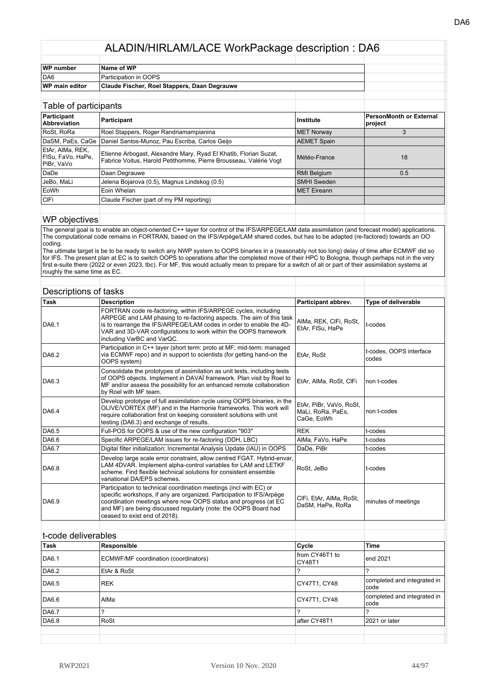| WP number             | Name of WP                                   |  |
|-----------------------|----------------------------------------------|--|
| DA6                   | Participation in OOPS                        |  |
| <b>WP</b> main editor | Claude Fischer, Roel Stappers, Daan Degrauwe |  |
|                       |                                              |  |

| Table of participants                               |                                                                                                                                       |                     |                                    |
|-----------------------------------------------------|---------------------------------------------------------------------------------------------------------------------------------------|---------------------|------------------------------------|
| Participant<br><b>Abbreviation</b>                  | Participant                                                                                                                           | Institute           | PersonMonth or External<br>project |
| RoSt, RoRa                                          | Roel Stappers, Roger Randriamampianina                                                                                                | <b>MET Norway</b>   |                                    |
| DaSM, PaEs, CaGe                                    | Daniel Santos-Munoz, Pau Escriba, Carlos Geijo                                                                                        | <b>AEMET Spain</b>  |                                    |
| EtAr, AIMa, REK,<br>FISu, FaVo, HaPe,<br>PiBr, VaVo | Etienne Arbogast, Alexandre Mary, Ryad El Khatib, Florian Suzat,<br>Fabrice Voitus, Harold Petithomme, Pierre Brousseau, Valérie Vogt | Météo-France        | 18                                 |
| DaDe                                                | Daan Degrauwe                                                                                                                         | <b>RMI Belgium</b>  | 0.5                                |
| l JeBo. MaLi                                        | Jelena Bojarova (0.5), Magnus Lindskog (0.5)                                                                                          | <b>SMHI Sweden</b>  |                                    |
| EoWh                                                | Eoin Whelan                                                                                                                           | <b>IMET</b> Eireann |                                    |
| <b>CIFi</b>                                         | Claude Fischer (part of my PM reporting)                                                                                              |                     |                                    |
|                                                     |                                                                                                                                       |                     |                                    |

#### WP objectives

The general goal is to enable an object-oriented C++ layer for control of the IFS/ARPEGE/LAM data assimilation (and forecast model) applications. The computational code remains in FORTRAN, based on the IFS/Arpège/LAM shared codes, but has to be adapted (re-factored) towards an OO coding.

The ultimate target is be to be ready to switch any NWP system to OOPS binaries in a (reasonably not too long) delay of time after ECMWF did so for IFS. The present plan at EC is to switch OOPS to operations after the completed move of their HPC to Bologna, though perhaps not in the very first e-suite there (2022 or even 2023, tbc). For MF, this would actually mean to prepare for a switch of all or part of their assimilation systems at roughly the same time as EC.

| <b>Task</b>         | <b>Description</b>                                                                                                                                                                                                                                                                                                 | Participant abbrev.                                        | <b>Type of deliverable</b>       |
|---------------------|--------------------------------------------------------------------------------------------------------------------------------------------------------------------------------------------------------------------------------------------------------------------------------------------------------------------|------------------------------------------------------------|----------------------------------|
| DA6.1               | FORTRAN code re-factoring, within IFS/ARPEGE cycles, including<br>ARPEGE and LAM phasing to re-factoring aspects. The aim of this task<br>is to rearrange the IFS/ARPEGE/LAM codes in order to enable the 4D-<br>VAR and 3D-VAR configurations to work within the OOPS framework<br>including VarBC and VarQC.     | AIMa, REK, CIFi, RoSt,<br>EtAr, FISu, HaPe                 | t-codes                          |
| DA6.2               | Participation in C++ layer (short term: proto at MF; mid-term: managed<br>via ECMWF repo) and in support to scientists (for getting hand-on the<br>OOPS system)                                                                                                                                                    | EtAr. RoSt                                                 | t-codes, OOPS interface<br>codes |
| DA6.3               | Consolidate the prototypes of assimilation as unit tests, including tests<br>of OOPS objects. Implement in DAVAÏ framework. Plan visit by Roel to<br>MF and/or assess the possibility for an enhanced remote collaboration<br>by Roel with MF team.                                                                | EtAr, AIMa, RoSt, CIFi                                     | non t-codes                      |
| DA6.4               | Develop prototype of full assimilation cycle using OOPS binaries, in the<br>OLIVE/VORTEX (MF) and in the Harmonie frameworks. This work will<br>require collaboration first on keeping consistent solutions with unit<br>testing (DA6.3) and exchange of results.                                                  | EtAr, PiBr, VaVo, RoSt,<br>MaLi, RoRa, PaEs,<br>CaGe, EoWh | non t-codes                      |
| DA6.5               | Full-POS for OOPS & use of the new configuration "903"                                                                                                                                                                                                                                                             | <b>REK</b>                                                 | t-codes                          |
| DA6.6               | Specific ARPEGE/LAM issues for re-factoring (DDH, LBC)                                                                                                                                                                                                                                                             | AIMa, FaVo, HaPe                                           | t-codes                          |
| DA6.7               | Digital filter initialization; Incremental Analysis Update (IAU) in OOPS                                                                                                                                                                                                                                           | DaDe, PiBr                                                 | t-codes                          |
| DA6.8               | Develop large scale error constraint, allow centred FGAT. Hybrid-envar,<br>LAM 4DVAR. Implement alpha-control variables for LAM and LETKF<br>scheme. Find flexible technical solutions for consistent ensemble<br>variational DA/EPS schemes.                                                                      | RoSt, JeBo                                                 | t-codes                          |
| DA6.9               | Participation to technical coordination meetings (incl with EC) or<br>specific workshops, if any are organized. Participation to IFS/Arpège<br>coordination meetings where now OOPS status and progress (at EC<br>and MF) are being discussed regularly (note: the OOPS Board had<br>ceased to exist end of 2018). | CIFi, EtAr, AIMa, RoSt,<br>DaSM, HaPe, RoRa                | minutes of meetings              |
|                     |                                                                                                                                                                                                                                                                                                                    |                                                            |                                  |
| t-code deliverables |                                                                                                                                                                                                                                                                                                                    |                                                            |                                  |
| <b>Task</b>         | Responsible                                                                                                                                                                                                                                                                                                        | Cycle                                                      | <b>Time</b>                      |
| DA6.1               | ECMWF/MF coordination (coordinators)                                                                                                                                                                                                                                                                               | from CY46T1 to<br>CY48T1                                   | end 2021                         |
| DA6.2               | EtAr & RoSt                                                                                                                                                                                                                                                                                                        | $\overline{\phantom{0}}$                                   | ?                                |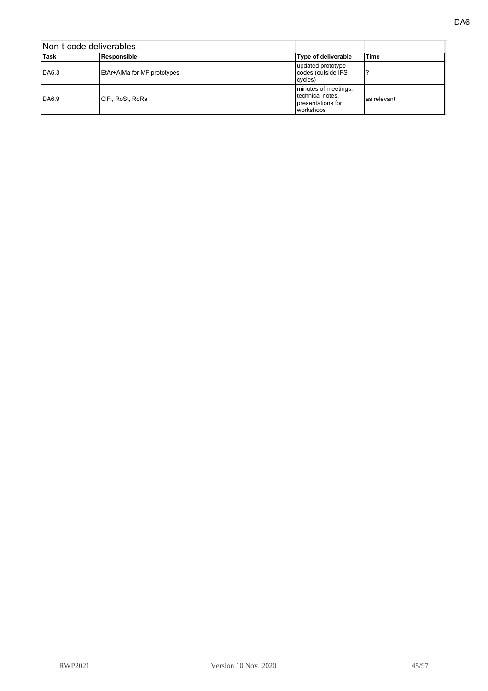| Non-t-code deliverables |                             |                                                                            |             |
|-------------------------|-----------------------------|----------------------------------------------------------------------------|-------------|
| Task                    | Responsible                 | Type of deliverable                                                        | <b>Time</b> |
| DA6.3                   | EtAr+AIMa for MF prototypes | updated prototype<br>codes (outside IFS<br>cycles)                         |             |
| DA6.9                   | CIFi, RoSt, RoRa            | minutes of meetings,<br>technical notes,<br>presentations for<br>workshops | as relevant |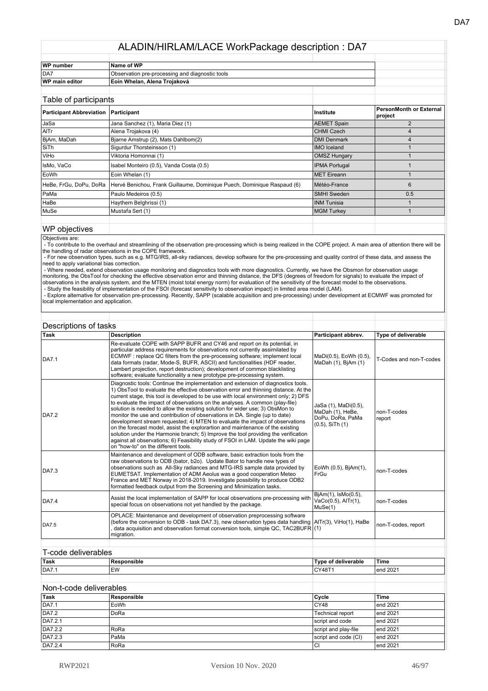| WP number             | Name of WP                                      |  |
|-----------------------|-------------------------------------------------|--|
| DA7                   | Observation pre-processing and diagnostic tools |  |
| <b>WP main editor</b> | ⊺Eoin Whelan. Alena Troiaková                   |  |

| Table of participants                       |                                                                         |                      |                                           |
|---------------------------------------------|-------------------------------------------------------------------------|----------------------|-------------------------------------------|
| <b>Participant Abbreviation Participant</b> |                                                                         | ∣Institute           | <b>PersonMonth or External</b><br>project |
| JaSa                                        | Jana Sanchez (1), Maria Diez (1)                                        | <b>AEMET Spain</b>   | $\mathfrak{p}$                            |
| AITr                                        | Alena Trojakova (4)                                                     | <b>CHMI Czech</b>    |                                           |
| BjAm, MaDah                                 | Bjarne Amstrup (2), Mats Dahlbom(2)                                     | <b>DMI Denmark</b>   | 4                                         |
| SiTh                                        | Sigurdur Thorsteinsson (1)                                              | <b>IMO</b> Iceland   |                                           |
| ViHo                                        | Viktoria Homonnai (1)                                                   | <b>OMSZ Hungary</b>  |                                           |
| IsMo, VaCo                                  | Isabel Monteiro (0.5), Vanda Costa (0.5)                                | <b>IPMA Portugal</b> |                                           |
| EoWh                                        | Eoin Whelan (1)                                                         | <b>MET Eireann</b>   |                                           |
| HeBe, FrGu, DoPu, DoRa                      | Hervé Benichou, Frank Guillaume, Dominique Puech, Dominique Raspaud (6) | Météo-France         | 6                                         |
| l PaMa                                      | Paulo Medeiros (0.5)                                                    | <b>SMHI Sweden</b>   | 0.5                                       |
| HaBe                                        | Haythem Belghrissi (1)                                                  | <b>INM Tunisia</b>   |                                           |
| MuSe                                        | Mustafa Sert (1)                                                        | <b>MGM Turkey</b>    |                                           |
|                                             |                                                                         |                      |                                           |

#### WP objectives

Objectives are:<br>- To contribute to the overhaul and streamlining of the observation pre-processing which is being realized in the COPE project. A main area of attention there will be<br>the handling of radar observations in t

 - For new observation types, such as e.g. MTG/IRS, all-sky radiances, develop software for the pre-processing and quality control of these data, and assess the need to apply variational bias correction.

- Where needed, extend observation usage monitoring and diagnostics tools with more diagnostics. Currently, we have the Obsmon for observation usage<br>monitoring, the ObsTool for checking the effective observation error and observations in the analysis system, and the MTEN (moist total energy norm) for evaluation of the sensitivity of the forecast model to the observations.

- Study the feasibility of implementation of the FSOI (forecast sensitivity to observation impact) in limited area model (LAM).<br>- Explore alternative for observation pre-processing. Recently, SAPP (scalable acquisition and local implementation and application.

| Descriptions of tasks |                                                                                                                                                                                                                                                                                                                                                                                                                                                                                                                                                                                                                                                                                                                                                                                                                                                                                                        |                                                                                      |                            |
|-----------------------|--------------------------------------------------------------------------------------------------------------------------------------------------------------------------------------------------------------------------------------------------------------------------------------------------------------------------------------------------------------------------------------------------------------------------------------------------------------------------------------------------------------------------------------------------------------------------------------------------------------------------------------------------------------------------------------------------------------------------------------------------------------------------------------------------------------------------------------------------------------------------------------------------------|--------------------------------------------------------------------------------------|----------------------------|
| Task                  | <b>Description</b>                                                                                                                                                                                                                                                                                                                                                                                                                                                                                                                                                                                                                                                                                                                                                                                                                                                                                     | Participant abbrev.                                                                  | <b>Type of deliverable</b> |
| <b>DA7.1</b>          | Re-evaluate COPE with SAPP BUFR and CY46 and report on its potential, in<br>particular address requirements for observations not currently assimilated by<br>ECMWF : replace QC filters from the pre-processing software; implement local<br>data formats (radar, Mode-S, BUFR, ASCII) and functionalities (HDF reader,<br>Lambert projection, report destruction); development of common blacklisting<br>software; evaluate functionality a new prototype pre-processing system.                                                                                                                                                                                                                                                                                                                                                                                                                      | MaDi(0.5), EoWh (0.5),<br>MaDah (1), BjAm (1)                                        | T-Codes and non-T-codes    |
| DA7.2                 | Diagnostic tools: Continue the implementation and extension of diagnostics tools.<br>1) ObsTool to evaluate the effective observation error and thinning distance. At the<br>current stage, this tool is developed to be use with local environment only; 2) DFS<br>to evaluate the impact of observations on the analyses. A common (play-file)<br>solution is needed to allow the existing solution for wider use; 3) ObsMon to<br>monitor the use and contribution of observations in DA. Single (up to date)<br>development stream requested; 4) MTEN to evaluate the impact of observations<br>on the forecast model, assist the explorartion and maintenance of the existing<br>solution under the Harmonie branch; 5) Improve the tool providing the verification<br>against all observations; 6) Feasibility study of FSOI in LAM. Update the wiki page<br>on "how-to" on the different tools. | JaSa (1), MaDi(0.5),<br>MaDah (1), HeBe,<br>DoPu, DoRa, PaMa<br>$(0.5)$ , SiTh $(1)$ | non-T-codes<br>report      |
| <b>DA7.3</b>          | Maintenance and development of ODB software, basic extraction tools from the<br>raw observations to ODB (bator, b2o). Update Bator to handle new types of<br>observations such as All-Sky radiances and MTG-IRS sample data provided by<br>EUMETSAT. Implementation of ADM Aeolus was a good cooperation Meteo<br>France and MET Norway in 2018-2019. Investigate possibility to produce ODB2<br>formatted feedback output from the Screening and Minimization tasks.                                                                                                                                                                                                                                                                                                                                                                                                                                  | EoWh (0.5), BjAm(1),<br>FrGu                                                         | non-T-codes                |
| <b>DA7.4</b>          | Assist the local implementation of SAPP for local observations pre-processing with<br>special focus on observations not yet handled by the package.                                                                                                                                                                                                                                                                                                                                                                                                                                                                                                                                                                                                                                                                                                                                                    | BjAm(1), IsMo(0.5),<br>VaCo(0.5), AITr(1),<br>MuSe(1)                                | non-T-codes                |
| <b>DA7.5</b>          | OPLACE: Maintenance and development of observation preprocessing software<br>(before the conversion to ODB - task DA7.3), new observation types data handling $\text{AITr}(3)$ , ViHo(1), HaBe<br>data acquisition and observation format conversion tools, simple QC, TAC2BUFR $(1)$<br>migration.                                                                                                                                                                                                                                                                                                                                                                                                                                                                                                                                                                                                    |                                                                                      | non-T-codes, report        |
|                       |                                                                                                                                                                                                                                                                                                                                                                                                                                                                                                                                                                                                                                                                                                                                                                                                                                                                                                        |                                                                                      |                            |
| T-code deliverables   |                                                                                                                                                                                                                                                                                                                                                                                                                                                                                                                                                                                                                                                                                                                                                                                                                                                                                                        |                                                                                      |                            |
| Task                  | Responsible                                                                                                                                                                                                                                                                                                                                                                                                                                                                                                                                                                                                                                                                                                                                                                                                                                                                                            | <b>Type of deliverable</b>                                                           | Time                       |
| <b>DA7.1</b>          | <b>EW</b>                                                                                                                                                                                                                                                                                                                                                                                                                                                                                                                                                                                                                                                                                                                                                                                                                                                                                              | CY48T1                                                                               | end 2021                   |

#### Non-t-code deliverables **Task Responsible Cycle Time** DA7.1 EoWh CY48 end 2021 DA7.2 DoRa DoRa Technical report end 2021 DA7.2.1 script and code end 2021 DA7.2.2 RoRa RoRa script and play-file end 2021 DA7.2.3 PaMa Script and code (CI) end 2021<br>
DA7.2.4 RoRa CI end 2021 DA7.2.4 RoRa CI end 2021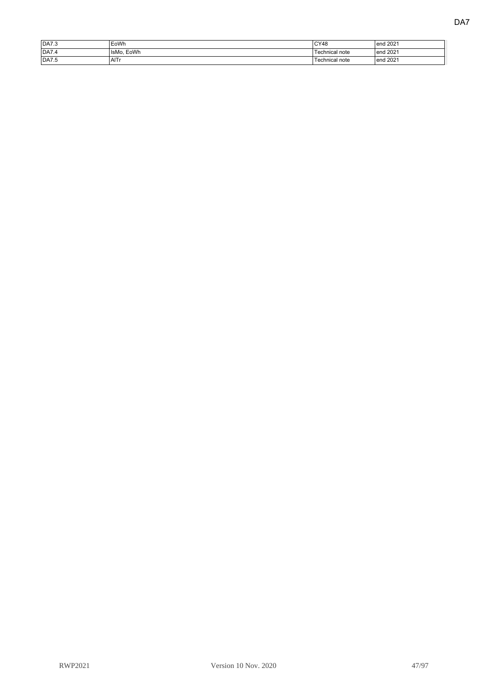| IDA7.3 | EoWh       | CY48           | end 2021      |
|--------|------------|----------------|---------------|
| IDA7.4 | IsMo. EoWh | Technical note | end 2021      |
| DA7.5  | AITr       | Technical note | end 2021<br>. |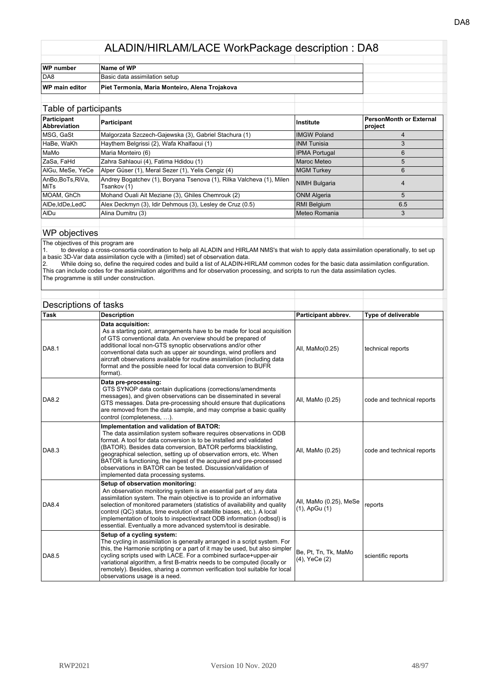| WP number      | Name of WP                                     |  |  |
|----------------|------------------------------------------------|--|--|
| DA8            | Basic data assimilation setup                  |  |  |
| WP main editor | Piet Termonia, Maria Monteiro, Alena Trojakova |  |  |
|                |                                                |  |  |

| Table of participants          |                                                                                     |                      |                                    |
|--------------------------------|-------------------------------------------------------------------------------------|----------------------|------------------------------------|
| Participant<br>Abbreviation    | Participant                                                                         | Institute            | PersonMonth or External<br>project |
| MSG, GaSt                      | Malgorzata Szczech-Gajewska (3), Gabriel Stachura (1)                               | <b>IMGW Poland</b>   |                                    |
| HaBe, WaKh                     | Haythem Belgrissi (2), Wafa Khalfaoui (1)                                           | INM Tunisia          | 3                                  |
| MaMo                           | Maria Monteiro (6)                                                                  | <b>IPMA Portugal</b> | 6                                  |
| ZaSa, FaHd                     | Zahra Sahlaoui (4), Fatima Hdidou (1)                                               | <b>Maroc Meteo</b>   | 5                                  |
| AIGu, MeSe, YeCe               | Alper Güser (1), Meral Sezer (1), Yelis Cengiz (4)                                  | <b>MGM Turkey</b>    | 6                                  |
| AnBo,BoTs,RiVa,<br><b>MiTs</b> | Andrey Bogatchev (1), Boryana Tsenova (1), Rilka Valcheva (1), Milen<br>Tsankov (1) | <b>NIMH Bulgaria</b> | 4                                  |
| MOAM, GhCh                     | Mohand Ouali Ait Meziane (3), Ghiles Chemrouk (2)                                   | <b>ONM Algeria</b>   | 5                                  |
| AIDe,IdDe,LedC                 | Alex Deckmyn (3), Idir Dehmous (3), Lesley de Cruz (0.5)                            | <b>RMI Belgium</b>   | 6.5                                |
| AIDu                           | Alina Dumitru (3)                                                                   | Meteo Romania        | 3                                  |
|                                |                                                                                     |                      |                                    |

#### WP objectives

The objectives of this program are

1. to develop a cross-consortia coordination to help all ALADIN and HIRLAM NMS's that wish to apply data assimilation operationally, to set up a basic 3D-Var data assimilation cycle with a (limited) set of observation data.

2. While doing so, define the required codes and build a list of ALADIN-HIRLAM common codes for the basic data assimilation configuration. This can include codes for the assimilation algorithms and for observation processing, and scripts to run the data assimilation cycles. The programme is still under construction.

| Task         | <b>Description</b>                                                                                                                                                                                                                                                                                                                                                                                                                                                                                           | Participant abbrev.                          | <b>Type of deliverable</b> |
|--------------|--------------------------------------------------------------------------------------------------------------------------------------------------------------------------------------------------------------------------------------------------------------------------------------------------------------------------------------------------------------------------------------------------------------------------------------------------------------------------------------------------------------|----------------------------------------------|----------------------------|
| <b>DA8.1</b> | Data acquisition:<br>As a starting point, arrangements have to be made for local acquisition<br>of GTS conventional data. An overview should be prepared of<br>additional local non-GTS synoptic observations and/or other<br>conventional data such as upper air soundings, wind profilers and<br>aircraft observations available for routine assimilation (including data<br>format and the possible need for local data conversion to BUFR<br>format).                                                    | All, MaMo(0.25)                              | technical reports          |
| <b>DA8.2</b> | Data pre-processing:<br>GTS SYNOP data contain duplications (corrections/amendments<br>messages), and given observations can be disseminated in several<br>GTS messages. Data pre-processing should ensure that duplications<br>are removed from the data sample, and may comprise a basic quality<br>control (completeness, ).                                                                                                                                                                              | All, MaMo (0.25)                             | code and technical reports |
| DA8.3        | Implementation and validation of BATOR:<br>The data assimilation system software requires observations in ODB<br>format. A tool for data conversion is to be installed and validated<br>(BATOR). Besides data conversion, BATOR performs blacklisting,<br>geographical selection, setting up of observation errors, etc. When<br>BATOR is functioning, the ingest of the acquired and pre-processed<br>observations in BATOR can be tested. Discussion/validation of<br>implemented data processing systems. | All, MaMo (0.25)                             | code and technical reports |
| DA8.4        | Setup of observation monitoring:<br>An observation monitoring system is an essential part of any data<br>assimilation system. The main objective is to provide an informative<br>selection of monitored parameters (statistics of availability and quality<br>control (QC) status, time evolution of satellite biases, etc.). A local<br>implementation of tools to inspect/extract ODB information (odbsql) is<br>essential. Eventually a more advanced system/tool is desirable.                           | All, MaMo (0.25), MeSe<br>$(1)$ , ApGu $(1)$ | reports                    |
| DA8.5        | Setup of a cycling system:<br>The cycling in assimilation is generally arranged in a script system. For<br>this, the Harmonie scripting or a part of it may be used, but also simpler<br>cycling scripts used with LACE. For a combined surface+upper-air<br>variational algorithm, a first B-matrix needs to be computed (locally or<br>remotely). Besides, sharing a common verification tool suitable for local<br>observations usage is a need.                                                          | Be, Pt, Tn, Tk, MaMo<br>(4), YeCe (2)        | scientific reports         |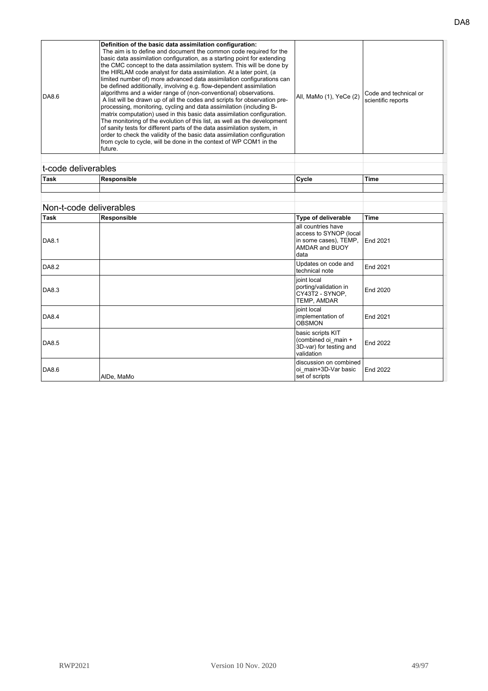| DA8.6 | Definition of the basic data assimilation configuration:<br>The aim is to define and document the common code required for the<br>basic data assimilation configuration, as a starting point for extending<br>the CMC concept to the data assimilation system. This will be done by<br>the HIRLAM code analyst for data assimilation. At a later point, (a<br>limited number of) more advanced data assimilation configurations can<br>be defined additionally, involving e.g. flow-dependent assimilation<br>algorithms and a wider range of (non-conventional) observations.<br>A list will be drawn up of all the codes and scripts for observation pre-<br>processing, monitoring, cycling and data assimilation (including B-<br>matrix computation) used in this basic data assimilation configuration.<br>The monitoring of the evolution of this list, as well as the development<br>of sanity tests for different parts of the data assimilation system, in<br>order to check the validity of the basic data assimilation configuration<br>from cycle to cycle, will be done in the context of WP COM1 in the<br>lfuture. | All, MaMo (1), YeCe (2) | Code and technical or<br>scientific reports |
|-------|------------------------------------------------------------------------------------------------------------------------------------------------------------------------------------------------------------------------------------------------------------------------------------------------------------------------------------------------------------------------------------------------------------------------------------------------------------------------------------------------------------------------------------------------------------------------------------------------------------------------------------------------------------------------------------------------------------------------------------------------------------------------------------------------------------------------------------------------------------------------------------------------------------------------------------------------------------------------------------------------------------------------------------------------------------------------------------------------------------------------------------|-------------------------|---------------------------------------------|
|-------|------------------------------------------------------------------------------------------------------------------------------------------------------------------------------------------------------------------------------------------------------------------------------------------------------------------------------------------------------------------------------------------------------------------------------------------------------------------------------------------------------------------------------------------------------------------------------------------------------------------------------------------------------------------------------------------------------------------------------------------------------------------------------------------------------------------------------------------------------------------------------------------------------------------------------------------------------------------------------------------------------------------------------------------------------------------------------------------------------------------------------------|-------------------------|---------------------------------------------|

| <br>t-code deliverables |             |                    |       |
|-------------------------|-------------|--------------------|-------|
| Task                    | Responsible | <sup>'</sup> Cycle | 'Time |
|                         |             |                    |       |
|                         |             |                    |       |

## Non-t-code deliverables

|       | TVUITE-COUC UCIIVETADICS |                                                                                                        |                 |
|-------|--------------------------|--------------------------------------------------------------------------------------------------------|-----------------|
| Task  | Responsible              | Type of deliverable                                                                                    | Time            |
| DA8.1 |                          | all countries have<br>access to SYNOP (local<br>in some cases), TEMP,<br><b>AMDAR and BUOY</b><br>data | <b>End 2021</b> |
| DA8.2 |                          | Updates on code and<br>technical note                                                                  | End 2021        |
| DA8.3 |                          | joint local<br>porting/validation in<br>CY43T2 - SYNOP,<br>TEMP, AMDAR                                 | End 2020        |
| DA8.4 |                          | joint local<br>implementation of<br><b>OBSMON</b>                                                      | End 2021        |
| DA8.5 |                          | basic scripts KIT<br>(combined oi main +<br>3D-var) for testing and<br>validation                      | End 2022        |
| DA8.6 | AIDe, MaMo               | discussion on combined<br>oi main+3D-Var basic<br>set of scripts                                       | End 2022        |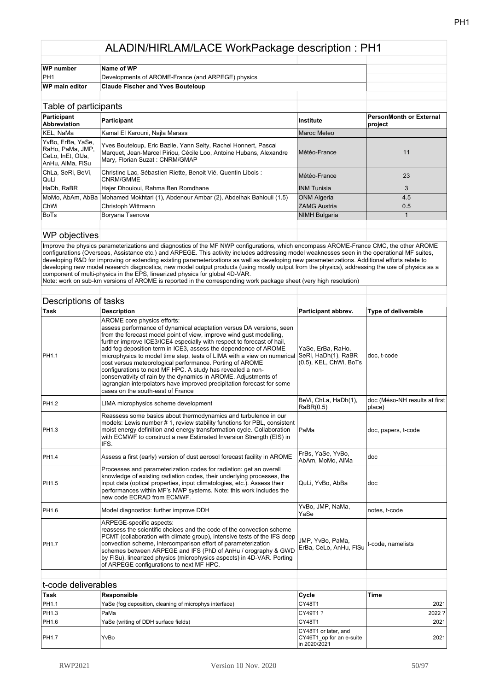| WP number       | Name of WP                                        |  |
|-----------------|---------------------------------------------------|--|
| PH <sub>1</sub> | Developments of AROME-France (and ARPEGE) physics |  |
| WP main editor  | <b>Claude Fischer and Yves Bouteloup</b>          |  |
|                 |                                                   |  |

| Table of participants                                                           |                                                                                                                                                                         |                      |                                           |
|---------------------------------------------------------------------------------|-------------------------------------------------------------------------------------------------------------------------------------------------------------------------|----------------------|-------------------------------------------|
| Participant<br><b>Abbreviation</b>                                              | Participant                                                                                                                                                             | Institute            | <b>PersonMonth or External</b><br>project |
| KEL, NaMa                                                                       | Kamal El Karouni, Najla Marass                                                                                                                                          | Maroc Meteo          |                                           |
| YvBo, ErBa, YaSe,<br>RaHo, PaMa, JMP,<br> CeLo, InEt, OlJa,<br>AnHu, AlMa, FISu | Yves Bouteloup, Eric Bazile, Yann Seity, Rachel Honnert, Pascal<br>Marquet, Jean-Marcel Piriou, Cécile Loo, Antoine Hubans, Alexandre<br>Mary, Florian Suzat: CNRM/GMAP | Météo-France         | 11                                        |
| ChLa, SeRi, BeVi,<br>QuLi                                                       | Christine Lac, Sébastien Riette, Benoit Vié, Quentin Libois :<br>CNRM/GMME                                                                                              | Météo-France         | 23                                        |
| HaDh, RaBR                                                                      | Hajer Dhouioui, Rahma Ben Romdhane                                                                                                                                      | <b>INM Tunisia</b>   | 3                                         |
|                                                                                 | MoMo, AbAm, AbBa   Mohamed Mokhtari (1), Abdenour Ambar (2), Abdelhak Bahlouli (1.5)                                                                                    | <b>ONM Algeria</b>   | 4.5                                       |
| <b>ChWi</b>                                                                     | Christoph Wittmann                                                                                                                                                      | <b>ZAMG Austria</b>  | 0.5                                       |
| <b>BoTs</b>                                                                     | Boryana Tsenova                                                                                                                                                         | <b>NIMH Bulgaria</b> |                                           |
|                                                                                 |                                                                                                                                                                         |                      |                                           |

#### WP objectives

Improve the physics parameterizations and diagnostics of the MF NWP configurations, which encompass AROME-France CMC, the other AROME configurations (Overseas, Assistance etc.) and ARPEGE. This activity includes addressing model weaknesses seen in the operational MF suites, developing R&D for improving or extending existing parameterizations as well as developing new parameterizations. Additional efforts relate to developing new model research diagnostics, new model output products (using mostly output from the physics), addressing the use of physics as a component of multi-physics in the EPS, linearized physics for global 4D-VAR.

Note: work on sub-km versions of AROME is reported in the corresponding work package sheet (very high resolution)

| Descriptions of tasks |                                                                                                                                                                                                                                                                                                                                                                                                                                                                                                                                                                                                                                                                                                               |                                                                    |                                         |
|-----------------------|---------------------------------------------------------------------------------------------------------------------------------------------------------------------------------------------------------------------------------------------------------------------------------------------------------------------------------------------------------------------------------------------------------------------------------------------------------------------------------------------------------------------------------------------------------------------------------------------------------------------------------------------------------------------------------------------------------------|--------------------------------------------------------------------|-----------------------------------------|
| <b>Task</b>           | <b>Description</b>                                                                                                                                                                                                                                                                                                                                                                                                                                                                                                                                                                                                                                                                                            | Participant abbrev.                                                | Type of deliverable                     |
| PH1.1                 | AROME core physics efforts:<br>assess performance of dynamical adaptation versus DA versions, seen<br>from the forecast model point of view, improve wind qust modelling,<br>further improve ICE3/ICE4 especially with respect to forecast of hail,<br>add fog deposition term in ICE3, assess the dependence of AROME<br>microphysics to model time step, tests of LIMA with a view on numerical<br>cost versus meteorological performance. Porting of AROME<br>configurations to next MF HPC. A study has revealed a non-<br>conservativity of rain by the dynamics in AROME. Adjustments of<br>lagrangian interpolators have improved precipitation forecast for some<br>cases on the south-east of France | YaSe, ErBa, RaHo,<br>SeRi, HaDh(1), RaBR<br>(0.5), KEL, ChWi, BoTs | doc. t-code                             |
| PH1.2                 | LIMA microphysics scheme development                                                                                                                                                                                                                                                                                                                                                                                                                                                                                                                                                                                                                                                                          | BeVi, ChLa, HaDh(1),<br>RaBR(0.5)                                  | doc (Méso-NH results at first<br>place) |
| PH1.3                 | Reassess some basics about thermodynamics and turbulence in our<br>models: Lewis number #1, review stability functions for PBL, consistent<br>moist energy definition and energy transformation cycle. Collaboration<br>with ECMWF to construct a new Estimated Inversion Strength (EIS) in<br>IFS.                                                                                                                                                                                                                                                                                                                                                                                                           | PaMa                                                               | doc, papers, t-code                     |
| PH <sub>1.4</sub>     | Assess a first (early) version of dust aerosol forecast facility in AROME                                                                                                                                                                                                                                                                                                                                                                                                                                                                                                                                                                                                                                     | FrBs, YaSe, YvBo,<br>AbAm, MoMo, AlMa                              | doc                                     |
| PH1.5                 | Processes and parameterization codes for radiation: get an overall<br>knowledge of existing radiation codes, their underlying processes, the<br>input data (optical properties, input climatologies, etc.). Assess their<br>performances within MF's NWP systems. Note: this work includes the<br>new code ECRAD from ECMWF.                                                                                                                                                                                                                                                                                                                                                                                  | QuLi, YvBo, AbBa                                                   | doc                                     |
| PH1.6                 | Model diagnostics: further improve DDH                                                                                                                                                                                                                                                                                                                                                                                                                                                                                                                                                                                                                                                                        | YvBo, JMP, NaMa,<br>YaSe                                           | notes, t-code                           |
| <b>PH1.7</b>          | ARPEGE-specific aspects:<br>reassess the scientific choices and the code of the convection scheme<br>PCMT (collaboration with climate group), intensive tests of the IFS deep<br>convection scheme, intercomparison effort of parameterization<br>schemes between ARPEGE and IFS (PhD of AnHu / orography & GWD<br>by FISu), linearized physics (microphysics aspects) in 4D-VAR. Porting<br>of ARPEGE configurations to next MF HPC.                                                                                                                                                                                                                                                                         | JMP, YvBo, PaMa,<br>ErBa, CeLo, AnHu, FISu                         | t-code, namelists                       |
|                       |                                                                                                                                                                                                                                                                                                                                                                                                                                                                                                                                                                                                                                                                                                               |                                                                    |                                         |

| t-code deliverables |                                                        |                                                                   |             |
|---------------------|--------------------------------------------------------|-------------------------------------------------------------------|-------------|
| ∣Task               | Responsible                                            | Cycle                                                             | <b>Time</b> |
| PH1.1               | YaSe (fog deposition, cleaning of microphys interface) | CY48T1                                                            | 2021        |
| PH1.3               | PaMa                                                   | CY49T1?                                                           | 2022 ?      |
| <b>PH1.6</b>        | YaSe (writing of DDH surface fields)                   | CY48T1                                                            | 2021        |
| <b>PH1.7</b>        | YvBo                                                   | CY48T1 or later, and<br>CY46T1 op for an e-suite<br>lin 2020/2021 | 2021        |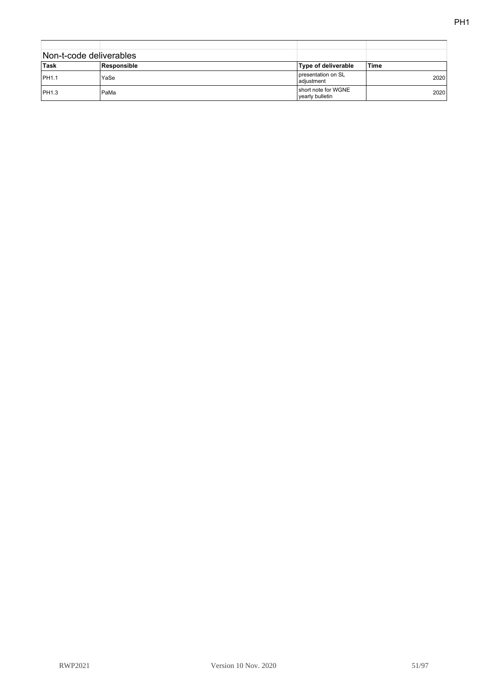| Non-t-code deliverables |             |                                        |       |
|-------------------------|-------------|----------------------------------------|-------|
| ∣Task                   | Responsible | <b>Type of deliverable</b>             | ˈTime |
| <b>PH1.1</b>            | YaSe        | presentation on SL<br>adjustment       | 2020  |
| <b>PH1.3</b>            | PaMa        | short note for WGNE<br>vearly bulletin | 2020  |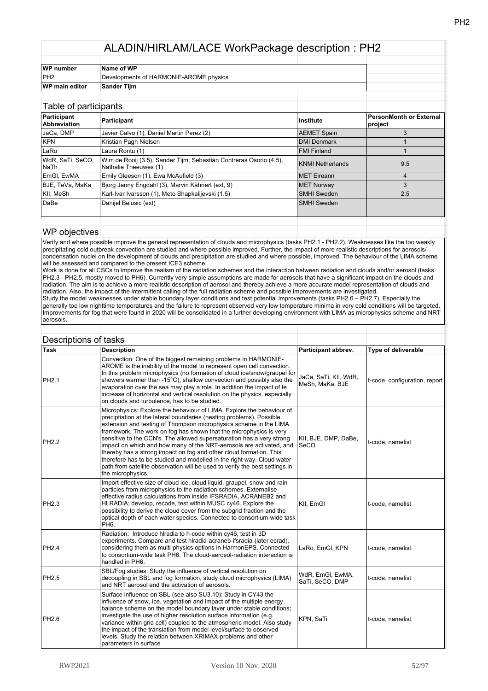| WP number             | Name of WP                             |  |
|-----------------------|----------------------------------------|--|
| IPH <sub>2</sub>      | Developments of HARMONIE-AROME physics |  |
| <b>WP</b> main editor | <b>Sander Tiim</b>                     |  |
|                       |                                        |  |

| Table of participants              |                                                                                             |                    |                                    |
|------------------------------------|---------------------------------------------------------------------------------------------|--------------------|------------------------------------|
| Participant<br><b>Abbreviation</b> | Participant                                                                                 | <b>Institute</b>   | PersonMonth or External<br>project |
| JaCa, DMP                          | Javier Calvo (1), Daniel Martin Perez (2)                                                   | <b>AEMET Spain</b> | 3                                  |
| KPN                                | Kristian Pagh Nielsen                                                                       | <b>DMI Denmark</b> |                                    |
| LaRo                               | Laura Rontu (1)                                                                             | <b>FMI Finland</b> |                                    |
| WdR, SaTi, SeCO,<br><b>NaTh</b>    | Wim de Rooij (3.5), Sander Tijm, Sebastián Contreras Osorio (4.5),<br>Nathalie Theeuwes (1) | KNMI Netherlands   | 9.5                                |
| EmGI, EwMA                         | Emily Gleeson (1), Ewa McAufield (3)                                                        | <b>MET Eireann</b> | 4                                  |
| BJE, TeVa, MaKa                    | Bjorg Jenny Engdahl (3), Marvin Kähnert (ext, 9)                                            | <b>MET Norway</b>  | 3                                  |
| KII, MeSh                          | Karl-Ivar Ivarsson (1), Meto Shapkalijevski (1.5)                                           | <b>SMHI</b> Sweden | 2.5                                |
| DaBe                               | Danijel Belusic (ext)                                                                       | <b>SMHI Sweden</b> |                                    |
|                                    |                                                                                             |                    |                                    |
|                                    |                                                                                             |                    |                                    |

#### WP objectives

Verify and where possible improve the general representation of clouds and microphysics (tasks PH2.1 - PH2.2). Weaknesses like the too weakly precipitating cold outbreak convection are studied and where possible improved. Further, the impact of more realistic descriptions for aerosols/ condensation nuclei on the development of clouds and precipitation are studied and where possible, improved. The behaviour of the LIMA scheme will be assessed and compared to the present ICE3 scheme.

Work is done for all CSCs to improve the realism of the radiation schemes and the interaction between radiation and clouds and/or aerosol (tasks PH2.3 - PH2.5, mostly moved to PH6). Currently very simple assumptions are made for aerosols that have a significant impact on the clouds and radiation. The aim is to achieve a more realistic description of aerosol and thereby achieve a more accurate model representation of clouds and radiation. Also, the impact of the intermittent calling of the full radiation scheme and possible improvements are investigated.

Study the model weaknesses under stable boundary layer conditions and test potential improvements (tasks PH2.6 – PH2.7). Especially the generally too low nighttime temperatures and the failure to represent observed very low temperature minima in very cold conditions will be targeted. Improvements for fog that were found in 2020 will be consolidated in a further developing environment with LIMA as microphysics scheme and NRT aerosols.

|                   | Descriptions of tasks                                                                                                                                                                                                                                                                                                                                                                                                                                                                                                                                                                                                                                                                        |                                          |                               |
|-------------------|----------------------------------------------------------------------------------------------------------------------------------------------------------------------------------------------------------------------------------------------------------------------------------------------------------------------------------------------------------------------------------------------------------------------------------------------------------------------------------------------------------------------------------------------------------------------------------------------------------------------------------------------------------------------------------------------|------------------------------------------|-------------------------------|
| <b>Task</b>       | <b>Description</b>                                                                                                                                                                                                                                                                                                                                                                                                                                                                                                                                                                                                                                                                           | Participant abbrev.                      | Type of deliverable           |
| <b>PH2.1</b>      | Convection: One of the biggest remaining problems in HARMONIE-<br>AROME is the inability of the model to represent open cell convection.<br>In this problem microphysics (no formation of cloud ice/snow/graupel for<br>showers warmer than -15°C), shallow convection and possibly also the<br>evaporation over the sea may play a role. In addition the impact of te<br>increase of horizontal and vertical resolution on the physics, especially<br>on clouds and turbulence, has to be studied.                                                                                                                                                                                          | JaCa, SaTi, KII, WdR,<br>MeSh, MaKa, BJE | t-code, configuration, report |
| PH <sub>2.2</sub> | Microphysics: Explore the behaviour of LIMA. Explore the behaviour of<br>preciptiation at the lateral boundaries (nesting problems). Possible<br>extension and testing of Thompson microphysics scheme in the LIMA<br>framework. The work on fog has shown that the microphysics is very<br>sensitive to the CCN's. The allowed supersaturation has a very strong<br>impact on which and how many of the NRT-aerosols are activated, and<br>thereby has a strong impact on fog and other cloud formation. This<br>therefore has to be studied and modelled in the right way. Cloud water<br>path from satellite observation will be used to verify the best settings in<br>the microphysics. | KII, BJE, DMP, DaBe,<br>SeCO             | t-code, namelist              |
| PH <sub>2.3</sub> | Import effective size of cloud ice, cloud liquid, graupel, snow and rain<br>particles from microphysics to the radiation schemes. Externalise<br>effective radius calculations from inside IFSRADIA, ACRANEB2 and<br>HLRADIA; develop, recode, test within MUSC cy46. Explore the<br>possibility to derive the cloud cover from the subgrid fraction and the<br>optical depth of each water species. Connected to consortium-wide task<br>PH <sub>6</sub>                                                                                                                                                                                                                                    | KII, EmGI                                | t-code, namelist              |
| PH <sub>2.4</sub> | Radiation: Introduce hiradia to h-code within cy46, test in 3D<br>experiments. Compare and test hiradia-acraneb-ifsradia-(later ecrad),<br>considering them as multi-physics options in HarmonEPS. Connected<br>to consortium-wide task PH6. The cloud-aerosol-radiation interaction is<br>handled in PH6.                                                                                                                                                                                                                                                                                                                                                                                   | LaRo, EmGI, KPN                          | t-code, namelist              |
| PH2.5             | SBL/Fog studies: Study the influence of vertical resolution on<br>decoupling in SBL and fog formation, study cloud microphysics (LIMA)<br>and NRT aerosol and the activation of aerosols.                                                                                                                                                                                                                                                                                                                                                                                                                                                                                                    | WdR, EmGl, EwMA,<br>SaTi, SeCO, DMP      | t-code, namelist              |
| PH <sub>2.6</sub> | Surface influence on SBL (see also SU3.10): Study in CY43 the<br>influence of snow, ice, vegetation and impact of the multiple energy<br>balance scheme on the model boundary layer under stable conditions;<br>investigate the use of higher resolution surface information (e.g.<br>variance within grid cell) coupled to the atmospheric model. Also study<br>the impact of the translation from model level/surface to observed<br>levels. Study the relation between XRIMAX-problems and other<br>parameters in surface                                                                                                                                                                 | KPN, SaTi                                | t-code, namelist              |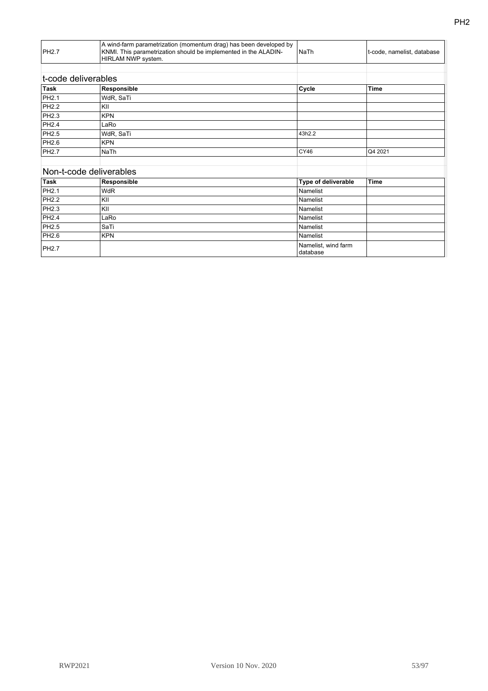| <b>PH2.7</b>            | A wind-farm parametrization (momentum drag) has been developed by<br>KNMI. This parametrization should be implemented in the ALADIN-<br>HIRLAM NWP system. | <b>NaTh</b>                     | t-code, namelist, database |
|-------------------------|------------------------------------------------------------------------------------------------------------------------------------------------------------|---------------------------------|----------------------------|
|                         |                                                                                                                                                            |                                 |                            |
| t-code deliverables     |                                                                                                                                                            |                                 |                            |
| <b>Task</b>             | Responsible                                                                                                                                                | Cycle                           | <b>Time</b>                |
| PH2.1                   | WdR, SaTi                                                                                                                                                  |                                 |                            |
| PH <sub>2.2</sub>       | KII                                                                                                                                                        |                                 |                            |
| PH2.3                   | <b>KPN</b>                                                                                                                                                 |                                 |                            |
| PH <sub>2.4</sub>       | LaRo                                                                                                                                                       |                                 |                            |
| PH2.5                   | WdR, SaTi                                                                                                                                                  | 43h2.2                          |                            |
| PH2.6                   | <b>KPN</b>                                                                                                                                                 |                                 |                            |
| <b>PH2.7</b>            | NaTh                                                                                                                                                       | CY46                            | Q4 2021                    |
| Non-t-code deliverables |                                                                                                                                                            |                                 |                            |
| <b>Task</b>             | Responsible                                                                                                                                                | Type of deliverable             | Time                       |
| PH <sub>2.1</sub>       | <b>WdR</b>                                                                                                                                                 | Namelist                        |                            |
| <b>PH2.2</b>            | KII                                                                                                                                                        | Namelist                        |                            |
| PH2.3                   | KII                                                                                                                                                        | Namelist                        |                            |
| PH <sub>2.4</sub>       | LaRo                                                                                                                                                       | Namelist                        |                            |
| PH2.5                   | SaTi                                                                                                                                                       | Namelist                        |                            |
| PH2.6                   | <b>KPN</b>                                                                                                                                                 | Namelist                        |                            |
| <b>PH2.7</b>            |                                                                                                                                                            | Namelist, wind farm<br>database |                            |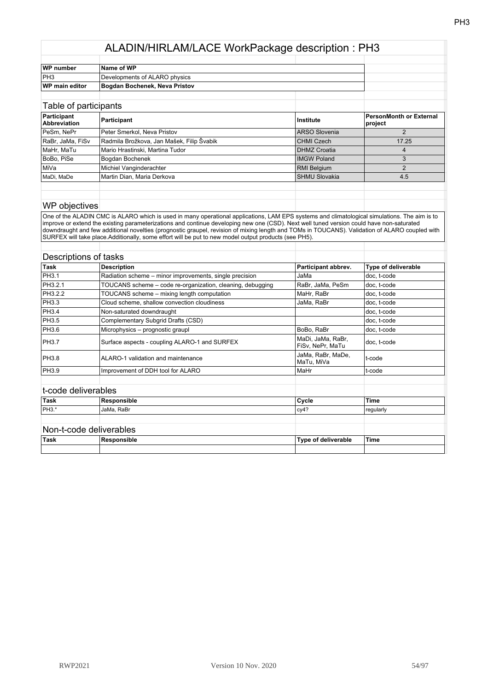| WP number             | Name of WP                    |  |  |
|-----------------------|-------------------------------|--|--|
| PH <sub>3</sub>       | Developments of ALARO physics |  |  |
| <b>WP</b> main editor | Bogdan Bochenek, Neva Pristov |  |  |
|                       |                               |  |  |

| Table of participants              |                                           |                      |                                    |
|------------------------------------|-------------------------------------------|----------------------|------------------------------------|
| Participant<br><b>Abbreviation</b> | Participant                               | Institute            | PersonMonth or External<br>project |
| PeSm, NePr                         | Peter Smerkol, Neva Pristov               | <b>ARSO Slovenia</b> |                                    |
| RaBr, JaMa, FiSv                   | Radmila Brožkova, Jan Mašek, Filip Švabik | <b>CHMI Czech</b>    | 17.25                              |
| MaHr, MaTu                         | Mario Hrastinski, Martina Tudor           | <b>DHMZ Croatia</b>  |                                    |
| BoBo, PiSe                         | Bogdan Bochenek                           | <b>IMGW Poland</b>   |                                    |
| ∣MiVa                              | Michiel Vanginderachter                   | <b>RMI Belgium</b>   |                                    |
| MaDi, MaDe                         | Martin Dian, Maria Derkova                | <b>SHMU Slovakia</b> | 4.5                                |
|                                    |                                           |                      |                                    |

## WP objectives

One of the ALADIN CMC is ALARO which is used in many operational applications, LAM EPS systems and climatological simulations. The aim is to improve or extend the existing parameterizations and continue developing new one (CSD). Next well tuned version could have non-saturated downdraught and few additional novelties (prognostic graupel, revision of mixing length and TOMs in TOUCANS). Validation of ALARO coupled with SURFEX will take place.Additionally, some effort will be put to new model output products (see PH5).

|                     | Descriptions of tasks                                      |                                       |                            |
|---------------------|------------------------------------------------------------|---------------------------------------|----------------------------|
| <b>Task</b>         | <b>Description</b>                                         | Participant abbrev.                   | <b>Type of deliverable</b> |
| PH3.1               | Radiation scheme – minor improvements, single precision    | JaMa                                  | doc, t-code                |
| PH3.2.1             | TOUCANS scheme - code re-organization, cleaning, debugging | RaBr, JaMa, PeSm                      | doc, t-code                |
| PH3.2.2             | TOUCANS scheme - mixing length computation                 | MaHr, RaBr                            | doc, t-code                |
| PH3.3               | Cloud scheme, shallow convection cloudiness                | JaMa, RaBr                            | doc, t-code                |
| PH3.4               | Non-saturated downdraught                                  |                                       | doc, t-code                |
| <b>PH3.5</b>        | Complementary Subgrid Drafts (CSD)                         |                                       | doc, t-code                |
| <b>PH3.6</b>        | Microphysics - prognostic graupl                           | BoBo, RaBr                            | doc, t-code                |
| PH3.7               | Surface aspects - coupling ALARO-1 and SURFEX              | MaDi, JaMa, RaBr,<br>FiSv, NePr, MaTu | doc, t-code                |
| PH3.8               | ALARO-1 validation and maintenance                         | JaMa, RaBr, MaDe,<br>MaTu, MiVa       | t-code                     |
| <b>PH3.9</b>        | Improvement of DDH tool for ALARO                          | MaHr                                  | t-code                     |
| t-code deliverables |                                                            |                                       |                            |
| Task                | Responsible                                                | Cycle                                 | Time                       |
| PH3.*               | JaMa, RaBr                                                 | cy4?                                  | regularly                  |
|                     | Non-t-code deliverables                                    |                                       |                            |
| <b>Task</b>         | Responsible                                                | Type of deliverable                   | <b>Time</b>                |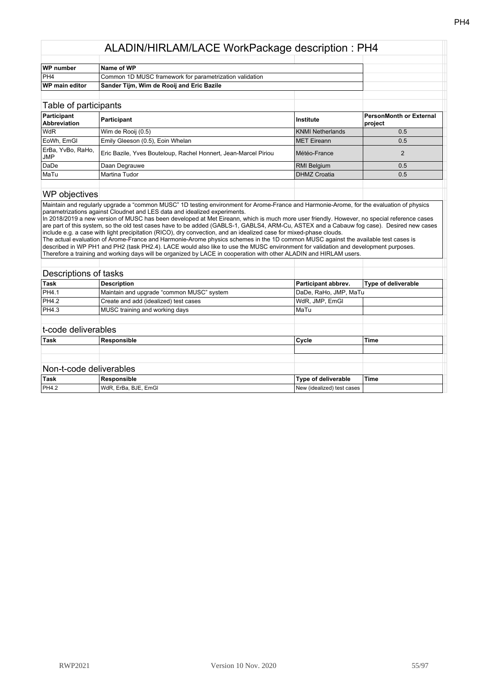| WP number      | <b>Name of WP</b>                                       |  |
|----------------|---------------------------------------------------------|--|
| IPH4           | Common 1D MUSC framework for parametrization validation |  |
| WP main editor | Sander Tijm, Wim de Rooij and Eric Bazile               |  |
|                |                                                         |  |

| Table of participants              |                                                                 |                     |                                    |
|------------------------------------|-----------------------------------------------------------------|---------------------|------------------------------------|
| Participant<br><b>Abbreviation</b> | Participant                                                     | Institute           | PersonMonth or External<br>project |
| <b>WdR</b>                         | Wim de Rooij (0.5)                                              | KNMI Netherlands    | 0.5                                |
| EoWh, EmGI                         | Emily Gleeson (0.5), Eoin Whelan                                | MET Eireann         | 0.5                                |
| ErBa, YvBo, RaHo,<br><b>JMP</b>    | Eric Bazile, Yves Bouteloup, Rachel Honnert, Jean-Marcel Piriou | Météo-France        |                                    |
| DaDe                               | Daan Degrauwe                                                   | <b>RMI Belgium</b>  | 0.5                                |
| MaTu                               | Martina Tudor                                                   | <b>DHMZ Croatia</b> | 0.5                                |
|                                    |                                                                 |                     |                                    |

#### WP objectives

Maintain and regularly upgrade a "common MUSC" 1D testing environment for Arome-France and Harmonie-Arome, for the evaluation of physics parametrizations against Cloudnet and LES data and idealized experiments.

In 2018/2019 a new version of MUSC has been developed at Met Eireann, which is much more user friendly. However, no special reference cases are part of this system, so the old test cases have to be added (GABLS-1, GABLS4, ARM-Cu, ASTEX and a Cabauw fog case). Desired new cases include e.g. a case with light precipitation (RICO), dry convection, and an idealized case for mixed-phase clouds.

The actual evaluation of Arome-France and Harmonie-Arome physics schemes in the 1D common MUSC against the available test cases is described in WP PH1 and PH2 (task PH2.4). LACE would also like to use the MUSC environment for validation and development purposes. Therefore a training and working days will be organized by LACE in cooperation with other ALADIN and HIRLAM users.

| Descriptions of tasks   |                                           |                            |                            |
|-------------------------|-------------------------------------------|----------------------------|----------------------------|
| Task                    | <b>Description</b>                        | Participant abbrev.        | <b>Type of deliverable</b> |
| <b>PH4.1</b>            | Maintain and upgrade "common MUSC" system | DaDe, RaHo, JMP, MaTu      |                            |
| PH4.2                   | Create and add (idealized) test cases     | WdR, JMP, EmGI             |                            |
| <b>PH4.3</b>            | MUSC training and working days            | l MaTu                     |                            |
| t-code deliverables     |                                           |                            |                            |
| <b>Task</b>             | Responsible                               | Cycle                      | <b>Time</b>                |
|                         |                                           |                            |                            |
| Non-t-code deliverables |                                           |                            |                            |
| <b>Task</b>             | Responsible                               | Type of deliverable        | <b>Time</b>                |
| <b>PH4.2</b>            | WdR, ErBa, BJE, EmGI                      | New (idealized) test cases |                            |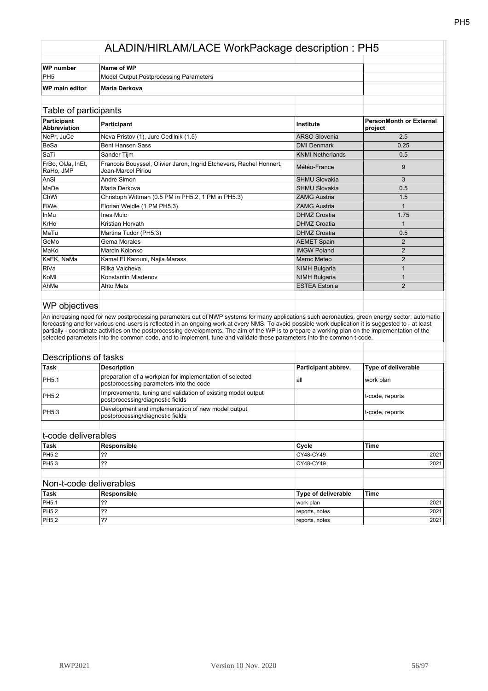| WP number             | Name of WP                             |  |
|-----------------------|----------------------------------------|--|
| IPH <sub>5</sub>      | Model Output Postprocessing Parameters |  |
| <b>WP</b> main editor | Maria Derkova                          |  |
|                       |                                        |  |

| Table of participants              |                                                                                           |                         |                                           |
|------------------------------------|-------------------------------------------------------------------------------------------|-------------------------|-------------------------------------------|
| Participant<br><b>Abbreviation</b> | Participant                                                                               | Institute               | <b>PersonMonth or External</b><br>project |
| NePr, JuCe                         | Neva Pristov (1), Jure Cedilnik (1.5)                                                     | <b>ARSO Slovenia</b>    | 2.5                                       |
| BeSa                               | <b>Bent Hansen Sass</b>                                                                   | <b>DMI Denmark</b>      | 0.25                                      |
| SaTi                               | Sander Tijm                                                                               | <b>KNMI Netherlands</b> | 0.5                                       |
| FrBo, OlJa, InEt,<br>RaHo, JMP     | Francois Bouyssel, Olivier Jaron, Ingrid Etchevers, Rachel Honnert,<br>Jean-Marcel Piriou | Météo-France            | 9                                         |
| AnSi                               | Andre Simon                                                                               | <b>SHMU Slovakia</b>    | 3                                         |
| MaDe                               | Maria Derkova                                                                             | <b>SHMU Slovakia</b>    | 0.5                                       |
| ChWi                               | Christoph Wittman (0.5 PM in PH5.2, 1 PM in PH5.3)                                        | <b>ZAMG Austria</b>     | 1.5                                       |
| FIWe                               | Florian Weidle (1 PM PH5.3)                                                               | <b>ZAMG Austria</b>     |                                           |
| InMu                               | Ines Muic                                                                                 | <b>DHMZ Croatia</b>     | 1.75                                      |
| KrHo                               | Kristian Horvath                                                                          | <b>DHMZ</b> Croatia     |                                           |
| MaTu                               | Martina Tudor (PH5.3)                                                                     | <b>DHMZ Croatia</b>     | 0.5                                       |
| GeMo                               | Gema Morales                                                                              | <b>AEMET Spain</b>      | 2                                         |
| MaKo                               | Marcin Kolonko                                                                            | <b>IMGW Poland</b>      | $\overline{2}$                            |
| KaEK, NaMa                         | Kamal El Karouni, Najla Marass                                                            | Maroc Meteo             | 2                                         |
| RiVa                               | Rilka Valcheva                                                                            | <b>NIMH Bulgaria</b>    |                                           |
| KoMI                               | Konstantin Mladenov                                                                       | <b>NIMH Bulgaria</b>    |                                           |
| AhMe                               | Ahto Mets                                                                                 | <b>ESTEA Estonia</b>    | $\mathfrak{p}$                            |
|                                    |                                                                                           |                         |                                           |

## WP objectives

An increasing need for new postprocessing parameters out of NWP systems for many applications such aeronautics, green energy sector, automatic forecasting and for various end-users is reflected in an ongoing work at every NMS. To avoid possible work duplication it is suggested to - at least partially - coordinate activities on the postprocessing developments. The aim of the WP is to prepare a working plan on the implementation of the selected parameters into the common code, and to implement, tune and validate these parameters into the common t-code.

|              | Descriptions of tasks                                                                               |                            |                            |
|--------------|-----------------------------------------------------------------------------------------------------|----------------------------|----------------------------|
| <b>Task</b>  | <b>Description</b>                                                                                  | Participant abbrev.        | <b>Type of deliverable</b> |
| PH5.1        | preparation of a workplan for implementation of selected<br>postprocessing parameters into the code | all                        | work plan                  |
| <b>PH5.2</b> | Improvements, tuning and validation of existing model output<br>postprocessing/diagnostic fields    |                            | t-code, reports            |
| PH5.3        | Development and implementation of new model output<br>postprocessing/diagnostic fields              |                            | t-code, reports            |
|              | t-code deliverables                                                                                 |                            |                            |
| Task         | Responsible                                                                                         | Cycle                      | <b>Time</b>                |
| PH5.2        | ??                                                                                                  | CY48-CY49                  | 2021                       |
| PH5.3        | ??                                                                                                  | CY48-CY49                  | 2021                       |
|              | Non-t-code deliverables                                                                             |                            |                            |
| Task         | Responsible                                                                                         | <b>Type of deliverable</b> | <b>Time</b>                |
| PH5.1        | ??                                                                                                  | work plan                  | 2021                       |
| PH5.2        | ??                                                                                                  | reports, notes             | 2021                       |
| <b>PH5.2</b> | ??                                                                                                  | reports, notes             | 2021                       |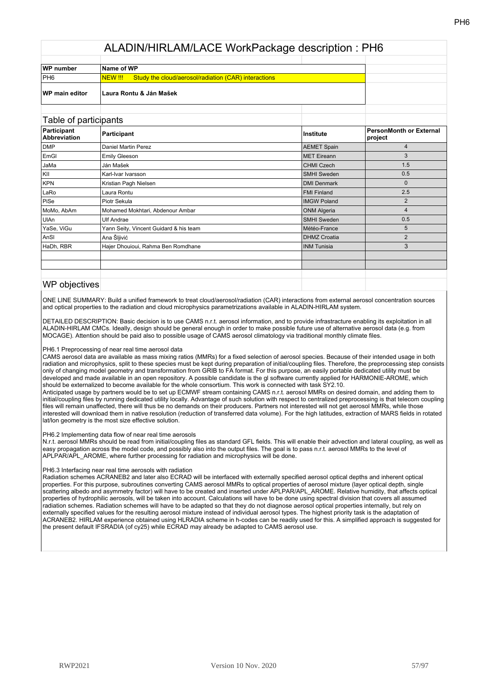| <b>WP</b> number      | Name of WP                                                                    |  |
|-----------------------|-------------------------------------------------------------------------------|--|
| IPH <sub>6</sub>      | <b>Study the cloud/aerosol/radiation (CAR) interactions</b><br><b>NEW !!!</b> |  |
| <b>WP main editor</b> | ∣Laura Rontu & Ján Mašek                                                      |  |

#### Table of participants

| Participant<br><b>Abbreviation</b> | Participant                            | Institute           | <b>PersonMonth or External</b><br>project |
|------------------------------------|----------------------------------------|---------------------|-------------------------------------------|
| <b>DMP</b>                         | Daniel Martin Perez                    | <b>AEMET Spain</b>  | 4                                         |
| EmGI                               | <b>Emily Gleeson</b>                   | <b>MET</b> Eireann  | 3                                         |
| JaMa                               | Ján Mašek                              | <b>CHMI Czech</b>   | 1.5                                       |
| KII                                | Karl-Ivar Ivarsson                     | <b>SMHI Sweden</b>  | 0.5                                       |
| KPN                                | Kristian Pagh Nielsen                  | <b>DMI Denmark</b>  | $\Omega$                                  |
| LaRo                               | Laura Rontu                            | <b>FMI Finland</b>  | 2.5                                       |
| PiSe                               | Piotr Sekula                           | <b>IMGW Poland</b>  | $\overline{2}$                            |
| MoMo, AbAm                         | Mohamed Mokhtari, Abdenour Ambar       | <b>ONM Algeria</b>  | 4                                         |
| UIAn                               | Ulf Andrae                             | <b>SMHI Sweden</b>  | 0.5                                       |
| YaSe, ViGu                         | Yann Seity, Vincent Guidard & his team | Météo-France        | 5                                         |
| AnSI                               | Ana Šljivić                            | <b>DHMZ Croatia</b> | $\overline{2}$                            |
| HaDh, RBR                          | Hajer Dhouioui, Rahma Ben Romdhane     | <b>INM Tunisia</b>  | 3                                         |
|                                    |                                        |                     |                                           |
|                                    |                                        |                     |                                           |
|                                    |                                        |                     |                                           |

## WP objectives

ONE LINE SUMMARY: Build a unified framework to treat cloud/aerosol/radiation (CAR) interactions from external aerosol concentration sources and optical properties to the radiation and cloud microphysics parametrizations available in ALADIN-HIRLAM system.

DETAILED DESCRIPTION: Basic decision is to use CAMS n.r.t. aerosol information, and to provide infrastracture enabling its exploitation in all ALADIN-HIRLAM CMCs. Ideally, design should be general enough in order to make possible future use of alternative aerosol data (e.g. from MOCAGE). Attention should be paid also to possible usage of CAMS aerosol climatology via traditional monthly climate files.

#### PH6.1 Preprocessing of near real time aerosol data

CAMS aerosol data are available as mass mixing ratios (MMRs) for a fixed selection of aerosol species. Because of their intended usage in both radiation and microphysics, split to these species must be kept during preparation of initial/coupling files. Therefore, the preprocessing step consists only of changing model geometry and transformation from GRIB to FA format. For this purpose, an easily portable dedicated utility must be developed and made available in an open repository. A possible candidate is the gl software currently applied for HARMONIE-AROME, which should be externalized to become available for the whole consortium. This work is connected with task SY2.10.

Anticipated usage by partners would be to set up ECMWF stream containing CAMS n.r.t. aerosol MMRs on desired domain, and adding them to initial/coupling files by running dedicated utility locally. Advantage of such solution with respect to centralized preprocessing is that telecom coupling files will remain unaffected, there will thus be no demands on their producers. Partners not interested will not get aerosol MMRs, while those interested will download them in native resolution (reduction of transferred data volume). For the high latitudes, extraction of MARS fields in rotated lat/lon geometry is the most size effective solution.

#### PH6.2 Implementing data flow of near real time aerosols

N.r.t. aerosol MMRs should be read from initial/coupling files as standard GFL fields. This will enable their advection and lateral coupling, as well as easy propagation across the model code, and possibly also into the output files. The goal is to pass n.r.t. aerosol MMRs to the level of APLPAR/APL\_AROME, where further processing for radiation and microphysics will be done.

#### PH6.3 Interfacing near real time aerosols with radiation

Radiation schemes ACRANEB2 and later also ECRAD will be interfaced with externally specified aerosol optical depths and inherent optical properties. For this purpose, subroutines converting CAMS aerosol MMRs to optical properties of aerosol mixture (layer optical depth, single scattering albedo and asymmetry factor) will have to be created and inserted under APLPAR/APL\_AROME. Relative humidity, that affects optical properties of hydrophilic aerosols, will be taken into account. Calculations will have to be done using spectral division that covers all assumed radiation schemes. Radiation schemes will have to be adapted so that they do not diagnose aerosol optical properties internally, but rely on externally specified values for the resulting aerosol mixture instead of individual aerosol types. The highest priority task is the adaptation of ACRANEB2. HIRLAM experience obtained using HLRADIA scheme in h-codes can be readily used for this. A simplified approach is suggested for the present default IFSRADIA (of cy25) while ECRAD may already be adapted to CAMS aerosol use.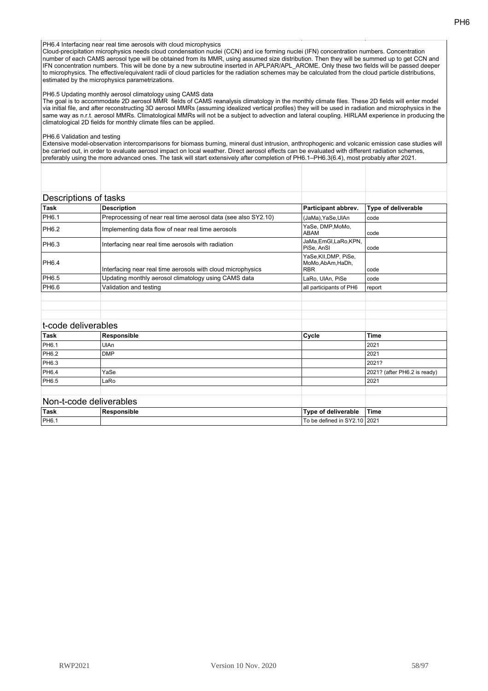PH6.4 Interfacing near real time aerosols with cloud microphysics

Cloud-precipitation microphysics needs cloud condensation nuclei (CCN) and ice forming nuclei (IFN) concentration numbers. Concentration number of each CAMS aerosol type will be obtained from its MMR, using assumed size distribution. Then they will be summed up to get CCN and IFN concentration numbers. This will be done by a new subroutine inserted in APLPAR/APL\_AROME. Only these two fields will be passed deeper to microphysics. The effective/equivalent radii of cloud particles for the radiation schemes may be calculated from the cloud particle distributions, estimated by the microphysics parametrizations.

#### PH6.5 Updating monthly aerosol climatology using CAMS data

The goal is to accommodate 2D aerosol MMR fields of CAMS reanalysis climatology in the monthly climate files. These 2D fields will enter model via initial file, and after reconstructing 3D aerosol MMRs (assuming idealized vertical profiles) they will be used in radiation and microphysics in the same way as n.r.t. aerosol MMRs. Climatological MMRs will not be a subject to advection and lateral coupling. HIRLAM experience in producing the climatological 2D fields for monthly climate files can be applied.

#### PH6.6 Validation and testing

Extensive model-observation intercomparisons for biomass burning, mineral dust intrusion, anthrophogenic and volcanic emission case studies will be carried out, in order to evaluate aerosol impact on local weather. Direct aerosol effects can be evaluated with different radiation schemes, preferably using the more advanced ones. The task will start extensively after completion of PH6.1–PH6.3(6.4), most probably after 2021.

|              | Descriptions of tasks                                          |                                                        |                     |
|--------------|----------------------------------------------------------------|--------------------------------------------------------|---------------------|
| <b>Task</b>  | <b>Description</b>                                             | Participant abbrev.                                    | Type of deliverable |
| <b>PH6.1</b> | Preprocessing of near real time aerosol data (see also SY2.10) | (JaMa), YaSe, UlAn                                     | code                |
| PH6.2        | Implementing data flow of near real time aerosols              | YaSe, DMP, MoMo,<br>ABAM                               | code                |
| PH6.3        | Interfacing near real time aerosols with radiation             | JaMa, EmGI, LaRo, KPN,<br>PiSe, AnSI                   | code                |
| PH6.4        | Interfacing near real time aerosols with cloud microphysics    | YaSe, KII, DMP, PiSe,<br>MoMo.AbAm.HaDh.<br><b>RBR</b> | code                |
| PH6.5        | Updating monthly aerosol climatology using CAMS data           | LaRo, UlAn, PiSe                                       | code                |
| PH6.6        | Validation and testing                                         | all participants of PH6                                | report              |
|              |                                                                |                                                        |                     |
|              |                                                                |                                                        |                     |
|              |                                                                |                                                        |                     |

#### t-code deliverables

| .     |             |       |                              |
|-------|-------------|-------|------------------------------|
| Task  | Responsible | Cycle | Time                         |
| PH6.1 | <b>UlAn</b> |       | 2021                         |
| PH6.2 | <b>DMP</b>  |       | 2021                         |
| PH6.3 |             |       | 2021?                        |
| PH6.4 | YaSe        |       | 2021? (after PH6.2 is ready) |
| PH6.5 | LaRo        |       | 2021                         |
|       |             |       |                              |
|       |             |       |                              |

| Non-t-code deliverables |             |                              |       |
|-------------------------|-------------|------------------------------|-------|
| ˈTask                   | Responsible | <b>Tvpe of deliverable</b>   | 'Time |
| IPH <sub>6</sub> .      |             | To be defined in SY2.10 2021 |       |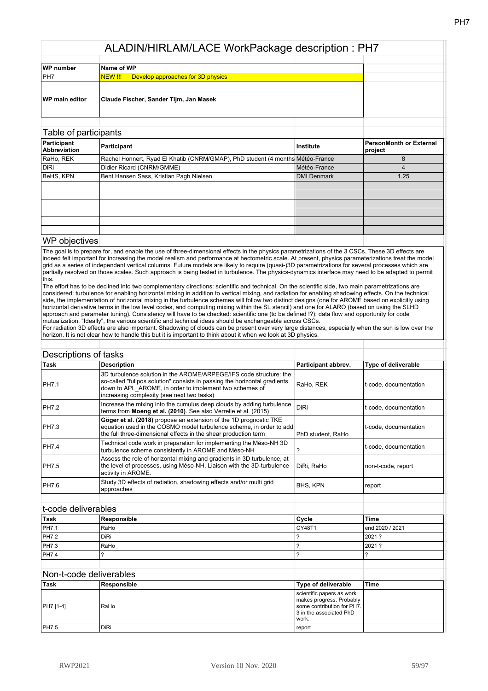| WP number             | Name of WP                                   |  |
|-----------------------|----------------------------------------------|--|
| PH7                   | Develop approaches for 3D physics<br>NEW !!! |  |
| <b>WP</b> main editor | Claude Fischer, Sander Tijm, Jan Masek       |  |

## Table of participants

| Participant                             | PersonMonth or External<br>project                                                                                                |
|-----------------------------------------|-----------------------------------------------------------------------------------------------------------------------------------|
|                                         |                                                                                                                                   |
| Didier Ricard (CNRM/GMME)               |                                                                                                                                   |
| Bent Hansen Sass, Kristian Pagh Nielsen | 1.25                                                                                                                              |
|                                         |                                                                                                                                   |
|                                         |                                                                                                                                   |
|                                         |                                                                                                                                   |
|                                         |                                                                                                                                   |
|                                         |                                                                                                                                   |
|                                         |                                                                                                                                   |
|                                         | Institute<br>Rachel Honnert, Ryad El Khatib (CNRM/GMAP), PhD student (4 months Météo-France<br>Météo-France<br><b>DMI Denmark</b> |

## WP objectives

The goal is to prepare for, and enable the use of three-dimensional effects in the physics parametrizations of the 3 CSCs. These 3D effects are indeed felt important for increasing the model realism and performance at hectometric scale. At present, physics parameterizations treat the model grid as a series of independent vertical columns. Future models are likely grid as a series of independent vertical columns. Future models are likely to require (quasi-)3D parametrizations for several processes which are partially resolved on those scales. Such approach is being tested in turbulence. The physics-dynamics interface may need to be adapted to permit this.

The effort has to be declined into two complementary directions: scientific and technical. On the scientific side, two main parametrizations are considered: turbulence for enabling horizontal mixing in addition to vertical mixing, and radiation for enabling shadowing effects. On the technical side, the implementation of horizontal mixing in the turbulence schemes will follow two distinct designs (one for AROME based on explicitly using horizontal derivative terms in the low level codes, and computing mixing within the SL stencil) and one for ALARO (based on using the SLHD approach and parameter tuning). Consistency will have to be checked: scientific one (to be defined !?); data flow and opportunity for code mutualization. "Ideally", the various scientific and technical ideas should be exchangeable across CSCs.

For radiation 3D effects are also important. Shadowing of clouds can be present over very large distances, especially when the sun is low over the horizon. It is not clear how to handle this but it is important to think about it when we look at 3D physics.

| Descriptions of tasks |                                                                                                                                                                                                                                                          |                                                                                                                         |                            |
|-----------------------|----------------------------------------------------------------------------------------------------------------------------------------------------------------------------------------------------------------------------------------------------------|-------------------------------------------------------------------------------------------------------------------------|----------------------------|
| <b>Task</b>           | <b>Description</b>                                                                                                                                                                                                                                       | Participant abbrev.                                                                                                     | <b>Type of deliverable</b> |
| PH7.1                 | 3D turbulence solution in the AROME/ARPEGE/IFS code structure: the<br>so-called "fullpos solution" consists in passing the horizontal gradients<br>down to APL AROME, in order to implement two schemes of<br>increasing complexity (see next two tasks) | RaHo, REK                                                                                                               | t-code, documentation      |
| <b>PH7.2</b>          | Increase the mixing into the cumulus deep clouds by adding turbulence<br>terms from Moeng et al. (2010). See also Verrelle et al. (2015)                                                                                                                 | <b>DiRi</b>                                                                                                             | t-code, documentation      |
| PH7.3                 | Göger et al. (2018) propose an extension of the 1D prognostic TKE<br>equation used in the COSMO model turbulence scheme, in order to add<br>the full three-dimensional effects in the shear production term                                              | PhD student, RaHo                                                                                                       | t-code, documentation      |
| <b>PH7.4</b>          | Technical code work in preparation for implementing the Méso-NH 3D<br>turbulence scheme consistently in AROME and Méso-NH                                                                                                                                | ?                                                                                                                       | t-code, documentation      |
| <b>PH7.5</b>          | Assess the role of horizontal mixing and gradients in 3D turbulence, at<br>the level of processes, using Méso-NH. Liaison with the 3D-turbulence<br>activity in AROME.                                                                                   | DiRi, RaHo                                                                                                              | non-t-code, report         |
| <b>PH7.6</b>          | Study 3D effects of radiation, shadowing effects and/or multi grid<br>approaches                                                                                                                                                                         | BHS, KPN                                                                                                                | report                     |
| t-code deliverables   |                                                                                                                                                                                                                                                          |                                                                                                                         |                            |
| <b>Task</b>           | Responsible                                                                                                                                                                                                                                              |                                                                                                                         | <b>Time</b>                |
| <b>PH7.1</b>          |                                                                                                                                                                                                                                                          | Cycle                                                                                                                   | end 2020 / 2021            |
| <b>PH7.2</b>          | RaHo<br><b>DiRi</b>                                                                                                                                                                                                                                      | CY48T1<br>?                                                                                                             | 2021 ?                     |
|                       |                                                                                                                                                                                                                                                          |                                                                                                                         |                            |
| PH7.3                 | RaHo                                                                                                                                                                                                                                                     | ?                                                                                                                       | 2021 ?                     |
| PH7.4                 | ?                                                                                                                                                                                                                                                        | ?                                                                                                                       | ?                          |
|                       | Non-t-code deliverables                                                                                                                                                                                                                                  |                                                                                                                         |                            |
| Task                  | Responsible                                                                                                                                                                                                                                              | <b>Type of deliverable</b>                                                                                              | <b>Time</b>                |
| PH7.[1-4]             | RaHo                                                                                                                                                                                                                                                     | scientific papers as work<br>makes progress. Probably<br>some contribution for PH7.<br>3 in the associated PhD<br>work. |                            |

PH7.5 DiRi report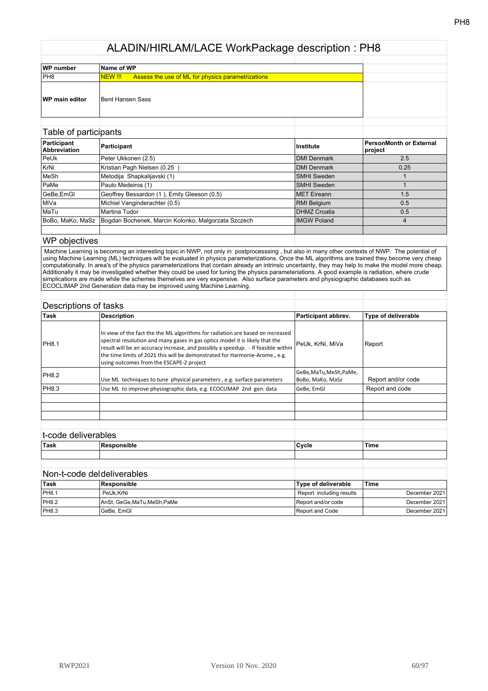| WP number             | Name of WP                                                   |  |
|-----------------------|--------------------------------------------------------------|--|
| PH8                   | Assess the use of ML for physics parametrizations<br>NEW !!! |  |
| <b>WP</b> main editor | Bent Hansen Sass                                             |  |

## Table of participants

| Participant<br><b>Abbreviation</b> | Participant                                         | ∣Institute          | <b>PersonMonth or External</b><br>project |
|------------------------------------|-----------------------------------------------------|---------------------|-------------------------------------------|
| PeUk                               | Peter Ukkonen (2.5)                                 | <b>DMI Denmark</b>  | 2.5                                       |
| KrNi                               | Kristian Pagh Nielsen (0.25)                        | <b>DMI Denmark</b>  | 0.25                                      |
| MeSh                               | Metodija Shapkalijavski (1)                         | <b>SMHI Sweden</b>  |                                           |
| PaMe                               | Paulo Medeiros (1)                                  | <b>SMHI Sweden</b>  |                                           |
| GeBe,EmGl                          | Geoffrey Bessardon (1), Emily Gleeson (0.5)         | <b>IMET Eireann</b> | 1.5                                       |
| IMiVa                              | Michiel Vanginderachter (0.5)                       | <b>RMI Belgium</b>  | 0.5                                       |
| MaTu                               | Martina Tudor                                       | <b>DHMZ Croatia</b> | 0.5                                       |
| BoBo, MaKo, MaSz                   | Bogdan Bochenek, Marcin Kolonko, Malgorzata Szczech | <b>IMGW Poland</b>  |                                           |
|                                    |                                                     |                     |                                           |

## WP objectives

 Machine Learning is becoming an interesting topic in NWP, not only in postprocesssing , but also in many other contexts of NWP. The potential of using Machine Learning (ML) techniques will be evaluated in physics parameterizations. Once the ML algorithms are trained they become very cheap computationally. In area's of the physics parameterizations that contain already an intrinsic uncertainty, they may help to make the model more cheap. Additionally it may be investigated whether they could be used for tuning the physics parameteriations. A good example is radiation, where crude simplications are made while the schemes themelves are very expensive. Also surface parameters and physiographic databases such as ECOCLIMAP 2nd Generation data may be improved using Machine Learning.

#### Descriptions of tasks

| <b>Task</b>  | <b>Description</b>                                                                                                                                                                                                                                                                                                                                                             | Participant abbrev.                         | Type of deliverable |
|--------------|--------------------------------------------------------------------------------------------------------------------------------------------------------------------------------------------------------------------------------------------------------------------------------------------------------------------------------------------------------------------------------|---------------------------------------------|---------------------|
| <b>PH8.1</b> | In view of the fact the the ML algorithms for radiation are based on increased<br>spectral resolution and many gases in gas optics model it is likely that the<br>result will be an accuracy increase, and possibly a speedup. - If feasible within<br>the time limits of 2021 this will be demonstrated for Harmonie-Arome., e.g.<br>using outcomes from the ESCAPE-2 project | PeUk, KrNi, MiVa                            | Report              |
| PH8.2        | Use ML techniques to tune physical parameters, e.g. surface parameters                                                                                                                                                                                                                                                                                                         | GeBe, MaTu, MeSh, PaMe,<br>BoBo, MaKo, MaSz | Report and/or code  |
| PH8.3        | Use ML to improve physiographic data, e.g. ECOCLIMAP 2nd gen. data                                                                                                                                                                                                                                                                                                             | GeBe. EmGl                                  | Report and code     |
|              |                                                                                                                                                                                                                                                                                                                                                                                |                                             |                     |
|              |                                                                                                                                                                                                                                                                                                                                                                                |                                             |                     |
|              |                                                                                                                                                                                                                                                                                                                                                                                |                                             |                     |
|              |                                                                                                                                                                                                                                                                                                                                                                                |                                             |                     |

#### t-code deliverables

| Task | $-1$<br>в. | 'Cycle | 'Time |
|------|------------|--------|-------|
|      |            |        |       |
|      |            |        |       |

# Non-t-code deldeliverables

| 'Task        | <b>Responsible</b>        | Type of deliverable      | 'Time         |
|--------------|---------------------------|--------------------------|---------------|
| <b>PH8.1</b> | PeUk.KrNi                 | Report including results | December 2021 |
| PH8.2        | AnSt, GeGe,MaTu,MeSh,PaMe | Report and/or code       | December 2021 |
| PH8.3        | 'GeBe, EmGl               | Report and Code          | December 2021 |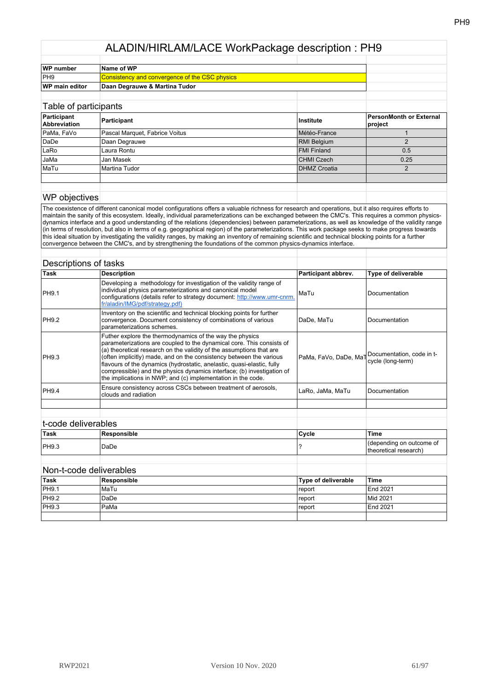| WP number             | Name of WP                                            |  |
|-----------------------|-------------------------------------------------------|--|
| PH <sub>9</sub>       | <b>Consistency and convergence of the CSC physics</b> |  |
| <b>WP main editor</b> | Daan Degrauwe & Martina Tudor                         |  |
|                       |                                                       |  |

| Table of participants       |                                |                    |                                    |
|-----------------------------|--------------------------------|--------------------|------------------------------------|
| Participant<br>Abbreviation | Participant                    | <b>Institute</b>   | PersonMonth or External<br>project |
| PaMa, FaVo                  | Pascal Marquet, Fabrice Voitus | Météo-France       |                                    |
| DaDe                        | Daan Degrauwe                  | <b>RMI Belgium</b> |                                    |
| LaRo                        | Laura Rontu                    | <b>FMI Finland</b> | 0.5                                |
| <b>JaMa</b>                 | Jan Masek                      | CHMI Czech         | 0.25                               |
| MaTu                        | Martina Tudor                  | DHMZ Croatia       |                                    |
|                             |                                |                    |                                    |
|                             |                                |                    |                                    |

## WP objectives

The coexistence of different canonical model configurations offers a valuable richness for research and operations, but it also requires efforts to maintain the sanity of this ecosystem. Ideally, individual parameterizations can be exchanged between the CMC's. This requires a common physicsdynamics interface and a good understanding of the relations (dependencies) between parameterizations, as well as knowledge of the validity range (in terms of resolution, but also in terms of e.g. geographical region) of the parameterizations. This work package seeks to make progress towards this ideal situation by investigating the validity ranges, by making an inventory of remaining scientific and technical blocking points for a further convergence between the CMC's, and by strengthening the foundations of the common physics-dynamics interface.

| Task                  | <b>Description</b>                                                                                                                                                                                                                                                                                                                                                                                                                                                                                   | Participant abbrev. | <b>Type of deliverable</b>                                                       |
|-----------------------|------------------------------------------------------------------------------------------------------------------------------------------------------------------------------------------------------------------------------------------------------------------------------------------------------------------------------------------------------------------------------------------------------------------------------------------------------------------------------------------------------|---------------------|----------------------------------------------------------------------------------|
| <b>PH9.1</b>          | Developing a methodology for investigation of the validity range of<br>individual physics parameterizations and canonical model<br>configurations (details refer to strategy document: http://www.umr-cnrm.<br>fr/aladin/IMG/pdf/strategy.pdf)                                                                                                                                                                                                                                                       | MaTu                | Documentation                                                                    |
| <b>PH9.2</b>          | Inventory on the scientific and technical blocking points for further<br>convergence. Document consistency of combinations of various<br>parameterizations schemes.                                                                                                                                                                                                                                                                                                                                  | DaDe, MaTu          | Documentation                                                                    |
| PH9.3                 | Futher explore the thermodynamics of the way the physics<br>parameterizations are coupled to the dynamical core. This consists of<br>(a) theoretical research on the validity of the assumptions that are<br>(often implicitly) made, and on the consistency between the various<br>flavours of the dynamics (hydrostatic, anelastic, quasi-elastic, fully<br>compressible) and the physics dynamics interface; (b) investigation of<br>the implications in NWP; and (c) implementation in the code. |                     | PaMa, FaVo, DaDe, Ma <sup>-</sup> Documentation, code in t-<br>cycle (long-term) |
| PH9.4                 | Ensure consistency across CSCs between treatment of aerosols,<br>clouds and radiation                                                                                                                                                                                                                                                                                                                                                                                                                | LaRo, JaMa, MaTu    | Documentation                                                                    |
|                       |                                                                                                                                                                                                                                                                                                                                                                                                                                                                                                      |                     |                                                                                  |
|                       |                                                                                                                                                                                                                                                                                                                                                                                                                                                                                                      |                     |                                                                                  |
| مملطمعمينامام ماممميه |                                                                                                                                                                                                                                                                                                                                                                                                                                                                                                      |                     |                                                                                  |

#### t-code deliverables **Task Responsible Cycle Time** PH9.3 DaDe ? (depending on outcome of theoretical research)

## Non-t-code deliverables

| ∣Task        | Responsible | <b>Type of deliverable</b> | <b>Time</b> |
|--------------|-------------|----------------------------|-------------|
| <b>PH9.1</b> | l MaTu      | report                     | End 2021    |
| PH9.2        | DaDe        | report                     | Mid 2021    |
| PH9.3        | PaMa        | report                     | End 2021    |
|              |             |                            |             |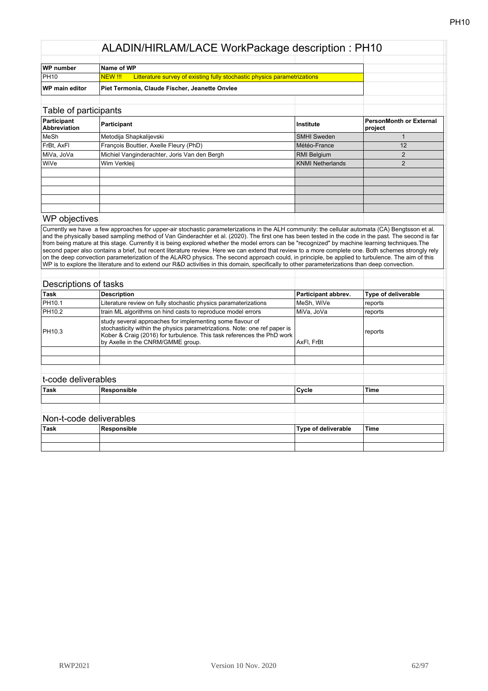| WP number             | Name of WP                                                                                 |  |
|-----------------------|--------------------------------------------------------------------------------------------|--|
| PH10                  | Litterature survey of existing fully stochastic physics parametrizations<br><b>INEW!!!</b> |  |
| <b>WP main editor</b> | Piet Termonia, Claude Fischer, Jeanette Onvlee                                             |  |

# Table of participants **Participant Abbreviation Participant Institute PersonMonth or External project** MeSh Metodija Shapkalijevski SMHI Sweden 1 FrBt, AxFl François Bouttier, Axelle Fleury (PhD) Météo-France 12 MiVa, JoVa Michiel Vanginderachter, Joris Van den Bergh RMI Belgium RMI Belgium 2 WiVe Wim Verkleij **Wim Windows 2** 2

#### WP objectives

Currently we have a few approaches for upper-air stochastic parameterizations in the ALH community: the cellular automata (CA) Bengtsson et al. and the physically based sampling method of Van Ginderachter et al. (2020). The first one has been tested in the code in the past. The second is far from being mature at this stage. Currently it is being explored whether the model errors can be "recognized" by machine learning techniques.The second paper also contains a brief, but recent literature review. Here we can extend that review to a more complete one. Both schemes strongly rely on the deep convection parameterization of the ALARO physics. The second approach could, in principle, be applied to turbulence. The aim of this WP is to explore the literature and to extend our R&D activities in this domain, specifically to other parameterizations than deep convection.

|                     | Descriptions of tasks                                                                                                                                                                                                                                 |                     |                     |
|---------------------|-------------------------------------------------------------------------------------------------------------------------------------------------------------------------------------------------------------------------------------------------------|---------------------|---------------------|
| <b>Task</b>         | <b>Description</b>                                                                                                                                                                                                                                    | Participant abbrev. | Type of deliverable |
| PH10.1              | Literature review on fully stochastic physics paramaterizations                                                                                                                                                                                       | MeSh, WiVe          | reports             |
| PH10.2              | train ML algorithms on hind casts to reproduce model errors                                                                                                                                                                                           | MiVa, JoVa          | reports             |
| PH10.3              | study several approaches for implementing some flavour of<br>stochasticity within the physics parametrizations. Note: one ref paper is<br>Kober & Craig (2016) for turbulence. This task references the PhD work<br>by Axelle in the CNRM/GMME group. | AxFl, FrBt          | reports             |
|                     |                                                                                                                                                                                                                                                       |                     |                     |
|                     |                                                                                                                                                                                                                                                       |                     |                     |
| t-code deliverables |                                                                                                                                                                                                                                                       |                     |                     |
| Task                | Responsible                                                                                                                                                                                                                                           | Cycle               | <b>Time</b>         |
|                     | Non-t-code deliverables                                                                                                                                                                                                                               |                     |                     |
| Task                | Responsible                                                                                                                                                                                                                                           | Type of deliverable | <b>Time</b>         |
|                     |                                                                                                                                                                                                                                                       |                     |                     |
|                     |                                                                                                                                                                                                                                                       |                     |                     |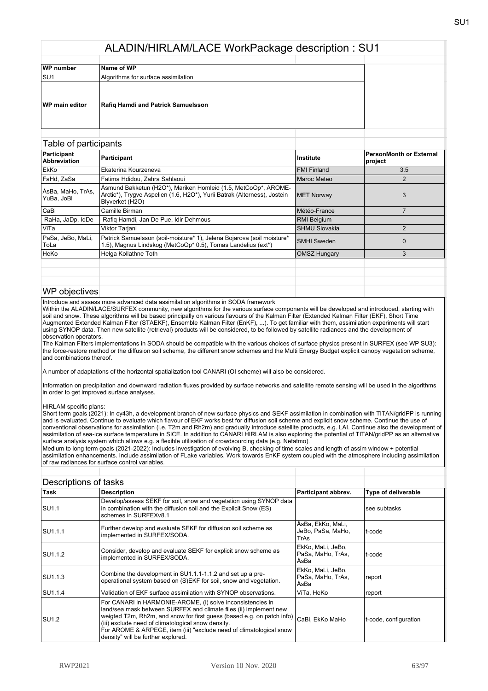| WP number             | Name of WP                                |  |
|-----------------------|-------------------------------------------|--|
| SU <sub>1</sub>       | Algorithms for surface assimilation       |  |
| <b>WP</b> main editor | <b>Rafiq Hamdi and Patrick Samuelsson</b> |  |

| Table of participants              |                                                                                                                                                               |                      |                                           |
|------------------------------------|---------------------------------------------------------------------------------------------------------------------------------------------------------------|----------------------|-------------------------------------------|
| Participant<br><b>Abbreviation</b> | Participant                                                                                                                                                   | Institute            | <b>PersonMonth or External</b><br>project |
| EkKo                               | Ekaterina Kourzeneva                                                                                                                                          | <b>FMI Finland</b>   | 3.5                                       |
| FaHd, ZaSa                         | Fatima Hdidou, Zahra Sahlaoui                                                                                                                                 | Maroc Meteo          | $\overline{2}$                            |
| ∣ÅsBa, MaHo, TrAs,<br>YuBa. JoBl   | Åsmund Bakketun (H2O*), Mariken Homleid (1.5, MetCoOp*, AROME-<br>Arctic*), Trygve Aspelien (1.6, H2O*), Yurii Batrak (Alterness), Jostein<br>Blyverket (H2O) | <b>MET Norway</b>    | 3                                         |
| CaBi                               | Camille Birman                                                                                                                                                | Météo-France         |                                           |
| RaHa, JaDp, IdDe                   | Rafiq Hamdi, Jan De Pue, Idir Dehmous                                                                                                                         | <b>RMI Belgium</b>   |                                           |
| ViTa                               | Viktor Tarjani                                                                                                                                                | <b>SHMU Slovakia</b> | $\mathfrak{p}$                            |
| PaSa, JeBo, MaLi,<br>ToLa          | Patrick Samuelsson (soil-moisture* 1), Jelena Bojarova (soil moisture*<br>1.5), Magnus Lindskog (MetCoOp* 0.5), Tomas Landelius (ext*)                        | <b>SMHI</b> Sweden   | $\Omega$                                  |
| HeKo                               | Helga Kollathne Toth                                                                                                                                          | <b>OMSZ Hungary</b>  | 3                                         |
|                                    |                                                                                                                                                               |                      |                                           |
|                                    |                                                                                                                                                               |                      |                                           |
|                                    |                                                                                                                                                               |                      |                                           |

#### WP objectives

Introduce and assess more advanced data assimilation algorithms in SODA framework

Within the ALADIN/LACE/SURFEX community, new algorithms for the various surface components will be developed and introduced, starting with soil and snow. These algorithms will be based principally on various flavours of the Kalman Filter (Extended Kalman Filter (EKF), Short Time Augmented Extended Kalman Filter (STAEKF), Ensemble Kalman Filter (EnKF), ...). To get familiar with them, assimilation experiments will start using SYNOP data. Then new satellite (retrieval) products will be considered, to be followed by satellite radiances and the development of observation operators.

The Kalman Filters implementations in SODA should be compatible with the various choices of surface physics present in SURFEX (see WP SU3): the force-restore method or the diffusion soil scheme, the different snow schemes and the Multi Energy Budget explicit canopy vegetation scheme, and combinations thereof.

A number of adaptations of the horizontal spatialization tool CANARI (OI scheme) will also be considered.

Information on precipitation and downward radiation fluxes provided by surface networks and satellite remote sensing will be used in the algorithms in order to get improved surface analyses.

HIRLAM specific plans:

Short term goals (2021): In cy43h, a development branch of new surface physics and SEKF assimilation in combination with TITAN/gridPP is running and is evaluated. Continue to evaluate which flavour of EKF works best for diffusion soil scheme and explicit snow scheme. Continue the use of conventional observations for assimilation (i.e. T2m and Rh2m) and gradually introduce satellite products, e.g. LAI. Continue also the development of assimilation of sea-ice surface temperature in SICE. In addition to CANARI HIRLAM is also exploring the potential of TITAN/gridPP as an alternative surface analysis system which allows e.g. a flexible utilisation of crowdsourcing data (e.g. Netatmo).

Medium to long term goals (2021-2022): Includes investigation of evolving B, checking of time scales and length of assim window + potential assimilation enhancements. Include assimilation of FLake variables. Work towards EnKF system coupled with the atmosphere including assimilation of raw radiances for surface control variables.

| Descriptions of tasks |                                                                                                                                                                                                                                                                                                                                                                              |                                                |                            |
|-----------------------|------------------------------------------------------------------------------------------------------------------------------------------------------------------------------------------------------------------------------------------------------------------------------------------------------------------------------------------------------------------------------|------------------------------------------------|----------------------------|
| <b>Task</b>           | <b>Description</b>                                                                                                                                                                                                                                                                                                                                                           | Participant abbrev.                            | <b>Type of deliverable</b> |
| <b>SU1.1</b>          | Develop/assess SEKF for soil, snow and vegetation using SYNOP data<br>in combination with the diffusion soil and the Explicit Snow (ES)<br>schemes in SURFEXv8.1                                                                                                                                                                                                             |                                                | see subtasks               |
| ISU1.1.1              | Further develop and evaluate SEKF for diffusion soil scheme as<br>implemented in SURFEX/SODA.                                                                                                                                                                                                                                                                                | ÅsBa, EkKo, MaLi,<br>JeBo, PaSa, MaHo,<br>TrAs | t-code                     |
| SU1.1.2               | Consider, develop and evaluate SEKF for explicit snow scheme as<br>implemented in SURFEX/SODA.                                                                                                                                                                                                                                                                               | EkKo, MaLi, JeBo,<br>PaSa, MaHo, TrAs,<br>ÅsBa | t-code                     |
| ISU1.1.3              | Combine the development in SU1.1.1-1.1.2 and set up a pre-<br>operational system based on (S)EKF for soil, snow and vegetation.                                                                                                                                                                                                                                              | EkKo, MaLi, JeBo,<br>PaSa, MaHo, TrAs,<br>ÅsBa | report                     |
| <b>SU1.1.4</b>        | Validation of EKF surface assimilation with SYNOP observations.                                                                                                                                                                                                                                                                                                              | ViTa, HeKo                                     | report                     |
| ISU1.2                | For CANARI in HARMONIE-AROME, (i) solve inconsistencies in<br>land/sea mask between SURFEX and climate files (ii) implement new<br>weigted T2m, Rh2m, and snow for first guess (based e.g. on patch info)<br>(iii) exclude need of climatological snow density.<br>For AROME & ARPEGE, item (iii) "exclude need of climatological snow<br>density" will be further explored. | CaBi. EkKo MaHo                                | t-code, configuration      |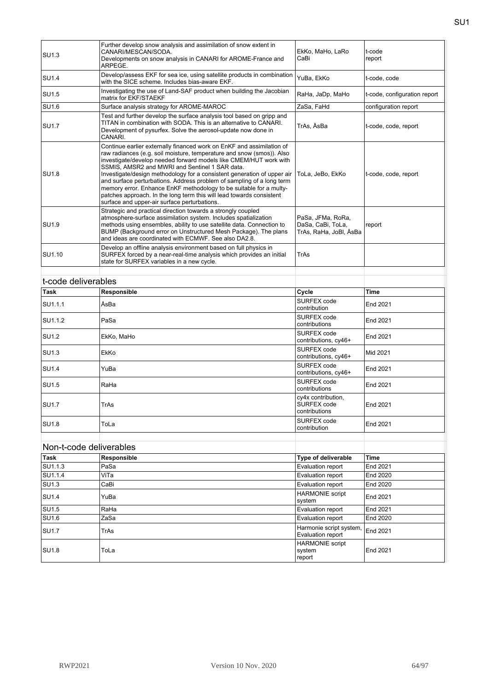| <b>SU1.3</b> | Further develop snow analysis and assimilation of snow extent in<br>CANARI/MESCAN/SODA.<br>Developments on snow analysis in CANARI for AROME-France and<br>ARPEGE.                                                                                                                                                                                                                                                                                                                                                                                                                                                      | EkKo, MaHo, LaRo<br>CaBi                                         | t-code<br>report             |
|--------------|-------------------------------------------------------------------------------------------------------------------------------------------------------------------------------------------------------------------------------------------------------------------------------------------------------------------------------------------------------------------------------------------------------------------------------------------------------------------------------------------------------------------------------------------------------------------------------------------------------------------------|------------------------------------------------------------------|------------------------------|
| <b>SU1.4</b> | Develop/assess EKF for sea ice, using satellite products in combination<br>with the SICE scheme. Includes bias-aware EKF.                                                                                                                                                                                                                                                                                                                                                                                                                                                                                               | YuBa, EkKo                                                       | t-code, code                 |
| <b>SU1.5</b> | Investigating the use of Land-SAF product when building the Jacobian<br>matrix for EKF/STAEKF                                                                                                                                                                                                                                                                                                                                                                                                                                                                                                                           | RaHa, JaDp, MaHo                                                 | t-code, configuration report |
| <b>SU1.6</b> | Surface analysis strategy for AROME-MAROC                                                                                                                                                                                                                                                                                                                                                                                                                                                                                                                                                                               | ZaSa, FaHd                                                       | configuration report         |
| <b>SU1.7</b> | Test and further develop the surface analysis tool based on gripp and<br>TITAN in combination with SODA. This is an alternative to CANARI.<br>Development of pysurfex. Solve the aerosol-update now done in<br>CANARI.                                                                                                                                                                                                                                                                                                                                                                                                  | TrAs, ÅsBa                                                       | t-code, code, report         |
| <b>SU1.8</b> | Continue earlier externally financed work on EnKF and assimilation of<br>raw radiances (e.g. soil moisture, temperature and snow (smos)). Also<br>investigate/develop needed forward models like CMEM/HUT work with<br>SSMIS, AMSR2 and MWRI and Sentinel 1 SAR data.<br>Investigate/design methodology for a consistent generation of upper air<br>and surface perturbations. Address problem of sampling of a long term<br>memory error. Enhance EnKF methodology to be suitable for a multy-<br>patches approach. In the long term this will lead towards consistent<br>surface and upper-air surface perturbations. | ToLa, JeBo, EkKo                                                 | t-code, code, report         |
| <b>SU1.9</b> | Strategic and practical direction towards a strongly coupled<br>atmosphere-surface assimilation system. Includes spatialization<br>methods using ensembles, ability to use satellite data. Connection to<br>BUMP (Background error on Unstructured Mesh Package). The plans<br>and ideas are coordinated with ECMWF. See also DA2.8.                                                                                                                                                                                                                                                                                    | PaSa, JFMa, RoRa,<br>DaSa, CaBi, ToLa,<br>TrAs, RaHa, JoBl, ÅsBa | report                       |
| SU1.10       | Develop an offline analysis environment based on full physics in<br>SURFEX forced by a near-real-time analysis which provides an initial<br>state for SURFEX variables in a new cycle.                                                                                                                                                                                                                                                                                                                                                                                                                                  | TrAs                                                             |                              |
|              |                                                                                                                                                                                                                                                                                                                                                                                                                                                                                                                                                                                                                         |                                                                  |                              |

| Task              | Responsible | Cycle                                              | <b>Time</b> |
|-------------------|-------------|----------------------------------------------------|-------------|
| SU1.1.1           | ÅsBa        | SURFEX code<br>contribution                        | End 2021    |
| SU1.1.2           | PaSa        | SURFEX code<br>contributions                       | End 2021    |
| SU <sub>1.2</sub> | EkKo, MaHo  | SURFEX code<br>contributions, cy46+                | End 2021    |
| SU1.3             | <b>EkKo</b> | SURFEX code<br>contributions, cy46+                | Mid 2021    |
| <b>SU1.4</b>      | YuBa        | SURFEX code<br>contributions, cy46+                | End 2021    |
| SU1.5             | RaHa        | SURFEX code<br>contributions                       | End 2021    |
| SU1.7             | TrAs        | cy4x contribution,<br>SURFEX code<br>contributions | End 2021    |
| <b>SU1.8</b>      | ToLa        | SURFEX code<br>contribution                        | End 2021    |

|                   | Non-t-code deliverables |                                              |                 |
|-------------------|-------------------------|----------------------------------------------|-----------------|
| Task              | Responsible             | Type of deliverable                          | <b>Time</b>     |
| SU1.1.3           | PaSa                    | Evaluation report                            | End 2021        |
| SU1.1.4           | ViTa                    | Evaluation report                            | <b>End 2020</b> |
| SU1.3             | CaBi                    | Evaluation report                            | <b>End 2020</b> |
| <b>SU1.4</b>      | YuBa                    | <b>HARMONIE</b> script<br>system             | End 2021        |
| SU1.5             | RaHa                    | Evaluation report                            | End 2021        |
| SU <sub>1.6</sub> | ZaSa                    | Evaluation report                            | <b>End 2020</b> |
| <b>SU1.7</b>      | TrAs                    | Harmonie script system,<br>Evaluation report | <b>End 2021</b> |
| <b>SU1.8</b>      | ToLa                    | <b>HARMONIE</b> script<br>system<br>report   | End 2021        |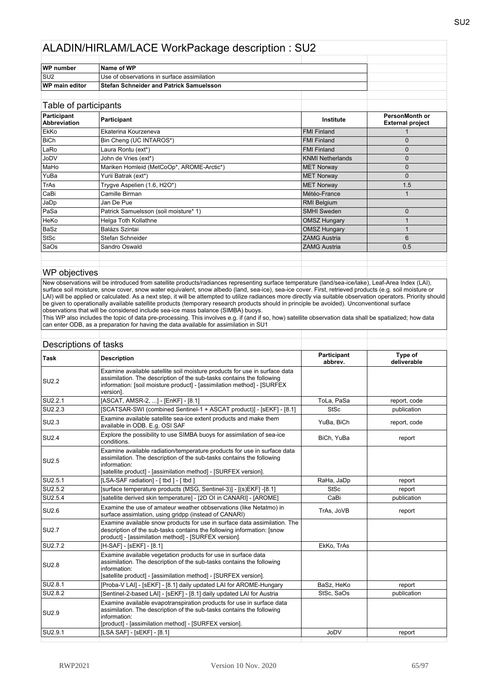| WP number       | Name of WP                                     |  |  |
|-----------------|------------------------------------------------|--|--|
| SU <sub>2</sub> | Use of observations in surface assimilation    |  |  |
| WP main editor  | <b>Stefan Schneider and Patrick Samuelsson</b> |  |  |
|                 |                                                |  |  |
|                 |                                                |  |  |

| Table of participants              |                                           |                         |                                           |
|------------------------------------|-------------------------------------------|-------------------------|-------------------------------------------|
| Participant<br><b>Abbreviation</b> | Participant                               | Institute               | PersonMonth or<br><b>External project</b> |
| EkKo                               | Ekaterina Kourzeneva                      | <b>FMI Finland</b>      |                                           |
| <b>BiCh</b>                        | Bin Cheng (UC INTAROS*)                   | <b>FMI Finland</b>      | $\mathbf 0$                               |
| LaRo                               | Laura Rontu (ext*)                        | <b>FMI Finland</b>      | 0                                         |
| JoDV                               | John de Vries (ext*)                      | <b>KNMI Netherlands</b> | $\mathbf{0}$                              |
| MaHo                               | Mariken Homleid (MetCoOp*, AROME-Arctic*) | <b>MET Norway</b>       | $\mathbf{0}$                              |
| YuBa                               | Yurii Batrak (ext*)                       | <b>MET Norway</b>       | $\mathbf{0}$                              |
| TrAs                               | Trygve Aspelien (1.6, H2O*)               | <b>MET Norway</b>       | 1.5                                       |
| CaBi                               | Camille Birman                            | Météo-France            |                                           |
| JaDp                               | Jan De Pue                                | <b>RMI Belgium</b>      |                                           |
| PaSa                               | Patrick Samuelsson (soil moisture* 1)     | <b>SMHI</b> Sweden      | $\mathbf{0}$                              |
| HeKo                               | Helga Toth Kollathne                      | <b>OMSZ Hungary</b>     |                                           |
| BaSz                               | Balázs Szintai                            | <b>OMSZ Hungary</b>     |                                           |
| <b>StSc</b>                        | Stefan Schneider                          | <b>ZAMG</b> Austria     | 6                                         |
| SaOs                               | Sandro Oswald                             | <b>ZAMG Austria</b>     | 0.5                                       |
|                                    |                                           |                         |                                           |
|                                    |                                           |                         |                                           |

#### WP objectives

New observations will be introduced from satellite products/radiances representing surface temperature (land/sea-ice/lake), Leaf-Area Index (LAI), surface soil moisture, snow cover, snow water equivalent, snow albedo (land, sea-ice), sea-ice cover. First, retrieved products (e.g. soil moisture or LAI) will be applied or calculated. As a next step, it will be attempted to utilize radiances more directly via suitable observation operators. Priority should be given to operationally available satellite products (temporary research products should in principle be avoided). Unconventional surface observations that will be considered include sea-ice mass balance (SIMBA) buoys.

This WP also includes the topic of data pre-processing. This involves e.g. if (and if so, how) satellite observation data shall be spatialized; how data can enter ODB, as a preparation for having the data available for assimilation in SU1

| <b>Description</b>                                                                                                                                                                                                                         | Participant<br>abbrev. | Type of<br>deliverable |
|--------------------------------------------------------------------------------------------------------------------------------------------------------------------------------------------------------------------------------------------|------------------------|------------------------|
| Examine available satellite soil moisture products for use in surface data<br>assimilation. The description of the sub-tasks contains the following<br>information: [soil moisture product] - [assimilation method] - [SURFEX<br>version]. |                        |                        |
| [ASCAT, AMSR-2, ] - [EnKF] - [8.1]                                                                                                                                                                                                         | ToLa, PaSa             | report, code           |
| [SCATSAR-SWI (combined Sentinel-1 + ASCAT product)] - [SEKF] - [8.1]                                                                                                                                                                       | <b>StSc</b>            | publication            |
| Examine available satellite sea-ice extent products and make them<br>available in ODB. E.g. OSI SAF                                                                                                                                        | YuBa, BiCh             | report, code           |
| Explore the possibility to use SIMBA buoys for assimilation of sea-ice<br>conditions.                                                                                                                                                      | BiCh, YuBa             | report                 |
| Examine available radiation/temperature products for use in surface data<br>assimilation. The description of the sub-tasks contains the following<br>information:<br>[satellite product] - [assimilation method] - [SURFEX version].       |                        |                        |
| [LSA-SAF radiation] - [ tbd ] - [ tbd ]                                                                                                                                                                                                    | RaHa, JaDp             | report                 |
| [surface temperature products (MSG, Sentinel-3)] - [(s)EKF] -[8.1]                                                                                                                                                                         | <b>StSc</b>            | report                 |
| [satellite derived skin temperature] - [2D OI in CANARI] - [AROME]                                                                                                                                                                         | CaBi                   | publication            |
| Examine the use of amateur weather obbservations (like Netatmo) in<br>surface assimlation, using gridpp (instead of CANARI)                                                                                                                | TrAs, JoVB             | report                 |
| Examine available snow products for use in surface data assimilation. The<br>description of the sub-tasks contains the following information: [snow<br>product] - [assimilation method] - [SURFEX version].                                |                        |                        |
| [H-SAF] - [sEKF] - [8.1]                                                                                                                                                                                                                   | EkKo, TrAs             |                        |
| Examine available vegetation products for use in surface data<br>assimilation. The description of the sub-tasks contains the following<br>information:<br>[satellite product] - [assimilation method] - [SURFEX version].                  |                        |                        |
| [Proba-V LAI] - [SEKF] - [8.1] daily updated LAI for AROME-Hungary                                                                                                                                                                         | BaSz, HeKo             | report                 |
| [Sentinel-2-based LAI] - [sEKF] - [8.1] daily updated LAI for Austria                                                                                                                                                                      | StSc, SaOs             | publication            |
| Examine available evapotranspiration products for use in surface data<br>assimilation. The description of the sub-tasks contains the following<br>information:<br>[product] - [assimilation method] - [SURFEX version].                    |                        |                        |
| [LSA SAF] - [SEKF] - [8.1]                                                                                                                                                                                                                 | JoDV                   | report                 |
|                                                                                                                                                                                                                                            | Descriptions of tasks  |                        |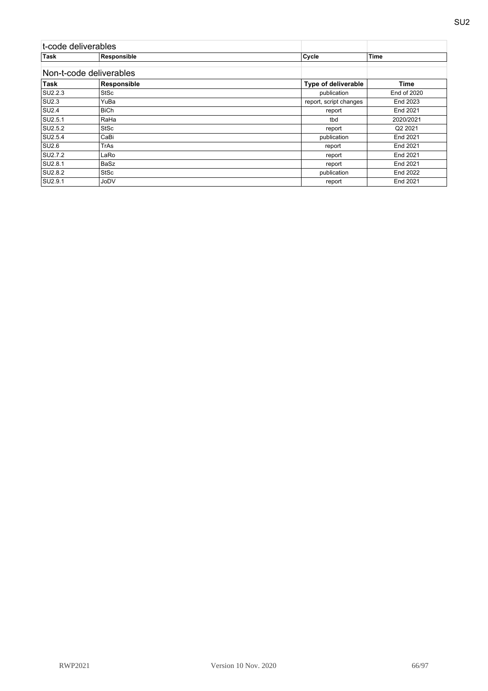| t-code deliverables |                         |                        |             |
|---------------------|-------------------------|------------------------|-------------|
| <b>Task</b>         | Responsible             | Cycle                  | <b>Time</b> |
|                     | Non-t-code deliverables |                        |             |
| <b>Task</b>         | Responsible             | Type of deliverable    | Time        |
| SU2.2.3             | <b>StSc</b>             | publication            | End of 2020 |
| <b>SU2.3</b>        | YuBa                    | report, script changes | End 2023    |
| <b>SU2.4</b>        | <b>BiCh</b>             | report                 | End 2021    |
| SU2.5.1             | RaHa                    | tbd                    | 2020/2021   |
| SU2.5.2             | <b>StSc</b>             | report                 | Q2 2021     |
| SU2.5.4             | CaBi                    | publication            | End 2021    |
| <b>SU2.6</b>        | TrAs                    | report                 | End 2021    |
| SU2.7.2             | LaRo                    | report                 | End 2021    |
| SU2.8.1             | BaSz                    | report                 | End 2021    |
| SU2.8.2             | <b>StSc</b>             | publication            | End 2022    |
| SU2.9.1             | JoDV                    | report                 | End 2021    |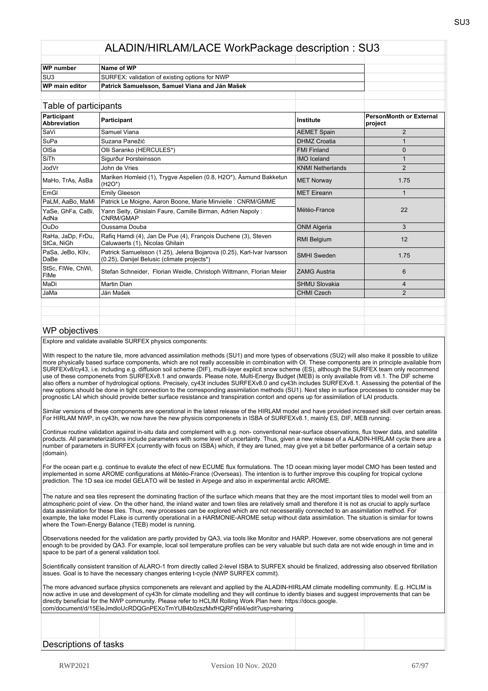| WP number             | Name of WP                                     |  |
|-----------------------|------------------------------------------------|--|
| SU3                   | SURFEX: validation of existing options for NWP |  |
| <b>WP</b> main editor | Patrick Samuelsson, Samuel Viana and Ján Mašek |  |
|                       |                                                |  |

| Table of participants            |                                                                                                                      |                         |                                           |
|----------------------------------|----------------------------------------------------------------------------------------------------------------------|-------------------------|-------------------------------------------|
| Participant<br>Abbreviation      | Participant                                                                                                          | Institute               | <b>PersonMonth or External</b><br>project |
| SaVi                             | Samuel Viana                                                                                                         | <b>AEMET Spain</b>      | $\overline{2}$                            |
| SuPa                             | Suzana Panežić                                                                                                       | <b>DHMZ Croatia</b>     |                                           |
| OISa                             | Olli Saranko (HERCULES*)                                                                                             | <b>FMI Finland</b>      | $\Omega$                                  |
| SiTh                             | Sigurður Þorsteinsson                                                                                                | <b>IMO</b> Iceland      |                                           |
| <b>JodVr</b>                     | John de Vries                                                                                                        | <b>KNMI Netherlands</b> | 2                                         |
| MaHo, TrAs, ÅsBa                 | Mariken Homleid (1), Trygve Aspelien (0.8, H2O*), Åsmund Bakketun<br>$(H2O*)$                                        | <b>MET Norway</b>       | 1.75                                      |
| EmGI                             | <b>Emily Gleeson</b>                                                                                                 | <b>MET</b> Eireann      | 1                                         |
| PaLM, AaBo, MaMi                 | Patrick Le Moigne, Aaron Boone, Marie Minvielle : CNRM/GMME                                                          |                         | 22                                        |
| YaSe, GhFa, CaBi,<br>AdNa        | Yann Seity, Ghislain Faure, Camille Birman, Adrien Napoly:<br>CNRM/GMAP                                              | Météo-France            |                                           |
| OuDo                             | Oussama Douba                                                                                                        | <b>ONM Algeria</b>      | 3                                         |
| RaHa, JaDp, FrDu,<br>StCa, NiGh  | Rafiq Hamdi (4), Jan De Pue (4), François Duchene (3), Steven<br>Caluwaerts (1), Nicolas Ghilain                     | <b>RMI Belgium</b>      | 12                                        |
| PaSa, JeBo, Kllv,<br>DaBe        | Patrick Samuelsson (1.25), Jelena Bojarova (0.25), Karl-Ivar Ivarsson<br>(0.25), Danijel Belusic (climate projects*) | <b>SMHI</b> Sweden      | 1.75                                      |
| StSc, FIWe, ChWi,<br><b>FIMe</b> | Stefan Schneider, Florian Weidle, Christoph Wittmann, Florian Meier                                                  | <b>ZAMG Austria</b>     | 6                                         |
| MaDi                             | Martin Dian                                                                                                          | <b>SHMU Slovakia</b>    | 4                                         |
| JaMa                             | Ján Mašek                                                                                                            | <b>CHMI Czech</b>       | $\overline{2}$                            |
|                                  |                                                                                                                      |                         |                                           |
|                                  |                                                                                                                      |                         |                                           |
|                                  |                                                                                                                      |                         |                                           |

#### WP objectives

Explore and validate available SURFEX physics components:

With respect to the nature tile, more advanced assimilation methods (SU1) and more types of observations (SU2) will also make it possible to utilize more physically based surface components, which are not really accessible in combination with OI. These components are in principle available from SURFEXv8/cy43, i.e. including e.g. diffusion soil scheme (DIF), multi-layer explicit snow scheme (ES), although the SURFEX team only recommend use of these componenets from SURFEXv8.1 and onwards. Please note, Multi-Energy Budget (MEB) is only available from v8.1. The DIF scheme also offers a number of hydrological options. Precisely, cy43t includes SURFEXv8.0 and cy43h includes SURFEXv8.1. Assessing the potential of the new options should be done in tight connection to the corresponding assimilation methods (SU1). Next step in surface processes to consider may be prognostic LAI which should provide better surface resistance and transpiration contorl and opens up for assimilation of LAI products.

Similar versions of these components are operational in the latest release of the HIRLAM model and have provided increased skill over certain areas. For HIRLAM NWP, in cy43h, we now have the new physicis componenets in ISBA of SURFEXv8.1, mainly ES, DIF, MEB running.

Continue routine validation against in-situ data and complement with e.g. non- conventional near-surface observations, flux tower data, and satellite products. All parameterizations include parameters with some level of uncertainty. Thus, given a new release of a ALADIN-HIRLAM cycle there are a number of parameters in SURFEX (currently with focus on ISBA) which, if they are tuned, may give yet a bit better performance of a certain setup (domain).

For the ocean part e.g. continue to evalute the efect of new ECUME flux formulations. The 1D ocean mixing layer model CMO has been tested and implemented in some AROME configurations at Météo-France (Overseas). The intention is to further improve this coupling for tropical cyclone prediction. The 1D sea ice model GELATO will be tested in Arpege and also in experimental arctic AROME.

The nature and sea tiles represent the dominating fraction of the surface which means that they are the most important tiles to model well from an atmospheric point of view. On the other hand, the inland water and town tiles are relatively small and therefore it is not as crucial to apply surface data assimilation for these tiles. Thus, new processes can be explored which are not necesseraliy connected to an assimilation method. For example, the lake model FLake is currently operational in a HARMONIE-AROME setup without data assimilation. The situation is similar for towns where the Town-Energy Balance (TEB) model is running.

Observations needed for the validation are partly provided by QA3, via tools like Monitor and HARP. However, some observations are not general enough to be provided by QA3. For example, local soil temperature profiles can be very valuable but such data are not wide enough in time and in space to be part of a general validation tool.

Scientifically consistent transition of ALARO-1 from directly called 2-level ISBA to SURFEX should be finalized, addressing also observed fibrillation issues. Goal is to have the necessary changes entering t-cycle (NWP SURFEX commit).

The more advanced surface physics componenets are relevant and applied by the ALADIN-HIRLAM climate modelling community. E.g. HCLIM is now active in use and development of cy43h for climate modelling and they will continue to idently biases and suggest improvements that can be directly beneficial for the NWP community. Please refer to HCLIM Rolling Work Plan here: https://docs.google. com/document/d/15EleJmdloUcRDQGnPEXoTmYUB4b0zszMxfHQjRFn6l4/edit?usp=sharing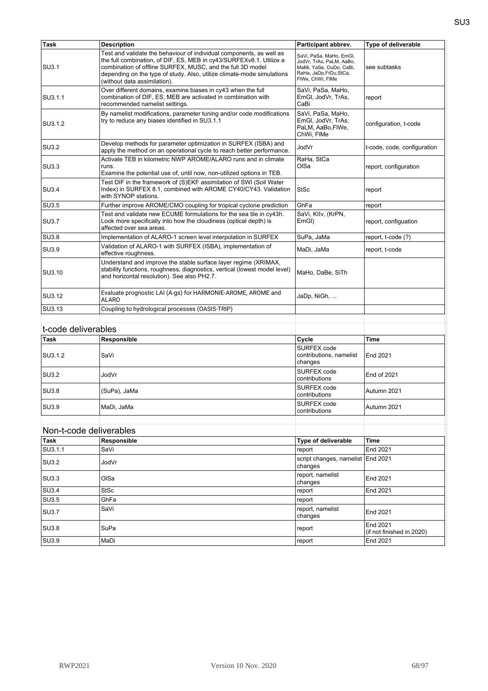| <b>Task</b>             | <b>Description</b>                                                                                                                                                                                                                          | Participant abbrev.                                                                                                           | Type of deliverable                   |
|-------------------------|---------------------------------------------------------------------------------------------------------------------------------------------------------------------------------------------------------------------------------------------|-------------------------------------------------------------------------------------------------------------------------------|---------------------------------------|
|                         | Test and validate the behaviour of individual components, as well as                                                                                                                                                                        |                                                                                                                               |                                       |
| SU3.1                   | the full combination, of DIF, ES, MEB in cy43/SURFEXv8.1. Utilize a<br>combination of offline SURFEX, MUSC, and the full 3D model<br>depending on the type of study. Also, utilize climate-mode simulations<br>(without data assimilation). | SaVi, PaSa, MaHo, EmGl,<br>JodVr, TrAs, PaLM, AaBo,<br>MaMi, YaSe, OuDo, CaBi,<br>RaHa, JaDp, FrDu, StCa,<br>FIWe, ChWi, FIMe | see subtasks                          |
| SU3.1.1                 | Over different domains, examine biases in cy43 when the full<br>combination of DIF, ES, MEB are activated in combination with<br>recommended namelist settings.                                                                             | SaVi, PaSa, MaHo,<br>EmGl. JodVr. TrAs.<br>CaBi                                                                               | report                                |
| SU3.1.2                 | By namelist modifications, parameter tuning and/or code modifications<br>try to reduce any biases identified in SU3.1.1                                                                                                                     | SaVi, PaSa, MaHo,<br>EmGl, JodVr, TrAs,<br>PaLM, AaBo, FIWe,<br>ChWi, FIMe                                                    | configuration, t-code                 |
| SU3.2                   | Develop methods for parameter optimization in SURFEX (ISBA) and<br>apply the method on an operational cycle to reach better performance.                                                                                                    | JodVr                                                                                                                         | t-code, code, configuration           |
| SU3.3                   | Activate TEB in kilometric NWP AROME/ALARO runs and in climate<br>runs.<br>Examine the potential use of, until now, non-utilized options in TEB.                                                                                            | RaHa, StCa<br>OISa                                                                                                            | report, configuration                 |
| SU3.4                   | Test DIF in the framework of (S)EKF assimilation of SWI (Soil Water<br>Index) in SURFEX 8.1, combined with AROME CY40/CY43. Validation<br>with SYNOP stations.                                                                              | <b>StSc</b>                                                                                                                   | report                                |
| SU3.5                   | Further improve AROME/CMO coupling for tropical cyclone prediction                                                                                                                                                                          | GhFa                                                                                                                          | report                                |
| SU3.7                   | Test and validate new ECUME formulations for the sea tile in cy43h.<br>Look more specifically into how the cloudiness (optical depth) is<br>affected over sea areas.                                                                        | SaVi, Kllv, (KrPN,<br>EmGI)                                                                                                   | report, configuation                  |
| <b>SU3.8</b>            | Implementation of ALARO-1 screen level interpolation in SURFEX                                                                                                                                                                              | SuPa, JaMa                                                                                                                    | report, t-code (?)                    |
| SU3.9                   | Validation of ALARO-1 with SURFEX (ISBA), implementation of<br>effective roughness.                                                                                                                                                         | MaDi, JaMa                                                                                                                    | report, t-code                        |
| SU3.10                  | Understand and improve the stable surface layer regime (XRIMAX,<br>stability functions, roughness, diagnostics, vertical (lowest model level)<br>and horizontal resolution). See also PH2.7.                                                | MaHo, DaBe, SiTh                                                                                                              |                                       |
| SU3.12                  | Evaluate prognostic LAI (A-gs) for HARMONIE-AROME, AROME and<br>ALARO                                                                                                                                                                       | JaDp, NiGh,                                                                                                                   |                                       |
| SU3.13                  | Coupling to hydrological processes (OASIS-TRIP)                                                                                                                                                                                             |                                                                                                                               |                                       |
|                         |                                                                                                                                                                                                                                             |                                                                                                                               |                                       |
| t-code deliverables     |                                                                                                                                                                                                                                             |                                                                                                                               |                                       |
| <b>Task</b>             | Responsible                                                                                                                                                                                                                                 | Cycle                                                                                                                         | <b>Time</b>                           |
| SU3.1.2                 | SaVi                                                                                                                                                                                                                                        | SURFEX code<br>contributions, namelist<br>changes                                                                             | End 2021                              |
| SU3.2                   | JodVr                                                                                                                                                                                                                                       | SURFEX code<br>contributions                                                                                                  | End of 2021                           |
| SU3.8                   | (SuPa), JaMa                                                                                                                                                                                                                                | SURFEX code<br>contributions                                                                                                  | Autumn 2021                           |
| SU3.9                   | MaDi, JaMa                                                                                                                                                                                                                                  | SURFEX code<br>contributions                                                                                                  | Autumn 2021                           |
|                         |                                                                                                                                                                                                                                             |                                                                                                                               |                                       |
| Non-t-code deliverables |                                                                                                                                                                                                                                             |                                                                                                                               |                                       |
| <b>Task</b>             | Responsible                                                                                                                                                                                                                                 | Type of deliverable                                                                                                           | <b>Time</b>                           |
| SU3.1.1                 | SaVi                                                                                                                                                                                                                                        | report                                                                                                                        | End 2021                              |
| SU3.2                   | JodVr                                                                                                                                                                                                                                       | script changes, namelist End 2021<br>changes                                                                                  |                                       |
| SU3.3                   | OISa                                                                                                                                                                                                                                        | report, namelist<br>changes                                                                                                   | End 2021                              |
| <b>SU3.4</b>            | <b>StSc</b>                                                                                                                                                                                                                                 | report                                                                                                                        | End 2021                              |
| SU3.5                   | GhFa                                                                                                                                                                                                                                        | report                                                                                                                        |                                       |
| SU3.7                   | SaVi                                                                                                                                                                                                                                        | report, namelist<br>changes                                                                                                   | End 2021                              |
| <b>SU3.8</b>            | SuPa                                                                                                                                                                                                                                        | report                                                                                                                        | End 2021<br>(if not finished in 2020) |
| SU3.9                   | MaDi                                                                                                                                                                                                                                        | report                                                                                                                        | End 2021                              |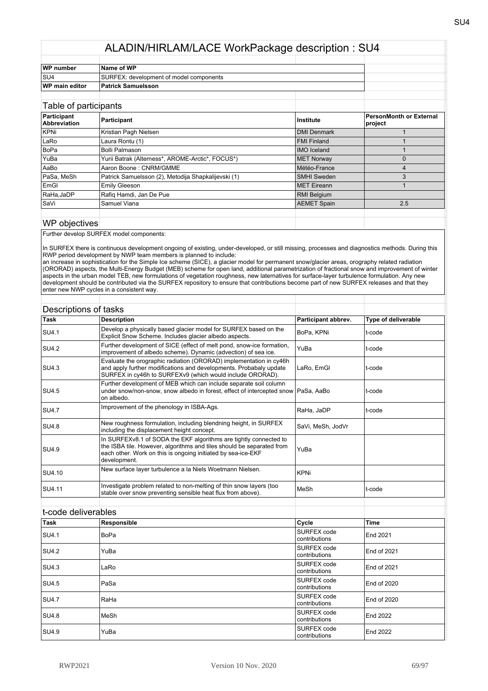| WP number      | Name of WP                              |  |
|----------------|-----------------------------------------|--|
| SU4            | SURFEX: development of model components |  |
| WP main editor | <b>Patrick Samuelsson</b>               |  |
|                |                                         |  |

| Table of participants              |                                                     |                     |                                    |
|------------------------------------|-----------------------------------------------------|---------------------|------------------------------------|
| Participant<br><b>Abbreviation</b> | Participant                                         | Institute           | PersonMonth or External<br>project |
| KPNi                               | Kristian Pagh Nielsen                               | <b>DMI Denmark</b>  |                                    |
| LaRo                               | Laura Rontu (1)                                     | <b>FMI Finland</b>  |                                    |
| BoPa                               | Bolli Palmason                                      | <b>IMO</b> Iceland  |                                    |
| YuBa                               | Yurii Batrak (Alterness*, AROME-Arctic*, FOCUS*)    | <b>MET Norway</b>   |                                    |
| AaBo                               | Aaron Boone: CNRM/GMME                              | Météo-France        | 4                                  |
| PaSa, MeSh                         | Patrick Samuelsson (2), Metodija Shapkalijevski (1) | <b>SMHI Sweden</b>  |                                    |
| EmGI                               | <b>Emily Gleeson</b>                                | <b>IMET</b> Eireann |                                    |
| RaHa, JaDP                         | Rafig Hamdi, Jan De Pue                             | RMI Belgium         |                                    |
| <b>SaVi</b>                        | Samuel Viana                                        | <b>AEMET Spain</b>  | 2.5                                |

#### WP objectives

Further develop SURFEX model components:

In SURFEX there is continuous development ongoing of existing, under-developed, or still missing, processes and diagnostics methods. During this RWP period development by NWP team members is planned to include:

an increase in sophistication for the Simple Ice scheme (SICE), a glacier model for permanent snow/glacier areas, orography related radiation (ORORAD) aspects, the Multi-Energy Budget (MEB) scheme for open land, additional parametrization of fractional snow and improvement of winter aspects in the urban model TEB, new formulations of vegetation roughness, new laternatives for surface-layer turbulence formulation. Any new development should be contributed via the SURFEX repository to ensure that contributions become part of new SURFEX releases and that they enter new NWP cycles in a consistent way.

| Descriptions of tasks |                                                                                                                                                                                                                            |                     |                     |
|-----------------------|----------------------------------------------------------------------------------------------------------------------------------------------------------------------------------------------------------------------------|---------------------|---------------------|
| <b>Task</b>           | <b>Description</b>                                                                                                                                                                                                         | Participant abbrev. | Type of deliverable |
| <b>SU4.1</b>          | Develop a physically based glacier model for SURFEX based on the<br>Explicit Snow Scheme. Includes glacier albedo aspects.                                                                                                 | BoPa, KPNi          | t-code              |
| <b>SU4.2</b>          | Further development of SICE (effect of melt pond, snow-ice formation,<br>improvement of albedo scheme). Dynamic (advection) of sea ice.                                                                                    | YuBa                | t-code              |
| SU4.3                 | Evaluate the orographic radiation (ORORAD) implementation in cy46h<br>and apply further modifications and developments. Probabaly update<br>SURFEX in cy46h to SURFEXv9 (which would include ORORAD).                      | LaRo, EmGl          | t-code              |
| SU4.5                 | Further development of MEB which can include separate soil column<br>under snow/non-snow, snow albedo in forest, effect of intercepted snow   PaSa, AaBo<br>on albedo.                                                     |                     | t-code              |
| <b>SU4.7</b>          | Improvement of the phenology in ISBA-Ags.                                                                                                                                                                                  | RaHa, JaDP          | t-code              |
| <b>SU4.8</b>          | New roughness formulation, including blendning height, in SURFEX<br>including the displacement height concept.                                                                                                             | SaVi, MeSh, JodVr   |                     |
| SU4.9                 | In SURFEXv8.1 of SODA the EKF algorithms are tightly connected to<br>the ISBA tile. However, algorithms and tiles should be separated from<br>each other. Work on this is ongoing initiated by sea-ice-EKF<br>development. | YuBa                |                     |
| SU4.10                | New surface layer turbulence a la Niels Woetmann Nielsen.                                                                                                                                                                  | <b>KPNi</b>         |                     |
| SU4.11                | Investigate problem related to non-melting of thin snow layers (too<br>stable over snow preventing sensible heat flux from above).                                                                                         | MeSh                | t-code              |
|                       |                                                                                                                                                                                                                            |                     |                     |

|              | t-code deliverables |                               |                    |
|--------------|---------------------|-------------------------------|--------------------|
| Task         | Responsible         | Cycle                         | <b>Time</b>        |
| <b>SU4.1</b> | BoPa                | SURFEX code<br>contributions  | End 2021           |
| <b>SU4.2</b> | YuBa                | SURFEX code<br>contributions  | End of 2021        |
| ISU4.3       | LaRo                | SURFEX code<br>contributions  | End of 2021        |
| <b>SU4.5</b> | PaSa                | SURFEX code<br>contributions  | End of 2020        |
| <b>SU4.7</b> | RaHa                | SURFEX code<br>Icontributions | <b>End of 2020</b> |
| <b>SU4.8</b> | MeSh                | SURFEX code<br>contributions  | End 2022           |
| <b>SU4.9</b> | YuBa                | SURFEX code<br>contributions  | End 2022           |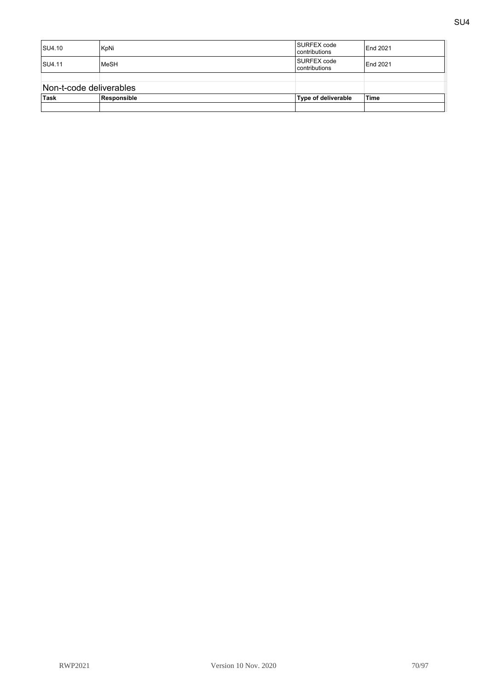| SU4.10                  | KpNi        | SURFEX code<br>Icontributions | End 2021    |
|-------------------------|-------------|-------------------------------|-------------|
| <b>SU4.11</b>           | MeSH        | SURFEX code<br>Icontributions | End 2021    |
|                         |             |                               |             |
| Non-t-code deliverables |             |                               |             |
| Task                    | Responsible | Type of deliverable           | <b>Time</b> |
|                         |             |                               |             |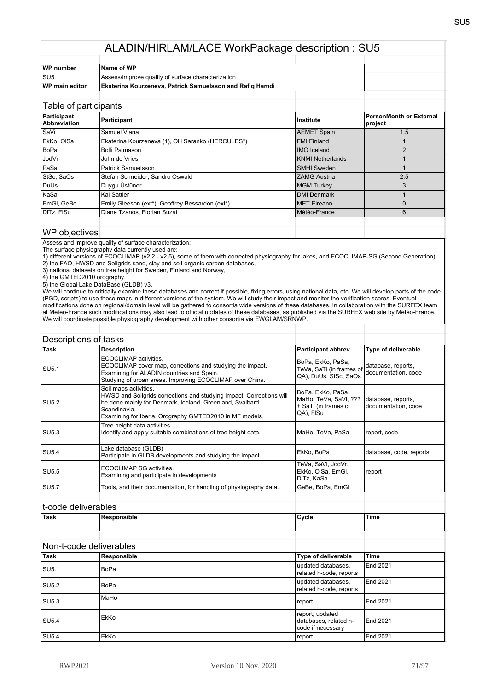| Name of WP                                                      |  |
|-----------------------------------------------------------------|--|
| Assess/improve quality of surface characterization              |  |
| <b>Ekaterina Kourzeneva, Patrick Samuelsson and Rafiq Hamdi</b> |  |
|                                                                 |  |

#### Table of participants **Participant**<br>Abbreviation **Abbreviation Participant Institute PersonMonth or External project** SaVi Samuel Viana AEMET Spain 1.5 EkKo, OlSa Ekaterina Kourzeneva (1), Olli Saranko (HERCULES\*) FMI Finland 1 BoPa Bolli Palmason IMO Iceland 2 **John de Vries And American Contract Contract Contract Contract Contract Contract Contract Contract Contract Contract Contract Contract Contract Contract Contract Contract Contract Contract Contract Contract Contract Contr** PaSa Patrick Samuelsson SMHI Sweden 1 StSc, SaOs Stefan Schneider, Sandro Oswald 2.5<br>
2.5<br>
DuUs Duygu Üstüner 3 **DuUs** Duygu Üstüner **MGM Turkey** 3 KaSa Kai Sattler DMI Denmark 1 EmGl, GeBe Emily Gleeson (ext\*), Geoffrey Bessardon (ext\*) MET Eireann MET Eireann 0 DiTz, FISu Diane Tzanos, Florian Suzat **Météo-France** Météo-France 6

#### WP objectives

Assess and improve quality of surface characterization:

The surface physiography data currently used are:

1) different versions of ECOCLIMAP (v2.2 - v2.5), some of them with corrected physiography for lakes, and ECOCLIMAP-SG (Second Generation) 2) the FAO, HWSD and Soilgrids sand, clay and soil-organic carbon databases,

3) national datasets on tree height for Sweden, Finland and Norway,

4) the GMTED2010 orography,

5) the Global Lake DataBase (GLDB) v3.

We will continue to critically examine these databases and correct if possible, fixing errors, using national data, etc. We will develop parts of the code (PGD, scripts) to use these maps in different versions of the system. We will study their impact and monitor the verification scores. Eventual modifications done on regional/domain level will be gathered to consortia wide versions of these databases. In collaboration with the SURFEX team at Météo-France such modifications may also lead to official updates of these databases, as published via the SURFEX web site by Météo-France. We will coordinate possible physiography development with other consortia via EWGLAM/SRNWP.

| Descriptions of tasks |                                                                                                                                                                                                                                       |                                                                                 |                                           |
|-----------------------|---------------------------------------------------------------------------------------------------------------------------------------------------------------------------------------------------------------------------------------|---------------------------------------------------------------------------------|-------------------------------------------|
| <b>Task</b>           | <b>Description</b>                                                                                                                                                                                                                    | Participant abbrev.                                                             | Type of deliverable                       |
| SU <sub>5.1</sub>     | ECOCLIMAP activities.<br>ECOCLIMAP cover map, corrections and studying the impact.<br>Examining for ALADIN countries and Spain.<br>Studying of urban areas. Improving ECOCLIMAP over China.                                           | BoPa, EkKo, PaSa,<br>TeVa, SaTi (in frames of<br>QA), DuUs, StSc, SaOs          | database, reports,<br>documentation, code |
| <b>SU5.2</b>          | Soil maps activities.<br>HWSD and Soilgrids corrections and studying impact. Corrections will<br>be done mainly for Denmark, Iceland, Greenland, Svalbard,<br>Scandinavia.<br>Examining for Iberia. Orography GMTED2010 in MF models. | BoPa, EkKo, PaSa,<br>MaHo, TeVa, SaVi, ???<br>+ SaTi (in frames of<br>QA), FISu | database, reports,<br>documentation, code |
| <b>SU5.3</b>          | Tree height data activities.<br>Identify and apply suitable combinations of tree height data.                                                                                                                                         | MaHo, TeVa, PaSa                                                                | report, code                              |
| <b>SU5.4</b>          | Lake database (GLDB)<br>Participate in GLDB developments and studying the impact.                                                                                                                                                     | EkKo, BoPa                                                                      | database, code, reports                   |
| <b>SU5.5</b>          | ECOCLIMAP SG activities.<br>Examining and participate in developments                                                                                                                                                                 | TeVa, SaVi, JodVr,<br>EkKo, OISa, EmGI,<br>DiTz, KaSa                           | report                                    |
| <b>SU5.7</b>          | Tools, and their documentation, for handling of physiography data.                                                                                                                                                                    | GeBe, BoPa, EmGl                                                                |                                           |
|                       |                                                                                                                                                                                                                                       |                                                                                 |                                           |

#### t-code deliverables

| <b>⊺ask</b> | .<br>nıc | 'Cvcle | 'Time |
|-------------|----------|--------|-------|
|             |          |        |       |

## Non-t-code deliverables

| Task         | Responsible | <b>Type of deliverable</b>                                    | <b>Time</b> |
|--------------|-------------|---------------------------------------------------------------|-------------|
| <b>SU5.1</b> | BoPa        | updated databases.<br>related h-code, reports                 | End 2021    |
| <b>SU5.2</b> | BoPa        | updated databases.<br>related h-code, reports                 | End 2021    |
| <b>SU5.3</b> | MaHo        | report                                                        | End 2021    |
| <b>SU5.4</b> | EkKo        | report, updated<br>databases, related h-<br>code if necessary | End 2021    |
| <b>SU5.4</b> | EkKo        | report                                                        | End 2021    |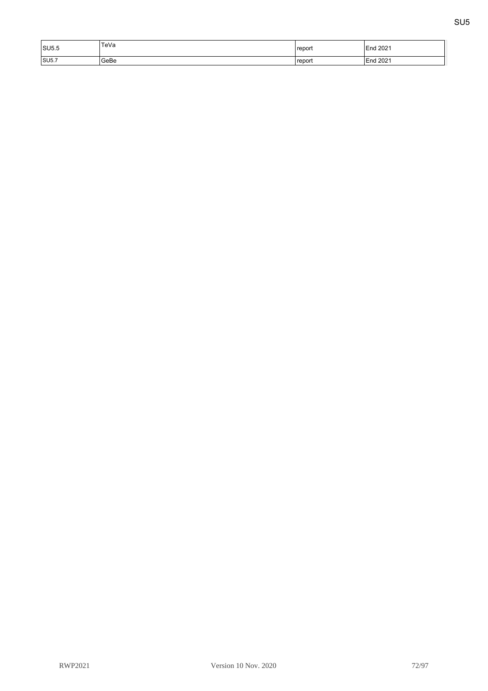| SU5.5 | TeVa | 'report | 12021<br>End       |
|-------|------|---------|--------------------|
| SU5.7 | GeBe | report  | 2021<br><b>End</b> |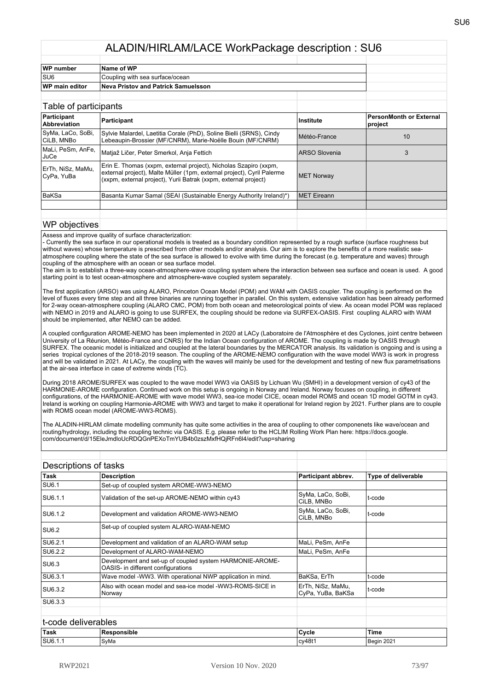| <b>WP</b> number      | Name of WP                          |  |  |
|-----------------------|-------------------------------------|--|--|
| Isu6                  | Coupling with sea surface/ocean     |  |  |
| <b>WP main editor</b> | Neva Pristov and Patrick Samuelsson |  |  |
|                       |                                     |  |  |

| Table of participants              |                                                                                                                                                                                                               |                       |                                    |
|------------------------------------|---------------------------------------------------------------------------------------------------------------------------------------------------------------------------------------------------------------|-----------------------|------------------------------------|
| Participant<br><b>Abbreviation</b> | Participant                                                                                                                                                                                                   | ∣Institute            | PersonMonth or External<br>project |
| SyMa, LaCo, SoBi,<br>ICiLB. MNBo   | Sylvie Malardel, Laetitia Corale (PhD), Soline Bielli (SRNS), Cindy<br>Lebeaupin-Brossier (MF/CNRM), Marie-Noëlle Bouin (MF/CNRM)                                                                             | Météo-France          | 10                                 |
| MaLi, PeSm, AnFe,<br>JuCe          | Matjaž Ličer, Peter Smerkol, Anja Fettich                                                                                                                                                                     | <b>IARSO Slovenia</b> | 3                                  |
| ErTh, NiSz, MaMu,<br>CyPa, YuBa    | Erin E. Thomas (xxpm, external project), Nicholas Szapiro (xxpm,<br>external project), Malte Müller (1pm, external project), Cyril Palerme<br>(xxpm, external project), Yurii Batrak (xxpm, external project) | <b>MET Norway</b>     |                                    |
| <b>BaKSa</b>                       | Basanta Kumar Samal (SEAI (Sustainable Energy Authority Ireland)*)                                                                                                                                            | <b>IMET Eireann</b>   |                                    |
|                                    |                                                                                                                                                                                                               |                       |                                    |
|                                    |                                                                                                                                                                                                               |                       |                                    |

#### WP objectives

Assess and improve quality of surface characterization:

- Currently the sea surface in our operational models is treated as a boundary condition represented by a rough surface (surface roughness but without waves) whose temperature is prescribed from other models and/or analysis. Our aim is to explore the benefits of a more realistic seaatmosphere coupling where the state of the sea surface is allowed to evolve with time during the forecast (e.g. temperature and waves) through coupling of the atmosphere with an ocean or sea surface model.

The aim is to establish a three-way ocean-atmosphere-wave coupling system where the interaction between sea surface and ocean is used. A good starting point is to test ocean-atmosphere and atmosphere-wave coupled system separately.

The first application (ARSO) was using ALARO, Princeton Ocean Model (POM) and WAM with OASIS coupler. The coupling is performed on the level of fluxes every time step and all three binaries are running together in parallel. On this system, extensive validation has been already performed for 2-way ocean-atmosphere coupling (ALARO CMC, POM) from both ocean and meteorological points of view. As ocean model POM was replaced with NEMO in 2019 and ALARO is going to use SURFEX, the coupling should be redone via SURFEX-OASIS. First coupling ALARO with WAM should be implemented, after NEMO can be added.

A coupled configuration AROME-NEMO has been implemented in 2020 at LACy (Laboratoire de l'Atmosphère et des Cyclones, joint centre between University of La Réunion, Météo-France and CNRS) for the Indian Ocean configuration of AROME. The coupling is made by OASIS through SURFEX. The oceanic model is initialized and coupled at the lateral boundaries by the MERCATOR analysis. Its validation is ongoing and is using a series tropical cyclones of the 2018-2019 season. The coupling of the AROME-NEMO configuration with the wave model WW3 is work in progress and will be validated in 2021. At LACy, the coupling with the waves will mainly be used for the development and testing of new flux parametrisations at the air-sea interface in case of extreme winds (TC).

During 2018 AROME/SURFEX was coupled to the wave model WW3 via OASIS by Lichuan Wu (SMHI) in a development version of cy43 of the HARMONIE-AROME configuration. Continued work on this setup is ongoing in Norway and Ireland. Norway focuses on coupling, in different configurations, of the HARMONIE-AROME with wave model WW3, sea-ice model CICE, ocean model ROMS and ocean 1D model GOTM in cy43. Ireland is working on coupling Harmonie-AROME with WW3 and target to make it operational for Ireland region by 2021. Further plans are to couple with ROMS ocean model (AROME-WW3-ROMS).

The ALADIN-HIRLAM climate modelling community has quite some activities in the area of coupling to other componenets like wave/ocean and routing/hydrology, including the coupling technic via OASIS. E.g. please refer to the HCLIM Rolling Work Plan here: https://docs.google. com/document/d/15EleJmdloUcRDQGnPEXoTmYUB4b0zszMxfHQjRFn6l4/edit?usp=sharing

|                     | Descriptions of tasks                                                                          |                                        |                     |
|---------------------|------------------------------------------------------------------------------------------------|----------------------------------------|---------------------|
| Task                | <b>Description</b>                                                                             | Participant abbrev.                    | Type of deliverable |
| SU6.1               | Set-up of coupled system AROME-WW3-NEMO                                                        |                                        |                     |
| SU6.1.1             | Validation of the set-up AROME-NEMO within cy43                                                | SyMa, LaCo, SoBi,<br>CiLB, MNBo        | t-code              |
| SU6.1.2             | Development and validation AROME-WW3-NEMO                                                      | SyMa, LaCo, SoBi,<br>CiLB, MNBo        | t-code              |
| SU6.2               | Set-up of coupled system ALARO-WAM-NEMO                                                        |                                        |                     |
| SU6.2.1             | Development and validation of an ALARO-WAM setup                                               | MaLi, PeSm, AnFe                       |                     |
| SU6.2.2             | Development of ALARO-WAM-NEMO                                                                  | MaLi, PeSm, AnFe                       |                     |
| SU6.3               | Development and set-up of coupled system HARMONIE-AROME-<br>OASIS- in different configurations |                                        |                     |
| SU6.3.1             | Wave model -WW3. With operational NWP application in mind.                                     | BaKSa, ErTh                            | t-code              |
| SU6.3.2             | Also with ocean model and sea-ice model -WW3-ROMS-SICE in<br>Norway                            | ErTh, NiSz, MaMu,<br>CyPa, YuBa, BaKSa | t-code              |
| SU6.3.3             |                                                                                                |                                        |                     |
|                     |                                                                                                |                                        |                     |
| t-code deliverables |                                                                                                |                                        |                     |
| Task                | Responsible                                                                                    | Cycle                                  | <b>Time</b>         |
| SU6.1.1             | SyMa                                                                                           | cy48t1                                 | <b>Begin 2021</b>   |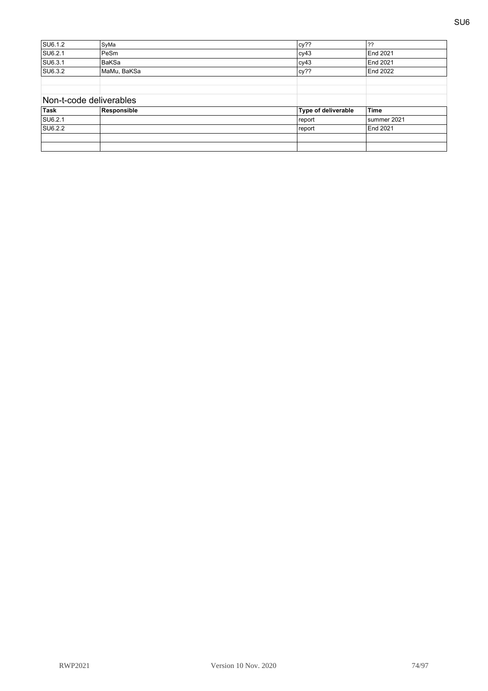| SU6.1.2                 | SyMa         | cy??                | ??              |
|-------------------------|--------------|---------------------|-----------------|
| SU6.2.1                 | PeSm         | cy43                | <b>End 2021</b> |
| SU6.3.1                 | <b>BaKSa</b> | cy43                | <b>End 2021</b> |
| SU6.3.2                 | MaMu, BaKSa  | cy??                | <b>End 2022</b> |
|                         |              |                     |                 |
|                         |              |                     |                 |
| Non-t-code deliverables |              |                     |                 |
| Task                    | Responsible  | Type of deliverable | <b>Time</b>     |
| SU6.2.1                 |              | report              | summer 2021     |
| SU6.2.2                 |              | report              | <b>End 2021</b> |
|                         |              |                     |                 |
|                         |              |                     |                 |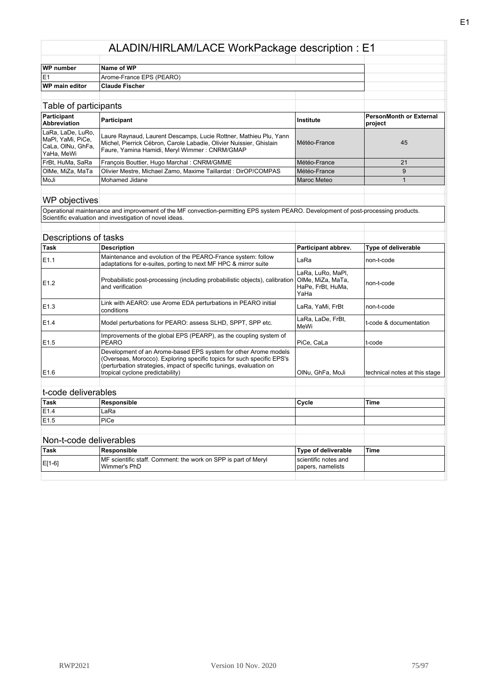| WP number             | Name of WP               |  |  |
|-----------------------|--------------------------|--|--|
| IE.                   | Arome-France EPS (PEARO) |  |  |
| <b>WP</b> main editor | <b>Claude Fischer</b>    |  |  |

| Table of participants                                                      |                                                                                                                                                                                           |              |                                    |
|----------------------------------------------------------------------------|-------------------------------------------------------------------------------------------------------------------------------------------------------------------------------------------|--------------|------------------------------------|
| Participant<br><b>Abbreviation</b>                                         | Participant                                                                                                                                                                               | Institute    | PersonMonth or External<br>project |
| LaRa, LaDe, LuRo,<br>MaPI, YaMi, PiCe,<br> CaLa, OINu, GhFa,<br>YaHa, MeWi | Laure Raynaud, Laurent Descamps, Lucie Rottner, Mathieu Plu, Yann<br>Michel, Pierrick Cébron, Carole Labadie, Olivier Nuissier, Ghislain<br>Faure, Yamina Hamidi, Meryl Wimmer: CNRM/GMAP | Météo-France | 45                                 |
| Frßt, HuMa, SaRa                                                           | François Bouttier, Hugo Marchal: CNRM/GMME                                                                                                                                                | Météo-France | 21                                 |
| OIMe, MiZa, MaTa                                                           | Olivier Mestre, Michael Zamo, Maxime Taillardat : DirOP/COMPAS                                                                                                                            | Météo-France |                                    |
| MoJi                                                                       | Mohamed Jidane                                                                                                                                                                            | Maroc Meteo  |                                    |
|                                                                            |                                                                                                                                                                                           |              |                                    |

#### WP objectives

Operational maintenance and improvement of the MF convection-permitting EPS system PEARO. Development of post-processing products. Scientific evaluation and investigation of novel ideas.

|                  | Descriptions of tasks                                                                                                                                                                                                                                |                                                                     |                               |
|------------------|------------------------------------------------------------------------------------------------------------------------------------------------------------------------------------------------------------------------------------------------------|---------------------------------------------------------------------|-------------------------------|
| Task             | <b>Description</b>                                                                                                                                                                                                                                   | Participant abbrev.                                                 | <b>Type of deliverable</b>    |
| E <sub>1.1</sub> | Maintenance and evolution of the PEARO-France system: follow<br>adaptations for e-suites, porting to next MF HPC & mirror suite                                                                                                                      | LaRa                                                                | non-t-code                    |
| E <sub>1.2</sub> | Probabilistic post-processing (including probabilistic objects), calibration<br>and verification                                                                                                                                                     | LaRa, LuRo, MaPl,<br>OIMe, MiZa, MaTa,<br>HaPe, FrBt, HuMa,<br>YaHa | non-t-code                    |
| E <sub>1.3</sub> | Link with AEARO: use Arome EDA perturbations in PEARO initial<br>conditions                                                                                                                                                                          | LaRa, YaMi, FrBt                                                    | non-t-code                    |
| E1.4             | Model perturbations for PEARO: assess SLHD, SPPT, SPP etc.                                                                                                                                                                                           | LaRa, LaDe, FrBt,<br>MeWi                                           | t-code & documentation        |
| E <sub>1.5</sub> | Improvements of the global EPS (PEARP), as the coupling system of<br>PEARO                                                                                                                                                                           | PiCe, CaLa                                                          | t-code                        |
| E1.6             | Development of an Arome-based EPS system for other Arome models<br>(Overseas, Morocco). Exploring specific topics for such specific EPS's<br>(perturbation strategies, impact of specific tunings, evaluation on<br>tropical cyclone predictability) | OINu, GhFa, MoJi                                                    | technical notes at this stage |
|                  |                                                                                                                                                                                                                                                      |                                                                     |                               |
|                  | مملطمعه والملم ملممم له                                                                                                                                                                                                                              |                                                                     |                               |

#### t-code deliverables

| <sup>∣</sup> Task | Responsible | Cycle | Time |
|-------------------|-------------|-------|------|
| E1.4              | LaRa        |       |      |
| E1.5              | 'PiCe       |       |      |
|                   |             |       |      |

| ∣Task  | Responsible                                                                     | Type of deliverable                       | Time |
|--------|---------------------------------------------------------------------------------|-------------------------------------------|------|
| E[1-6] | MF scientific staff. Comment: the work on SPP is part of Meryl<br>lWimmer's PhD | scientific notes and<br>papers, namelists |      |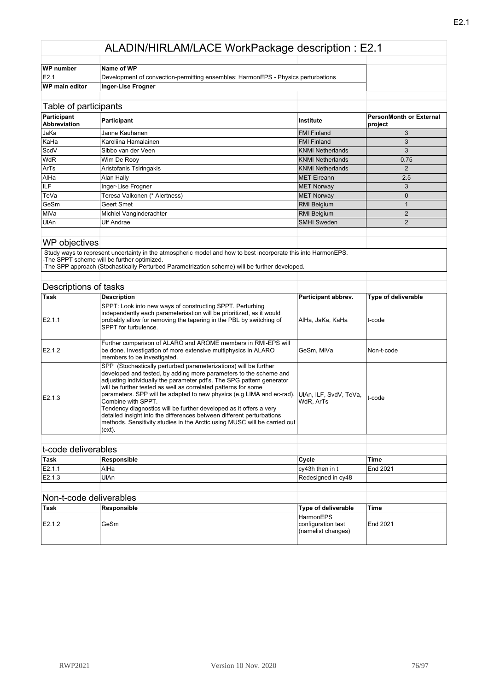| WP number             | Name of WP                                                                        |  |
|-----------------------|-----------------------------------------------------------------------------------|--|
| IE2.                  | Development of convection-permitting ensembles: HarmonEPS - Physics perturbations |  |
| <b>WP main editor</b> | Inger-Lise Frogner                                                                |  |
|                       |                                                                                   |  |

| Table of participants              |                               |                         |                                    |
|------------------------------------|-------------------------------|-------------------------|------------------------------------|
| Participant<br><b>Abbreviation</b> | Participant                   | Institute               | PersonMonth or External<br>project |
| JaKa                               | Janne Kauhanen                | <b>FMI Finland</b>      | 3                                  |
| KaHa                               | Karoliina Hamalainen          | <b>FMI Finland</b>      | 3                                  |
| ScdV                               | Sibbo van der Veen            | <b>KNMI Netherlands</b> | 3                                  |
| <b>WdR</b>                         | Wim De Rooy                   | <b>KNMI Netherlands</b> | 0.75                               |
| ArTs                               | Aristofanis Tsiringakis       | <b>KNMI Netherlands</b> | 2                                  |
| AIHa                               | Alan Hally                    | <b>MET</b> Eireann      | 2.5                                |
| <b>ILF</b>                         | Inger-Lise Frogner            | <b>MET Norway</b>       | 3                                  |
| TeVa                               | Teresa Valkonen (* Alertness) | <b>MET Norway</b>       | 0                                  |
| GeSm                               | Geert Smet                    | RMI Belgium             |                                    |
| <b>Mi</b> Va                       | Michiel Vanginderachter       | <b>RMI Belgium</b>      | $\overline{2}$                     |
| UIAn                               | <b>Ulf Andrae</b>             | <b>SMHI Sweden</b>      | $\overline{2}$                     |
|                                    |                               |                         |                                    |

#### WP objectives

 Study ways to represent uncertainty in the atmospheric model and how to best incorporate this into HarmonEPS. -The SPPT scheme will be further optimized.

-The SPP approach (Stochastically Perturbed Parametrization scheme) will be further developed.

### Descriptions of tasks

| Task   | <b>Description</b>                                                                                                                                                                                                                                                                                                                                                                                                                                                                                                                                                                                                    | Participant abbrev.                 | Type of deliverable |
|--------|-----------------------------------------------------------------------------------------------------------------------------------------------------------------------------------------------------------------------------------------------------------------------------------------------------------------------------------------------------------------------------------------------------------------------------------------------------------------------------------------------------------------------------------------------------------------------------------------------------------------------|-------------------------------------|---------------------|
| E2.1.1 | SPPT: Look into new ways of constructing SPPT. Perturbing<br>independently each parameterisation will be prioritized, as it would<br>probably allow for removing the tapering in the PBL by switching of<br>SPPT for turbulence.                                                                                                                                                                                                                                                                                                                                                                                      | AlHa, JaKa, KaHa                    | t-code              |
| E2.1.2 | Further comparison of ALARO and AROME members in RMI-EPS will<br>be done. Investigation of more extensive multiphysics in ALARO<br>members to be investigated.                                                                                                                                                                                                                                                                                                                                                                                                                                                        | GeSm. MiVa                          | Non-t-code          |
| E2.1.3 | SPP (Stochastically perturbed parameterizations) will be further<br>developed and tested, by adding more parameters to the scheme and<br>adjusting individually the parameter pdf's. The SPG pattern generator<br>will be further tested as well as correlated patterns for some<br>parameters. SPP will be adapted to new physics (e.g LIMA and ec-rad).<br>Combine with SPPT.<br>Tendency diagnostics will be further developed as it offers a very<br>detailed insight into the differences between different perturbations<br>methods. Sensitivity studies in the Arctic using MUSC will be carried out<br>(ext). | UIAn, ILF, SvdV, TeVa,<br>WdR, ArTs | t-code              |
|        |                                                                                                                                                                                                                                                                                                                                                                                                                                                                                                                                                                                                                       |                                     |                     |

## t-code deliverables

| <b>Task</b> | Responsible | Cycle              | 'Time    |
|-------------|-------------|--------------------|----------|
| E2.1.1      | 'AlHa       | cv43h then in t    | End 2021 |
| E2.1.3      | UlAn        | Redesigned in cy48 |          |
|             |             |                    |          |

| ˈTask  | Responsible | Type of deliverable                                          | 'Time    |
|--------|-------------|--------------------------------------------------------------|----------|
| E2.1.2 | GeSm        | <b>HarmonEPS</b><br>configuration test<br>(namelist changes) | End 2021 |
|        |             |                                                              |          |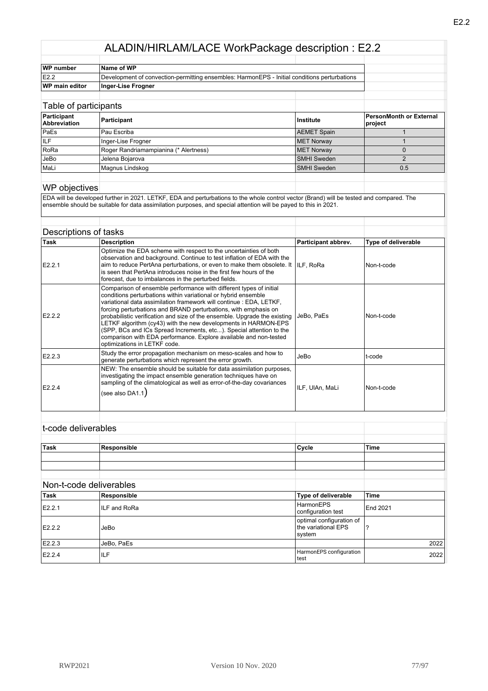| WP number             | Name of WP                                                                                   |  |  |
|-----------------------|----------------------------------------------------------------------------------------------|--|--|
| E2.2                  | Development of convection-permitting ensembles: HarmonEPS - Initial conditions perturbations |  |  |
| <b>WP main editor</b> | Inger-Lise Frogner                                                                           |  |  |
|                       |                                                                                              |  |  |

| Table of participants              |                                       |                    |                                    |
|------------------------------------|---------------------------------------|--------------------|------------------------------------|
| Participant<br><b>Abbreviation</b> | Participant                           | ∣Institute         | PersonMonth or External<br>project |
| PaEs                               | Pau Escriba                           | <b>AEMET Spain</b> |                                    |
| IILF                               | Inger-Lise Frogner                    | <b>MET Norway</b>  |                                    |
| RoRa                               | Roger Randriamampianina (* Alertness) | <b>MET Norway</b>  |                                    |
| JeBo                               | Jelena Bojarova                       | <b>SMHI</b> Sweden |                                    |
| MaLi                               | Magnus Lindskog                       | <b>SMHI Sweden</b> | 0.5                                |
|                                    |                                       |                    |                                    |

#### WP objectives

EDA will be developed further in 2021. LETKF, EDA and perturbations to the whole control vector (Brand) will be tested and compared. The ensemble should be suitable for data assimilation purposes, and special attention will be payed to this in 2021.

#### Descriptions of tasks

| Task               | <b>Description</b>                                                                                                                                                                                                                                                                                                                                                                                                                                                                                                                                                                                        | Participant abbrev. | Type of deliverable |
|--------------------|-----------------------------------------------------------------------------------------------------------------------------------------------------------------------------------------------------------------------------------------------------------------------------------------------------------------------------------------------------------------------------------------------------------------------------------------------------------------------------------------------------------------------------------------------------------------------------------------------------------|---------------------|---------------------|
| E2.2.1             | Optimize the EDA scheme with respect to the uncertainties of both<br>observation and background. Continue to test inflation of EDA with the<br>aim to reduce PertAna perturbations, or even to make them obsolete. It $\parallel$   ILF. RoRa<br>is seen that PertAna introduces noise in the first few hours of the<br>forecast, due to imbalances in the perturbed fields.                                                                                                                                                                                                                              |                     | Non-t-code          |
| E2.2.2             | Comparison of ensemble performance with different types of initial<br>conditions perturbations within variational or hybrid ensemble<br>variational data assimilation framework will continue : EDA, LETKF,<br>forcing perturbations and BRAND perturbations, with emphasis on<br>probabilistic verification and size of the ensemble. Upgrade the existing<br>LETKF algorithm (cy43) with the new developments in HARMON-EPS<br>(SPP, BCs and ICs Spread Increments, etc). Special attention to the<br>comparison with EDA performance. Explore available and non-tested<br>optimizations in LETKF code. | JeBo, PaEs          | Non-t-code          |
| E2.2.3             | Study the error propagation mechanism on meso-scales and how to<br>generate perturbations which represent the error growth.                                                                                                                                                                                                                                                                                                                                                                                                                                                                               | JeBo                | t-code              |
| E <sub>2.2.4</sub> | NEW: The ensemble should be suitable for data assimilation purposes,<br>investigating the impact ensemble generation techniques have on<br>sampling of the climatological as well as error-of-the-day covariances<br>(see also DA1.1)                                                                                                                                                                                                                                                                                                                                                                     | ILF, UIAn, MaLi     | Non-t-code          |

#### t-code deliverables

| Task | Responsible | Cycle | 'Time |
|------|-------------|-------|-------|
|      |             |       |       |
|      |             |       |       |
|      |             |       |       |

| Task   | Responsible  | Type of deliverable                                       | ∣Time           |
|--------|--------------|-----------------------------------------------------------|-----------------|
| E2.2.1 | ILF and RoRa | HarmonEPS<br>configuration test                           | <b>End 2021</b> |
| E2.2.2 | JeBo         | optimal configuration of<br>the variational EPS<br>svstem |                 |
| E2.2.3 | JeBo, PaEs   |                                                           | 2022            |
| E2.2.4 | ILF          | HarmonEPS configuration<br>test                           | 2022            |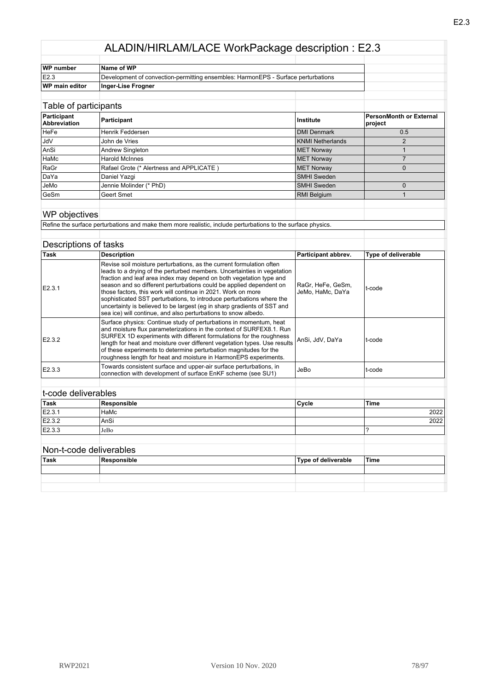| WP number             | Name of WP                                                                        |  |  |
|-----------------------|-----------------------------------------------------------------------------------|--|--|
| IE2.3                 | Development of convection-permitting ensembles: HarmonEPS - Surface perturbations |  |  |
| <b>WP main editor</b> | Inger-Lise Frogner                                                                |  |  |
|                       |                                                                                   |  |  |

| Table of participants              |                                          |                    |                                           |
|------------------------------------|------------------------------------------|--------------------|-------------------------------------------|
| Participant<br><b>Abbreviation</b> | Participant                              | Institute          | <b>PersonMonth or External</b><br>project |
| <b>HeFe</b>                        | Henrik Feddersen                         | <b>DMI Denmark</b> | 0.5                                       |
| <b>JdV</b>                         | John de Vries                            | KNMI Netherlands   |                                           |
| AnSi                               | Andrew Singleton                         | <b>MET Norway</b>  |                                           |
| HaMc                               | <b>Harold McInnes</b>                    | <b>MET Norway</b>  |                                           |
| RaGr                               | Rafael Grote (* Alertness and APPLICATE) | <b>MET Norway</b>  | O                                         |
| DaYa                               | Daniel Yazgi                             | <b>SMHI Sweden</b> |                                           |
| JeMo                               | Jennie Molinder (* PhD)                  | <b>SMHI Sweden</b> |                                           |
| GeSm                               | Geert Smet                               | <b>RMI Belgium</b> |                                           |
|                                    |                                          |                    |                                           |

#### WP objectives

Refine the surface perturbations and make them more realistic, include perturbations to the surface physics.

#### Descriptions of tasks

| ∣Task  | <b>Description</b>                                                                                                                                                                                                                                                                                                                                                                                                                                                                                                                                                                  | Participant abbrev.                   | <b>Type of deliverable</b> |
|--------|-------------------------------------------------------------------------------------------------------------------------------------------------------------------------------------------------------------------------------------------------------------------------------------------------------------------------------------------------------------------------------------------------------------------------------------------------------------------------------------------------------------------------------------------------------------------------------------|---------------------------------------|----------------------------|
| E2.3.1 | Revise soil moisture perturbations, as the current formulation often<br>leads to a drying of the perturbed members. Uncertainties in vegetation<br>fraction and leaf area index may depend on both vegetation type and<br>season and so different perturbations could be applied dependent on<br>those factors, this work will continue in 2021. Work on more<br>sophisticated SST perturbations, to introduce perturbations where the<br>uncertainty is believed to be largest (eq in sharp gradients of SST and<br>sea ice) will continue, and also perturbations to snow albedo. | RaGr, HeFe, GeSm,<br>JeMo, HaMc, DaYa | t-code                     |
| E2.3.2 | Surface physics: Continue study of perturbations in momentum, heat<br>and moisture flux parameterizations in the context of SURFEX8.1. Run<br>SURFEX 1D experiments with different formulations for the roughness<br>length for heat and moisture over different vegetation types. Use results<br>of these experiments to determine perturbation magnitudes for the<br>roughness length for heat and moisture in HarmonEPS experiments.                                                                                                                                             | AnSi, JdV, DaYa                       | t-code                     |
| E2.3.3 | Towards consistent surface and upper-air surface perturbations, in<br>connection with development of surface EnKF scheme (see SU1)                                                                                                                                                                                                                                                                                                                                                                                                                                                  | JeBo                                  | t-code                     |
|        |                                                                                                                                                                                                                                                                                                                                                                                                                                                                                                                                                                                     |                                       |                            |

| Task                    | Responsible | Cycle | <b>Time</b> |
|-------------------------|-------------|-------|-------------|
| E2.3.1                  | HaMc        |       | 2022        |
| E2.3.2                  | lAnSi       |       | 2022        |
| E2.3.3                  | JeBo        |       |             |
|                         |             |       |             |
| Non-t-code deliverables |             |       |             |

| <u>INOIT-COUC UCIIVOIDDICS</u> |             |                     |       |
|--------------------------------|-------------|---------------------|-------|
| Task                           | Responsible | Type of deliverable | 'Time |
|                                |             |                     |       |
|                                |             |                     |       |
|                                |             |                     |       |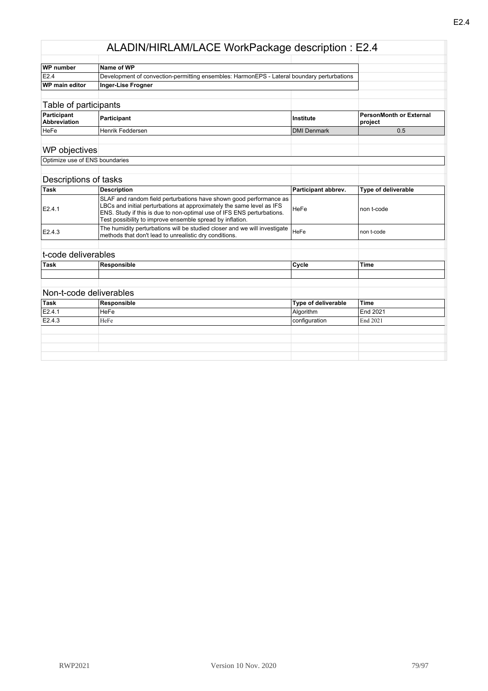| WP number                          | Name of WP                                                                                                                                                                                                                                                                         |                            |                                           |
|------------------------------------|------------------------------------------------------------------------------------------------------------------------------------------------------------------------------------------------------------------------------------------------------------------------------------|----------------------------|-------------------------------------------|
| E2.4                               | Development of convection-permitting ensembles: HarmonEPS - Lateral boundary perturbations                                                                                                                                                                                         |                            |                                           |
| WP main editor                     | <b>Inger-Lise Frogner</b>                                                                                                                                                                                                                                                          |                            |                                           |
|                                    |                                                                                                                                                                                                                                                                                    |                            |                                           |
| Table of participants              |                                                                                                                                                                                                                                                                                    |                            |                                           |
| Participant<br><b>Abbreviation</b> | Participant                                                                                                                                                                                                                                                                        | Institute                  | <b>PersonMonth or External</b><br>project |
| HeFe                               | Henrik Feddersen                                                                                                                                                                                                                                                                   | <b>DMI Denmark</b>         | 0.5                                       |
| WP objectives                      |                                                                                                                                                                                                                                                                                    |                            |                                           |
| Optimize use of ENS boundaries     |                                                                                                                                                                                                                                                                                    |                            |                                           |
| Descriptions of tasks              |                                                                                                                                                                                                                                                                                    |                            |                                           |
| Task                               | <b>Description</b>                                                                                                                                                                                                                                                                 | Participant abbrev.        | Type of deliverable                       |
| E2.4.1                             | SLAF and random field perturbations have shown good performance as<br>LBCs and initial perturbations at approximately the same level as IFS<br>ENS. Study if this is due to non-optimal use of IFS ENS perturbations.<br>Test possibility to improve ensemble spread by inflation. | HeFe                       | non t-code                                |
| E2.4.3                             | The humidity perturbations will be studied closer and we will investigate<br>methods that don't lead to unrealistic dry conditions.                                                                                                                                                | HeFe                       | non t-code                                |
| t-code deliverables                |                                                                                                                                                                                                                                                                                    |                            |                                           |
| <b>Task</b>                        | Responsible                                                                                                                                                                                                                                                                        | Cycle                      | <b>Time</b>                               |
|                                    |                                                                                                                                                                                                                                                                                    |                            |                                           |
| Non-t-code deliverables            |                                                                                                                                                                                                                                                                                    |                            |                                           |
| <b>Task</b>                        | <b>Responsible</b>                                                                                                                                                                                                                                                                 | <b>Type of deliverable</b> | <b>Time</b>                               |
| E2.4.1                             | <b>HeFe</b>                                                                                                                                                                                                                                                                        | Algorithm                  | End 2021                                  |
| E2.4.3                             | HeFe                                                                                                                                                                                                                                                                               | configuration              | End 2021                                  |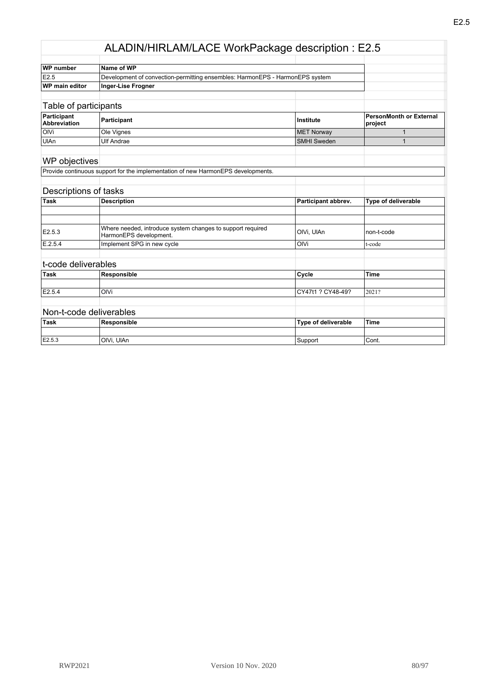| WP number                          | Name of WP                                                                   |                    |                                    |
|------------------------------------|------------------------------------------------------------------------------|--------------------|------------------------------------|
| E2.5                               | Development of convection-permitting ensembles: HarmonEPS - HarmonEPS system |                    |                                    |
| <b>WP</b> main editor              | Inger-Lise Frogner                                                           |                    |                                    |
|                                    |                                                                              |                    |                                    |
|                                    | Table of participants                                                        |                    |                                    |
| Participant<br><b>Abbreviation</b> | Participant                                                                  | Institute          | PersonMonth or External<br>project |
| <b>OIVi</b>                        | Ole Vignes                                                                   | <b>MET Norway</b>  |                                    |
| UIAn                               | <b>Ulf Andrae</b>                                                            | <b>SMHI Sweden</b> |                                    |
|                                    |                                                                              |                    |                                    |

# WP objectives

Provide continuous support for the implementation of new HarmonEPS developments.

#### Descriptions of tasks

| 'Task   | Description                                                                          | Participant abbrev. | <b>Type of deliverable</b> |
|---------|--------------------------------------------------------------------------------------|---------------------|----------------------------|
|         |                                                                                      |                     |                            |
|         |                                                                                      |                     |                            |
| E2.5.3  | Where needed, introduce system changes to support required<br>HarmonEPS development. | IOIVi. UIAn         | Inon-t-code                |
| E.2.5.4 | Implement SPG in new cycle                                                           | OIVi                | t-code                     |
|         |                                                                                      |                     |                            |

### t-code deliverables

| Task   | Responsible | Cycle             | 'Time |
|--------|-------------|-------------------|-------|
|        |             |                   |       |
| E2.5.4 | OIVi        | CY47t1 ? CY48-49? | 2021? |
|        |             |                   |       |

| .           |             |                     |       |
|-------------|-------------|---------------------|-------|
| <b>Task</b> | Responsible | Type of deliverable | 'Time |
|             |             |                     |       |
| E2.5.3      | OIVi. UIAn  | Suppor              | Cont. |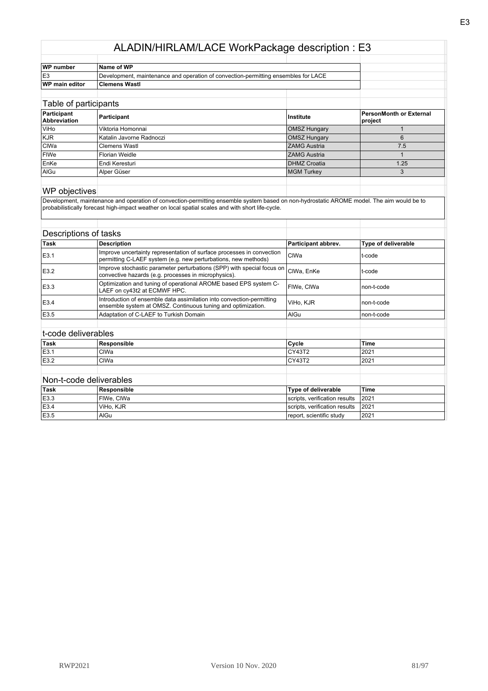| <b>WP</b> number      | Name of WP                                                                         |  |
|-----------------------|------------------------------------------------------------------------------------|--|
| IE3                   | Development, maintenance and operation of convection-permitting ensembles for LACE |  |
| <b>WP main editor</b> | <b>Clemens Wastl</b>                                                               |  |

#### Table of participants

| <b>NOVE DUILIVIDATILE</b>          |                          |                     |                                    |
|------------------------------------|--------------------------|---------------------|------------------------------------|
| Participant<br><b>Abbreviation</b> | Participant              | <b>Institute</b>    | PersonMonth or External<br>project |
| <b>ViHo</b>                        | Viktoria Homonnai        | <b>OMSZ Hungary</b> |                                    |
| KJR                                | Katalin Javorne Radnoczi | <b>OMSZ Hungary</b> |                                    |
| <b>CIWa</b>                        | <b>Clemens Wastl</b>     | <b>ZAMG Austria</b> | 7.5                                |
| <b>FIWe</b>                        | Florian Weidle           | <b>ZAMG Austria</b> |                                    |
| <b>EnKe</b>                        | Endi Keresturi           | <b>DHMZ Croatia</b> | 1.25                               |
| AIGu                               | Alper Güser              | <b>MGM Turkey</b>   |                                    |
|                                    |                          |                     |                                    |

#### WP objectives

Development, maintenance and operation of convection-permitting ensemble system based on non-hydrostatic AROME model. The aim would be to probabilistically forecast high-impact weather on local spatial scales and with short life-cycle.

| Descriptions of tasks |                                                                                                                                         |                     |                     |
|-----------------------|-----------------------------------------------------------------------------------------------------------------------------------------|---------------------|---------------------|
| Task                  | <b>Description</b>                                                                                                                      | Participant abbrev. | Type of deliverable |
| E3.1                  | Improve uncertainty representation of surface processes in convection<br>permitting C-LAEF system (e.g. new perturbations, new methods) | CIWa                | lt-code             |
| E3.2                  | Improve stochastic parameter perturbations (SPP) with special focus on<br>convective hazards (e.g. processes in microphysics).          | CIWa, EnKe          | lt-code             |
| E3.3                  | Optimization and tuning of operational AROME based EPS system C-<br>LAEF on cy43t2 at ECMWF HPC.                                        | FIWe. CIWa          | non-t-code          |
| E3.4                  | Introduction of ensemble data assimilation into convection-permitting<br>ensemble system at OMSZ. Continuous tuning and optimization.   | ViHo, KJR           | non-t-code          |
| E3.5                  | Adaptation of C-LAEF to Turkish Domain                                                                                                  | AIGu                | non-t-code          |
| t-code deliverables   |                                                                                                                                         |                     |                     |
| Task                  | Responsible                                                                                                                             | Cycle               | <b>Time</b>         |

| E3.1                    | CIWa | $\sim$ | 2021 |
|-------------------------|------|--------|------|
| E3.2                    | CIWa |        | 2021 |
|                         |      |        |      |
| Non t ando dolivarables |      |        |      |

| <sup>≀</sup> Task | Responsible | Type of deliverable           | 'Time |
|-------------------|-------------|-------------------------------|-------|
| E3.3              | FIWe, CIWa  | scripts, verification results | 2021  |
| E3.4              | ViHo. KJR   | scripts, verification results | 2021  |
| E3.5              | AlGu        | report, scientific study      | 2021  |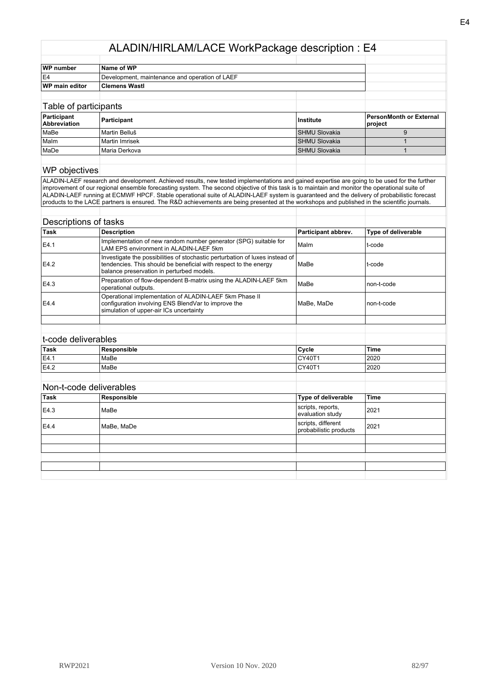| WP number<br>Name of WP |                                                |  |  |
|-------------------------|------------------------------------------------|--|--|
| lE4                     | Development, maintenance and operation of LAEF |  |  |
| <b>WP</b> main editor   | <b>Clemens Wastl</b>                           |  |  |
|                         |                                                |  |  |
|                         |                                                |  |  |

| Table of participants              |                  |                      |                                           |
|------------------------------------|------------------|----------------------|-------------------------------------------|
| Participant<br><b>Abbreviation</b> | Participant      | Institute            | <b>PersonMonth or External</b><br>project |
| MaBe                               | Martin Belluš    | <b>SHMU Slovakia</b> |                                           |
| <b>Malm</b>                        | l Martin Imrisek | <b>SHMU Slovakia</b> |                                           |
| MaDe                               | l Maria Derkova  | <b>SHMU Slovakia</b> |                                           |
|                                    |                  |                      |                                           |

#### WP objectives

ALADIN-LAEF research and development. Achieved results, new tested implementations and gained expertise are going to be used for the further improvement of our regional ensemble forecasting system. The second objective of this task is to maintain and monitor the operational suite of ALADIN-LAEF running at ECMWF HPCF. Stable operational suite of ALADIN-LAEF system is guaranteed and the delivery of probabilistic forecast products to the LACE partners is ensured. The R&D achievements are being presented at the workshops and published in the scientific journals.

| Descriptions of tasks |                                                                                                                                                                                               |                     |                     |
|-----------------------|-----------------------------------------------------------------------------------------------------------------------------------------------------------------------------------------------|---------------------|---------------------|
| <b>Task</b>           | <b>Description</b>                                                                                                                                                                            | Participant abbrev. | Type of deliverable |
| E4.1                  | Implementation of new random number generator (SPG) suitable for<br>LAM EPS environment in ALADIN-LAEF 5km                                                                                    | Malm                | t-code              |
| E4.2                  | Investigate the possibilities of stochastic perturbation of luxes instead of<br>tendencies. This should be beneficial with respect to the energy<br>balance preservation in perturbed models. | MaBe                | t-code              |
| E4.3                  | Preparation of flow-dependent B-matrix using the ALADIN-LAEF 5km<br>operational outputs.                                                                                                      | MaBe                | non-t-code          |
| E4.4                  | Operational implementation of ALADIN-LAEF 5km Phase II<br>configuration involving ENS BlendVar to improve the<br>simulation of upper-air ICs uncertainty                                      | MaBe, MaDe          | non-t-code          |
|                       |                                                                                                                                                                                               |                     |                     |
|                       |                                                                                                                                                                                               |                     |                     |
| t-code deliverables   |                                                                                                                                                                                               |                     |                     |
| <b>Task</b>           | Responsible                                                                                                                                                                                   | Cycle               | Time                |
| E4.1                  | MaBe                                                                                                                                                                                          | CY40T1              | 2020                |
| E4.2                  | MaBe                                                                                                                                                                                          | CY40T1              | 2020                |
|                       |                                                                                                                                                                                               |                     |                     |

| Non-t-code deliverables |             |                                              |      |
|-------------------------|-------------|----------------------------------------------|------|
| Task                    | Responsible | Type of deliverable                          | Time |
| E4.3                    | MaBe        | scripts, reports,<br>evaluation study        | 2021 |
| E4.4                    | MaBe, MaDe  | scripts, different<br>probabilistic products | 2021 |
|                         |             |                                              |      |
|                         |             |                                              |      |
|                         |             |                                              |      |
|                         |             |                                              |      |
|                         |             |                                              |      |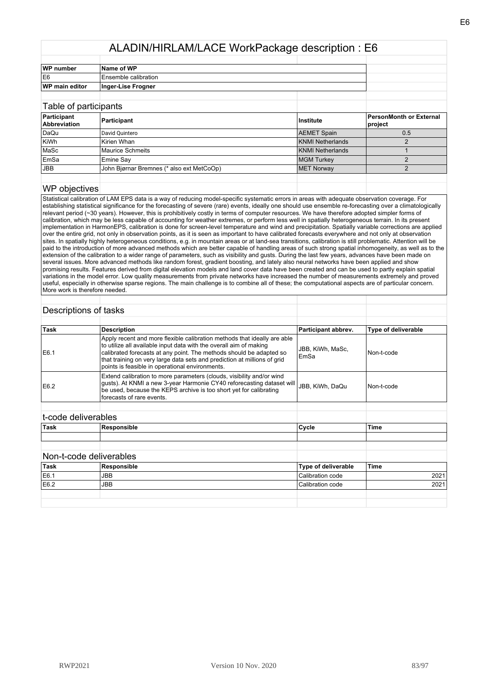| <b>WP</b> number      | Name of WP           |  |
|-----------------------|----------------------|--|
| IE <sub>6</sub>       | Ensemble calibration |  |
| <b>WP</b> main editor | Inger-Lise Frogner   |  |
|                       |                      |  |

| Table of participants       |                                           |                    |                                    |
|-----------------------------|-------------------------------------------|--------------------|------------------------------------|
| Participant<br>Abbreviation | Participant                               | Institute          | PersonMonth or External<br>project |
| DaQu                        | David Ouintero                            | <b>AEMET Spain</b> | 0.5                                |
| KiWh                        | Kirien Whan                               | KNMI Netherlands   |                                    |
| MaSc                        | <b>Maurice Schmeits</b>                   | KNMI Netherlands   |                                    |
| EmSa                        | Emine Say                                 | <b>MGM Turkey</b>  |                                    |
| <b>JBB</b>                  | John Biørnar Bremnes (* also ext MetCoOp) | MET Norway         |                                    |
|                             |                                           |                    |                                    |

#### WP objectives

Statistical calibration of LAM EPS data is a way of reducing model-specific systematic errors in areas with adequate observation coverage. For establishing statistical significance for the forecasting of severe (rare) events, ideally one should use ensemble re-forecasting over a climatologically relevant period (~30 years). However, this is prohibitively costly in terms of computer resources. We have therefore adopted simpler forms of calibration, which may be less capable of accounting for weather extremes, or perform less well in spatially heterogeneous terrain. In its present implementation in HarmonEPS, calibration is done for screen-level temperature and wind and precipitation. Spatially variable corrections are applied over the entire grid, not only in observation points, as it is seen as important to have calibrated forecasts everywhere and not only at observation sites. In spatially highly heterogeneous conditions, e.g. in mountain areas or at land-sea transitions, calibration is still problematic. Attention will be paid to the introduction of more advanced methods which are better capable of handling areas of such strong spatial inhomogeneity, as well as to the extension of the calibration to a wider range of parameters, such as visibility and gusts. During the last few years, advances have been made on several issues. More advanced methods like random forest, gradient boosting, and lately also neural networks have been applied and show promising results. Features derived from digital elevation models and land cover data have been created and can be used to partly explain spatial variations in the model error. Low quality measurements from private networks have increased the number of measurements extremely and proved useful, especially in otherwise sparse regions. The main challenge is to combine all of these; the computational aspects are of particular concern. More work is therefore needed.

#### Descriptions of tasks

| Task | <b>Description</b>                                                                                                                                                                                                                                                                                                                                   | Participant abbrev.      | Type of deliverable |
|------|------------------------------------------------------------------------------------------------------------------------------------------------------------------------------------------------------------------------------------------------------------------------------------------------------------------------------------------------------|--------------------------|---------------------|
| E6.1 | Apply recent and more flexible calibration methods that ideally are able<br>to utilize all available input data with the overall aim of making<br>calibrated forecasts at any point. The methods should be adapted so<br>that training on very large data sets and prediction at millions of grid<br>points is feasible in operational environments. | JBB, KiWh, MaSc,<br>EmSa | Non-t-code          |
| E6.2 | Extend calibration to more parameters (clouds, visibility and/or wind<br>gusts). At KNMI a new 3-year Harmonie CY40 reforecasting dataset will<br>be used, because the KEPS archive is too short yet for calibrating<br>forecasts of rare events.                                                                                                    | JBB. KiWh. DaQu          | l Non-t-code        |
|      |                                                                                                                                                                                                                                                                                                                                                      |                          |                     |

### t-code deliverables

| Task | . ס<br>.<br>. | 'Cvcle | Time |
|------|---------------|--------|------|
|      |               |        |      |
|      |               |        |      |

| <sup>≀</sup> Task | Responsible | Type of deliverable | 'Time |
|-------------------|-------------|---------------------|-------|
| E6.1              | <b>JBB</b>  | Calibration code    | 2021  |
| E6.2              | <b>JBB</b>  | Calibration code    | 2021  |
|                   |             |                     |       |
|                   |             |                     |       |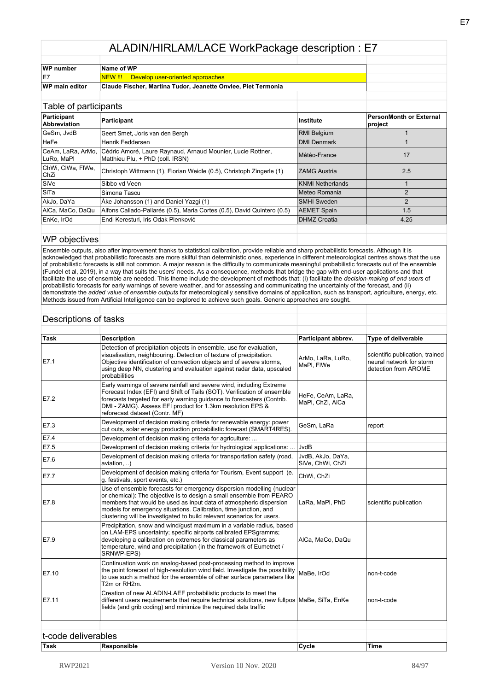| WP number             | Name of WP                                                    |  |
|-----------------------|---------------------------------------------------------------|--|
| IE7                   | NEW !!! Develop user-oriented approaches                      |  |
| <b>WP</b> main editor | Claude Fischer, Martina Tudor, Jeanette Onvlee, Piet Termonia |  |

| Table of participants              |                                                                                                 |                         |                                           |
|------------------------------------|-------------------------------------------------------------------------------------------------|-------------------------|-------------------------------------------|
| Participant<br><b>Abbreviation</b> | Participant                                                                                     | Institute               | <b>PersonMonth or External</b><br>project |
| GeSm. JvdB                         | Geert Smet, Joris van den Bergh                                                                 | <b>RMI Belgium</b>      |                                           |
| HeFe                               | Henrik Feddersen                                                                                | <b>DMI Denmark</b>      |                                           |
| CeAm, LaRa, ArMo,<br>LuRo, MaPl    | Cédric Amoré, Laure Raynaud, Arnaud Mounier, Lucie Rottner,<br>Matthieu Plu, + PhD (coll. IRSN) | Météo-France            | 17                                        |
| ChWi, CIWa, FIWe,<br><b>ChZi</b>   | Christoph Wittmann (1), Florian Weidle (0.5), Christoph Zingerle (1)                            | <b>ZAMG Austria</b>     | 2.5                                       |
| SiVe                               | Sibbo vd Veen                                                                                   | <b>KNMI Netherlands</b> |                                           |
| l SiTa                             | Simona Tascu                                                                                    | Meteo Romania           | $\mathfrak{p}$                            |
| AkJo, DaYa                         | Åke Johansson (1) and Daniel Yazgi (1)                                                          | <b>SMHI Sweden</b>      | $\mathcal{P}$                             |
| AlCa, MaCo, DaQu                   | Alfons Callado-Pallarés (0.5), Maria Cortes (0.5), David Quintero (0.5)                         | <b>AEMET Spain</b>      | 1.5                                       |
| EnKe, IrOd                         | Endi Keresturi, Iris Odak Plenković                                                             | <b>DHMZ Croatia</b>     | 4.25                                      |
|                                    |                                                                                                 |                         |                                           |

#### WP objectives

Ensemble outputs, also after improvement thanks to statistical calibration, provide reliable and sharp probabilistic forecasts. Although it is acknowledged that probabilistic forecasts are more skilful than deterministic ones, experience in different meteorological centres shows that the use of probabilistic forecasts is still not common. A major reason is the difficulty to communicate meaningful probabilistic forecasts out of the ensemble (Fundel et al, 2019), in a way that suits the users' needs. As a consequence, methods that bridge the gap with end-user applications and that facilitate the use of ensemble are needed. This theme include the development of methods that: (i) facilitate the *decision-making of end users* of probabilistic forecasts for early warnings of severe weather, and for assessing and communicating the uncertainty of the forecast, and (ii) demonstrate the *added value of ensemble outputs* for meteorologically sensitive domains of application, such as transport, agriculture, energy, etc. Methods issued from Artificial Intelligence can be explored to achieve such goals. Generic approaches are sought.

#### Descriptions of tasks

| Task  | <b>Description</b>                                                                                                                                                                                                                                                                                                                                                | Participant abbrev.                   | Type of deliverable                                                                 |
|-------|-------------------------------------------------------------------------------------------------------------------------------------------------------------------------------------------------------------------------------------------------------------------------------------------------------------------------------------------------------------------|---------------------------------------|-------------------------------------------------------------------------------------|
| E7.1  | Detection of precipitation objects in ensemble, use for evaluation,<br>visualisation, neighbouring. Detection of texture of precipitation.<br>Objective identification of convection objects and of severe storms,<br>using deep NN, clustering and evaluation against radar data, upscaled<br>probabilities                                                      | ArMo, LaRa, LuRo,<br>MaPI. FIWe       | scientific publication, trained<br>neural network for storm<br>detection from AROME |
| E7.2  | Early warnings of severe rainfall and severe wind, including Extreme<br>Forecast Index (EFI) and Shift of Tails (SOT). Verification of ensemble<br>forecasts targeted for early warning guidance to forecasters (Contrib.<br>DMI - ZAMG). Assess EFI product for 1.3km resolution EPS &<br>reforecast dataset (Contr. MF)                                         | HeFe, CeAm, LaRa,<br>MaPI, ChZi, AICa |                                                                                     |
| E7.3  | Development of decision making criteria for renewable energy: power<br>cut outs, solar energy production probabilistic forecast (SMART4RES).                                                                                                                                                                                                                      | GeSm, LaRa                            | report                                                                              |
| E7.4  | Development of decision making criteria for agriculture:                                                                                                                                                                                                                                                                                                          |                                       |                                                                                     |
| E7.5  | Development of decision making criteria for hydrological applications:                                                                                                                                                                                                                                                                                            | JvdB                                  |                                                                                     |
| E7.6  | Development of decision making criteria for transportation safety (road,<br>aviation, )                                                                                                                                                                                                                                                                           | JvdB, AkJo, DaYa,<br>SiVe, ChWi, ChZi |                                                                                     |
| E7.7  | Development of decision making criteria for Tourism, Event support (e.<br>q. festivals, sport events, etc.)                                                                                                                                                                                                                                                       | ChWi, ChZi                            |                                                                                     |
| E7.8  | Use of ensemble forecasts for emergency dispersion modelling (nuclear<br>or chemical): The objective is to design a small ensemble from PEARO<br>members that would be used as input data of atmospheric dispersion<br>models for emergency situations. Calibration, time junction, and<br>clustering will be investigated to build relevant scenarios for users. | LaRa, MaPI, PhD                       | scientific publication                                                              |
| E7.9  | Precipitation, snow and wind/qust maximum in a variable radius, based<br>on LAM-EPS uncertainty; specific airports calibrated EPSgramms;<br>developing a calibration on extremes for classical parameters as<br>temperature, wind and precipitation (in the framework of Eumetnet /<br>SRNWP-EPS)                                                                 | AlCa, MaCo, DaQu                      |                                                                                     |
| E7.10 | Continuation work on analog-based post-processing method to improve<br>the point forecast of high-resolution wind field. Investigate the possibility<br>to use such a method for the ensemble of other surface parameters like<br>T2m or RH2m.                                                                                                                    | MaBe, IrOd                            | non-t-code                                                                          |
| E7.11 | Creation of new ALADIN-LAEF probabilistic products to meet the<br>different users requirements that require technical solutions, new fullpos MaBe, SiTa, EnKe<br>fields (and grib coding) and minimize the required data traffic                                                                                                                                  |                                       | non-t-code                                                                          |
|       |                                                                                                                                                                                                                                                                                                                                                                   |                                       |                                                                                     |
|       |                                                                                                                                                                                                                                                                                                                                                                   |                                       |                                                                                     |
|       | t-code deliverables                                                                                                                                                                                                                                                                                                                                               |                                       |                                                                                     |
| Task  | <b>Responsible</b>                                                                                                                                                                                                                                                                                                                                                | Cycle                                 | <b>Time</b>                                                                         |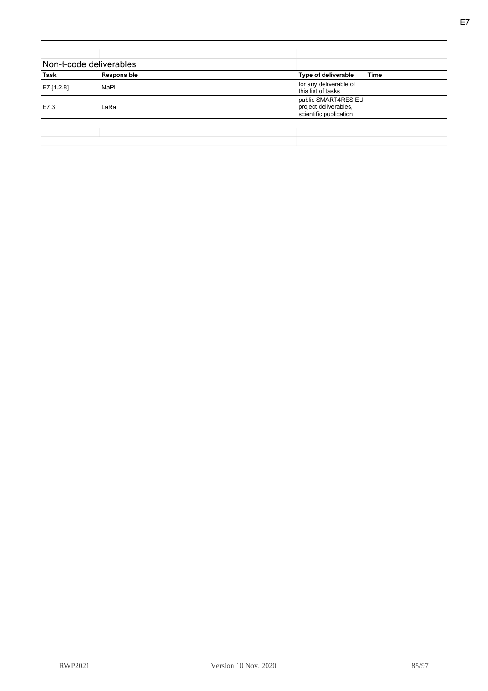| Non-t-code deliverables |             |                                                                        |             |
|-------------------------|-------------|------------------------------------------------------------------------|-------------|
| Task                    | Responsible | Type of deliverable                                                    | <b>Time</b> |
| E7.[1,2,8]              | MaPI        | for any deliverable of<br>this list of tasks                           |             |
| E7.3                    | LaRa        | public SMART4RES EU<br>project deliverables,<br>scientific publication |             |
|                         |             |                                                                        |             |
|                         |             |                                                                        |             |
|                         |             |                                                                        |             |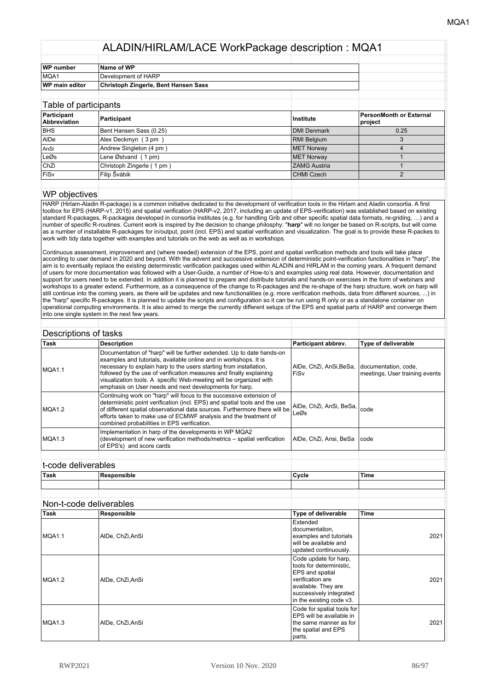| WP number      | Name of WP                           |  |
|----------------|--------------------------------------|--|
| MQA1           | Development of HARP                  |  |
| WP main editor | Christoph Zingerle, Bent Hansen Sass |  |
|                |                                      |  |

| Table of participants              |                           |                     |                                    |
|------------------------------------|---------------------------|---------------------|------------------------------------|
| Participant<br><b>Abbreviation</b> | Participant               | Institute           | PersonMonth or External<br>project |
| <b>BHS</b>                         | Bent Hansen Sass (0.25)   | <b>DMI Denmark</b>  | 0.25                               |
| AIDe                               | Alex Deckmyn (3pm)        | <b>RMI Belgium</b>  |                                    |
| AnSi                               | Andrew Singleton (4 pm)   | <b>MET Norway</b>   | $\Delta$                           |
| LeØs                               | Lene Østvand (1 pm)       | <b>MET Norway</b>   |                                    |
| <b>ChZi</b>                        | Christoph Zingerle (1 pm) | <b>ZAMG Austria</b> |                                    |
| FiSv                               | Filip Švábik              | <b>CHMI Czech</b>   |                                    |
|                                    |                           |                     |                                    |

#### WP objectives

HARP (Hirlam-Aladin R-package) is a common initiative dedicated to the development of verification tools in the Hirlam and Aladin consortia. A first toolbox for EPS (HARP-v1, 2015) and spatial verification (HARP-v2, 2017, including an update of EPS-verification) was established based on existing standard R-packages, R-packages developed in consortia institutes (e.g. for handling Grib and other specific spatial data formats, re-griding, …) and a number of specific R-routines. Current work is inspired by the decision to change philosphy: "**harp**" will no longer be based on R-scripts, but will come as a number of installable R-packages for in/output, point (incl. EPS) and spatial verification and visualization. The goal is to provide these R-packes to work with tidy data together with examples and tutorials on the web as well as in workshops.

Continuous assessment, improvement and (where needed) extension of the EPS, point and spatial verification methods and tools will take place according to user demand in 2020 and beyond. With the advent and successive extension of deterministic point-verification functionalities in "harp", the aim is to eventually replace the existing deterministic verification packages used within ALADIN and HIRLAM in the coming years. A frequent demand of users for more documentation was followed with a User-Guide, a number of How-to's and examples using real data. However, documentation and support for users need to be extended. In addition it is planned to prepare and distribute tutorials and hands-on exercises in the form of webinars and workshops to a greater extend. Furthermore, as a consequence of the change to R-packages and the re-shape of the harp structure, work on harp will still continue into the coming years, as there will be updates and new functionalities (e.g. more verification methods, data from different sources, ...) in the "harp" specific R-packages. It is planned to update the scripts and configuration so it can be run using R only or as a standalone container on operational computing environments. It is also aimed to merge the currently different setups of the EPS and spatial parts of HARP and converge them into one single system in the next few years.

| Descriptions of tasks |                                                                                                                                                                                                                                                                                                                                                                                                                        |                                      |                                                        |
|-----------------------|------------------------------------------------------------------------------------------------------------------------------------------------------------------------------------------------------------------------------------------------------------------------------------------------------------------------------------------------------------------------------------------------------------------------|--------------------------------------|--------------------------------------------------------|
| Task                  | <b>Description</b>                                                                                                                                                                                                                                                                                                                                                                                                     | Participant abbrev.                  | Type of deliverable                                    |
| MQA1.1                | Documentation of "harp" will be further extended. Up to date hands-on<br>examples and tutorials, available online and in workshops. It is<br>necessary to explain harp to the users starting from installation.<br>followed by the use of verification measures and finally explaining<br>visualization tools. A specific Web-meeting will be organized with<br>emphasis on User needs and next developments for harp. | AIDe, ChZi, AnSi, BeSa,<br>l FiSv    | documentation, code,<br>meetings, User training events |
| MQA1.2                | Continuing work on "harp" will focus to the successive extension of<br>deterministic point verification (incl. EPS) and spatial tools and the use<br>of different spatial observational data sources. Furthermore there will be<br>efforts taken to make use of ECMWF analysis and the treatment of<br>combined probabilities in EPS verification.                                                                     | AlDe, ChZi, AnSi, BeSa, code<br>LeØs |                                                        |
| MQA1.3                | Implementation in harp of the developments in WP MQA2<br>(development of new verification methods/metrics - spatial verification<br>of EPS's) and score cards                                                                                                                                                                                                                                                          | AIDe, ChZi, Ansi, BeSa               | l code                                                 |

| 'Task |  | Cycle | 'Time |
|-------|--|-------|-------|
|       |  |       |       |
|       |  |       |       |

|        | Non-t-code deliverables |                                                                                                                                                                        |             |
|--------|-------------------------|------------------------------------------------------------------------------------------------------------------------------------------------------------------------|-------------|
| Task   | Responsible             | Type of deliverable                                                                                                                                                    | <b>Time</b> |
| MQA1.1 | AIDe, ChZi, AnSi        | Extended<br>documentation,<br>examples and tutorials<br>will be available and<br>updated continuously.                                                                 | 2021        |
| MQA1.2 | AIDe, ChZi,AnSi         | Code update for harp,<br>tools for deterministic.<br>EPS and spatial<br>verification are<br>available. They are<br>successively integrated<br>in the existing code v3. | 2021        |
| MQA1.3 | AIDe, ChZi, AnSi        | Code for spatial tools for<br>EPS will be available in<br>the same manner as for<br>the spatial and EPS<br>parts.                                                      | 2021        |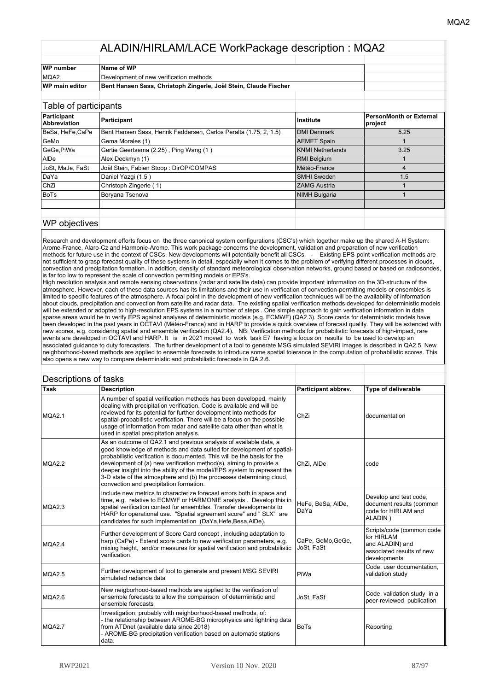| WP number             | Name of WP                                                       |  |
|-----------------------|------------------------------------------------------------------|--|
| MQA2                  | Development of new verification methods                          |  |
| <b>WP</b> main editor | Bent Hansen Sass, Christoph Zingerle, Joël Stein, Claude Fischer |  |
|                       |                                                                  |  |

| Table of participatits             |                                                                   |                      |                                           |
|------------------------------------|-------------------------------------------------------------------|----------------------|-------------------------------------------|
| Participant<br><b>Abbreviation</b> | Participant                                                       | Institute            | <b>PersonMonth or External</b><br>project |
| BeSa, HeFe,CaPe                    | Bent Hansen Sass, Henrik Feddersen, Carlos Peralta (1.75, 2, 1.5) | DMI Denmark          | 5.25                                      |
| GeMo                               | Gema Morales (1)                                                  | <b>AEMET Spain</b>   |                                           |
| GeGe.PiWa                          | Gertie Geertsema (2.25), Ping Wang (1)                            | KNMI Netherlands     | 3.25                                      |
| AIDe                               | Alex Deckmyn (1)                                                  | <b>RMI Belgium</b>   |                                           |
| JoSt, MaJe, FaSt                   | Joël Stein, Fabien Stoop: DirOP/COMPAS                            | Météo-France         | 4                                         |
| DaYa                               | Daniel Yazgi (1.5)                                                | <b>SMHI Sweden</b>   | 1.5                                       |
| l ChZi                             | Christoph Zingerle (1)                                            | <b>ZAMG Austria</b>  |                                           |
| BoTs                               | Boryana Tsenova                                                   | <b>NIMH Bulgaria</b> |                                           |
|                                    |                                                                   |                      |                                           |
|                                    |                                                                   |                      |                                           |

#### WP objectives

Research and development efforts focus on the three canonical system configurations (CSC's) which together make up the shared A-H System: Arome-France, Alaro-Cz and Harmonie-Arome. This work package concerns the development, validation and preparation of new verification methods for future use in the context of CSCs. New developments will potentially benefit all CSCs. - Existing EPS-point verification methods are not sufficient to grasp forecast quality of these systems in detail, especially when it comes to the problem of verifying different processes in clouds, convection and precipitation formation. In addition, density of standard meteorological observation networks, ground based or based on radiosondes, is far too low to represent the scale of convection permitting models or EPS's.

High resolution analysis and remote sensing observations (radar and satellite data) can provide important information on the 3D-structure of the atmosphere. However, each of these data sources has its limitations and their use in verification of convection-permitting models or ensembles is limited to specific features of the atmosphere. A focal point in the development of new verification techniques will be the availability of information about clouds, precipitation and convection from satellite and radar data. The existing spatial verification methods developed for deterministic models will be extended or adopted to high-resolution EPS systems in a number of steps . One simple approach to gain verification information in data sparse areas would be to verify EPS against analyses of deterministic models (e.g. ECMWF) (QA2.3). Score cards for deterministic models have been developed in the past years in OCTAVI (Météo-France) and in HARP to provide a quick overview of forecast quality. They will be extended with new scores, e.g. considering spatial and ensemble verification (QA2.4). NB: Verification methods for probabilistic forecasts of high-impact, rare events are developed in OCTAVI and HARP. It is in 2021 moved to work task E7 having a focus on results to be used to develop an associated guidance to duty forecasters. The further development of a tool to generate MSG simulated SEVIRI images is described in QA2.5. New neighborhood-based methods are applied to ensemble forecasts to introduce some spatial tolerance in the computation of probabilistic scores. This also opens a new way to compare deterministic and probabilistic forecasts in QA.2.6.

|             | Descriptions of tasks                                                                                                                                                                                                                                                                                                                                                                                                                                                                       |                                 |                                                                                                         |
|-------------|---------------------------------------------------------------------------------------------------------------------------------------------------------------------------------------------------------------------------------------------------------------------------------------------------------------------------------------------------------------------------------------------------------------------------------------------------------------------------------------------|---------------------------------|---------------------------------------------------------------------------------------------------------|
| <b>Task</b> | <b>Description</b>                                                                                                                                                                                                                                                                                                                                                                                                                                                                          | Participant abbrev.             | Type of deliverable                                                                                     |
| MQA2.1      | A number of spatial verification methods has been developed, mainly<br>dealing with precipitation verification. Code is available and will be<br>reviewed for its potential for further development into methods for<br>spatial-probabilistic verification. There will be a focus on the possible<br>usage of information from radar and satellite data other than what is<br>used in spatial precipitation analysis.                                                                       | ChZi                            | documentation                                                                                           |
| MQA2.2      | As an outcome of QA2.1 and previous analysis of available data, a<br>good knowledge of methods and data suited for development of spatial-<br>probabilistic verification is documented. This will be the basis for the<br>development of (a) new verification method(s), aiming to provide a<br>deeper insight into the ability of the model/EPS system to represent the<br>3-D state of the atmosphere and (b) the processes determining cloud,<br>convection and precipitation formation. | ChZi. AIDe                      | code                                                                                                    |
| MQA2.3      | Include new metrics to characterize forecast errors both in space and<br>time, e.g. relative to ECMWF or HARMONIE analysis. Develop this in<br>spatial verification context for ensembles. Transfer developments to<br>HARP for operational use. "Spatial agreement score" and " SLX" are<br>candidates for such implementation (DaYa, Hefe, Besa, AIDe).                                                                                                                                   | HeFe, BeSa, AIDe,<br>DaYa       | Develop and test code,<br>document results (common<br>code for HIRLAM and<br>ALADIN)                    |
| MQA2.4      | Further development of Score Card concept, including adaptation to<br>harp (CaPe) - Extend score cards to new verification parameters, e.g.<br>mixing height, and/or measures for spatial verification and probabilistic<br>verification.                                                                                                                                                                                                                                                   | CaPe, GeMo, GeGe,<br>JoSt. FaSt | Scripts/code (common code<br>for HIRLAM<br>and ALADIN) and<br>associated results of new<br>developments |
| MQA2.5      | Further development of tool to generate and present MSG SEVIRI<br>simulated radiance data                                                                                                                                                                                                                                                                                                                                                                                                   | PiWa                            | Code, user documentation,<br>validation study                                                           |
| MQA2.6      | New neigborhood-based methods are applied to the verification of<br>ensemble forecasts to allow the comparison of deterministic and<br>ensemble forecasts                                                                                                                                                                                                                                                                                                                                   | JoSt, FaSt                      | Code, validation study in a<br>peer-reviewed publication                                                |
| MQA2.7      | Investigation, probably with neighborhood-based methods, of:<br>the relationship between AROME-BG microphysics and lightning data<br>from ATDnet (available data since 2018)<br>- AROME-BG precipitation verification based on automatic stations<br>data.                                                                                                                                                                                                                                  | <b>BoTs</b>                     | Reporting                                                                                               |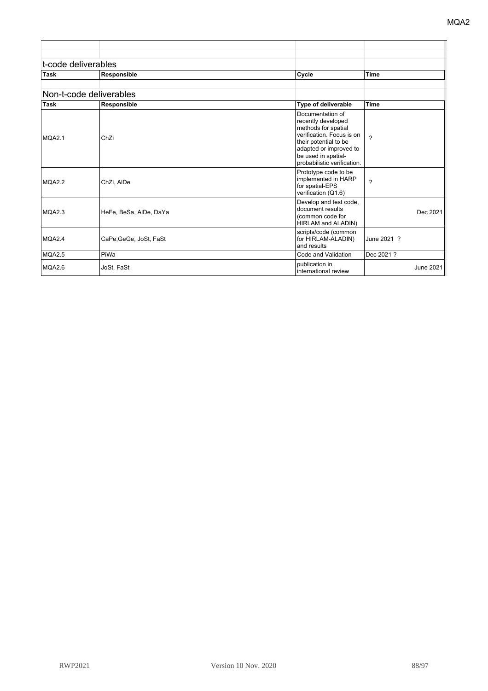| <sup>⊦</sup> Task   | Responsible | Cycle | Time |
|---------------------|-------------|-------|------|
| t-code deliverables |             |       |      |
|                     |             |       |      |
|                     |             |       |      |

|             | Non-t-code deliverables |                                                                                                                                                                                                     |             |
|-------------|-------------------------|-----------------------------------------------------------------------------------------------------------------------------------------------------------------------------------------------------|-------------|
| <b>Task</b> | Responsible             | Type of deliverable                                                                                                                                                                                 | <b>Time</b> |
| MQA2.1      | ChZi                    | Documentation of<br>recently developed<br>methods for spatial<br>verification. Focus is on<br>their potential to be<br>adapted or improved to<br>be used in spatial-<br>probabilistic verification. | 2           |
| MQA2.2      | ChZi, AIDe              | Prototype code to be<br>implemented in HARP<br>for spatial-EPS<br>verification (Q1.6)                                                                                                               | ?           |
| MQA2.3      | HeFe, BeSa, AlDe, DaYa  | Develop and test code,<br>document results<br>(common code for<br>HIRLAM and ALADIN)                                                                                                                | Dec 2021    |
| MQA2.4      | CaPe, GeGe, JoSt, FaSt  | scripts/code (common<br>for HIRLAM-ALADIN)<br>and results                                                                                                                                           | June 2021 ? |
| MQA2.5      | PiWa                    | Code and Validation                                                                                                                                                                                 | Dec 2021 ?  |
| MQA2.6      | JoSt, FaSt              | publication in<br>international review                                                                                                                                                              | June 2021   |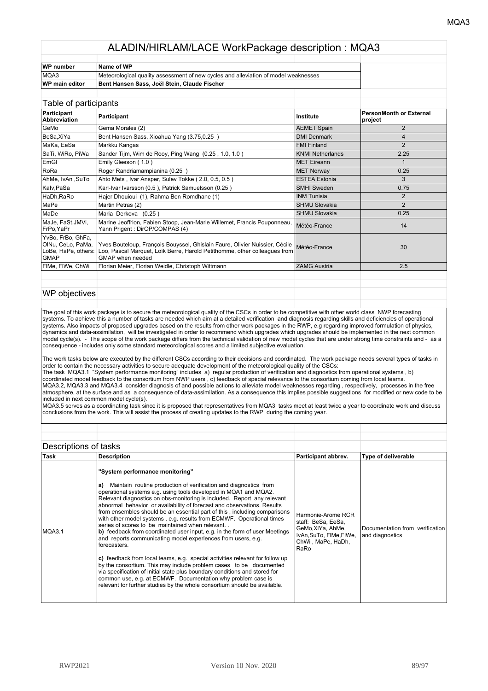| <b>WP</b> number      | Name of WP                                                                          |  |
|-----------------------|-------------------------------------------------------------------------------------|--|
| MQA3                  | Meteorological quality assessment of new cycles and alleviation of model weaknesses |  |
| <b>WP main editor</b> | Bent Hansen Sass, Joël Stein, Claude Fischer                                        |  |

#### Table of participants **Participant Abbreviation Participant Institute PersonMonth or External project** GeMo Gema Morales (2) Communication of the Communication of AEMET Spain Communication of the Communication of the Communication of the Communication of the Communication of the Communication of the Communication of the Com BeSa,XiYa Bent Hansen Sass, Xioahua Yang (3.75,0.25 ) DMI Denmark DMI Denmark 4 MaKa, EeSa Markku Kangas **FMI Finland** 2 SaTi, WiRo, PiWa Sander Tijm, Wim de Rooy, Ping Wang (0.25, 1.0, 1.0) KNMI Netherlands (KNMI Netherlands 2.25 EmGl Emily Gleeson ( 1.0 ) NET Eireann 1 RoRa Roger Randriamampianina (0.25 ) MET Norway MET Norway 0.25 AhMe, IvAn ,SuTo Ahto Mets , Ivar Ansper, Sulev Tokke ( 2.0, 0.5, 0.5 ) ESTEA Estonia and ESTEA Estonia Kalv,PaSa Karl-Ivar Ivarsson (0.5), Patrick Samuelsson (0.25) SMHI Sweden | 0.75 HaDh,RaRo Hajer Dhouioui (1), Rahma Ben Romdhane (1) **INM Tunisia** 2 MaPe Martin Petras (2) SHMU Slovakia 2 MaDe Maria Derkova (0.25 ) and the SHMU Slovakia of SHMU Slovakia 0.25 and 0.25 and 0.25 and 0.25 and 0.25 and 0.25 and 0.25 and 0.25 and 0.25 and 0.25 and 0.25 and 0.25 and 0.25 and 0.25 and 0.25 and 0.25 and 0.25 and 0.2 MaJe, FaSt,JMVi, FrPo,YaPr Marine Jeoffrion, Fabien Stoop, Jean-Marie Willemet, Francis Pouponneau, |<br>Yann Prigent : DirOP/COMPAS (4) YvBo, FrBo, GhFa, OlNu, CeLo, PaMa, LoBe, HaPe, others: **GMAP** Yves Bouteloup, François Bouyssel, Ghislain Faure, Olivier Nuissier, Cécile Loo, Pascal Marquet, Loïk Berre, Harold Petithomme, other colleagues from GMAP when needed Météo-France | 30 FIMe, FIWe, ChWi Florian Meier, Florian Weidle, Christoph Wittmann ZAMG Austria ZAMG Austria 2.5

#### WP objectives

The goal of this work package is to secure the meteorological quality of the CSCs in order to be competitive with other world class NWP forecasting systems. To achieve this a number of tasks are needed which aim at a detailed verification and diagnosis regarding skills and deficiencies of operational systems. Also impacts of proposed upgrades based on the results from other work packages in the RWP, e.g regarding improved formulation of physics, dynamics and data-assimilation, will be investigated in order to recommend which upgrades which upgrades should be implemented in the next common model cycle(s). - The scope of the work package differs from the technical validation of new model cycles that are under strong time constraints and - as a consequence - includes only some standard meteorological scores and a limited subjective evaluation.

The work tasks below are executed by the different CSCs according to their decisions and coordinated. The work package needs several types of tasks in order to contain the necessary activities to secure adequate development of the meteorological quality of the CSCs: The task MQA3.1 "System performance monitoring" includes a) regular production of verification and diagnostics from operational systems , b) coordinated model feedback to the consortium from NWP users , c) feedback of special relevance to the consortium coming from local teams. MQA3.2, MQA3.3 and MQA3.4 consider diagnosis of and possible actions to alleviate model weaknesses regarding , respectively, processes in the free atmosphere, at the surface and as a consequence of data-assimilation. As a consequence this implies possible suggestions for modified or new code to be included in next common model cycle(s).

MQA3.5 serves as a coordinating task since it is proposed that representatives from MQA3 tasks meet at least twice a year to coordinate work and discuss conclusions from the work. This will assist the process of creating updates to the RWP during the coming year.

| Descriptions of tasks |                                                                                                                                                                                                                                                                                                                                                                                                                                                                                                                                                                                                                                                                                                                                                                                                                                                                                                                                                                                                                                                                                                          |                                                                                                                       |                                                    |
|-----------------------|----------------------------------------------------------------------------------------------------------------------------------------------------------------------------------------------------------------------------------------------------------------------------------------------------------------------------------------------------------------------------------------------------------------------------------------------------------------------------------------------------------------------------------------------------------------------------------------------------------------------------------------------------------------------------------------------------------------------------------------------------------------------------------------------------------------------------------------------------------------------------------------------------------------------------------------------------------------------------------------------------------------------------------------------------------------------------------------------------------|-----------------------------------------------------------------------------------------------------------------------|----------------------------------------------------|
| Task                  | <b>Description</b>                                                                                                                                                                                                                                                                                                                                                                                                                                                                                                                                                                                                                                                                                                                                                                                                                                                                                                                                                                                                                                                                                       | Participant abbrev.                                                                                                   | <b>Type of deliverable</b>                         |
| MQA3.1                | "System performance monitoring"<br>Maintain routine production of verification and diagnostics from<br>la).<br>operational systems e.g. using tools developed in MQA1 and MQA2.<br>Relevant diagnostics on obs-monitoring is included. Report any relevant<br>abnormal behavior or availability of forecast and observations. Results<br>from ensembles should be an essential part of this, including comparisons<br>with other model systems, e.g. results from ECMWF. Operational times<br>series of scores to be maintained when relevant<br>b) feedback from coordinated user input, e.g. in the form of user Meetings<br>and reports communicating model experiences from users, e.g.<br>forecasters.<br>$\mathsf{c}$ ) feedback from local teams, e.g. special activities relevant for follow up<br>by the consortium. This may include problem cases to be documented<br>via specification of initial state plus boundary conditions and stored for<br>common use, e.g. at ECMWF. Documentation why problem case is<br>relevant for further studies by the whole consortium should be available. | Harmonie-Arome RCR<br>staff: BeSa, EeSa,<br>GeMo, XiYa, AhMe,<br>IvAn, SuTo, FIMe, FIWe,<br>ChWi, MaPe, HaDh,<br>RaRo | Documentation from verification<br>and diagnostics |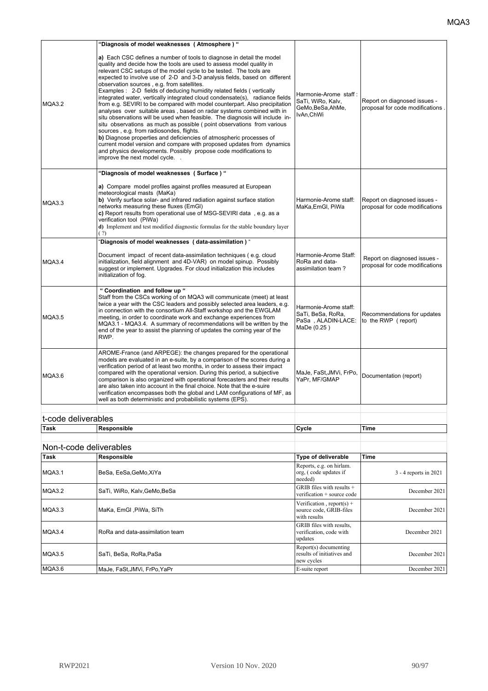|                         | "Diagnosis of model weaknesses (Atmosphere)"                                                                                                                                                                                                                                                                                                                                                                                                                                                                                                                                                                                                                                                                                                                                                                                                                                                                                                                                                                                                                                                                             |                                                                                 |                                                                  |
|-------------------------|--------------------------------------------------------------------------------------------------------------------------------------------------------------------------------------------------------------------------------------------------------------------------------------------------------------------------------------------------------------------------------------------------------------------------------------------------------------------------------------------------------------------------------------------------------------------------------------------------------------------------------------------------------------------------------------------------------------------------------------------------------------------------------------------------------------------------------------------------------------------------------------------------------------------------------------------------------------------------------------------------------------------------------------------------------------------------------------------------------------------------|---------------------------------------------------------------------------------|------------------------------------------------------------------|
| MQA3.2                  | a) Each CSC defines a number of tools to diagnose in detail the model<br>quality and decide how the tools are used to assess model quality in<br>relevant CSC setups of the model cycle to be tested. The tools are<br>expected to involve use of 2-D and 3-D analysis fields, based on different<br>observation sources, e.g. from satellites.<br>Examples: 2-D fields of deducing humidity related fields (vertically<br>integrated water, vertically integrated cloud condensate(s), radiance fields<br>from e.g. SEVIRI to be compared with model counterpart. Also precipitation<br>analyses over suitable areas, based on radar systems combined with in<br>situ observations will be used when feasible. The diagnosis will include in-<br>situ observations as much as possible (point observations from various<br>sources, e.g. from radiosondes, flights.<br>b) Diagnose properties and deficiencies of atmospheric processes of<br>current model version and compare with proposed updates from dynamics<br>and physics developments. Possibly propose code modifications to<br>improve the next model cycle | Harmonie-Arome staff:<br>SaTi, WiRo, Kalv,<br>GeMo, BeSa, AhMe,<br>IvAn, ChWi   | Report on diagnosed issues -<br>proposal for code modifications. |
|                         | "Diagnosis of model weaknesses (Surface) "                                                                                                                                                                                                                                                                                                                                                                                                                                                                                                                                                                                                                                                                                                                                                                                                                                                                                                                                                                                                                                                                               |                                                                                 |                                                                  |
| MQA3.3                  | a) Compare model profiles against profiles measured at European<br>meteorological masts (MaKa)<br>b) Verify surface solar- and infrared radiation against surface station<br>networks measuring these fluxes (EmGI)<br>c) Report results from operational use of MSG-SEVIRI data, e.g. as a<br>verification tool (PiWa)<br>d) Implement and test modified diagnostic formulas for the stable boundary layer<br>(?)                                                                                                                                                                                                                                                                                                                                                                                                                                                                                                                                                                                                                                                                                                       | Harmonie-Arome staff:<br>MaKa, EmGl, PiWa                                       | Report on diagnosed issues -<br>proposal for code modifications  |
|                         | 'Diagnosis of model weaknesses (data-assimilation) "                                                                                                                                                                                                                                                                                                                                                                                                                                                                                                                                                                                                                                                                                                                                                                                                                                                                                                                                                                                                                                                                     |                                                                                 |                                                                  |
| MQA3.4                  | Document impact of recent data-assimilation techniques (e.g. cloud<br>initialization, field alignment and 4D-VAR) on model spinup. Possibly<br>suggest or implement. Upgrades. For cloud initialization this includes<br>initialization of fog.                                                                                                                                                                                                                                                                                                                                                                                                                                                                                                                                                                                                                                                                                                                                                                                                                                                                          | Harmonie-Arome Staff:<br>RoRa and data-<br>assimilation team?                   | Report on diagnosed issues -<br>proposal for code modifications  |
| MQA3.5                  | " Coordination and follow up "<br>Staff from the CSCs working of on MQA3 will communicate (meet) at least<br>twice a year with the CSC leaders and possibly selected area leaders, e.g.<br>in connection with the consortium All-Staff workshop and the EWGLAM<br>meeting, in order to coordinate work and exchange experiences from<br>MQA3.1 - MQA3.4. A summary of recommendations will be written by the<br>end of the year to assist the planning of updates the coming year of the<br>RWP.                                                                                                                                                                                                                                                                                                                                                                                                                                                                                                                                                                                                                         | Harmonie-Arome staff:<br>SaTi, BeSa, RoRa,<br>PaSa, ALADIN-LACE:<br>MaDe (0.25) | Recommendations for updates<br>to the RWP (report)               |
| MQA3.6                  | AROME-France (and ARPEGE): the changes prepared for the operational<br>models are evaluated in an e-suite, by a comparison of the scores during a<br>verification period of at least two months, in order to assess their impact<br>compared with the operational version. During this period, a subjective<br>comparison is also organized with operational forecasters and their results<br>are also taken into account in the final choice. Note that the e-suire<br>verification encompasses both the global and LAM configurations of MF, as<br>well as both deterministic and probabilistic systems (EPS).                                                                                                                                                                                                                                                                                                                                                                                                                                                                                                         | MaJe, FaSt, JMVi, FrPo,<br>YaPr, MF/GMAP                                        | Documentation (report)                                           |
| t-code deliverables     |                                                                                                                                                                                                                                                                                                                                                                                                                                                                                                                                                                                                                                                                                                                                                                                                                                                                                                                                                                                                                                                                                                                          |                                                                                 |                                                                  |
| <b>Task</b>             | Responsible                                                                                                                                                                                                                                                                                                                                                                                                                                                                                                                                                                                                                                                                                                                                                                                                                                                                                                                                                                                                                                                                                                              | Cycle                                                                           | Time                                                             |
|                         |                                                                                                                                                                                                                                                                                                                                                                                                                                                                                                                                                                                                                                                                                                                                                                                                                                                                                                                                                                                                                                                                                                                          |                                                                                 |                                                                  |
| Non-t-code deliverables |                                                                                                                                                                                                                                                                                                                                                                                                                                                                                                                                                                                                                                                                                                                                                                                                                                                                                                                                                                                                                                                                                                                          |                                                                                 |                                                                  |
| <b>Task</b>             | Responsible                                                                                                                                                                                                                                                                                                                                                                                                                                                                                                                                                                                                                                                                                                                                                                                                                                                                                                                                                                                                                                                                                                              | <b>Type of deliverable</b>                                                      | Time                                                             |
| <b>MQA3.1</b>           | BeSa, EeSa, GeMo, XiYa                                                                                                                                                                                                                                                                                                                                                                                                                                                                                                                                                                                                                                                                                                                                                                                                                                                                                                                                                                                                                                                                                                   | Reports, e.g. on hirlam.<br>org, (code updates if<br>needed)                    | 3 - 4 reports in 2021                                            |
| MQA3.2                  | SaTi, WiRo, Kalv,GeMo,BeSa                                                                                                                                                                                                                                                                                                                                                                                                                                                                                                                                                                                                                                                                                                                                                                                                                                                                                                                                                                                                                                                                                               | GRIB files with results $+$<br>verification + source code                       | December 2021                                                    |
| MQA3.3                  | MaKa, EmGI, PiWa, SiTh                                                                                                                                                                                                                                                                                                                                                                                                                                                                                                                                                                                                                                                                                                                                                                                                                                                                                                                                                                                                                                                                                                   | Verification, report(s) +<br>source code, GRIB-files<br>with results            | December 2021                                                    |
| MQA3.4                  | RoRa and data-assimilation team                                                                                                                                                                                                                                                                                                                                                                                                                                                                                                                                                                                                                                                                                                                                                                                                                                                                                                                                                                                                                                                                                          | GRIB files with results,<br>verification, code with<br>updates                  | December 2021                                                    |
| MQA3.5                  | SaTi, BeSa, RoRa,PaSa                                                                                                                                                                                                                                                                                                                                                                                                                                                                                                                                                                                                                                                                                                                                                                                                                                                                                                                                                                                                                                                                                                    | Report(s) documenting<br>results of initiatives and<br>new cycles               | December 2021                                                    |
| MQA3.6                  | MaJe, FaSt, JMVi, FrPo, YaPr                                                                                                                                                                                                                                                                                                                                                                                                                                                                                                                                                                                                                                                                                                                                                                                                                                                                                                                                                                                                                                                                                             | E-suite report                                                                  | December 2021                                                    |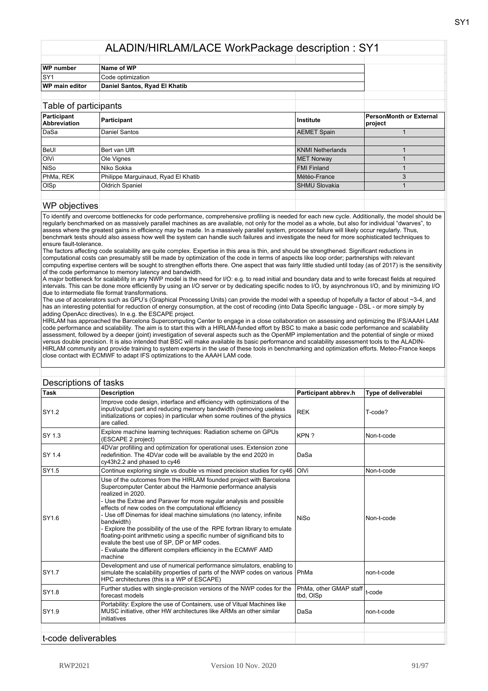| WP number        | Name of WP                    |  |
|------------------|-------------------------------|--|
| lsy <sup>.</sup> | Code optimization             |  |
| WP main editor   | Daniel Santos, Ryad El Khatib |  |
|                  |                               |  |

| Table of participants       |                                     |                      |                                    |
|-----------------------------|-------------------------------------|----------------------|------------------------------------|
| Participant<br>Abbreviation | Participant                         | Institute            | PersonMonth or External<br>project |
| DaSa                        | Daniel Santos                       | <b>AEMET Spain</b>   |                                    |
|                             |                                     |                      |                                    |
| BeUI                        | Bert van Ulft                       | KNMI Netherlands     |                                    |
| loivi                       | Ole Vignes                          | <b>MET Norway</b>    |                                    |
| NiSo                        | Niko Sokka                          | <b>FMI Finland</b>   |                                    |
| PhMa, REK                   | Philippe Marguinaud, Ryad El Khatib | Météo-France         |                                    |
| OISp                        | <b>Oldrich Spaniel</b>              | <b>SHMU Slovakia</b> |                                    |
|                             |                                     |                      |                                    |

#### WP objectives

To identify and overcome bottlenecks for code performance, comprehensive profiling is needed for each new cycle. Additionally, the model should be regularly benchmarked on as massively parallel machines as are available, not only for the model as a whole, but also for individual "dwarves", to assess where the greatest gains in efficiency may be made. In a massively parallel system, processor failure will likely occur regularly. Thus, benchmark tests should also assess how well the system can handle such failures and investigate the need for more sophisticated techniques to ensure fault-tolerance.

The factors affecting code scalability are quite complex. Expertise in this area is thin, and should be strengthened. Significant reductions in computational costs can presumably still be made by optimization of the code in terms of aspects like loop order; partnerships with relevant computing expertise centers will be sought to strengthen efforts there. One aspect that was fairly little studied until today (as of 2017) is the sensitivity of the code performance to memory latency and bandwidth.

A major bottleneck for scalability in any NWP model is the need for I/O: e.g. to read initial and boundary data and to write forecast fields at required intervals. This can be done more efficiently by using an I/O server or by dedicating specific nodes to I/O, by asynchronous I/O, and by minimizing I/O due to intermediate file format transformations.

The use of accelerators such as GPU's (Graphical Processing Units) can provide the model with a speedup of hopefully a factor of about ~3-4, and has an interesting potential for reduction of energy consumption, at the cost of recoding (into Data Specific language - DSL - or more simply by adding OpenAcc directives). In e.g. the ESCAPE project.

HIRLAM has approached the Barcelona Supercomputing Center to engage in a close collaboration on assessing and optimizing the IFS/AAAH LAM code performance and scalability. The aim is to start this with a HIRLAM-funded effort by BSC to make a basic code performance and scalability assessment, followed by a deeper (joint) investigation of several aspects such as the OpenMP implementation and the potential of single or mixed versus double precision. It is also intended that BSC will make available its basic performance and scalability assessment tools to the ALADIN-HIRLAM community and provide training to system experts in the use of these tools in benchmarking and optimization efforts. Meteo-France keeps close contact with ECMWF to adapt IFS optimizations to the AAAH LAM code.

|              | Descriptions of tasks                                                                                                                                                                                                                                                                                                                                                                                                                                                                                                                                                                                                                                               |                                            |                      |
|--------------|---------------------------------------------------------------------------------------------------------------------------------------------------------------------------------------------------------------------------------------------------------------------------------------------------------------------------------------------------------------------------------------------------------------------------------------------------------------------------------------------------------------------------------------------------------------------------------------------------------------------------------------------------------------------|--------------------------------------------|----------------------|
| <b>Task</b>  | <b>Description</b>                                                                                                                                                                                                                                                                                                                                                                                                                                                                                                                                                                                                                                                  | Participant abbrev.h                       | Type of deliverablei |
| <b>SY1.2</b> | Improve code design, interface and efficiency with optimizations of the<br>input/output part and reducing memory bandwidth (removing useless<br>initializations or copies) in particular when some routines of the physics<br>are called.                                                                                                                                                                                                                                                                                                                                                                                                                           | <b>REK</b>                                 | T-code?              |
| SY 1.3       | Explore machine learning techniques: Radiation scheme on GPUs<br>(ESCAPE 2 project)                                                                                                                                                                                                                                                                                                                                                                                                                                                                                                                                                                                 | KPN?                                       | Non-t-code           |
| ISY 1.4      | 4DVar profilling and optimization for operational uses. Extension zone<br>redefinition. The 4DVar code will be available by the end 2020 in<br>cy43h2.2 and phased to cy46                                                                                                                                                                                                                                                                                                                                                                                                                                                                                          | DaSa                                       |                      |
| SY1.5        | Continue exploring single vs double vs mixed precision studies for cy46                                                                                                                                                                                                                                                                                                                                                                                                                                                                                                                                                                                             | OIVi                                       | Non-t-code           |
| SY1.6        | Use of the outcomes from the HIRLAM founded project with Barcelona<br>Supercomputer Center about the Harmonie performance analysis<br>realized in 2020.<br>- Use the Extrae and Paraver for more regular analysis and possible<br>effects of new codes on the computational efficiency<br>- Use off Dinemas for ideal machine simulations (no latency, infinite<br>bandwidth)<br>- Explore the possibility of the use of the RPE fortran library to emulate<br>floating-point arithmetic using a specific number of significand bits to<br>evalute the best use of SP, DP or MP codes.<br>- Evaluate the different compilers efficiency in the ECMWF AMD<br>machine | <b>NiSo</b>                                | Non-t-code           |
| SY1.7        | Development and use of numerical performance simulators, enabling to<br>simulate the scalability properties of parts of the NWP codes on various PhMa<br>HPC architectures (this is a WP of ESCAPE)                                                                                                                                                                                                                                                                                                                                                                                                                                                                 |                                            | non-t-code           |
| SY1.8        | Further studies with single-precision versions of the NWP codes for the<br>forecast models                                                                                                                                                                                                                                                                                                                                                                                                                                                                                                                                                                          | PhMa, other GMAP staff t-code<br>tbd, OISp |                      |
| SY1.9        | Portability: Explore the use of Containers, use of Vitual Machines like<br>MUSC initiative, other HW architectures like ARMs an other similar<br>initiatives                                                                                                                                                                                                                                                                                                                                                                                                                                                                                                        | DaSa                                       | non-t-code           |
|              |                                                                                                                                                                                                                                                                                                                                                                                                                                                                                                                                                                                                                                                                     |                                            |                      |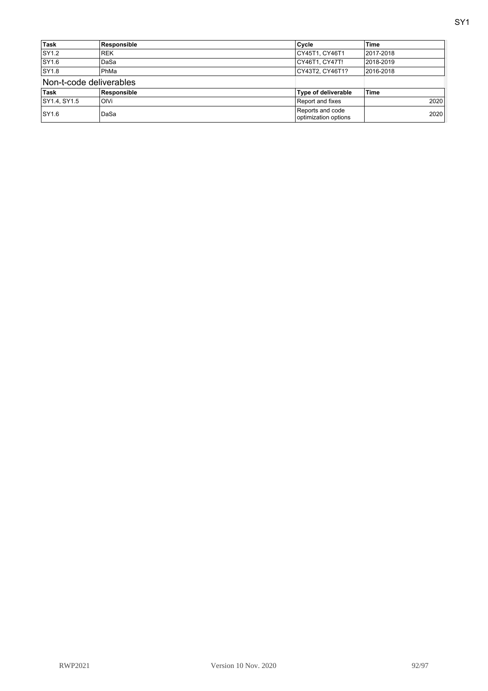| Task                    | Responsible | Cycle                                    | <b>Time</b> |
|-------------------------|-------------|------------------------------------------|-------------|
| <b>SY1.2</b>            | <b>REK</b>  | CY45T1, CY46T1                           | 2017-2018   |
| SY1.6                   | DaSa        | CY46T1, CY47T!                           | 2018-2019   |
| <b>SY1.8</b>            | PhMa        | CY43T2. CY46T1?                          | 2016-2018   |
| Non-t-code deliverables |             |                                          |             |
| Task                    | Responsible | Type of deliverable                      | <b>Time</b> |
| SY1.4, SY1.5            | OIVi        | Report and fixes                         | 2020        |
| SY1.6                   | DaSa        | Reports and code<br>optimization options | 2020        |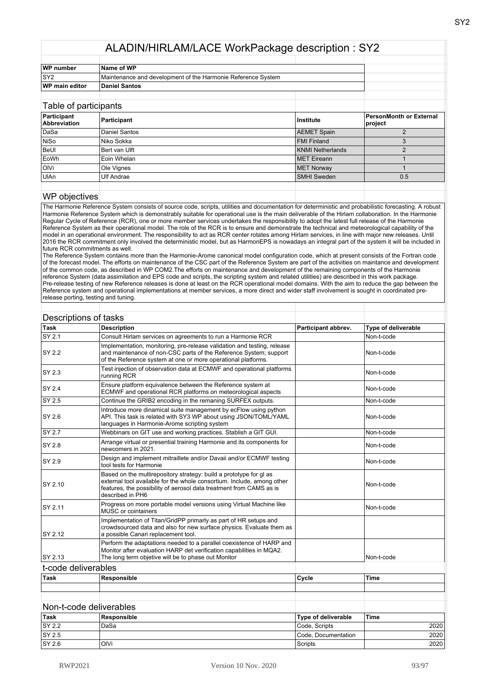| <b>WP</b> number      | Name of WP                                                   |  |
|-----------------------|--------------------------------------------------------------|--|
| ISY2                  | Maintenance and development of the Harmonie Reference System |  |
| <b>WP main editor</b> | Daniel Santos                                                |  |
|                       |                                                              |  |

| Table of participants              |                   |                         |                                    |
|------------------------------------|-------------------|-------------------------|------------------------------------|
| Participant<br><b>Abbreviation</b> | Participant       | ∣Institute              | PersonMonth or External<br>project |
| DaSa                               | Daniel Santos     | <b>AEMET Spain</b>      |                                    |
| NiSo                               | Niko Sokka        | <b>FMI Finland</b>      |                                    |
| BeUl                               | Bert van Ulft     | <b>KNMI Netherlands</b> |                                    |
| EoWh                               | Eoin Whelan       | <b>MET</b> Eireann      |                                    |
| <b>OIVi</b>                        | Ole Vignes        | <b>MET Norway</b>       |                                    |
| UIAn                               | <b>Ulf Andrae</b> | <b>SMHI Sweden</b>      | 0.5                                |
|                                    |                   |                         |                                    |

#### WP objectives

The Harmonie Reference System consists of source code, scripts, utilities and documentation for deterministic and probabilistic forecasting. A robust Harmonie Reference System which is demonstrably suitable for operational use is the main deliverable of the Hirlam collaboration. In the Harmonie Regular Cycle of Reference (RCR), one or more member services undertakes the responsibility to adopt the latest full release of the Harmonie Reference System as their operational model. The role of the RCR is to ensure and demonstrate the technical and meteorological capability of the model in an operational environment. The responsibility to act as RCR center rotates among Hirlam services, in line with major new releases. Until 2016 the RCR commitment only involved the deterministic model, but as HarmonEPS is nowadays an integral part of the system it will be included in future RCR commitments as well.

The Reference System contains more than the Harmonie-Arome canonical model configuration code, which at present consists of the Fortran code of the forecast model. The efforts on maintenance of the CSC part of the Reference System are part of the activities on maintance and development of the common code, as described in WP COM2.The efforts on maintenance and development of the remaining components of the Harmonie reference System (data assimilation and EPS code and scripts, the scripting system and related utilities) are described in this work package. Pre-release testing of new Reference releases is done at least on the RCR operational model domains. With the aim to reduce the gap between the Reference system and operational implementations at member services, a more direct and wider staff involvement is sought in coordinated prerelease porting, testing and tuning.

|                     | Descriptions of tasks                                                                                                                                                                                                                   |                     |                     |
|---------------------|-----------------------------------------------------------------------------------------------------------------------------------------------------------------------------------------------------------------------------------------|---------------------|---------------------|
| Task                | <b>Description</b>                                                                                                                                                                                                                      | Participant abbrev. | Type of deliverable |
| <b>SY 2.1</b>       | Consult Hirlam services on agreements to run a Harmonie RCR                                                                                                                                                                             |                     | Non-t-code          |
| <b>SY 2.2</b>       | Implementation, monitoring, pre-release validation and testing, release<br>and maintenance of non-CSC parts of the Reference System; support<br>of the Reference system at one or more operational platforms.                           |                     | Non-t-code          |
| ISY 2.3             | Test injection of observation data at ECMWF and operational platforms<br>running RCR                                                                                                                                                    |                     | Non-t-code          |
| <b>SY 2.4</b>       | Ensure platform equivalence between the Reference system at<br>ECMWF and operational RCR platforms on meteorological aspects                                                                                                            |                     | Non-t-code          |
| SY 2.5              | Continue the GRIB2 encoding in the remaning SURFEX outputs.                                                                                                                                                                             |                     | Non-t-code          |
| ISY 2.6             | Introduce more dinamical suite management by ecFlow using python<br>API. This task is related with SY3 WP about using JSON/TOML/YAML<br>languages in Harmonie-Arome scripting system                                                    |                     | Non-t-code          |
| SY 2.7              | Webbinars on GIT use and working practices. Stablish a GIT GUI.                                                                                                                                                                         |                     | Non-t-code          |
| <b>SY 2.8</b>       | Arrange virtual or presential training Harmonie and its components for<br>newcomers in 2021.                                                                                                                                            |                     | Non-t-code          |
| SY 2.9              | Design and implement mitraillete and/or Davaii and/or ECMWF testing<br>tool tests for Harmonie                                                                                                                                          |                     | Non-t-code          |
| SY 2.10             | Based on the multirepository strategy: build a prototype for gl as<br>external tool available for the whole consortium. Include, among other<br>features, the possibility of aerosol data treatment from CAMS as is<br>described in PH6 |                     | Non-t-code          |
| SY 2.11             | Progress on more portable model versions using Virtual Machine like<br>MUSC or cointainers                                                                                                                                              |                     | Non-t-code          |
| SY 2.12             | Implementation of Titan/GridPP primarly as part of HR setups and<br>crowdsourced data and also for new surface physics. Evaluate them as<br>a possible Canari replacement tool.                                                         |                     |                     |
| SY 2.13             | Perform the adaptations needed to a parallel coexistence of HARP and<br>Monitor after evaluation HARP det verification capabilities in MQA2.<br>The long term objetive will be to phase out Monitor                                     |                     | Non-t-code          |
| t-code deliverables |                                                                                                                                                                                                                                         |                     |                     |
| Task                | Responsible                                                                                                                                                                                                                             | Cycle               | <b>Time</b>         |
|                     |                                                                                                                                                                                                                                         |                     |                     |
|                     |                                                                                                                                                                                                                                         |                     |                     |
|                     | Non-t-code deliverables                                                                                                                                                                                                                 |                     |                     |
| Task                | <b>Responsible</b>                                                                                                                                                                                                                      | Type of deliverable | <b>Time</b>         |

#### **Task Responsible Type of deliverable Time** SY 2.2 DaSa Code, Scripts 2020 SY 2.5 Code, Documentation 2020<br>SY 2.6 OIVi Scripts 2020 SY 2.6 OlVi Scripts 2020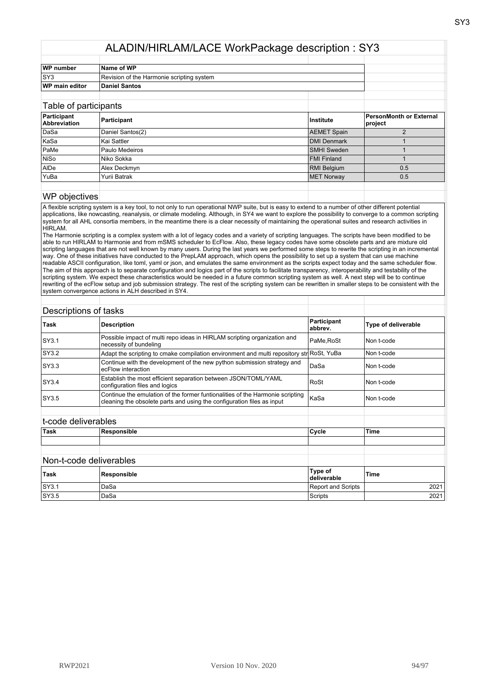| <b>WP</b> number      | Name of WP                                |  |
|-----------------------|-------------------------------------------|--|
| lSY3                  | Revision of the Harmonie scripting system |  |
| <b>WP main editor</b> | Daniel Santos                             |  |
|                       |                                           |  |

| Table of participants       |                  |                    |                                    |
|-----------------------------|------------------|--------------------|------------------------------------|
| Participant<br>Abbreviation | Participant      | Institute          | PersonMonth or External<br>project |
| DaSa                        | Daniel Santos(2) | <b>AEMET Spain</b> |                                    |
| KaSa                        | Kai Sattler      | DMI Denmark        |                                    |
| PaMe                        | Paulo Medeiros   | <b>SMHI</b> Sweden |                                    |
| NiSo                        | Niko Sokka       | FMI Finland        |                                    |
| AIDe                        | Alex Deckmyn     | <b>RMI Belgium</b> | 0.5                                |
| YuBa                        | Yurii Batrak     | <b>MET Norway</b>  | 0.5                                |
|                             |                  |                    |                                    |

#### WP objectives

A flexible scripting system is a key tool, to not only to run operational NWP suite, but is easy to extend to a number of other different potential applications, like nowcasting, reanalysis, or climate modeling. Although, in SY4 we want to explore the possibility to converge to a common scripting system for all AHL consortia members, in the meantime there is a clear necessity of maintaining the operational suites and research activities in HIRLAM.

The Harmonie scripting is a complex system with a lot of legacy codes and a variety of scripting languages. The scripts have been modified to be able to run HIRLAM to Harmonie and from mSMS scheduler to EcFlow. Also, these legacy codes have some obsolete parts and are mixture old scripting languages that are not well known by many users. During the last years we performed some steps to rewrite the scripting in an incremental way. One of these initiatives have conducted to the PrepLAM approach, which opens the possibility to set up a system that can use machine readable ASCII configuration, like toml, yaml or json, and emulates the same environment as the scripts expect today and the same scheduler flow. The aim of this approach is to separate configuration and logics part of the scripts to facilitate transparency, interoperability and testability of the scripting system. We expect these characteristics would be needed in a future common scripting system as well. A next step will be to continue rewriting of the ecFlow setup and job submission strategy. The rest of the scripting system can be rewritten in smaller steps to be consistent with the system convergence actions in ALH described in SY4.

|                     | Descriptions of tasks                                                                                                                                   |                        |                            |
|---------------------|---------------------------------------------------------------------------------------------------------------------------------------------------------|------------------------|----------------------------|
| Task                | <b>Description</b>                                                                                                                                      | Participant<br>abbrev. | <b>Type of deliverable</b> |
| SY3.1               | Possible impact of multi repo ideas in HIRLAM scripting organization and<br>necessity of bundeling                                                      | PaMe, RoSt             | Non t-code                 |
| SY3.2               | Adapt the scripting to cmake compilation environment and multi repository str RoSt, YuBa                                                                |                        | Non t-code                 |
| SY3.3               | Continue with the development of the new python submission strategy and<br>ecFlow interaction                                                           | DaSa                   | Non t-code                 |
| SY3.4               | Establish the most efficient separation between JSON/TOML/YAML<br>configuration files and logics                                                        | RoSt                   | Non t-code                 |
| <b>SY3.5</b>        | Continue the emulation of the former funtionalities of the Harmonie scripting<br>cleaning the obsolete parts and using the configuration files as input | KaSa                   | Non t-code                 |
| t-code deliverables |                                                                                                                                                         |                        |                            |
| <b>Task</b>         | Responsible                                                                                                                                             | Cycle                  | <b>Time</b>                |
|                     |                                                                                                                                                         |                        |                            |
|                     | Non-t-code deliverables                                                                                                                                 |                        |                            |
| Task                | Responsible                                                                                                                                             | Type of<br>deliverable | <b>Time</b>                |

SY3.1 DaSa 2021 DaGa Report and Scripts 2021 SY3.5 DaSa Scripts 2021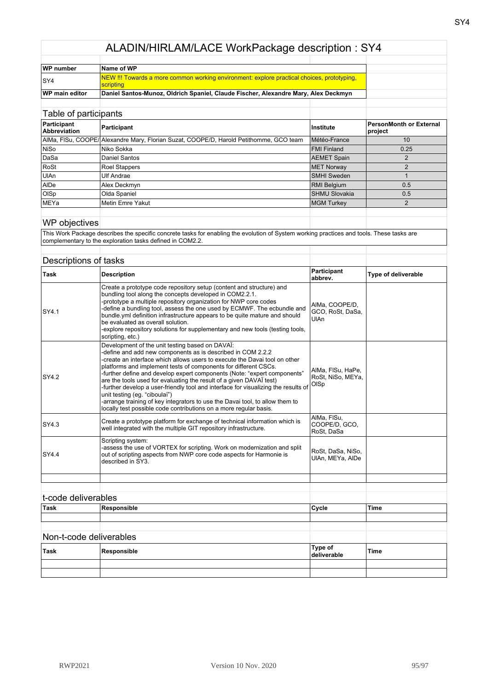| WP number             | Name of WP                                                                                                     |  |
|-----------------------|----------------------------------------------------------------------------------------------------------------|--|
| ISY4                  | NEW !!! Towards a more common working environment: explore practical choices, prototyping,<br><u>Scripting</u> |  |
| <b>WP main editor</b> | Daniel Santos-Munoz, Oldrich Spaniel, Claude Fischer, Alexandre Mary, Alex Deckmyn                             |  |

| Table of participants       |                                                                                        |                      |                                           |
|-----------------------------|----------------------------------------------------------------------------------------|----------------------|-------------------------------------------|
| Participant<br>Abbreviation | Participant                                                                            | Institute            | <b>PersonMonth or External</b><br>project |
|                             | AIMa, FISu, COOPE/ Alexandre Mary, Florian Suzat, COOPE/D, Harold Petithomme, GCO team | Météo-France         | 10                                        |
| <b>NiSo</b>                 | Niko Sokka                                                                             | FMI Finland          | 0.25                                      |
| DaSa                        | Daniel Santos                                                                          | <b>AEMET Spain</b>   |                                           |
| RoSt                        | <b>Roel Stappers</b>                                                                   | <b>MET Norway</b>    | າ                                         |
| <b>UIAn</b>                 | Ulf Andrae                                                                             | SMHI Sweden          |                                           |
| AIDe                        | Alex Deckmyn                                                                           | <b>RMI Belgium</b>   | 0.5                                       |
| <b>OISp</b>                 | Olda Spaniel                                                                           | <b>SHMU Slovakia</b> | 0.5                                       |
| MEYa                        | Metin Emre Yakut                                                                       | <b>MGM Turkey</b>    | $\mathcal{P}$                             |
|                             |                                                                                        |                      |                                           |

# WP objectives

This Work Package describes the specific concrete tasks for enabling the evolution of System working practices and tools. These tasks are complementary to the exploration tasks defined in COM2.2.

#### Descriptions of tasks

| <b>Task</b>  | <b>Description</b>                                                                                                                                                                                                                                                                                                                                                                                                                                                                                                                                                                                                                                                                             | Participant<br>abbrev.                            | Type of deliverable |
|--------------|------------------------------------------------------------------------------------------------------------------------------------------------------------------------------------------------------------------------------------------------------------------------------------------------------------------------------------------------------------------------------------------------------------------------------------------------------------------------------------------------------------------------------------------------------------------------------------------------------------------------------------------------------------------------------------------------|---------------------------------------------------|---------------------|
| SY4.1        | Create a prototype code repository setup (content and structure) and<br>bundling tool along the concepts developed in COM2.2.1.<br>-prototype a multiple repository organization for NWP core codes<br>-define a bundling tool, assess the one used by ECMWF. The ecbundle and<br>bundle yml definition infrastructure appears to be quite mature and should<br>be evaluated as overall solution.<br>-explore repository solutions for supplementary and new tools (testing tools,<br>scripting, etc.)                                                                                                                                                                                         | AIMa, COOPE/D,<br>GCO, RoSt, DaSa,<br><b>UlAn</b> |                     |
| <b>SY4.2</b> | Development of the unit testing based on DAVAI:<br>-define and add new components as is described in COM 2.2.2<br>-create an interface which allows users to execute the Davai tool on other<br>platforms and implement tests of components for different CSCs.<br>-further define and develop expert components (Note: "expert components"<br>are the tools used for evaluating the result of a given DAVAI test)<br>-further develop a user-friendly tool and interface for visualizing the results of<br>unit testing (eg. "ciboulaï")<br>-arrange training of key integrators to use the Davai tool, to allow them to<br>locally test possible code contributions on a more regular basis. | AIMa, FISu, HaPe,<br>RoSt, NiSo, MEYa,<br>OISp    |                     |
| SY4.3        | Create a prototype platform for exchange of technical information which is<br>well integrated with the multiple GIT repository infrastructure.                                                                                                                                                                                                                                                                                                                                                                                                                                                                                                                                                 | AIMa, FISu,<br>COOPE/D. GCO.<br>RoSt. DaSa        |                     |
| <b>SY4.4</b> | Scripting system:<br>-assess the use of VORTEX for scripting. Work on modernization and split<br>out of scripting aspects from NWP core code aspects for Harmonie is<br>described in SY3.                                                                                                                                                                                                                                                                                                                                                                                                                                                                                                      | RoSt, DaSa, NiSo,<br>UIAn. MEYa. AIDe             |                     |
|              |                                                                                                                                                                                                                                                                                                                                                                                                                                                                                                                                                                                                                                                                                                |                                                   |                     |
|              |                                                                                                                                                                                                                                                                                                                                                                                                                                                                                                                                                                                                                                                                                                |                                                   |                     |

| <u>t vuud uulivuluuluu</u> |             |                        |             |
|----------------------------|-------------|------------------------|-------------|
| Task                       | Responsible | Cycle                  | <b>Time</b> |
|                            |             |                        |             |
|                            |             |                        |             |
| Non-t-code deliverables    |             |                        |             |
| Task                       | Responsible | Type of<br>deliverable | <b>Time</b> |
|                            |             |                        |             |
|                            |             |                        |             |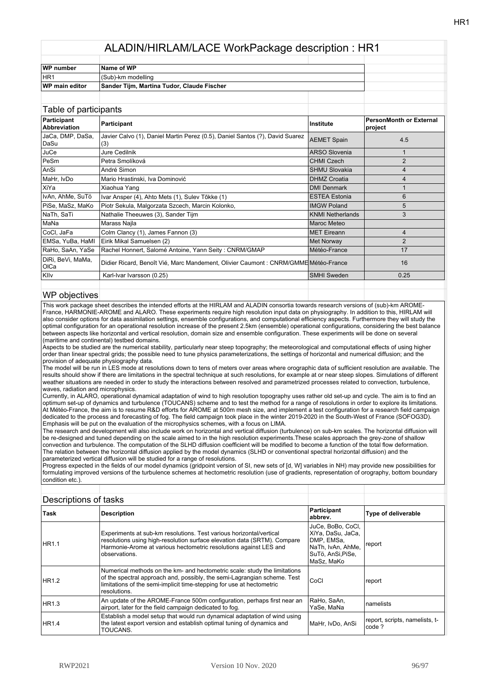| WP number             | Name of WP                                 |  |
|-----------------------|--------------------------------------------|--|
| IHR <sub>1</sub>      | (Sub)-km modelling                         |  |
| <b>WP</b> main editor | Sander Tijm, Martina Tudor, Claude Fischer |  |
|                       |                                            |  |

| Table of participants       |                                                                                     |                         |                                           |
|-----------------------------|-------------------------------------------------------------------------------------|-------------------------|-------------------------------------------|
| Participant<br>Abbreviation | Participant                                                                         | <b>Institute</b>        | <b>PersonMonth or External</b><br>project |
| JaCa, DMP, DaSa,<br>DaSu    | Javier Calvo (1), Daniel Martin Perez (0.5), Daniel Santos (?), David Suarez<br>(3) | <b>AEMET Spain</b>      | 4.5                                       |
| <b>JuCe</b>                 | Jure Cedilnik                                                                       | <b>ARSO Slovenia</b>    |                                           |
| <b>PeSm</b>                 | Petra Smolíková                                                                     | <b>CHMI Czech</b>       | 2                                         |
| lAnSi                       | André Simon                                                                         | <b>SHMU Slovakia</b>    | 4                                         |
| MaHr, IvDo                  | Mario Hrastinski, Iva Dominović                                                     | <b>DHMZ Croatia</b>     | 4                                         |
| XiYa                        | Xiaohua Yang                                                                        | <b>DMI Denmark</b>      |                                           |
| IvAn, AhMe, SuTö            | Ivar Ansper (4), Ahto Mets (1), Sulev Tõkke (1)                                     | <b>ESTEA Estonia</b>    | 6                                         |
| PiSe, MaSz, MaKo            | Piotr Sekula, Malgorzata Szcech, Marcin Kolonko,                                    | <b>IMGW Poland</b>      | 5                                         |
| NaTh, SaTi                  | Nathalie Theeuwes (3), Sander Tijm                                                  | <b>KNMI Netherlands</b> | 3                                         |
| MaNa                        | Marass Najla                                                                        | <b>Maroc Meteo</b>      |                                           |
| CoCl, JaFa                  | Colm Clancy (1), James Fannon (3)                                                   | MET Eireann             | 4                                         |
| EMSa, YuBa, HaMI            | Eirik Mikal Samuelsen (2)                                                           | Met Norway              | 2                                         |
| RaHo, SaAn, YaSe            | Rachel Honnert, Salomé Antoine, Yann Seity: CNRM/GMAP                               | Météo-France            | 17                                        |
| DiRi, BeVi, MaMa,<br>OICa   | Didier Ricard, Benoît Vié, Marc Mandement, Olivier Caumont : CNRM/GMME Météo-France |                         | 16                                        |
| Kllv                        | Karl-Ivar Ivarsson (0.25)                                                           | <b>SMHI Sweden</b>      | 0.25                                      |
|                             |                                                                                     |                         |                                           |

#### WP objectives

This work package sheet describes the intended efforts at the HIRLAM and ALADIN consortia towards research versions of (sub)-km AROME-France, HARMONIE-AROME and ALARO. These experiments require high resolution input data on physiography. In addition to this, HIRLAM will also consider options for data assimilation settings, ensemble configurations, and computational efficiency aspects. Furthermore they will study the optimal configuration for an operational resolution increase of the present 2.5km (ensemble) operational configurations, considering the best balance between aspects like horizontal and vertical resolution, domain size and ensemble configuration. These experiments will be done on several (maritime and continental) testbed domains.

Aspects to be studied are the numerical stability, particularly near steep topography; the meteorological and computational effects of using higher order than linear spectral grids; the possible need to tune physics parameterizations, the settings of horizontal and numerical diffusion; and the provision of adequate physiography data.

The model will be run in LES mode at resolutions down to tens of meters over areas where orographic data of sufficient resolution are available. The results should show if there are limitations in the spectral technique at such resolutions, for example at or near steep slopes. Simulations of different weather situations are needed in order to study the interactions between resolved and parametrized processes related to convection, turbulence, waves, radiation and microphysics.

Currently, in ALARO, operational dynamical adaptation of wind to high resolution topography uses rather old set-up and cycle. The aim is to find an optimum set-up of dynamics and turbulence (TOUCANS) scheme and to test the method for a range of resolutions in order to explore its limitations. At Météo-France, the aim is to resume R&D efforts for AROME at 500m mesh size, and implement a test configuration for a research field campaign dedicated to the process and forecasting of fog. The field campaign took place in the winter 2019-2020 in the South-West of France (SOFOG3D). Emphasis will be put on the evaluation of the microphysics schemes, with a focus on LIMA.

The research and development will also include work on horizontal and vertical diffusion (turbulence) on sub-km scales. The horizontal diffusion will be re-designed and tuned depending on the scale aimed to in the high resolution experiments.These scales approach the grey-zone of shallow convection and turbulence. The computation of the SLHD diffusion coefficient will be modified to become a function of the total flow deformation. The relation between the horizontal diffusion applied by the model dynamics (SLHD or conventional spectral horizontal diffusion) and the parameterized vertical diffusion will be studied for a range of resolutions.

Progress expected in the fields of our model dynamics (gridpoint version of SI, new sets of [d, W] variables in NH) may provide new possibilities for formulating improved versions of the turbulence schemes at hectometric resolution (use of gradients, representation of orography, bottom boundary condition etc.).

| Descriptions of tasks |                                                                                                                                                                                                                                                |                                                                                                              |                                          |
|-----------------------|------------------------------------------------------------------------------------------------------------------------------------------------------------------------------------------------------------------------------------------------|--------------------------------------------------------------------------------------------------------------|------------------------------------------|
| Task                  | <b>Description</b>                                                                                                                                                                                                                             | Participant<br>abbrev.                                                                                       | Type of deliverable                      |
| HR1.1                 | Experiments at sub-km resolutions. Test various horizontal/vertical<br>resolutions using high-resolution surface elevation data (SRTM). Compare<br>Harmonie-Arome at various hectometric resolutions against LES and<br>observations.          | JuCe, BoBo, CoCl,<br>XiYa, DaSu, JaCa,<br>DMP, EMSa,<br>NaTh. IvAn. AhMe.<br>SuTö, AnSi, PiSe,<br>MaSz. MaKo | report                                   |
| HR1.2                 | Numerical methods on the km- and hectometric scale: study the limitations<br>of the spectral approach and, possibly, the semi-Lagrangian scheme. Test<br>limitations of the semi-implicit time-stepping for use at hectometric<br>resolutions. | CoCl                                                                                                         | report                                   |
| HR1.3                 | An update of the AROME-France 500m configuration, perhaps first near an<br>airport, later for the field campaign dedicated to fog.                                                                                                             | RaHo, SaAn,<br>YaSe, MaNa                                                                                    | namelists                                |
| <b>HR1.4</b>          | Establish a model setup that would run dynamical adaptation of wind using<br>the latest export version and establish optimal tuning of dynamics and<br>TOUCANS.                                                                                | MaHr. IvDo. AnSi                                                                                             | report, scripts, namelists, t-<br>code ? |